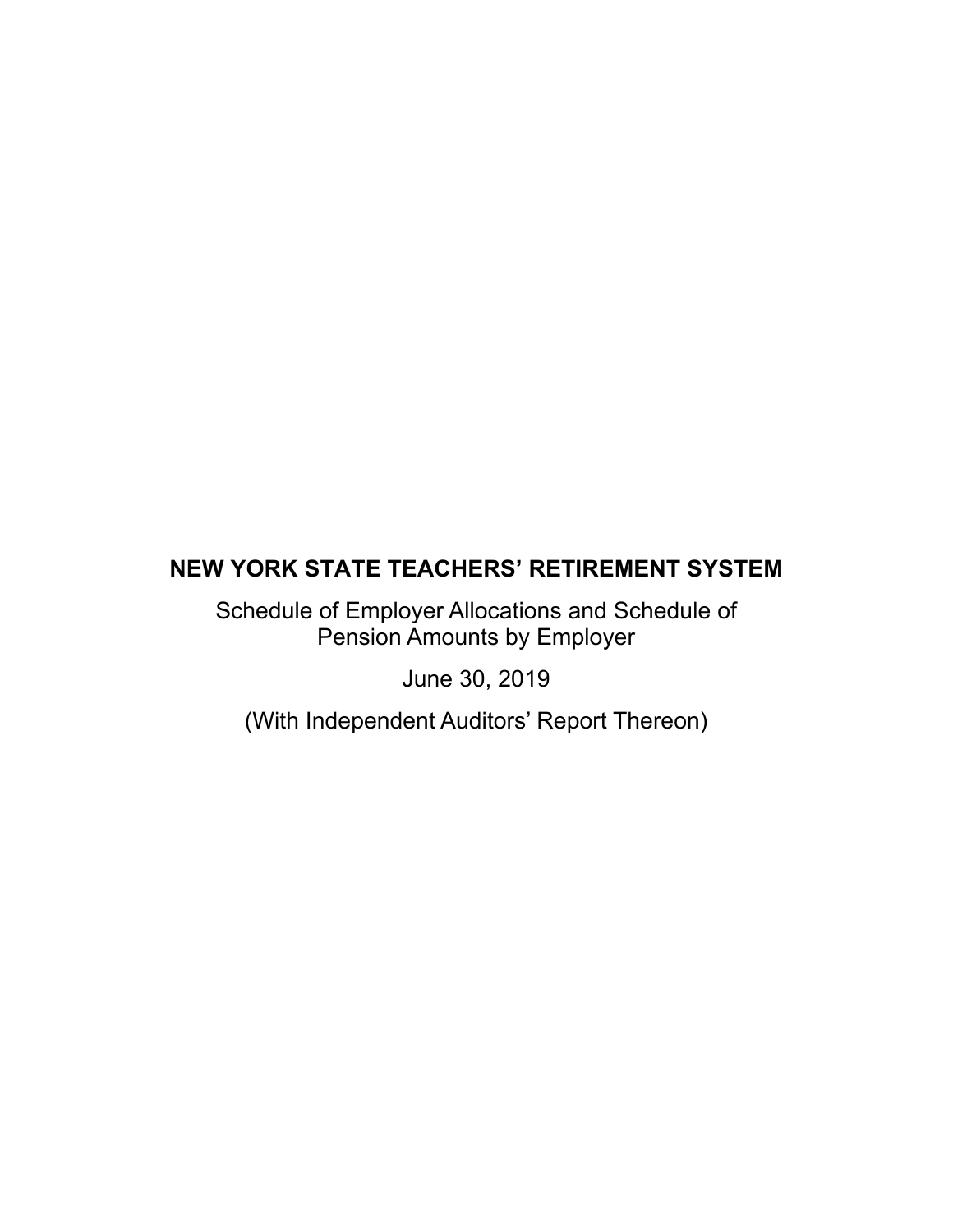Schedule of Employer Allocations and Schedule of Pension Amounts by Employer

June 30, 2019

(With Independent Auditors' Report Thereon)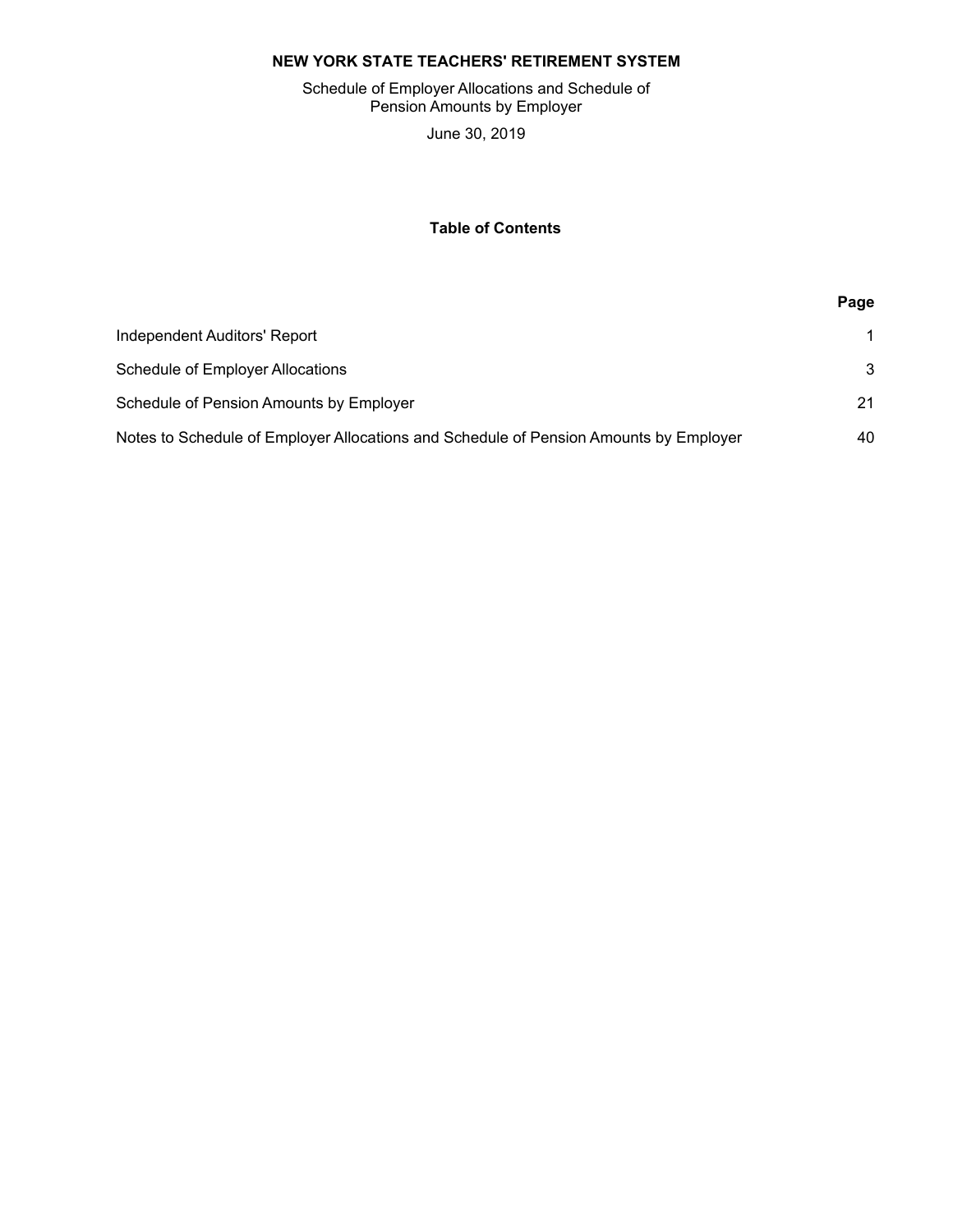Schedule of Employer Allocations and Schedule of Pension Amounts by Employer

June 30, 2019

# **Table of Contents**

| Independent Auditors' Report                                                          |    |
|---------------------------------------------------------------------------------------|----|
| Schedule of Employer Allocations                                                      | 3  |
| Schedule of Pension Amounts by Employer                                               | 21 |
| Notes to Schedule of Employer Allocations and Schedule of Pension Amounts by Employer | 40 |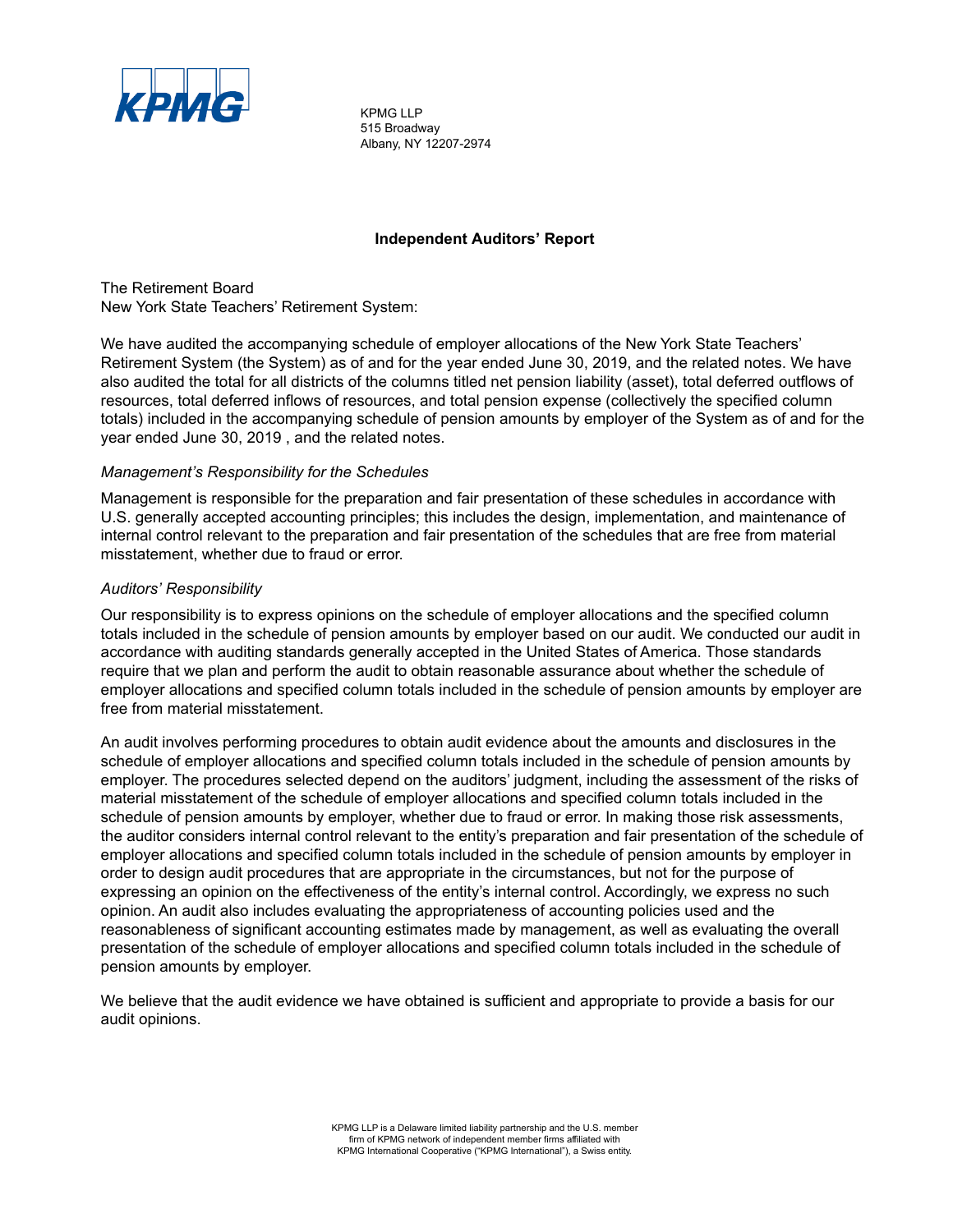<span id="page-2-0"></span>

KPMG LLP 515 Broadway Albany, NY 12207-2974

## **Independent Auditors' Report**

The Retirement Board New York State Teachers' Retirement System:

We have audited the accompanying schedule of employer allocations of the New York State Teachers' Retirement System (the System) as of and for the year ended June 30, 2019, and the related notes. We have also audited the total for all districts of the columns titled net pension liability (asset), total deferred outflows of resources, total deferred inflows of resources, and total pension expense (collectively the specified column totals) included in the accompanying schedule of pension amounts by employer of the System as of and for the year ended June 30, 2019 , and the related notes.

## *Management's Responsibility for the Schedules*

Management is responsible for the preparation and fair presentation of these schedules in accordance with U.S. generally accepted accounting principles; this includes the design, implementation, and maintenance of internal control relevant to the preparation and fair presentation of the schedules that are free from material misstatement, whether due to fraud or error.

## *Auditors' Responsibility*

Our responsibility is to express opinions on the schedule of employer allocations and the specified column totals included in the schedule of pension amounts by employer based on our audit. We conducted our audit in accordance with auditing standards generally accepted in the United States of America. Those standards require that we plan and perform the audit to obtain reasonable assurance about whether the schedule of employer allocations and specified column totals included in the schedule of pension amounts by employer are free from material misstatement.

An audit involves performing procedures to obtain audit evidence about the amounts and disclosures in the schedule of employer allocations and specified column totals included in the schedule of pension amounts by employer. The procedures selected depend on the auditors' judgment, including the assessment of the risks of material misstatement of the schedule of employer allocations and specified column totals included in the schedule of pension amounts by employer, whether due to fraud or error. In making those risk assessments, the auditor considers internal control relevant to the entity's preparation and fair presentation of the schedule of employer allocations and specified column totals included in the schedule of pension amounts by employer in order to design audit procedures that are appropriate in the circumstances, but not for the purpose of expressing an opinion on the effectiveness of the entity's internal control. Accordingly, we express no such opinion. An audit also includes evaluating the appropriateness of accounting policies used and the reasonableness of significant accounting estimates made by management, as well as evaluating the overall presentation of the schedule of employer allocations and specified column totals included in the schedule of pension amounts by employer.

We believe that the audit evidence we have obtained is sufficient and appropriate to provide a basis for our audit opinions.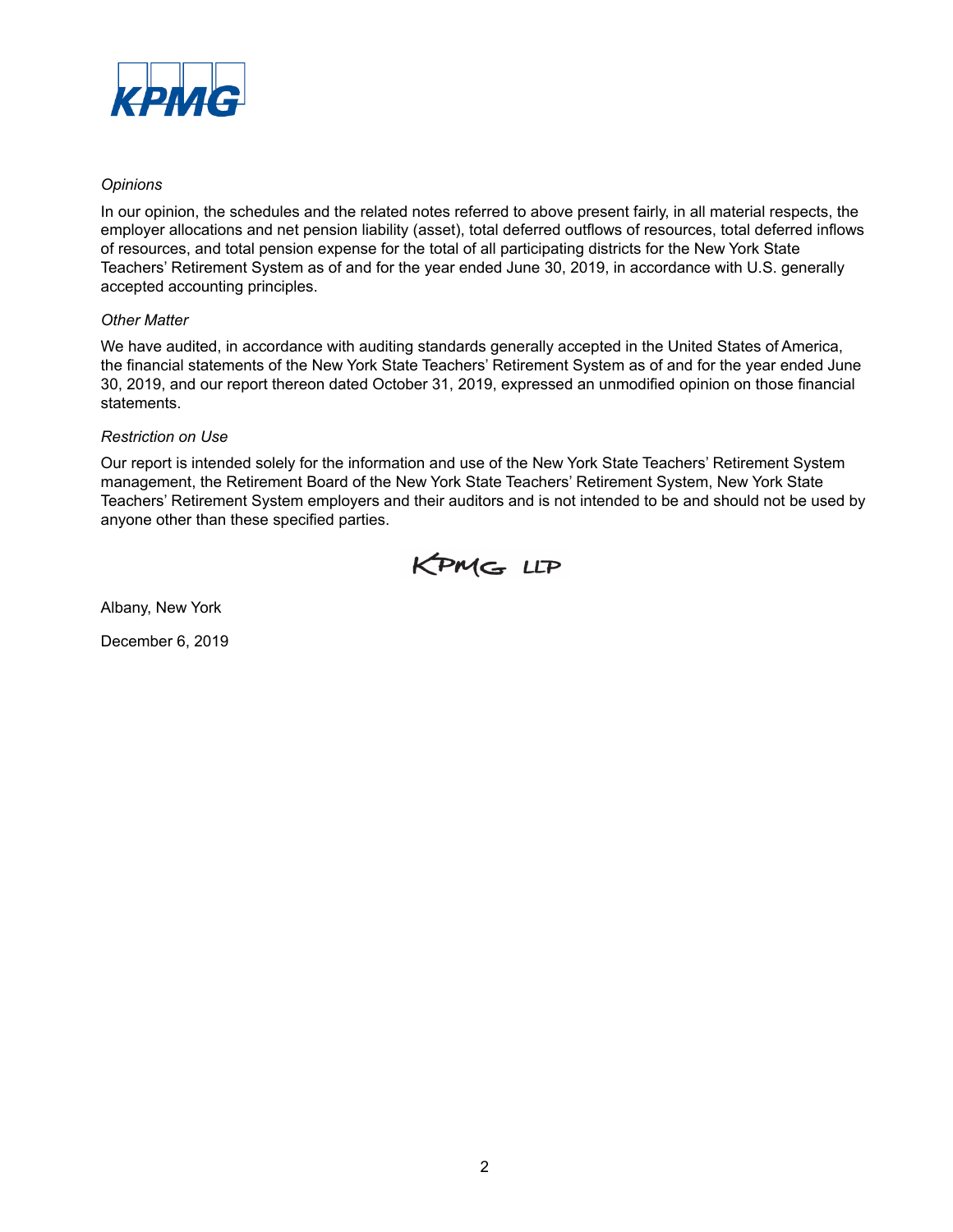

# *Opinions*

In our opinion, the schedules and the related notes referred to above present fairly, in all material respects, the employer allocations and net pension liability (asset), total deferred outflows of resources, total deferred inflows of resources, and total pension expense for the total of all participating districts for the New York State Teachers' Retirement System as of and for the year ended June 30, 2019, in accordance with U.S. generally accepted accounting principles.

# *Other Matter*

We have audited, in accordance with auditing standards generally accepted in the United States of America, the financial statements of the New York State Teachers' Retirement System as of and for the year ended June 30, 2019, and our report thereon dated October 31, 2019, expressed an unmodified opinion on those financial statements.

# *Restriction on Use*

Our report is intended solely for the information and use of the New York State Teachers' Retirement System management, the Retirement Board of the New York State Teachers' Retirement System, New York State Teachers' Retirement System employers and their auditors and is not intended to be and should not be used by anyone other than these specified parties.



Albany, New York

December 6, 2019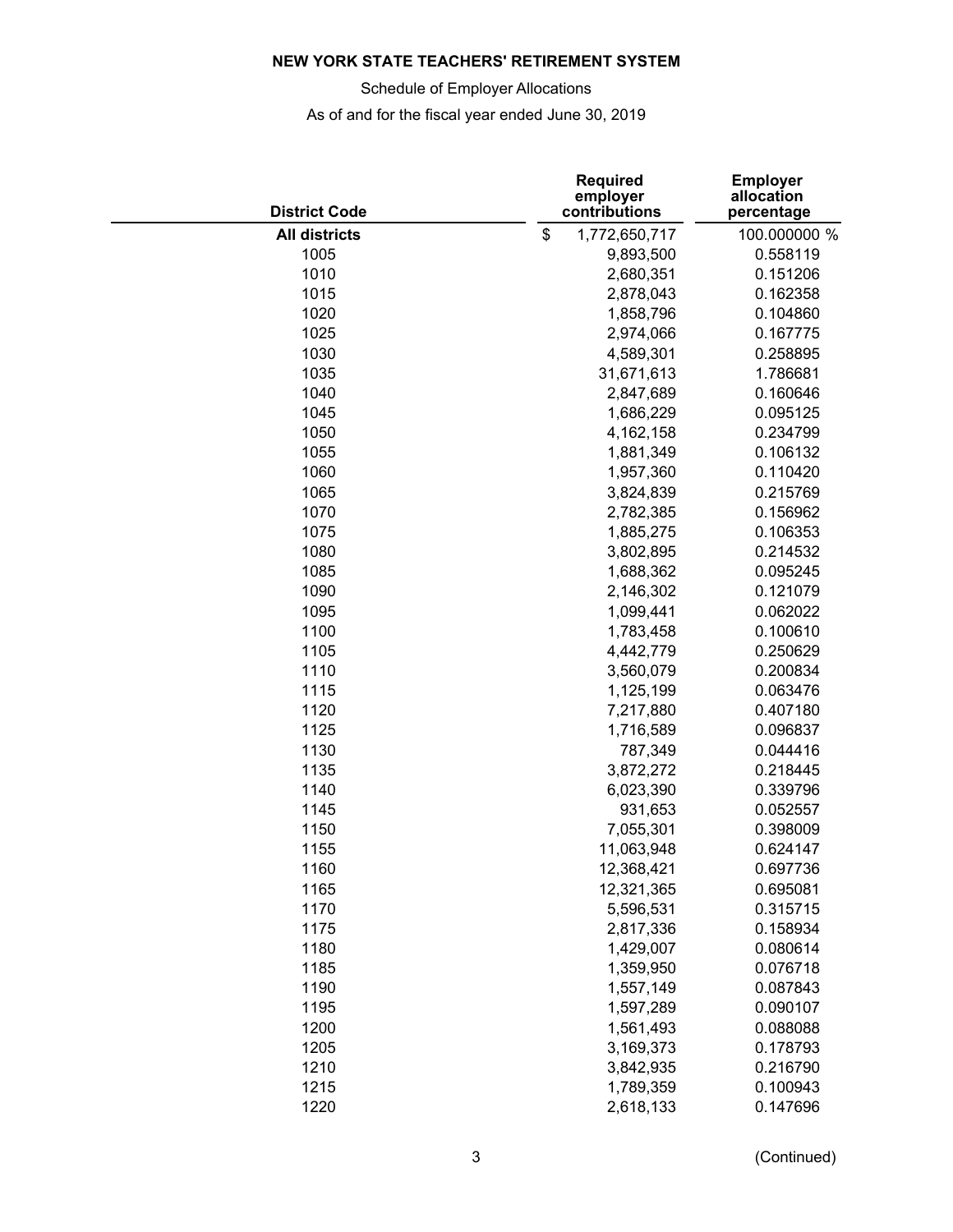Schedule of Employer Allocations

<span id="page-4-0"></span>

| <b>District Code</b> | <b>Required</b><br>employer<br>contributions | <b>Employer</b><br>allocation<br>percentage |
|----------------------|----------------------------------------------|---------------------------------------------|
| <b>All districts</b> | \$<br>1,772,650,717                          | 100.000000 %                                |
| 1005                 | 9,893,500                                    | 0.558119                                    |
| 1010                 | 2,680,351                                    | 0.151206                                    |
| 1015                 | 2,878,043                                    | 0.162358                                    |
| 1020                 | 1,858,796                                    | 0.104860                                    |
| 1025                 | 2,974,066                                    | 0.167775                                    |
| 1030                 | 4,589,301                                    | 0.258895                                    |
| 1035                 | 31,671,613                                   | 1.786681                                    |
| 1040                 | 2,847,689                                    | 0.160646                                    |
| 1045                 | 1,686,229                                    | 0.095125                                    |
| 1050                 | 4, 162, 158                                  | 0.234799                                    |
| 1055                 | 1,881,349                                    | 0.106132                                    |
| 1060                 | 1,957,360                                    | 0.110420                                    |
| 1065                 | 3,824,839                                    | 0.215769                                    |
| 1070                 | 2,782,385                                    | 0.156962                                    |
| 1075                 | 1,885,275                                    | 0.106353                                    |
| 1080                 | 3,802,895                                    | 0.214532                                    |
| 1085                 | 1,688,362                                    | 0.095245                                    |
| 1090                 | 2,146,302                                    | 0.121079                                    |
| 1095                 | 1,099,441                                    | 0.062022                                    |
| 1100                 | 1,783,458                                    | 0.100610                                    |
| 1105                 | 4,442,779                                    | 0.250629                                    |
| 1110                 | 3,560,079                                    | 0.200834                                    |
| 1115                 | 1,125,199                                    | 0.063476                                    |
| 1120                 | 7,217,880                                    | 0.407180                                    |
| 1125                 | 1,716,589                                    | 0.096837                                    |
| 1130                 | 787,349                                      | 0.044416                                    |
| 1135                 | 3,872,272                                    | 0.218445                                    |
| 1140                 | 6,023,390                                    | 0.339796                                    |
| 1145                 | 931,653                                      | 0.052557                                    |
| 1150                 | 7,055,301                                    | 0.398009                                    |
| 1155                 | 11,063,948                                   | 0.624147                                    |
| 1160                 | 12,368,421                                   | 0.697736                                    |
| 1165                 | 12,321,365                                   | 0.695081                                    |
| 1170                 | 5,596,531                                    | 0.315715                                    |
| 1175                 | 2,817,336                                    | 0.158934                                    |
| 1180                 | 1,429,007                                    | 0.080614                                    |
| 1185                 | 1,359,950                                    | 0.076718                                    |
| 1190                 | 1,557,149                                    | 0.087843                                    |
| 1195                 | 1,597,289                                    | 0.090107                                    |
| 1200                 | 1,561,493                                    | 0.088088                                    |
| 1205                 | 3,169,373                                    | 0.178793                                    |
| 1210                 | 3,842,935                                    | 0.216790                                    |
| 1215                 | 1,789,359                                    | 0.100943                                    |
| 1220                 | 2,618,133                                    | 0.147696                                    |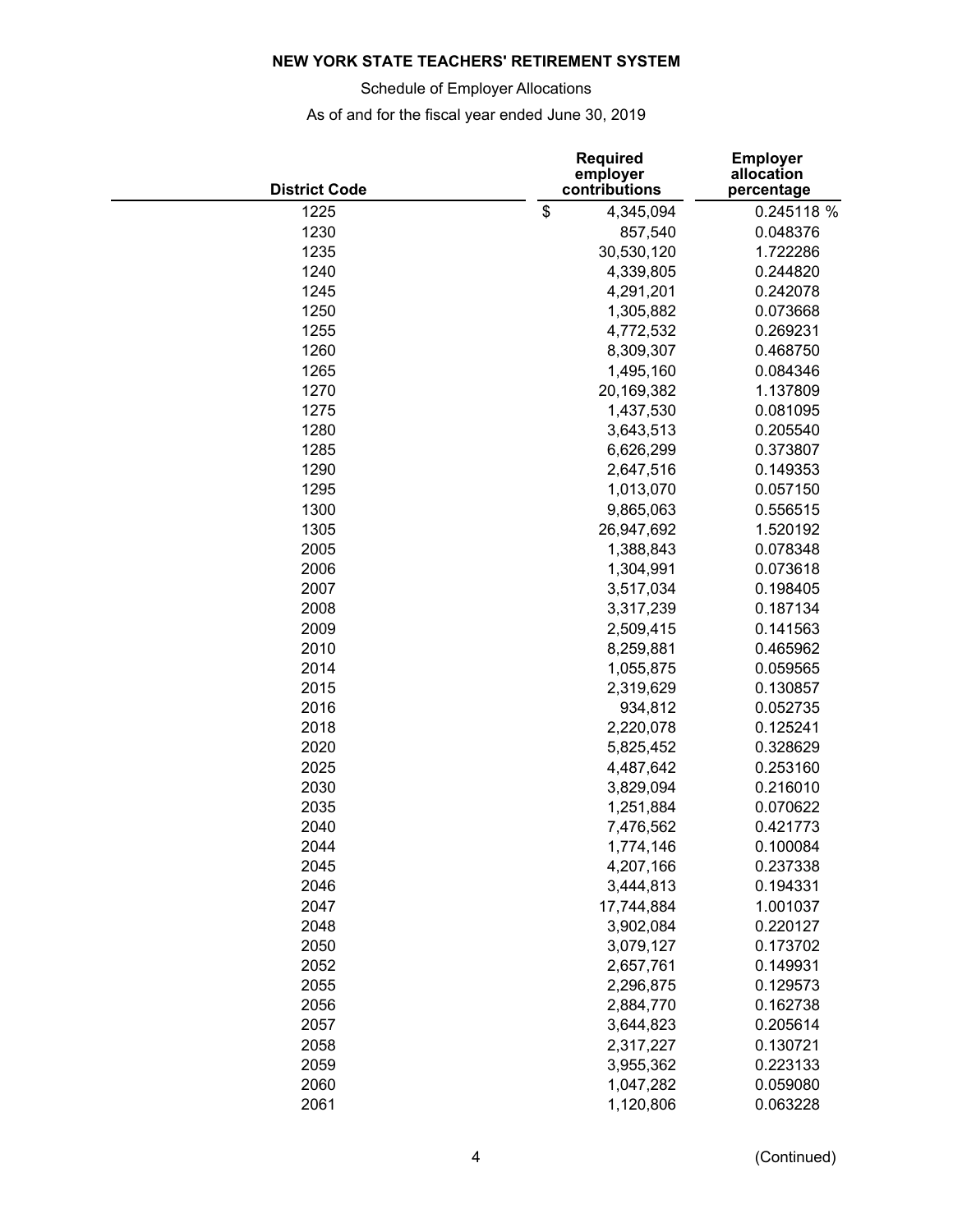Schedule of Employer Allocations

As of and for the fiscal year ended June 30, 2019

| <b>District Code</b> | <b>Required</b><br>employer<br>contributions | <b>Employer</b><br>allocation<br>percentage |
|----------------------|----------------------------------------------|---------------------------------------------|
| 1225                 | \$<br>4,345,094                              | 0.245118 %                                  |
| 1230                 | 857,540                                      | 0.048376                                    |
| 1235                 | 30,530,120                                   | 1.722286                                    |
| 1240                 | 4,339,805                                    | 0.244820                                    |
| 1245                 | 4,291,201                                    | 0.242078                                    |
| 1250                 | 1,305,882                                    | 0.073668                                    |
| 1255                 | 4,772,532                                    | 0.269231                                    |
| 1260                 | 8,309,307                                    | 0.468750                                    |
| 1265                 | 1,495,160                                    | 0.084346                                    |
| 1270                 | 20,169,382                                   | 1.137809                                    |
| 1275                 | 1,437,530                                    | 0.081095                                    |
| 1280                 | 3,643,513                                    | 0.205540                                    |
| 1285                 | 6,626,299                                    | 0.373807                                    |
| 1290                 | 2,647,516                                    | 0.149353                                    |
| 1295                 | 1,013,070                                    | 0.057150                                    |
| 1300                 | 9,865,063                                    | 0.556515                                    |
| 1305                 | 26,947,692                                   | 1.520192                                    |
| 2005                 | 1,388,843                                    | 0.078348                                    |
| 2006                 | 1,304,991                                    | 0.073618                                    |
| 2007                 | 3,517,034                                    | 0.198405                                    |
| 2008                 | 3,317,239                                    | 0.187134                                    |
| 2009                 | 2,509,415                                    | 0.141563                                    |
| 2010                 | 8,259,881                                    | 0.465962                                    |
| 2014                 | 1,055,875                                    | 0.059565                                    |
| 2015                 | 2,319,629                                    | 0.130857                                    |
| 2016                 | 934,812                                      | 0.052735                                    |
| 2018                 | 2,220,078                                    | 0.125241                                    |
| 2020                 | 5,825,452                                    | 0.328629                                    |
| 2025                 | 4,487,642                                    | 0.253160                                    |
| 2030                 | 3,829,094                                    | 0.216010                                    |
| 2035                 | 1,251,884                                    | 0.070622                                    |
| 2040                 | 7,476,562                                    | 0.421773                                    |
| 2044                 | 1,774,146                                    | 0.100084                                    |
| 2045                 | 4,207,166                                    | 0.237338                                    |
| 2046                 | 3,444,813                                    | 0.194331                                    |
| 2047                 | 17,744,884                                   | 1.001037                                    |
| 2048                 | 3,902,084                                    | 0.220127                                    |
| 2050                 | 3,079,127                                    | 0.173702                                    |
| 2052                 | 2,657,761                                    | 0.149931                                    |
| 2055                 |                                              |                                             |
|                      | 2,296,875                                    | 0.129573                                    |
| 2056                 | 2,884,770                                    | 0.162738                                    |
| 2057                 | 3,644,823                                    | 0.205614                                    |
| 2058                 | 2,317,227                                    | 0.130721                                    |
| 2059                 | 3,955,362                                    | 0.223133                                    |
| 2060                 | 1,047,282                                    | 0.059080                                    |
| 2061                 | 1,120,806                                    | 0.063228                                    |

(Continued)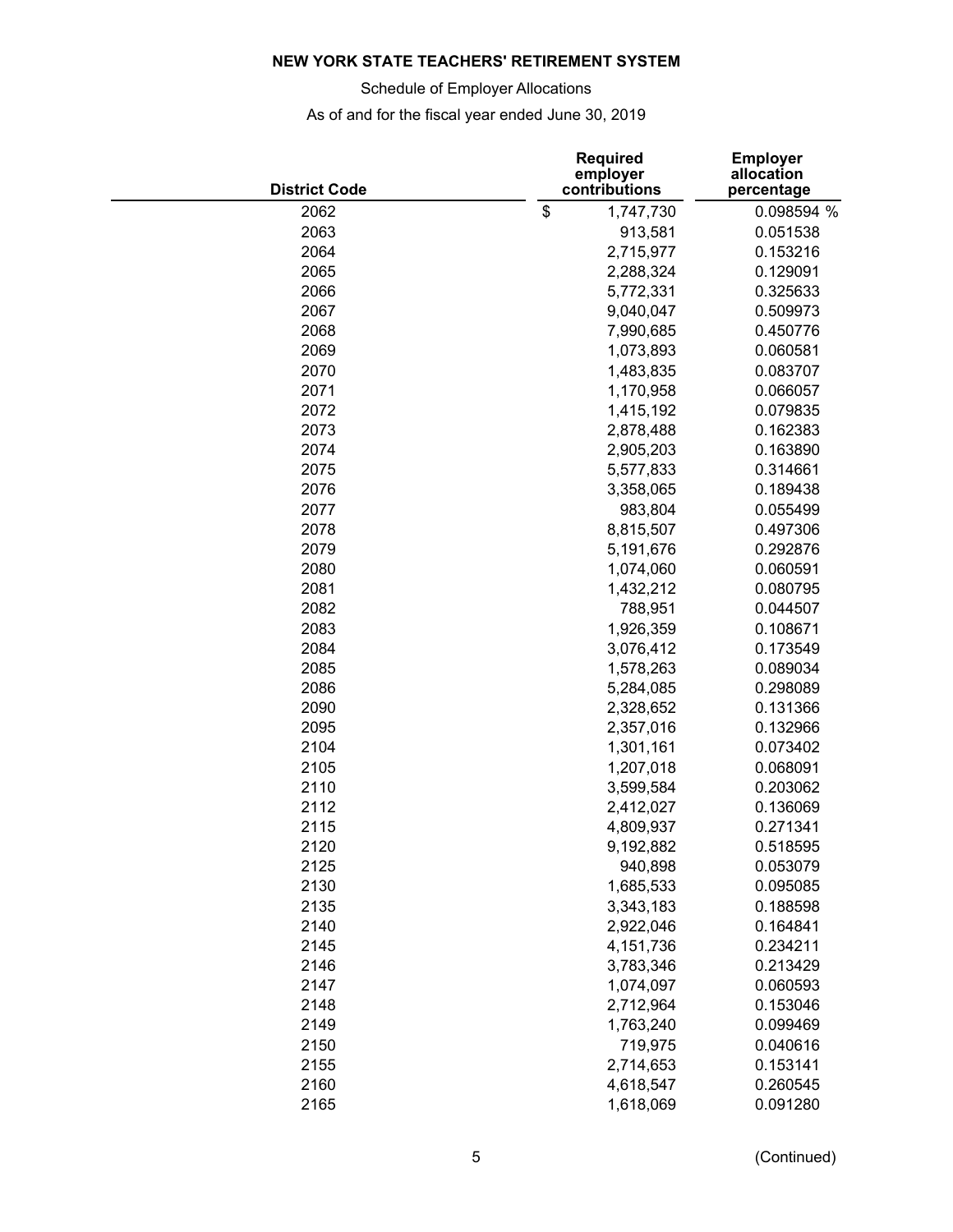Schedule of Employer Allocations

| <b>District Code</b> | <b>Required</b><br>employer<br>contributions | <b>Employer</b><br>allocation<br>percentage |
|----------------------|----------------------------------------------|---------------------------------------------|
| 2062                 | \$<br>1,747,730                              | 0.098594 %                                  |
| 2063                 | 913,581                                      | 0.051538                                    |
| 2064                 | 2,715,977                                    | 0.153216                                    |
| 2065                 | 2,288,324                                    | 0.129091                                    |
| 2066                 | 5,772,331                                    | 0.325633                                    |
| 2067                 | 9,040,047                                    | 0.509973                                    |
| 2068                 | 7,990,685                                    | 0.450776                                    |
| 2069                 | 1,073,893                                    | 0.060581                                    |
| 2070                 | 1,483,835                                    | 0.083707                                    |
| 2071                 | 1,170,958                                    | 0.066057                                    |
| 2072                 | 1,415,192                                    | 0.079835                                    |
| 2073                 | 2,878,488                                    | 0.162383                                    |
| 2074                 | 2,905,203                                    | 0.163890                                    |
| 2075                 | 5,577,833                                    | 0.314661                                    |
| 2076                 | 3,358,065                                    | 0.189438                                    |
| 2077                 | 983,804                                      | 0.055499                                    |
| 2078                 | 8,815,507                                    | 0.497306                                    |
| 2079                 | 5,191,676                                    | 0.292876                                    |
| 2080                 | 1,074,060                                    | 0.060591                                    |
| 2081                 |                                              |                                             |
| 2082                 | 1,432,212                                    | 0.080795                                    |
|                      | 788,951                                      | 0.044507                                    |
| 2083                 | 1,926,359                                    | 0.108671                                    |
| 2084                 | 3,076,412                                    | 0.173549                                    |
| 2085                 | 1,578,263                                    | 0.089034                                    |
| 2086                 | 5,284,085                                    | 0.298089                                    |
| 2090                 | 2,328,652                                    | 0.131366                                    |
| 2095                 | 2,357,016                                    | 0.132966                                    |
| 2104                 | 1,301,161                                    | 0.073402                                    |
| 2105                 | 1,207,018                                    | 0.068091                                    |
| 2110                 | 3,599,584                                    | 0.203062                                    |
| 2112                 | 2,412,027                                    | 0.136069                                    |
| 2115                 | 4,809,937                                    | 0.271341                                    |
| 2120                 | 9,192,882                                    | 0.518595                                    |
| 2125                 | 940,898                                      | 0.053079                                    |
| 2130                 | 1,685,533                                    | 0.095085                                    |
| 2135                 | 3,343,183                                    | 0.188598                                    |
| 2140                 | 2,922,046                                    | 0.164841                                    |
| 2145                 | 4,151,736                                    | 0.234211                                    |
| 2146                 | 3,783,346                                    | 0.213429                                    |
| 2147                 | 1,074,097                                    | 0.060593                                    |
| 2148                 | 2,712,964                                    | 0.153046                                    |
| 2149                 | 1,763,240                                    | 0.099469                                    |
| 2150                 | 719,975                                      | 0.040616                                    |
| 2155                 | 2,714,653                                    | 0.153141                                    |
| 2160                 | 4,618,547                                    | 0.260545                                    |
| 2165                 | 1,618,069                                    | 0.091280                                    |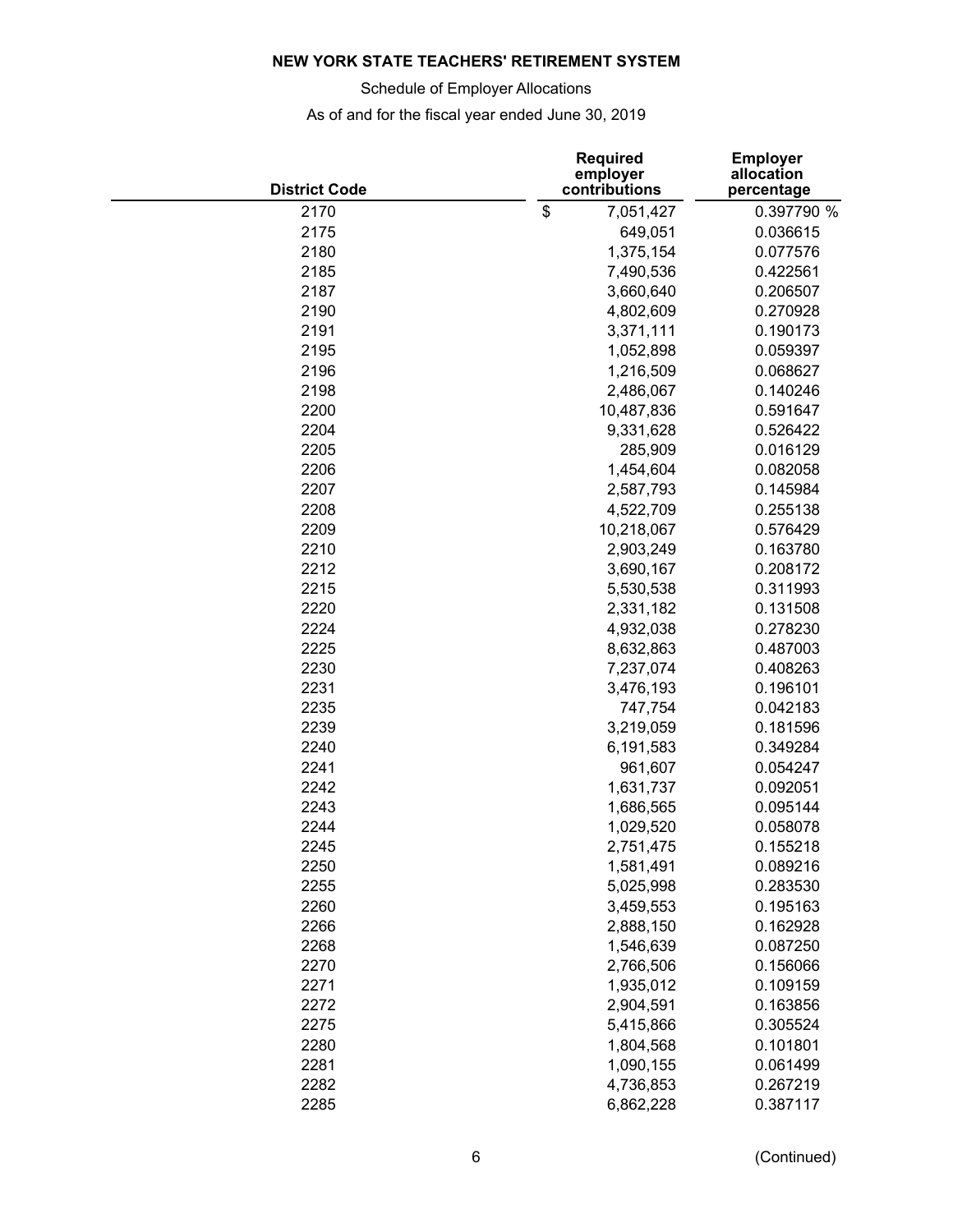Schedule of Employer Allocations

| <b>District Code</b> | <b>Required</b><br>employer<br>contributions | <b>Employer</b><br>allocation<br>percentage |
|----------------------|----------------------------------------------|---------------------------------------------|
| 2170                 | \$<br>7,051,427                              | 0.397790 %                                  |
| 2175                 | 649,051                                      | 0.036615                                    |
| 2180                 | 1,375,154                                    | 0.077576                                    |
| 2185                 | 7,490,536                                    | 0.422561                                    |
| 2187                 | 3,660,640                                    | 0.206507                                    |
| 2190                 | 4,802,609                                    | 0.270928                                    |
| 2191                 | 3,371,111                                    | 0.190173                                    |
| 2195                 | 1,052,898                                    | 0.059397                                    |
| 2196                 | 1,216,509                                    | 0.068627                                    |
| 2198                 | 2,486,067                                    | 0.140246                                    |
| 2200                 | 10,487,836                                   | 0.591647                                    |
| 2204                 | 9,331,628                                    | 0.526422                                    |
| 2205                 | 285,909                                      | 0.016129                                    |
| 2206                 | 1,454,604                                    | 0.082058                                    |
| 2207                 | 2,587,793                                    | 0.145984                                    |
| 2208                 | 4,522,709                                    | 0.255138                                    |
| 2209                 | 10,218,067                                   | 0.576429                                    |
| 2210                 | 2,903,249                                    | 0.163780                                    |
| 2212                 | 3,690,167                                    | 0.208172                                    |
| 2215                 | 5,530,538                                    | 0.311993                                    |
| 2220                 | 2,331,182                                    | 0.131508                                    |
| 2224                 | 4,932,038                                    | 0.278230                                    |
| 2225                 | 8,632,863                                    | 0.487003                                    |
| 2230                 | 7,237,074                                    | 0.408263                                    |
| 2231                 | 3,476,193                                    | 0.196101                                    |
| 2235                 | 747,754                                      | 0.042183                                    |
| 2239                 | 3,219,059                                    | 0.181596                                    |
| 2240                 | 6,191,583                                    | 0.349284                                    |
| 2241                 | 961,607                                      | 0.054247                                    |
| 2242                 | 1,631,737                                    |                                             |
| 2243                 |                                              | 0.092051                                    |
|                      | 1,686,565                                    | 0.095144                                    |
| 2244                 | 1,029,520                                    | 0.058078                                    |
| 2245                 | 2,751,475                                    | 0.155218                                    |
| 2250                 | 1,581,491                                    | 0.089216                                    |
| 2255                 | 5,025,998                                    | 0.283530                                    |
| 2260                 | 3,459,553                                    | 0.195163                                    |
| 2266                 | 2,888,150                                    | 0.162928                                    |
| 2268                 | 1,546,639                                    | 0.087250                                    |
| 2270                 | 2,766,506                                    | 0.156066                                    |
| 2271                 | 1,935,012                                    | 0.109159                                    |
| 2272                 | 2,904,591                                    | 0.163856                                    |
| 2275                 | 5,415,866                                    | 0.305524                                    |
| 2280                 | 1,804,568                                    | 0.101801                                    |
| 2281                 | 1,090,155                                    | 0.061499                                    |
| 2282                 | 4,736,853                                    | 0.267219                                    |
| 2285                 | 6,862,228                                    | 0.387117                                    |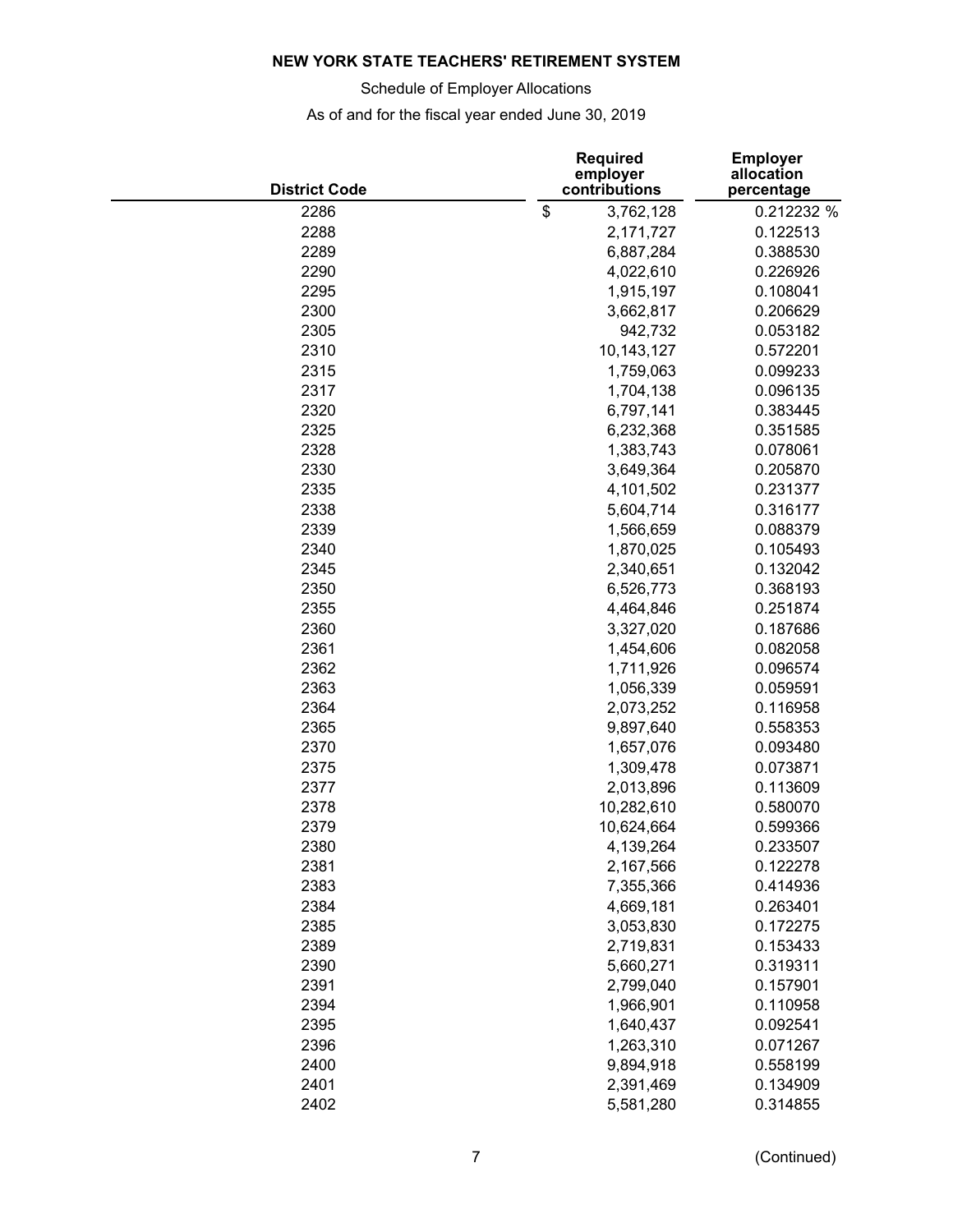Schedule of Employer Allocations

| <b>District Code</b> | <b>Required</b><br>employer<br>contributions | <b>Employer</b><br>allocation<br>percentage |
|----------------------|----------------------------------------------|---------------------------------------------|
| 2286                 | \$<br>3,762,128                              | 0.212232 %                                  |
| 2288                 | 2,171,727                                    | 0.122513                                    |
| 2289                 | 6,887,284                                    | 0.388530                                    |
| 2290                 | 4,022,610                                    | 0.226926                                    |
| 2295                 | 1,915,197                                    | 0.108041                                    |
| 2300                 | 3,662,817                                    | 0.206629                                    |
| 2305                 | 942,732                                      | 0.053182                                    |
| 2310                 | 10,143,127                                   | 0.572201                                    |
| 2315                 | 1,759,063                                    | 0.099233                                    |
| 2317                 | 1,704,138                                    | 0.096135                                    |
| 2320                 | 6,797,141                                    | 0.383445                                    |
| 2325                 | 6,232,368                                    | 0.351585                                    |
| 2328                 | 1,383,743                                    | 0.078061                                    |
| 2330                 | 3,649,364                                    | 0.205870                                    |
| 2335                 | 4,101,502                                    | 0.231377                                    |
| 2338                 | 5,604,714                                    | 0.316177                                    |
| 2339                 | 1,566,659                                    | 0.088379                                    |
| 2340                 | 1,870,025                                    | 0.105493                                    |
| 2345                 | 2,340,651                                    | 0.132042                                    |
| 2350                 | 6,526,773                                    | 0.368193                                    |
| 2355                 | 4,464,846                                    | 0.251874                                    |
| 2360                 | 3,327,020                                    | 0.187686                                    |
| 2361                 | 1,454,606                                    | 0.082058                                    |
| 2362                 | 1,711,926                                    | 0.096574                                    |
| 2363                 | 1,056,339                                    | 0.059591                                    |
| 2364                 | 2,073,252                                    | 0.116958                                    |
| 2365                 | 9,897,640                                    | 0.558353                                    |
| 2370                 | 1,657,076                                    | 0.093480                                    |
| 2375                 | 1,309,478                                    | 0.073871                                    |
| 2377                 | 2,013,896                                    | 0.113609                                    |
| 2378                 | 10,282,610                                   | 0.580070                                    |
| 2379                 | 10,624,664                                   | 0.599366                                    |
| 2380                 | 4,139,264                                    | 0.233507                                    |
| 2381                 | 2,167,566                                    | 0.122278                                    |
| 2383                 | 7,355,366                                    | 0.414936                                    |
| 2384                 | 4,669,181                                    | 0.263401                                    |
| 2385                 | 3,053,830                                    | 0.172275                                    |
| 2389                 | 2,719,831                                    | 0.153433                                    |
| 2390                 | 5,660,271                                    | 0.319311                                    |
| 2391                 | 2,799,040                                    | 0.157901                                    |
| 2394                 | 1,966,901                                    | 0.110958                                    |
| 2395                 | 1,640,437                                    | 0.092541                                    |
| 2396                 | 1,263,310                                    | 0.071267                                    |
| 2400                 | 9,894,918                                    | 0.558199                                    |
| 2401                 | 2,391,469                                    | 0.134909                                    |
| 2402                 | 5,581,280                                    | 0.314855                                    |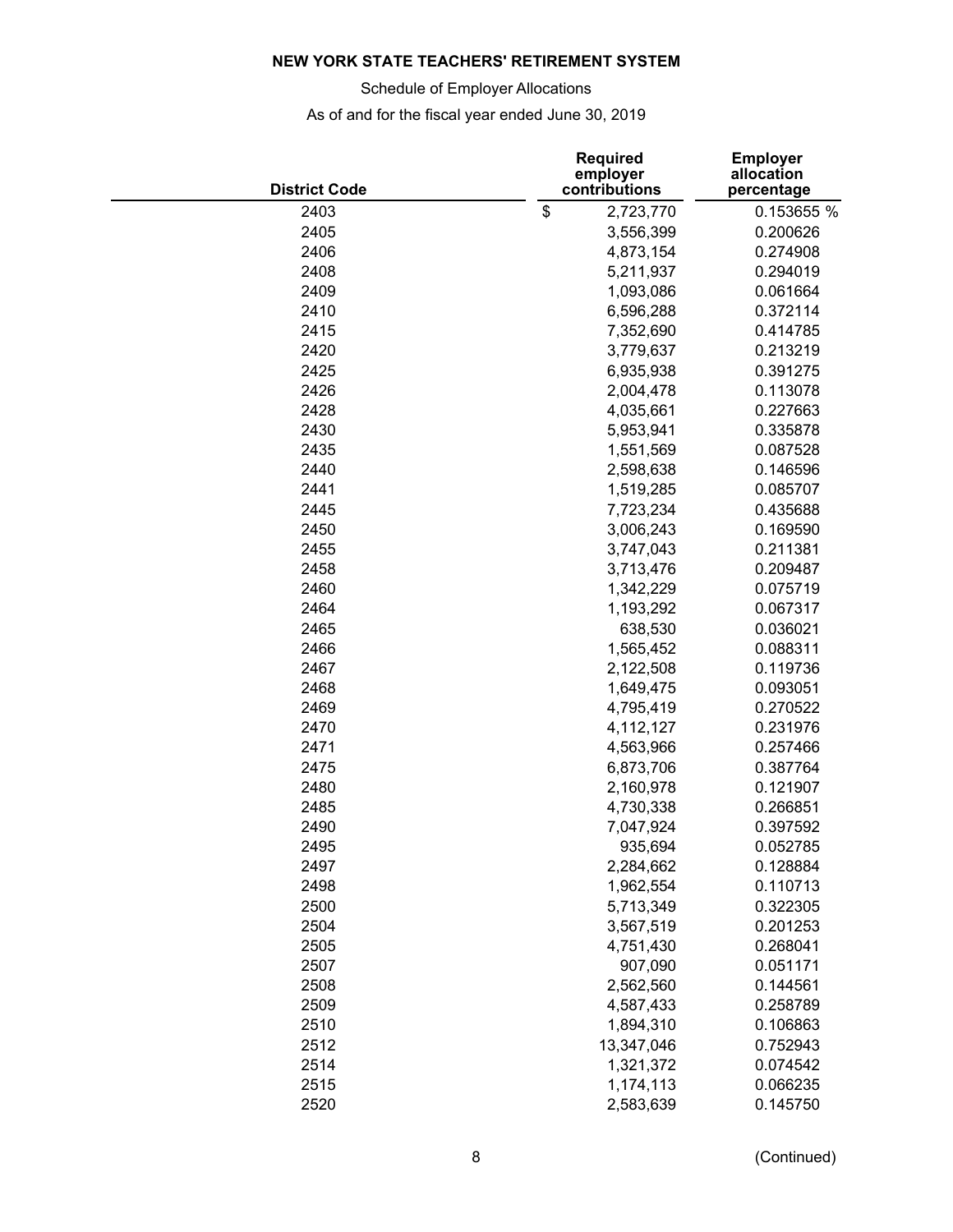Schedule of Employer Allocations

| <b>District Code</b> | <b>Required</b><br>employer<br>contributions | <b>Employer</b><br>allocation<br>percentage |
|----------------------|----------------------------------------------|---------------------------------------------|
| 2403                 | \$<br>2,723,770                              | 0.153655 %                                  |
| 2405                 | 3,556,399                                    | 0.200626                                    |
| 2406                 | 4,873,154                                    | 0.274908                                    |
| 2408                 | 5,211,937                                    | 0.294019                                    |
| 2409                 | 1,093,086                                    | 0.061664                                    |
| 2410                 | 6,596,288                                    | 0.372114                                    |
| 2415                 | 7,352,690                                    | 0.414785                                    |
| 2420                 | 3,779,637                                    | 0.213219                                    |
| 2425                 | 6,935,938                                    | 0.391275                                    |
| 2426                 | 2,004,478                                    | 0.113078                                    |
| 2428                 | 4,035,661                                    | 0.227663                                    |
| 2430                 | 5,953,941                                    | 0.335878                                    |
| 2435                 | 1,551,569                                    | 0.087528                                    |
| 2440                 | 2,598,638                                    | 0.146596                                    |
| 2441                 | 1,519,285                                    | 0.085707                                    |
| 2445                 | 7,723,234                                    | 0.435688                                    |
| 2450                 | 3,006,243                                    | 0.169590                                    |
| 2455                 | 3,747,043                                    | 0.211381                                    |
| 2458                 | 3,713,476                                    | 0.209487                                    |
| 2460                 | 1,342,229                                    | 0.075719                                    |
| 2464                 | 1,193,292                                    | 0.067317                                    |
| 2465                 | 638,530                                      | 0.036021                                    |
| 2466                 | 1,565,452                                    | 0.088311                                    |
| 2467                 | 2,122,508                                    | 0.119736                                    |
| 2468                 | 1,649,475                                    | 0.093051                                    |
| 2469                 | 4,795,419                                    | 0.270522                                    |
| 2470                 | 4,112,127                                    | 0.231976                                    |
| 2471                 | 4,563,966                                    | 0.257466                                    |
| 2475                 | 6,873,706                                    | 0.387764                                    |
| 2480                 | 2,160,978                                    | 0.121907                                    |
| 2485                 | 4,730,338                                    | 0.266851                                    |
| 2490                 | 7,047,924                                    | 0.397592                                    |
| 2495                 | 935,694                                      | 0.052785                                    |
| 2497                 | 2,284,662                                    | 0.128884                                    |
| 2498                 | 1,962,554                                    | 0.110713                                    |
| 2500                 | 5,713,349                                    | 0.322305                                    |
| 2504                 | 3,567,519                                    | 0.201253                                    |
| 2505                 | 4,751,430                                    | 0.268041                                    |
| 2507                 | 907,090                                      | 0.051171                                    |
| 2508                 | 2,562,560                                    | 0.144561                                    |
| 2509                 | 4,587,433                                    | 0.258789                                    |
| 2510                 | 1,894,310                                    | 0.106863                                    |
| 2512                 | 13,347,046                                   | 0.752943                                    |
| 2514                 | 1,321,372                                    | 0.074542                                    |
| 2515                 | 1,174,113                                    | 0.066235                                    |
| 2520                 | 2,583,639                                    | 0.145750                                    |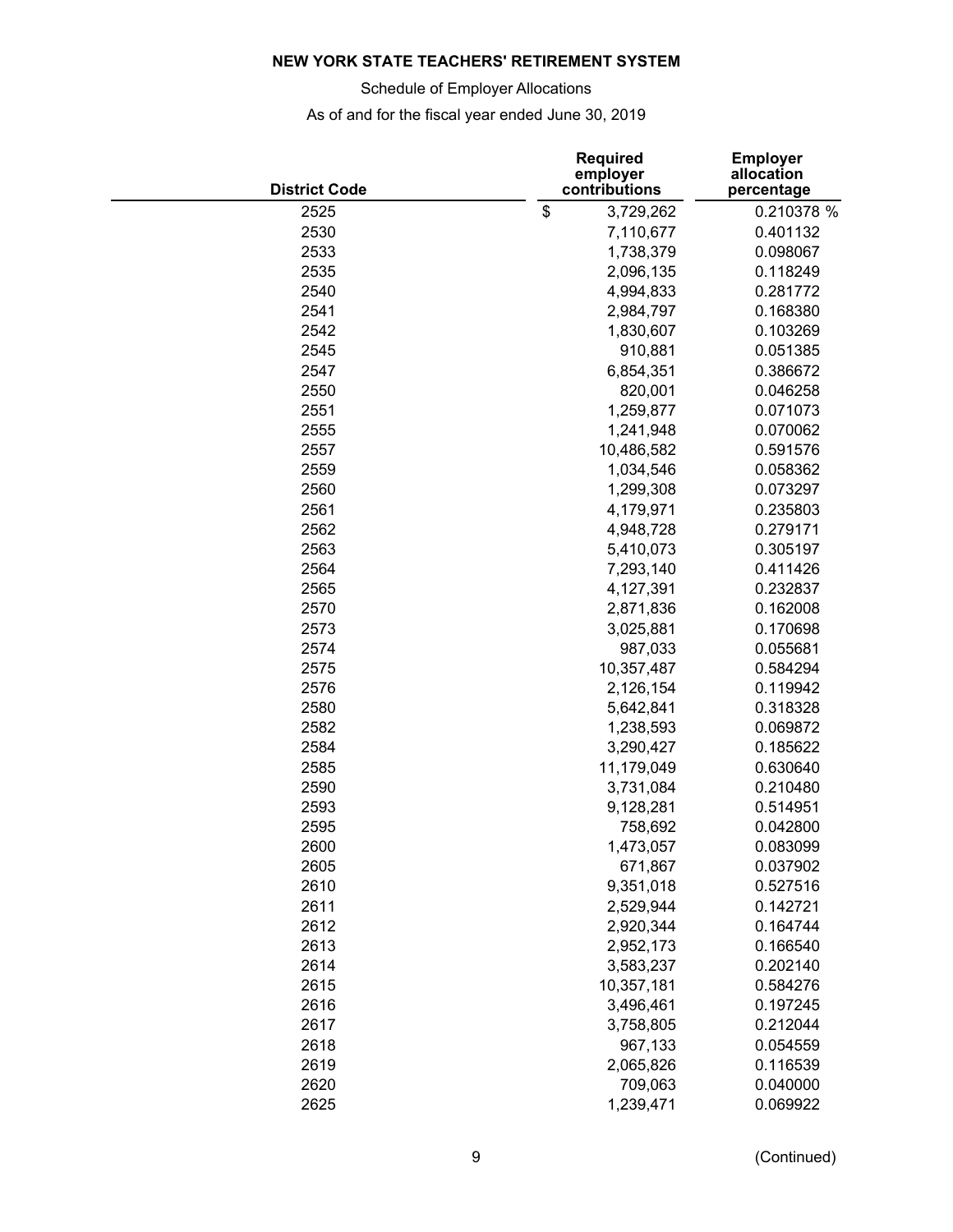Schedule of Employer Allocations

| <b>District Code</b> | <b>Required</b><br>employer<br>contributions | <b>Employer</b><br>allocation<br>percentage |
|----------------------|----------------------------------------------|---------------------------------------------|
| 2525                 | \$<br>3,729,262                              | 0.210378 %                                  |
| 2530                 | 7,110,677                                    | 0.401132                                    |
| 2533                 | 1,738,379                                    | 0.098067                                    |
| 2535                 | 2,096,135                                    | 0.118249                                    |
| 2540                 | 4,994,833                                    | 0.281772                                    |
| 2541                 | 2,984,797                                    | 0.168380                                    |
| 2542                 | 1,830,607                                    | 0.103269                                    |
| 2545                 | 910,881                                      | 0.051385                                    |
| 2547                 | 6,854,351                                    | 0.386672                                    |
| 2550                 | 820,001                                      | 0.046258                                    |
| 2551                 | 1,259,877                                    | 0.071073                                    |
| 2555                 | 1,241,948                                    | 0.070062                                    |
| 2557                 | 10,486,582                                   | 0.591576                                    |
| 2559                 | 1,034,546                                    | 0.058362                                    |
| 2560                 | 1,299,308                                    | 0.073297                                    |
| 2561                 | 4,179,971                                    | 0.235803                                    |
| 2562                 | 4,948,728                                    | 0.279171                                    |
| 2563                 | 5,410,073                                    | 0.305197                                    |
| 2564                 | 7,293,140                                    | 0.411426                                    |
| 2565                 | 4,127,391                                    | 0.232837                                    |
| 2570                 |                                              |                                             |
|                      | 2,871,836                                    | 0.162008                                    |
| 2573                 | 3,025,881                                    | 0.170698                                    |
| 2574                 | 987,033                                      | 0.055681                                    |
| 2575                 | 10,357,487                                   | 0.584294                                    |
| 2576                 | 2,126,154                                    | 0.119942                                    |
| 2580                 | 5,642,841                                    | 0.318328                                    |
| 2582                 | 1,238,593                                    | 0.069872                                    |
| 2584                 | 3,290,427                                    | 0.185622                                    |
| 2585                 | 11,179,049                                   | 0.630640                                    |
| 2590                 | 3,731,084                                    | 0.210480                                    |
| 2593                 | 9,128,281                                    | 0.514951                                    |
| 2595                 | 758,692                                      | 0.042800                                    |
| 2600                 | 1,473,057                                    | 0.083099                                    |
| 2605                 | 671,867                                      | 0.037902                                    |
| 2610                 | 9,351,018                                    | 0.527516                                    |
| 2611                 | 2,529,944                                    | 0.142721                                    |
| 2612                 | 2,920,344                                    | 0.164744                                    |
| 2613                 | 2,952,173                                    | 0.166540                                    |
| 2614                 | 3,583,237                                    | 0.202140                                    |
| 2615                 | 10,357,181                                   | 0.584276                                    |
| 2616                 | 3,496,461                                    | 0.197245                                    |
| 2617                 | 3,758,805                                    | 0.212044                                    |
| 2618                 | 967,133                                      | 0.054559                                    |
| 2619                 | 2,065,826                                    | 0.116539                                    |
| 2620                 | 709,063                                      | 0.040000                                    |
| 2625                 | 1,239,471                                    | 0.069922                                    |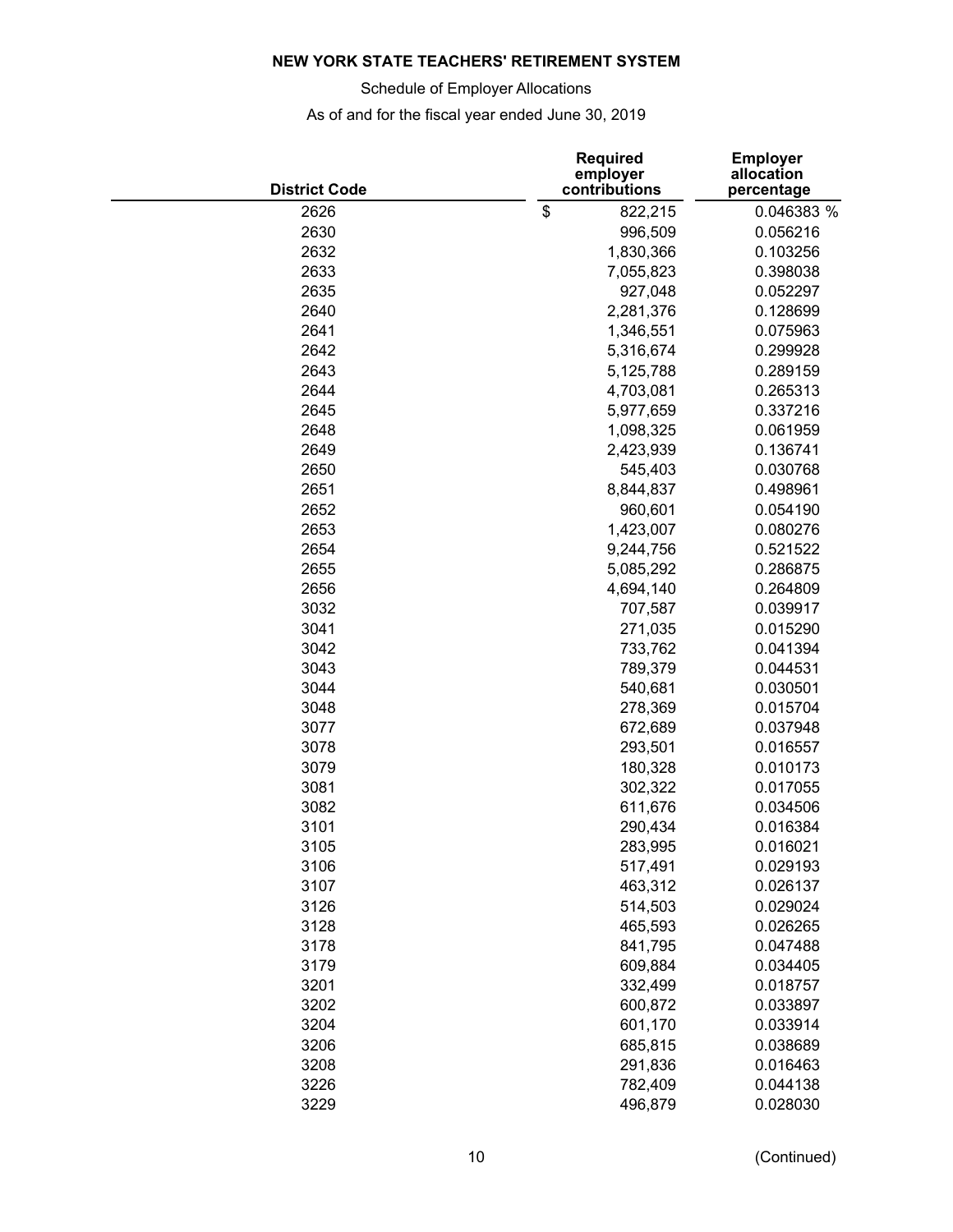Schedule of Employer Allocations

| <b>District Code</b> | <b>Required</b><br>employer<br>contributions | <b>Employer</b><br>allocation<br>percentage |
|----------------------|----------------------------------------------|---------------------------------------------|
| 2626                 | \$<br>822,215                                | 0.046383 %                                  |
| 2630                 | 996,509                                      | 0.056216                                    |
| 2632                 | 1,830,366                                    | 0.103256                                    |
| 2633                 | 7,055,823                                    | 0.398038                                    |
| 2635                 | 927,048                                      | 0.052297                                    |
| 2640                 | 2,281,376                                    | 0.128699                                    |
| 2641                 | 1,346,551                                    | 0.075963                                    |
| 2642                 | 5,316,674                                    | 0.299928                                    |
| 2643                 | 5,125,788                                    | 0.289159                                    |
| 2644                 | 4,703,081                                    | 0.265313                                    |
| 2645                 | 5,977,659                                    | 0.337216                                    |
| 2648                 | 1,098,325                                    | 0.061959                                    |
| 2649                 | 2,423,939                                    | 0.136741                                    |
| 2650                 | 545,403                                      | 0.030768                                    |
| 2651                 | 8,844,837                                    | 0.498961                                    |
| 2652                 | 960,601                                      | 0.054190                                    |
| 2653                 | 1,423,007                                    | 0.080276                                    |
| 2654                 | 9,244,756                                    | 0.521522                                    |
| 2655                 | 5,085,292                                    | 0.286875                                    |
| 2656                 | 4,694,140                                    | 0.264809                                    |
| 3032                 | 707,587                                      | 0.039917                                    |
| 3041                 | 271,035                                      | 0.015290                                    |
| 3042                 | 733,762                                      | 0.041394                                    |
| 3043                 | 789,379                                      | 0.044531                                    |
| 3044                 | 540,681                                      | 0.030501                                    |
| 3048                 | 278,369                                      | 0.015704                                    |
| 3077                 | 672,689                                      | 0.037948                                    |
| 3078                 | 293,501                                      | 0.016557                                    |
| 3079                 | 180,328                                      | 0.010173                                    |
| 3081                 | 302,322                                      | 0.017055                                    |
| 3082                 | 611,676                                      | 0.034506                                    |
| 3101                 | 290,434                                      | 0.016384                                    |
| 3105                 | 283,995                                      | 0.016021                                    |
| 3106                 | 517,491                                      | 0.029193                                    |
| 3107                 | 463,312                                      | 0.026137                                    |
| 3126                 | 514,503                                      | 0.029024                                    |
| 3128                 | 465,593                                      | 0.026265                                    |
| 3178                 | 841,795                                      | 0.047488                                    |
| 3179                 | 609,884                                      | 0.034405                                    |
| 3201                 | 332,499                                      | 0.018757                                    |
| 3202                 | 600,872                                      | 0.033897                                    |
| 3204                 | 601,170                                      | 0.033914                                    |
| 3206                 | 685,815                                      | 0.038689                                    |
| 3208                 | 291,836                                      | 0.016463                                    |
| 3226                 | 782,409                                      | 0.044138                                    |
| 3229                 | 496,879                                      | 0.028030                                    |
|                      |                                              |                                             |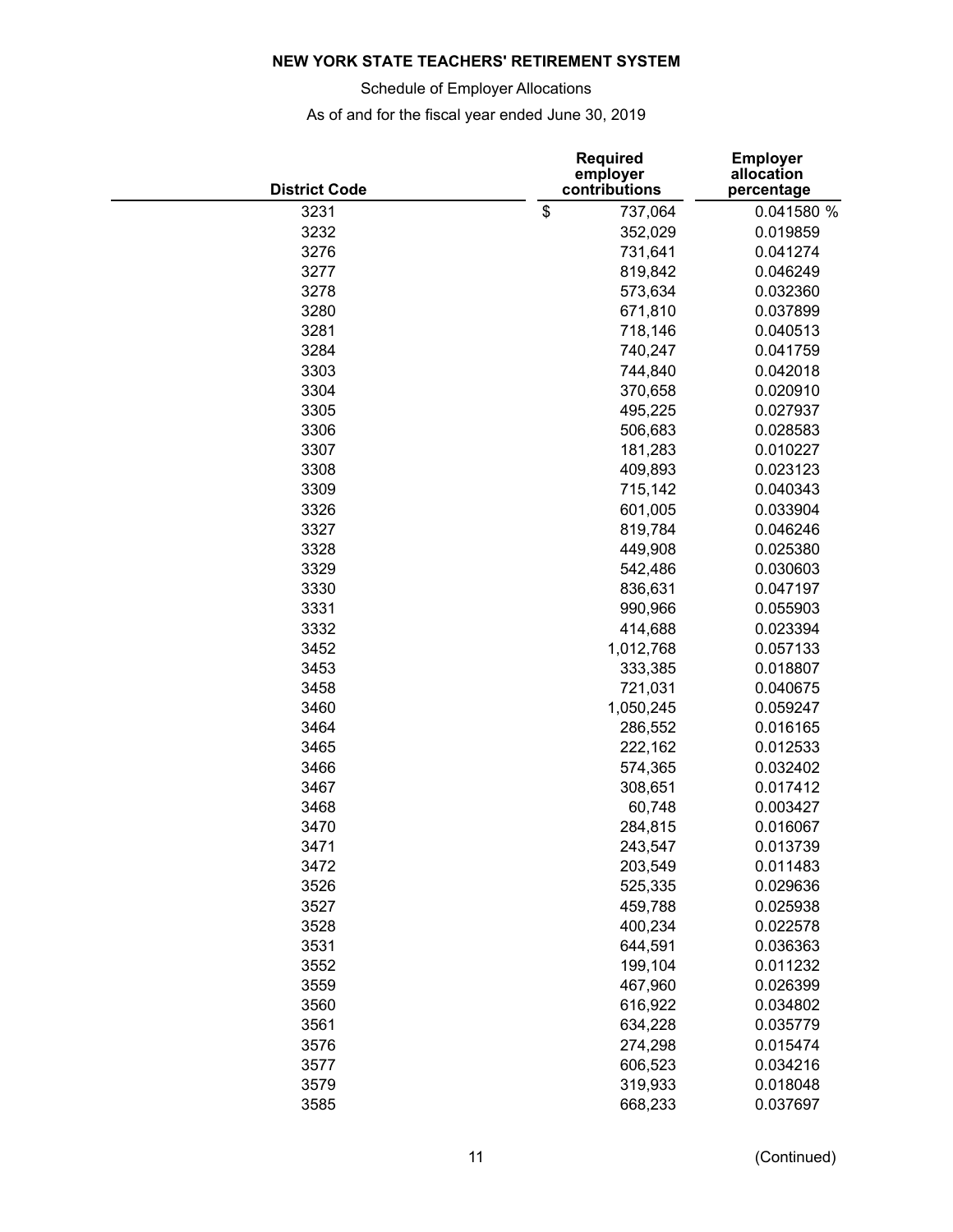Schedule of Employer Allocations

| <b>District Code</b> | <b>Required</b><br>employer<br>contributions | <b>Employer</b><br>allocation<br>percentage |
|----------------------|----------------------------------------------|---------------------------------------------|
| 3231                 | \$<br>737,064                                | 0.041580 %                                  |
| 3232                 | 352,029                                      | 0.019859                                    |
| 3276                 | 731,641                                      | 0.041274                                    |
| 3277                 | 819,842                                      | 0.046249                                    |
| 3278                 | 573,634                                      | 0.032360                                    |
| 3280                 | 671,810                                      | 0.037899                                    |
| 3281                 | 718,146                                      | 0.040513                                    |
| 3284                 | 740,247                                      | 0.041759                                    |
| 3303                 | 744,840                                      | 0.042018                                    |
| 3304                 | 370,658                                      | 0.020910                                    |
| 3305                 | 495,225                                      | 0.027937                                    |
| 3306                 | 506,683                                      | 0.028583                                    |
| 3307                 | 181,283                                      | 0.010227                                    |
| 3308                 | 409,893                                      | 0.023123                                    |
| 3309                 | 715,142                                      | 0.040343                                    |
| 3326                 | 601,005                                      | 0.033904                                    |
| 3327                 | 819,784                                      | 0.046246                                    |
| 3328                 | 449,908                                      | 0.025380                                    |
| 3329                 | 542,486                                      | 0.030603                                    |
| 3330                 | 836,631                                      | 0.047197                                    |
| 3331                 | 990,966                                      | 0.055903                                    |
| 3332                 | 414,688                                      | 0.023394                                    |
| 3452                 | 1,012,768                                    | 0.057133                                    |
| 3453                 | 333,385                                      | 0.018807                                    |
| 3458                 | 721,031                                      | 0.040675                                    |
| 3460                 | 1,050,245                                    | 0.059247                                    |
| 3464                 | 286,552                                      | 0.016165                                    |
| 3465                 | 222,162                                      | 0.012533                                    |
| 3466                 | 574,365                                      | 0.032402                                    |
| 3467                 | 308,651                                      | 0.017412                                    |
| 3468                 | 60,748                                       | 0.003427                                    |
| 3470                 | 284,815                                      | 0.016067                                    |
| 3471                 | 243,547                                      | 0.013739                                    |
| 3472                 | 203,549                                      | 0.011483                                    |
| 3526                 | 525,335                                      | 0.029636                                    |
| 3527                 | 459,788                                      | 0.025938                                    |
| 3528                 | 400,234                                      | 0.022578                                    |
| 3531                 | 644,591                                      | 0.036363                                    |
| 3552                 | 199,104                                      | 0.011232                                    |
| 3559                 | 467,960                                      | 0.026399                                    |
| 3560                 | 616,922                                      | 0.034802                                    |
| 3561                 | 634,228                                      | 0.035779                                    |
| 3576                 | 274,298                                      | 0.015474                                    |
| 3577                 | 606,523                                      | 0.034216                                    |
| 3579                 | 319,933                                      | 0.018048                                    |
| 3585                 | 668,233                                      | 0.037697                                    |
|                      |                                              |                                             |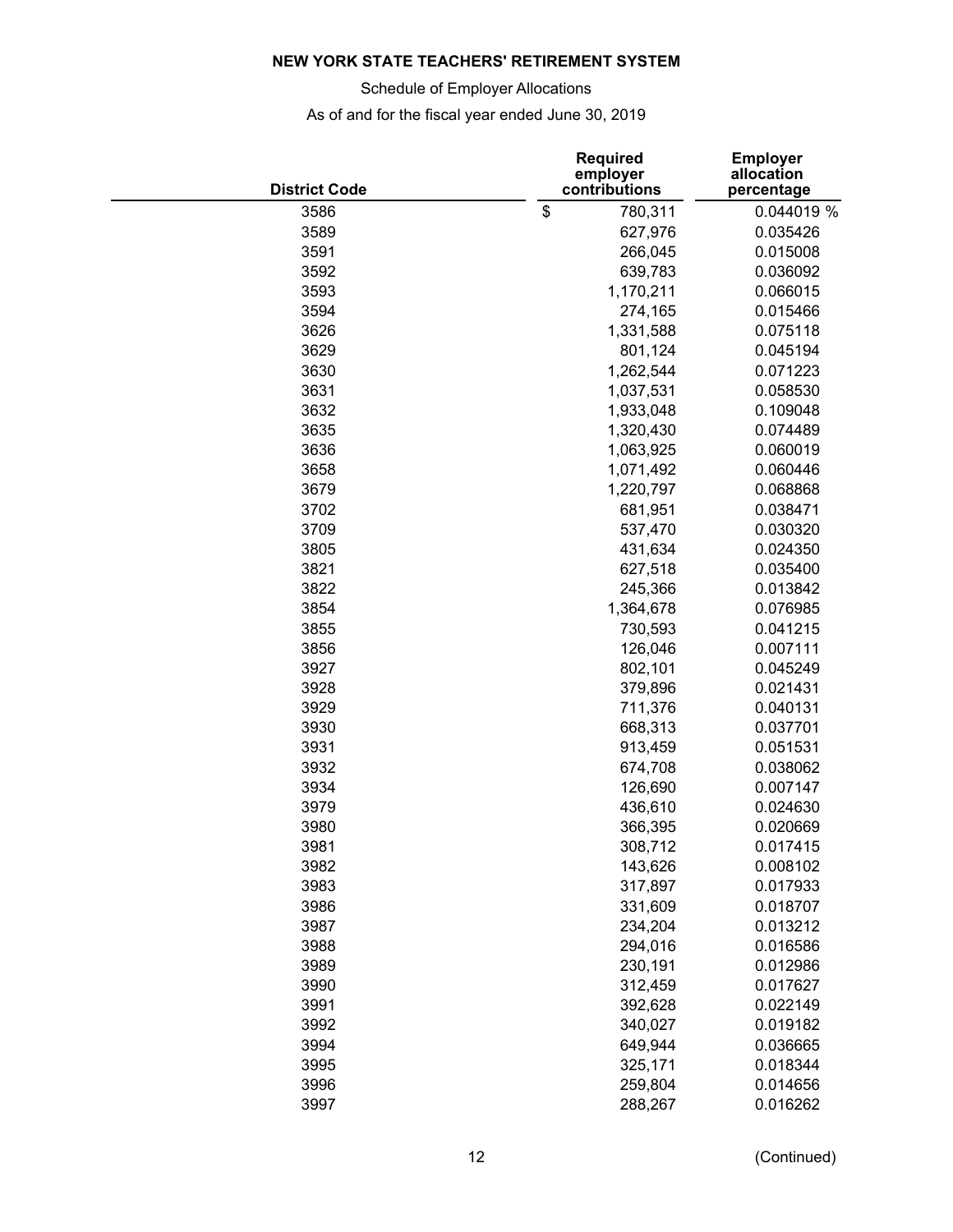Schedule of Employer Allocations

| <b>District Code</b> | <b>Required</b><br>employer<br>contributions | <b>Employer</b><br>allocation<br>percentage |
|----------------------|----------------------------------------------|---------------------------------------------|
| 3586                 | \$<br>780,311                                | 0.044019 %                                  |
| 3589                 | 627,976                                      | 0.035426                                    |
| 3591                 | 266,045                                      | 0.015008                                    |
| 3592                 | 639,783                                      | 0.036092                                    |
| 3593                 | 1,170,211                                    | 0.066015                                    |
| 3594                 | 274,165                                      | 0.015466                                    |
| 3626                 | 1,331,588                                    | 0.075118                                    |
| 3629                 | 801,124                                      | 0.045194                                    |
| 3630                 | 1,262,544                                    | 0.071223                                    |
| 3631                 | 1,037,531                                    | 0.058530                                    |
| 3632                 | 1,933,048                                    | 0.109048                                    |
| 3635                 | 1,320,430                                    | 0.074489                                    |
| 3636                 | 1,063,925                                    | 0.060019                                    |
| 3658                 | 1,071,492                                    | 0.060446                                    |
| 3679                 | 1,220,797                                    | 0.068868                                    |
| 3702                 | 681,951                                      | 0.038471                                    |
| 3709                 | 537,470                                      | 0.030320                                    |
| 3805                 | 431,634                                      | 0.024350                                    |
| 3821                 | 627,518                                      | 0.035400                                    |
| 3822                 | 245,366                                      | 0.013842                                    |
| 3854                 | 1,364,678                                    | 0.076985                                    |
| 3855                 | 730,593                                      | 0.041215                                    |
| 3856                 | 126,046                                      | 0.007111                                    |
| 3927                 | 802,101                                      | 0.045249                                    |
| 3928                 | 379,896                                      | 0.021431                                    |
| 3929                 | 711,376                                      | 0.040131                                    |
| 3930                 | 668,313                                      | 0.037701                                    |
| 3931                 | 913,459                                      | 0.051531                                    |
| 3932                 | 674,708                                      | 0.038062                                    |
| 3934                 | 126,690                                      | 0.007147                                    |
| 3979                 | 436,610                                      | 0.024630                                    |
| 3980                 | 366,395                                      |                                             |
|                      |                                              | 0.020669                                    |
| 3981                 | 308,712                                      | 0.017415<br>0.008102                        |
| 3982                 | 143,626                                      |                                             |
| 3983                 | 317,897                                      | 0.017933                                    |
| 3986                 | 331,609                                      | 0.018707                                    |
| 3987                 | 234,204                                      | 0.013212                                    |
| 3988                 | 294,016                                      | 0.016586                                    |
| 3989                 | 230,191                                      | 0.012986                                    |
| 3990                 | 312,459                                      | 0.017627                                    |
| 3991                 | 392,628                                      | 0.022149                                    |
| 3992                 | 340,027                                      | 0.019182                                    |
| 3994                 | 649,944                                      | 0.036665                                    |
| 3995                 | 325,171                                      | 0.018344                                    |
| 3996                 | 259,804                                      | 0.014656                                    |
| 3997                 | 288,267                                      | 0.016262                                    |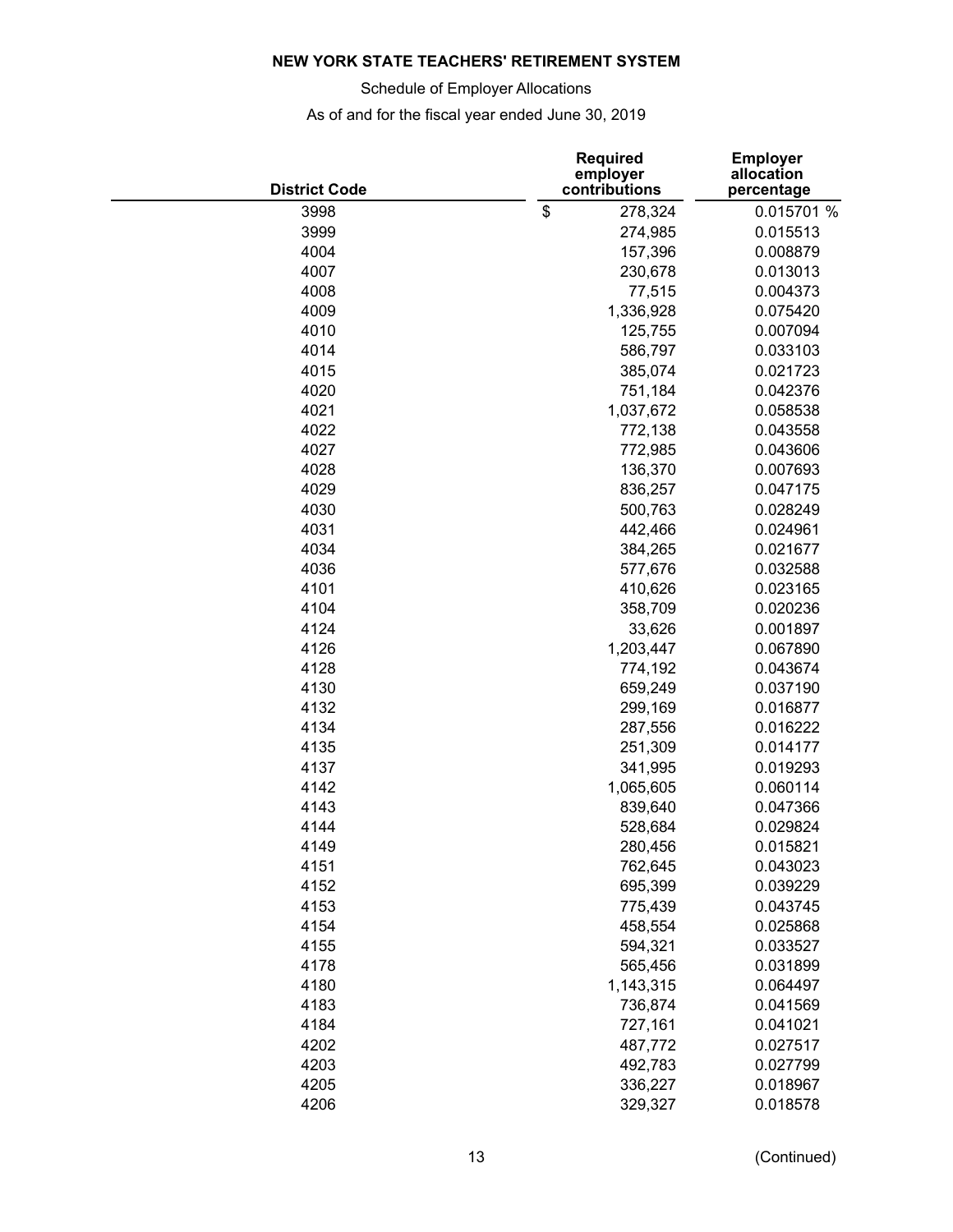Schedule of Employer Allocations

| <b>District Code</b> | <b>Required</b><br>employer<br>contributions | <b>Employer</b><br>allocation<br>percentage |  |  |
|----------------------|----------------------------------------------|---------------------------------------------|--|--|
| 3998                 | \$<br>278,324                                | 0.015701 %                                  |  |  |
| 3999                 | 274,985                                      | 0.015513                                    |  |  |
| 4004                 | 157,396                                      | 0.008879                                    |  |  |
| 4007                 | 230,678                                      | 0.013013                                    |  |  |
| 4008                 | 77,515                                       | 0.004373                                    |  |  |
| 4009                 | 1,336,928                                    | 0.075420                                    |  |  |
| 4010                 | 125,755                                      | 0.007094                                    |  |  |
| 4014                 | 586,797                                      | 0.033103                                    |  |  |
| 4015                 | 385,074                                      | 0.021723                                    |  |  |
| 4020                 | 751,184                                      | 0.042376                                    |  |  |
| 4021                 | 1,037,672                                    | 0.058538                                    |  |  |
| 4022                 | 772,138                                      | 0.043558                                    |  |  |
| 4027                 | 772,985                                      | 0.043606                                    |  |  |
| 4028                 | 136,370                                      | 0.007693                                    |  |  |
| 4029                 | 836,257                                      | 0.047175                                    |  |  |
| 4030                 | 500,763                                      | 0.028249                                    |  |  |
| 4031                 | 442,466                                      | 0.024961                                    |  |  |
| 4034                 | 384,265                                      | 0.021677                                    |  |  |
| 4036                 | 577,676                                      | 0.032588                                    |  |  |
| 4101                 | 410,626                                      | 0.023165                                    |  |  |
| 4104                 | 358,709                                      | 0.020236                                    |  |  |
| 4124                 | 33,626                                       | 0.001897                                    |  |  |
| 4126                 | 1,203,447                                    | 0.067890                                    |  |  |
| 4128                 | 774,192                                      | 0.043674                                    |  |  |
| 4130                 | 659,249                                      | 0.037190                                    |  |  |
| 4132                 | 299,169                                      | 0.016877                                    |  |  |
| 4134                 | 287,556                                      | 0.016222                                    |  |  |
| 4135                 | 251,309                                      | 0.014177                                    |  |  |
| 4137                 | 341,995                                      | 0.019293                                    |  |  |
| 4142                 | 1,065,605                                    | 0.060114                                    |  |  |
| 4143                 | 839,640                                      | 0.047366                                    |  |  |
| 4144                 | 528,684                                      | 0.029824                                    |  |  |
| 4149                 | 280,456                                      | 0.015821                                    |  |  |
| 4151                 | 762,645                                      | 0.043023                                    |  |  |
| 4152                 | 695,399                                      | 0.039229                                    |  |  |
|                      |                                              |                                             |  |  |
| 4153                 | 775,439                                      | 0.043745                                    |  |  |
| 4154                 | 458,554                                      | 0.025868                                    |  |  |
| 4155                 | 594,321                                      | 0.033527                                    |  |  |
| 4178                 | 565,456                                      | 0.031899                                    |  |  |
| 4180                 | 1,143,315                                    | 0.064497                                    |  |  |
| 4183                 | 736,874                                      | 0.041569                                    |  |  |
| 4184                 | 727,161                                      | 0.041021                                    |  |  |
| 4202                 | 487,772                                      | 0.027517                                    |  |  |
| 4203                 | 492,783                                      | 0.027799                                    |  |  |
| 4205                 | 336,227                                      | 0.018967                                    |  |  |
| 4206                 | 329,327                                      | 0.018578                                    |  |  |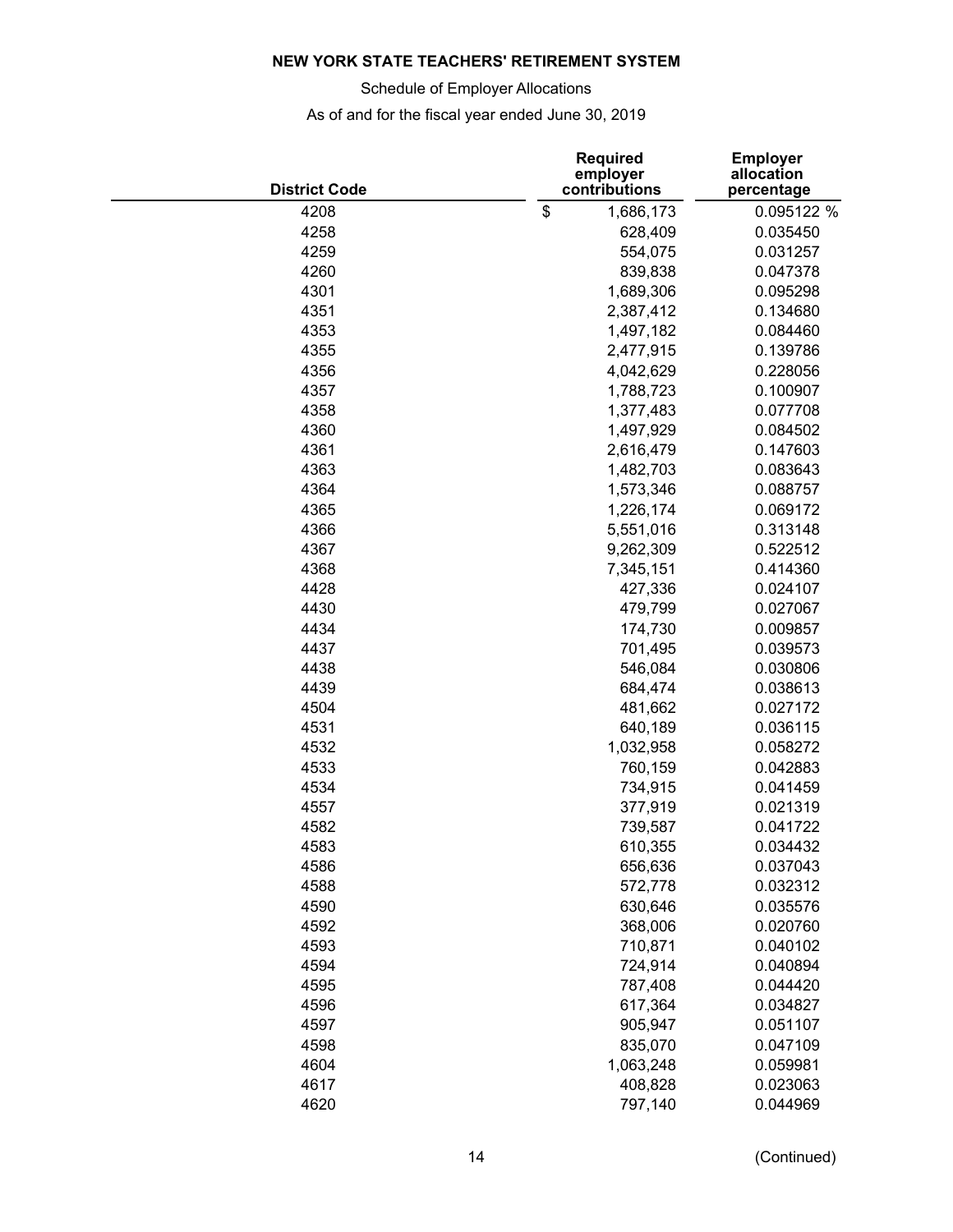Schedule of Employer Allocations

| <b>District Code</b> | <b>Required</b><br>employer<br>contributions | <b>Employer</b><br>allocation<br>percentage |  |  |
|----------------------|----------------------------------------------|---------------------------------------------|--|--|
| 4208                 | \$<br>1,686,173                              | 0.095122 %                                  |  |  |
| 4258                 | 628,409                                      | 0.035450                                    |  |  |
| 4259                 | 554,075                                      | 0.031257                                    |  |  |
| 4260                 | 839,838                                      | 0.047378                                    |  |  |
| 4301                 | 1,689,306                                    | 0.095298                                    |  |  |
| 4351                 | 2,387,412                                    | 0.134680                                    |  |  |
| 4353                 | 1,497,182                                    | 0.084460                                    |  |  |
| 4355                 | 2,477,915                                    | 0.139786                                    |  |  |
| 4356                 | 4,042,629                                    | 0.228056                                    |  |  |
| 4357                 | 1,788,723                                    | 0.100907                                    |  |  |
| 4358                 | 1,377,483                                    | 0.077708                                    |  |  |
| 4360                 | 1,497,929                                    | 0.084502                                    |  |  |
| 4361                 | 2,616,479                                    | 0.147603                                    |  |  |
| 4363                 | 1,482,703                                    | 0.083643                                    |  |  |
| 4364                 | 1,573,346                                    | 0.088757                                    |  |  |
| 4365                 | 1,226,174                                    | 0.069172                                    |  |  |
| 4366                 | 5,551,016                                    | 0.313148                                    |  |  |
| 4367                 | 9,262,309                                    | 0.522512                                    |  |  |
| 4368                 | 7,345,151                                    | 0.414360                                    |  |  |
| 4428                 | 427,336                                      | 0.024107                                    |  |  |
| 4430                 | 479,799                                      | 0.027067                                    |  |  |
| 4434                 | 174,730                                      | 0.009857                                    |  |  |
| 4437                 | 701,495                                      | 0.039573                                    |  |  |
| 4438                 | 546,084                                      | 0.030806                                    |  |  |
| 4439                 | 684,474                                      | 0.038613                                    |  |  |
| 4504                 | 481,662                                      | 0.027172                                    |  |  |
| 4531                 | 640,189                                      | 0.036115                                    |  |  |
| 4532                 | 1,032,958                                    | 0.058272                                    |  |  |
| 4533                 | 760,159                                      | 0.042883                                    |  |  |
| 4534                 | 734,915                                      | 0.041459                                    |  |  |
| 4557                 | 377,919                                      | 0.021319                                    |  |  |
| 4582                 | 739,587                                      | 0.041722                                    |  |  |
| 4583                 | 610,355                                      | 0.034432                                    |  |  |
| 4586                 | 656,636                                      | 0.037043                                    |  |  |
| 4588                 | 572,778                                      | 0.032312                                    |  |  |
| 4590                 | 630,646                                      | 0.035576                                    |  |  |
| 4592                 | 368,006                                      | 0.020760                                    |  |  |
| 4593                 | 710,871                                      | 0.040102                                    |  |  |
| 4594                 | 724,914                                      | 0.040894                                    |  |  |
| 4595                 | 787,408                                      | 0.044420                                    |  |  |
| 4596                 | 617,364                                      | 0.034827                                    |  |  |
| 4597                 | 905,947                                      | 0.051107                                    |  |  |
| 4598                 | 835,070                                      | 0.047109                                    |  |  |
|                      | 1,063,248                                    |                                             |  |  |
| 4604                 |                                              | 0.059981                                    |  |  |
| 4617                 | 408,828                                      | 0.023063                                    |  |  |
| 4620                 | 797,140                                      | 0.044969                                    |  |  |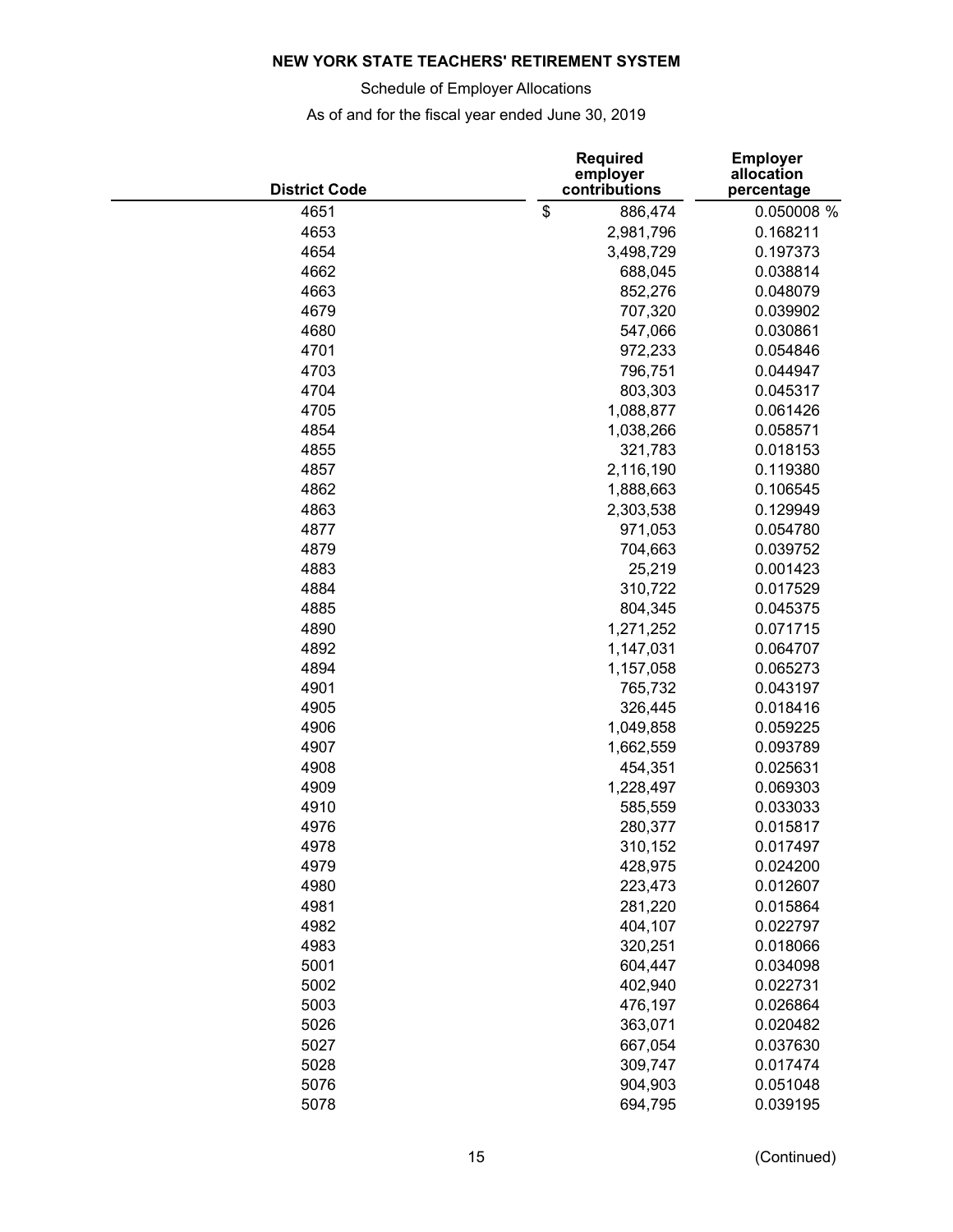Schedule of Employer Allocations

| <b>District Code</b> | <b>Required</b><br>employer<br>contributions | <b>Employer</b><br>allocation<br>percentage |  |  |
|----------------------|----------------------------------------------|---------------------------------------------|--|--|
| 4651                 | \$<br>886,474                                | 0.050008 %                                  |  |  |
| 4653                 | 2,981,796                                    | 0.168211                                    |  |  |
| 4654                 | 3,498,729                                    | 0.197373                                    |  |  |
| 4662                 | 688,045                                      | 0.038814                                    |  |  |
| 4663                 | 852,276                                      | 0.048079                                    |  |  |
| 4679                 | 707,320                                      | 0.039902                                    |  |  |
| 4680                 | 547,066                                      | 0.030861                                    |  |  |
| 4701                 | 972,233                                      | 0.054846                                    |  |  |
| 4703                 | 796,751                                      | 0.044947                                    |  |  |
| 4704                 | 803,303                                      | 0.045317                                    |  |  |
| 4705                 | 1,088,877                                    | 0.061426                                    |  |  |
| 4854                 | 1,038,266                                    | 0.058571                                    |  |  |
| 4855                 | 321,783                                      | 0.018153                                    |  |  |
| 4857                 | 2,116,190                                    | 0.119380                                    |  |  |
| 4862                 | 1,888,663                                    | 0.106545                                    |  |  |
| 4863                 | 2,303,538                                    | 0.129949                                    |  |  |
| 4877                 | 971,053                                      | 0.054780                                    |  |  |
| 4879                 | 704,663                                      | 0.039752                                    |  |  |
| 4883                 | 25,219                                       | 0.001423                                    |  |  |
| 4884                 | 310,722                                      | 0.017529                                    |  |  |
| 4885                 | 804,345                                      | 0.045375                                    |  |  |
| 4890                 | 1,271,252                                    | 0.071715                                    |  |  |
| 4892                 | 1,147,031                                    | 0.064707                                    |  |  |
| 4894                 | 1,157,058                                    | 0.065273                                    |  |  |
| 4901                 | 765,732                                      | 0.043197                                    |  |  |
| 4905                 | 326,445                                      | 0.018416                                    |  |  |
| 4906                 | 1,049,858                                    | 0.059225                                    |  |  |
| 4907                 | 1,662,559                                    | 0.093789                                    |  |  |
| 4908                 | 454,351                                      | 0.025631                                    |  |  |
| 4909                 | 1,228,497                                    | 0.069303                                    |  |  |
| 4910                 | 585,559                                      | 0.033033                                    |  |  |
| 4976                 | 280,377                                      | 0.015817                                    |  |  |
| 4978                 | 310,152                                      | 0.017497                                    |  |  |
| 4979                 | 428,975                                      | 0.024200                                    |  |  |
| 4980                 | 223,473                                      | 0.012607                                    |  |  |
| 4981                 | 281,220                                      | 0.015864                                    |  |  |
| 4982                 | 404,107                                      | 0.022797                                    |  |  |
| 4983                 | 320,251                                      | 0.018066                                    |  |  |
| 5001                 | 604,447                                      | 0.034098                                    |  |  |
| 5002                 | 402,940                                      |                                             |  |  |
|                      | 476,197                                      | 0.022731<br>0.026864                        |  |  |
| 5003                 |                                              |                                             |  |  |
| 5026                 | 363,071                                      | 0.020482                                    |  |  |
| 5027                 | 667,054                                      | 0.037630                                    |  |  |
| 5028                 | 309,747                                      | 0.017474                                    |  |  |
| 5076                 | 904,903                                      | 0.051048                                    |  |  |
| 5078                 | 694,795                                      | 0.039195                                    |  |  |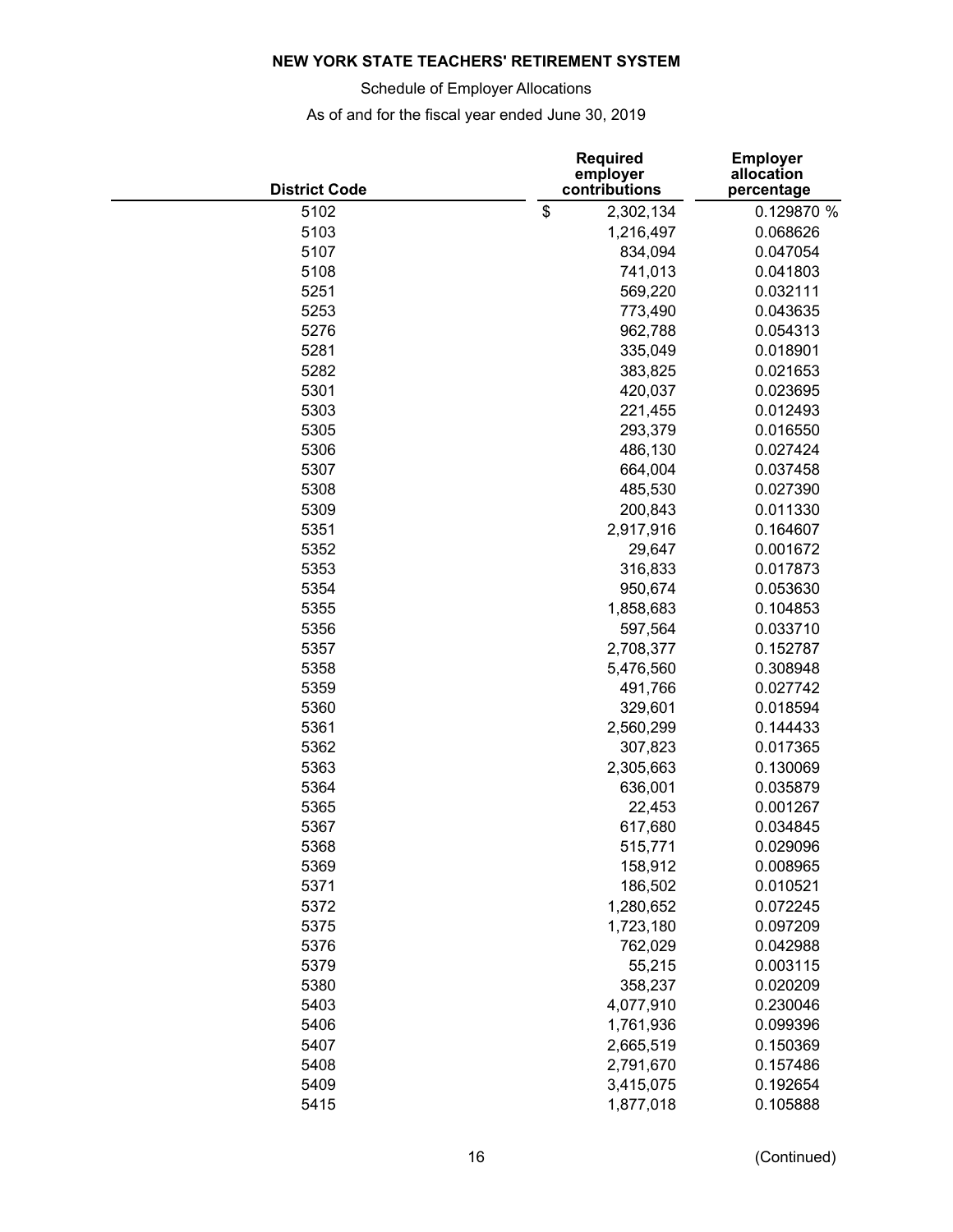Schedule of Employer Allocations

| <b>District Code</b> | <b>Required</b><br>employer<br>contributions | <b>Employer</b><br>allocation<br>percentage |  |  |
|----------------------|----------------------------------------------|---------------------------------------------|--|--|
| 5102                 | \$<br>2,302,134                              | 0.129870 %                                  |  |  |
| 5103                 | 1,216,497                                    | 0.068626                                    |  |  |
| 5107                 | 834,094                                      | 0.047054                                    |  |  |
| 5108                 | 741,013                                      | 0.041803                                    |  |  |
| 5251                 | 569,220                                      | 0.032111                                    |  |  |
| 5253                 | 773,490                                      | 0.043635                                    |  |  |
| 5276                 | 962,788                                      | 0.054313                                    |  |  |
| 5281                 | 335,049                                      | 0.018901                                    |  |  |
| 5282                 | 383,825                                      | 0.021653                                    |  |  |
| 5301                 | 420,037                                      | 0.023695                                    |  |  |
| 5303                 | 221,455                                      | 0.012493                                    |  |  |
| 5305                 | 293,379                                      | 0.016550                                    |  |  |
| 5306                 | 486,130                                      | 0.027424                                    |  |  |
| 5307                 | 664,004                                      | 0.037458                                    |  |  |
| 5308                 | 485,530                                      | 0.027390                                    |  |  |
| 5309                 | 200,843                                      | 0.011330                                    |  |  |
| 5351                 | 2,917,916                                    | 0.164607                                    |  |  |
| 5352                 | 29,647                                       | 0.001672                                    |  |  |
| 5353                 | 316,833                                      | 0.017873                                    |  |  |
| 5354                 | 950,674                                      | 0.053630                                    |  |  |
| 5355                 | 1,858,683                                    | 0.104853                                    |  |  |
| 5356                 | 597,564                                      | 0.033710                                    |  |  |
| 5357                 | 2,708,377                                    | 0.152787                                    |  |  |
| 5358                 | 5,476,560                                    | 0.308948                                    |  |  |
| 5359                 | 491,766                                      | 0.027742                                    |  |  |
| 5360                 | 329,601                                      | 0.018594                                    |  |  |
| 5361                 | 2,560,299                                    | 0.144433                                    |  |  |
| 5362                 | 307,823                                      |                                             |  |  |
| 5363                 |                                              | 0.017365<br>0.130069                        |  |  |
|                      | 2,305,663                                    |                                             |  |  |
| 5364                 | 636,001                                      | 0.035879                                    |  |  |
| 5365                 | 22,453                                       | 0.001267                                    |  |  |
| 5367                 | 617,680                                      | 0.034845                                    |  |  |
| 5368                 | 515,771                                      | 0.029096                                    |  |  |
| 5369                 | 158,912                                      | 0.008965                                    |  |  |
| 5371                 | 186,502                                      | 0.010521                                    |  |  |
| 5372                 | 1,280,652                                    | 0.072245                                    |  |  |
| 5375                 | 1,723,180                                    | 0.097209                                    |  |  |
| 5376                 | 762,029                                      | 0.042988                                    |  |  |
| 5379                 | 55,215                                       | 0.003115                                    |  |  |
| 5380                 | 358,237                                      | 0.020209                                    |  |  |
| 5403                 | 4,077,910                                    | 0.230046                                    |  |  |
| 5406                 | 1,761,936                                    | 0.099396                                    |  |  |
| 5407                 | 2,665,519                                    | 0.150369                                    |  |  |
| 5408                 | 2,791,670                                    | 0.157486                                    |  |  |
| 5409                 | 3,415,075                                    | 0.192654                                    |  |  |
| 5415                 | 1,877,018                                    | 0.105888                                    |  |  |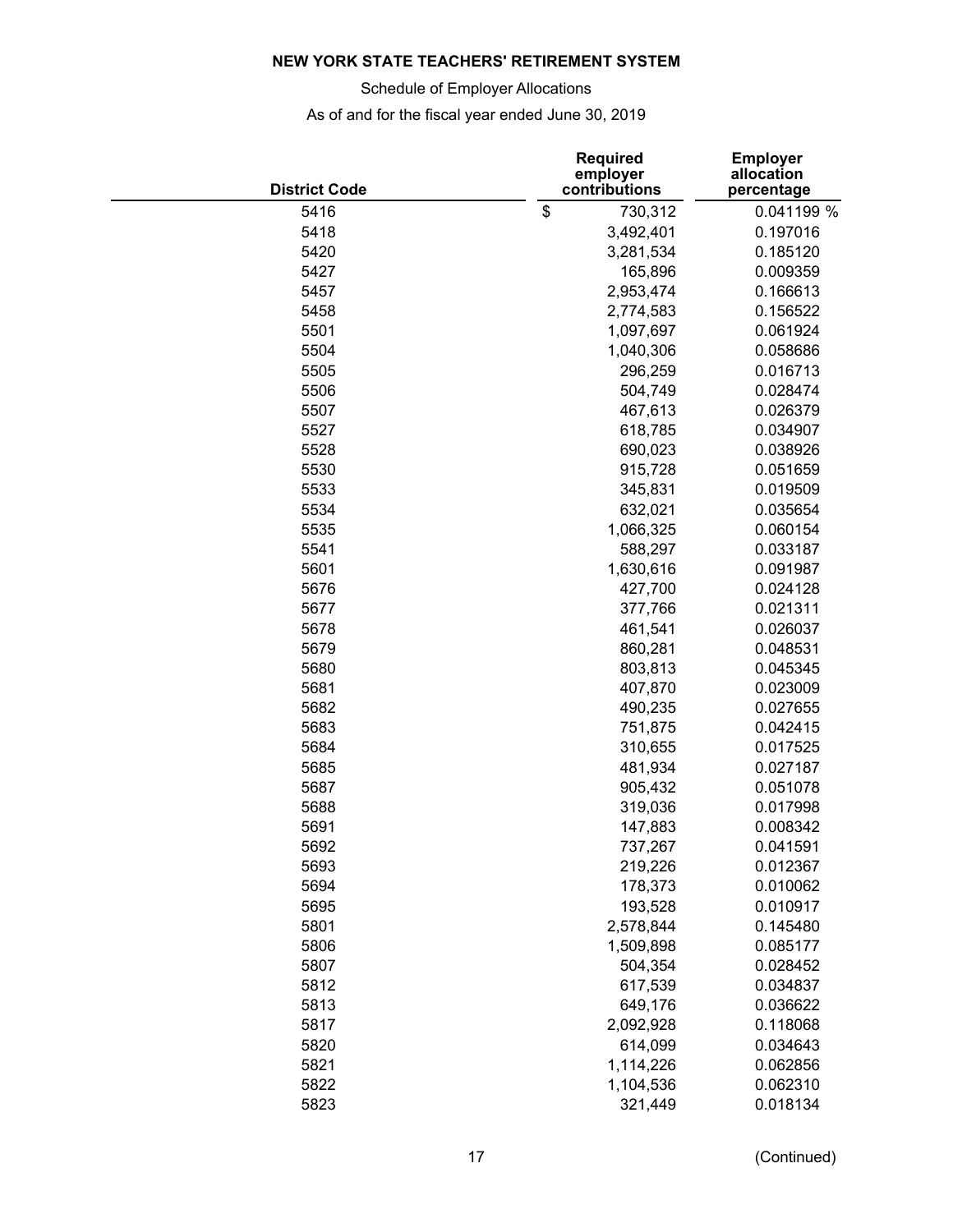Schedule of Employer Allocations

| <b>District Code</b> | <b>Required</b><br>employer<br>contributions | <b>Employer</b><br>allocation<br>percentage |  |  |
|----------------------|----------------------------------------------|---------------------------------------------|--|--|
| 5416                 | \$<br>730,312                                | 0.041199 %                                  |  |  |
| 5418                 | 3,492,401                                    | 0.197016                                    |  |  |
| 5420                 | 3,281,534                                    | 0.185120                                    |  |  |
| 5427                 | 165,896                                      | 0.009359                                    |  |  |
| 5457                 | 2,953,474                                    | 0.166613                                    |  |  |
| 5458                 | 2,774,583                                    | 0.156522                                    |  |  |
| 5501                 | 1,097,697                                    | 0.061924                                    |  |  |
| 5504                 | 1,040,306                                    | 0.058686                                    |  |  |
| 5505                 | 296,259                                      | 0.016713                                    |  |  |
| 5506                 | 504,749                                      | 0.028474                                    |  |  |
| 5507                 | 467,613                                      | 0.026379                                    |  |  |
| 5527                 | 618,785                                      | 0.034907                                    |  |  |
| 5528                 | 690,023                                      | 0.038926                                    |  |  |
| 5530                 | 915,728                                      | 0.051659                                    |  |  |
| 5533                 | 345,831                                      | 0.019509                                    |  |  |
| 5534                 | 632,021                                      | 0.035654                                    |  |  |
| 5535                 | 1,066,325                                    | 0.060154                                    |  |  |
| 5541                 | 588,297                                      | 0.033187                                    |  |  |
| 5601                 | 1,630,616                                    | 0.091987                                    |  |  |
| 5676                 | 427,700                                      | 0.024128                                    |  |  |
| 5677                 | 377,766                                      | 0.021311                                    |  |  |
| 5678                 | 461,541                                      | 0.026037                                    |  |  |
| 5679                 | 860,281                                      | 0.048531                                    |  |  |
| 5680                 | 803,813                                      | 0.045345                                    |  |  |
| 5681                 | 407,870                                      | 0.023009                                    |  |  |
| 5682                 | 490,235                                      | 0.027655                                    |  |  |
| 5683                 | 751,875                                      | 0.042415                                    |  |  |
| 5684                 | 310,655                                      | 0.017525                                    |  |  |
| 5685                 | 481,934                                      | 0.027187                                    |  |  |
| 5687                 | 905,432                                      | 0.051078                                    |  |  |
| 5688                 | 319,036                                      | 0.017998                                    |  |  |
| 5691                 | 147,883                                      | 0.008342                                    |  |  |
| 5692                 | 737,267                                      | 0.041591                                    |  |  |
| 5693                 | 219,226                                      | 0.012367                                    |  |  |
| 5694                 | 178,373                                      | 0.010062                                    |  |  |
| 5695                 | 193,528                                      | 0.010917                                    |  |  |
| 5801                 | 2,578,844                                    | 0.145480                                    |  |  |
| 5806                 | 1,509,898                                    | 0.085177                                    |  |  |
| 5807                 | 504,354                                      | 0.028452                                    |  |  |
| 5812                 | 617,539                                      | 0.034837                                    |  |  |
| 5813                 | 649,176                                      | 0.036622                                    |  |  |
| 5817                 | 2,092,928                                    | 0.118068                                    |  |  |
| 5820                 | 614,099                                      | 0.034643                                    |  |  |
| 5821                 | 1,114,226                                    | 0.062856                                    |  |  |
| 5822                 | 1,104,536                                    | 0.062310                                    |  |  |
| 5823                 | 321,449                                      | 0.018134                                    |  |  |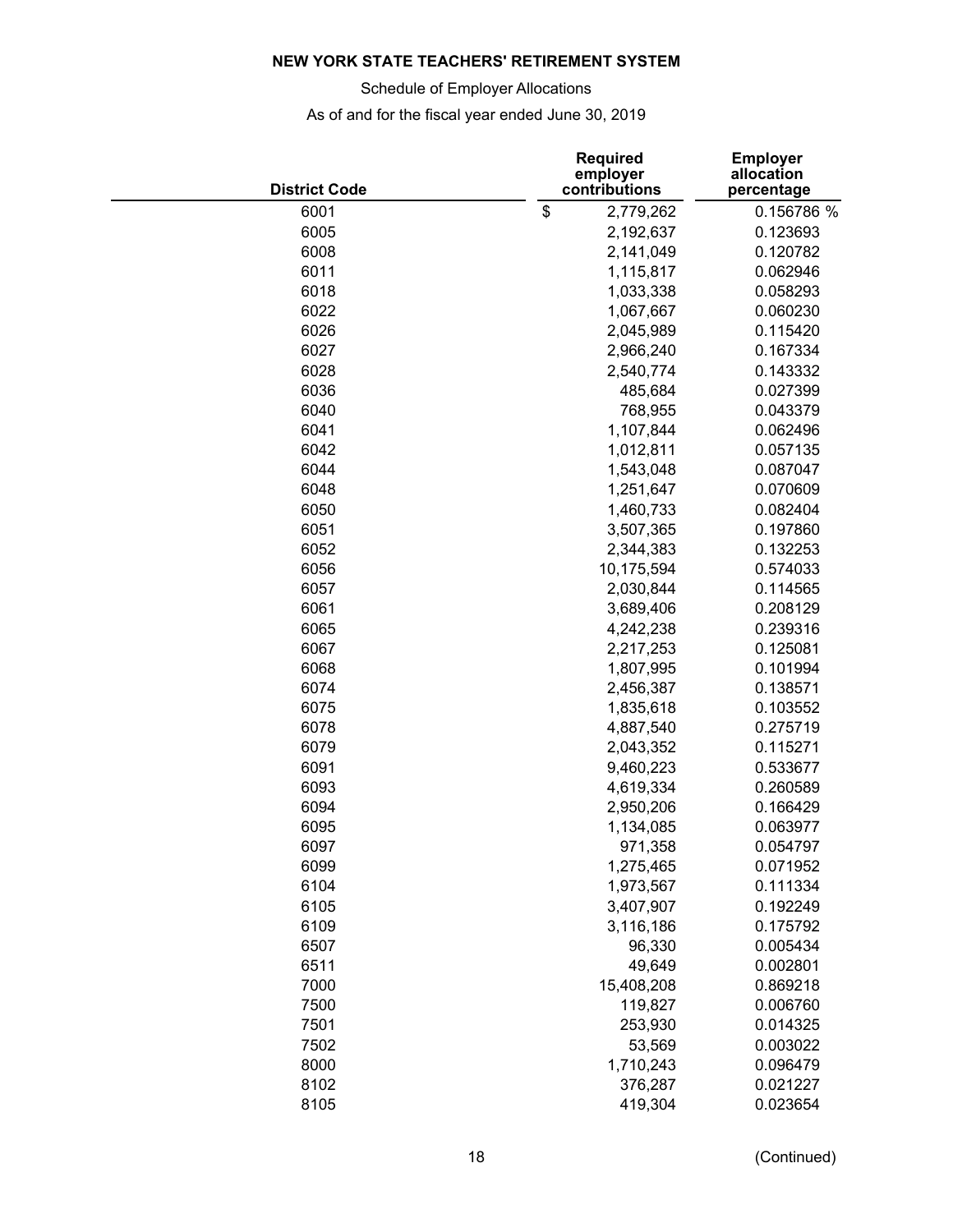Schedule of Employer Allocations

| <b>District Code</b> | <b>Required</b><br>employer<br>contributions | <b>Employer</b><br>allocation<br>percentage |  |  |
|----------------------|----------------------------------------------|---------------------------------------------|--|--|
| 6001                 | \$<br>2,779,262                              | 0.156786 %                                  |  |  |
| 6005                 | 2,192,637                                    | 0.123693                                    |  |  |
| 6008                 | 2,141,049                                    | 0.120782                                    |  |  |
| 6011                 | 1,115,817                                    | 0.062946                                    |  |  |
| 6018                 | 1,033,338                                    | 0.058293                                    |  |  |
| 6022                 | 1,067,667                                    | 0.060230                                    |  |  |
| 6026                 | 2,045,989                                    | 0.115420                                    |  |  |
| 6027                 | 2,966,240                                    | 0.167334                                    |  |  |
| 6028                 | 2,540,774                                    | 0.143332                                    |  |  |
| 6036                 | 485,684                                      | 0.027399                                    |  |  |
| 6040                 | 768,955                                      | 0.043379                                    |  |  |
| 6041                 | 1,107,844                                    | 0.062496                                    |  |  |
| 6042                 | 1,012,811                                    | 0.057135                                    |  |  |
| 6044                 | 1,543,048                                    | 0.087047                                    |  |  |
| 6048                 | 1,251,647                                    | 0.070609                                    |  |  |
| 6050                 | 1,460,733                                    | 0.082404                                    |  |  |
| 6051                 | 3,507,365                                    | 0.197860                                    |  |  |
| 6052                 | 2,344,383                                    | 0.132253                                    |  |  |
| 6056                 | 10,175,594                                   | 0.574033                                    |  |  |
| 6057                 | 2,030,844                                    | 0.114565                                    |  |  |
| 6061                 | 3,689,406                                    | 0.208129                                    |  |  |
| 6065                 | 4,242,238                                    | 0.239316                                    |  |  |
| 6067                 | 2,217,253                                    | 0.125081                                    |  |  |
| 6068                 | 1,807,995                                    | 0.101994                                    |  |  |
| 6074                 | 2,456,387                                    | 0.138571                                    |  |  |
| 6075                 | 1,835,618                                    | 0.103552                                    |  |  |
| 6078                 | 4,887,540                                    | 0.275719                                    |  |  |
| 6079                 | 2,043,352                                    | 0.115271                                    |  |  |
| 6091                 | 9,460,223                                    | 0.533677                                    |  |  |
| 6093                 | 4,619,334                                    | 0.260589                                    |  |  |
| 6094                 | 2,950,206                                    | 0.166429                                    |  |  |
| 6095                 | 1,134,085                                    | 0.063977                                    |  |  |
| 6097                 | 971,358                                      | 0.054797                                    |  |  |
| 6099                 | 1,275,465                                    | 0.071952                                    |  |  |
| 6104                 | 1,973,567                                    | 0.111334                                    |  |  |
| 6105                 | 3,407,907                                    | 0.192249                                    |  |  |
| 6109                 | 3,116,186                                    | 0.175792                                    |  |  |
| 6507                 | 96,330                                       | 0.005434                                    |  |  |
| 6511                 | 49,649                                       | 0.002801                                    |  |  |
| 7000                 | 15,408,208                                   |                                             |  |  |
|                      |                                              | 0.869218                                    |  |  |
| 7500                 | 119,827                                      | 0.006760                                    |  |  |
| 7501                 | 253,930                                      | 0.014325                                    |  |  |
| 7502                 | 53,569                                       | 0.003022                                    |  |  |
| 8000                 | 1,710,243                                    | 0.096479                                    |  |  |
| 8102                 | 376,287                                      | 0.021227                                    |  |  |
| 8105                 | 419,304                                      | 0.023654                                    |  |  |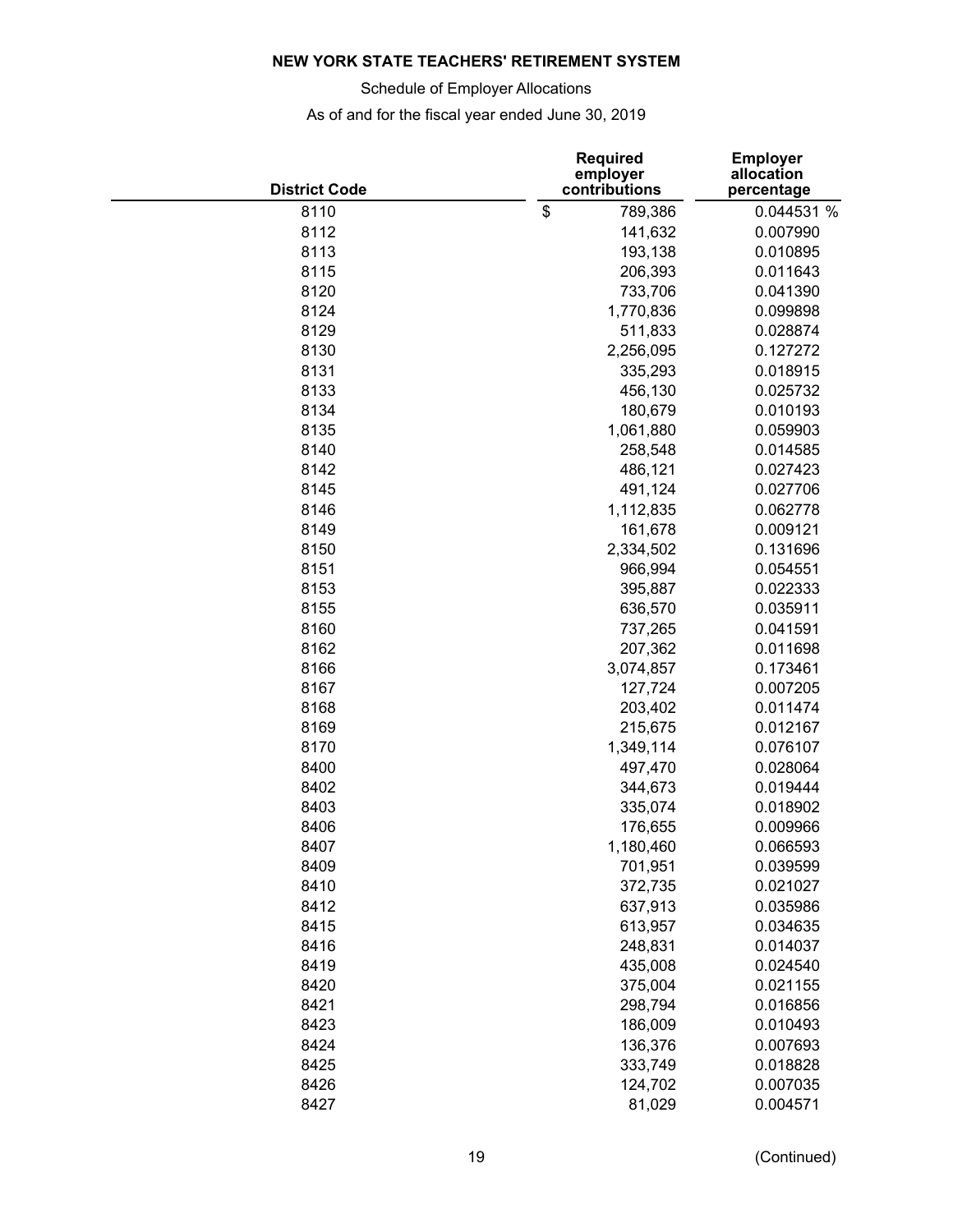Schedule of Employer Allocations

| <b>District Code</b> | <b>Required</b><br>employer<br>contributions | <b>Employer</b><br>allocation<br>percentage |  |  |
|----------------------|----------------------------------------------|---------------------------------------------|--|--|
| 8110                 | \$<br>789,386                                | 0.044531 %                                  |  |  |
| 8112                 | 141,632                                      | 0.007990                                    |  |  |
| 8113                 | 193,138                                      | 0.010895                                    |  |  |
| 8115                 | 206,393                                      | 0.011643                                    |  |  |
| 8120                 | 733,706                                      | 0.041390                                    |  |  |
| 8124                 | 1,770,836                                    | 0.099898                                    |  |  |
| 8129                 | 511,833                                      | 0.028874                                    |  |  |
| 8130                 | 2,256,095                                    | 0.127272                                    |  |  |
| 8131                 | 335,293                                      | 0.018915                                    |  |  |
| 8133                 | 456,130                                      | 0.025732                                    |  |  |
| 8134                 | 180,679                                      | 0.010193                                    |  |  |
| 8135                 | 1,061,880                                    | 0.059903                                    |  |  |
| 8140                 | 258,548                                      | 0.014585                                    |  |  |
| 8142                 | 486,121                                      | 0.027423                                    |  |  |
| 8145                 | 491,124                                      | 0.027706                                    |  |  |
| 8146                 | 1,112,835                                    | 0.062778                                    |  |  |
| 8149                 | 161,678                                      | 0.009121                                    |  |  |
| 8150                 | 2,334,502                                    | 0.131696                                    |  |  |
| 8151                 | 966,994                                      | 0.054551                                    |  |  |
| 8153                 | 395,887                                      | 0.022333                                    |  |  |
| 8155                 | 636,570                                      | 0.035911                                    |  |  |
| 8160                 | 737,265                                      | 0.041591                                    |  |  |
| 8162                 | 207,362                                      | 0.011698                                    |  |  |
| 8166                 | 3,074,857                                    | 0.173461                                    |  |  |
| 8167                 | 127,724                                      | 0.007205                                    |  |  |
| 8168                 | 203,402                                      | 0.011474                                    |  |  |
| 8169                 | 215,675                                      | 0.012167                                    |  |  |
| 8170                 | 1,349,114                                    | 0.076107                                    |  |  |
| 8400                 | 497,470                                      | 0.028064                                    |  |  |
| 8402                 | 344,673                                      | 0.019444                                    |  |  |
| 8403                 | 335,074                                      | 0.018902                                    |  |  |
| 8406                 | 176,655                                      | 0.009966                                    |  |  |
| 8407                 | 1,180,460                                    | 0.066593                                    |  |  |
| 8409                 | 701,951                                      | 0.039599                                    |  |  |
| 8410                 | 372,735                                      | 0.021027                                    |  |  |
| 8412                 | 637,913                                      | 0.035986                                    |  |  |
| 8415                 | 613,957                                      | 0.034635                                    |  |  |
| 8416                 | 248,831                                      | 0.014037                                    |  |  |
| 8419                 | 435,008                                      | 0.024540                                    |  |  |
| 8420                 | 375,004                                      | 0.021155                                    |  |  |
| 8421                 | 298,794                                      | 0.016856                                    |  |  |
| 8423                 | 186,009                                      | 0.010493                                    |  |  |
| 8424                 | 136,376                                      | 0.007693                                    |  |  |
| 8425                 | 333,749                                      | 0.018828                                    |  |  |
| 8426                 | 124,702                                      | 0.007035                                    |  |  |
| 8427                 | 81,029                                       | 0.004571                                    |  |  |
|                      |                                              |                                             |  |  |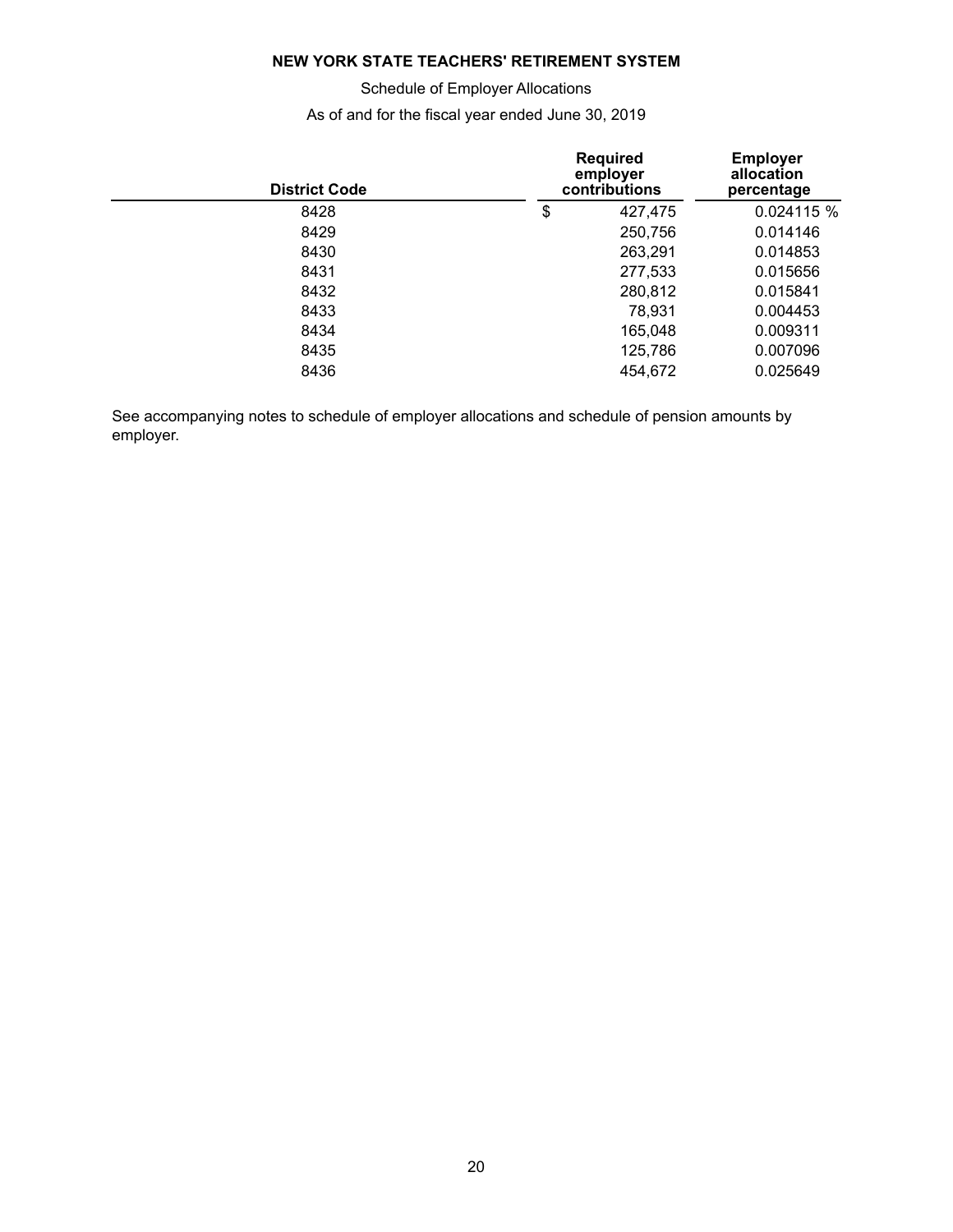Schedule of Employer Allocations

As of and for the fiscal year ended June 30, 2019

| <b>District Code</b> | <b>Required</b><br>employer<br>contributions | <b>Employer</b><br>allocation<br>percentage |           |  |
|----------------------|----------------------------------------------|---------------------------------------------|-----------|--|
| 8428                 | \$                                           | 427,475                                     | 0.024115% |  |
| 8429                 |                                              | 250,756                                     | 0.014146  |  |
| 8430                 |                                              | 263,291                                     | 0.014853  |  |
| 8431                 |                                              | 277,533                                     | 0.015656  |  |
| 8432                 |                                              | 280,812                                     | 0.015841  |  |
| 8433                 |                                              | 78,931                                      | 0.004453  |  |
| 8434                 |                                              | 165,048                                     | 0.009311  |  |
| 8435                 |                                              | 125,786                                     | 0.007096  |  |
| 8436                 |                                              | 454,672                                     | 0.025649  |  |

See accompanying notes to schedule of employer allocations and schedule of pension amounts by employer.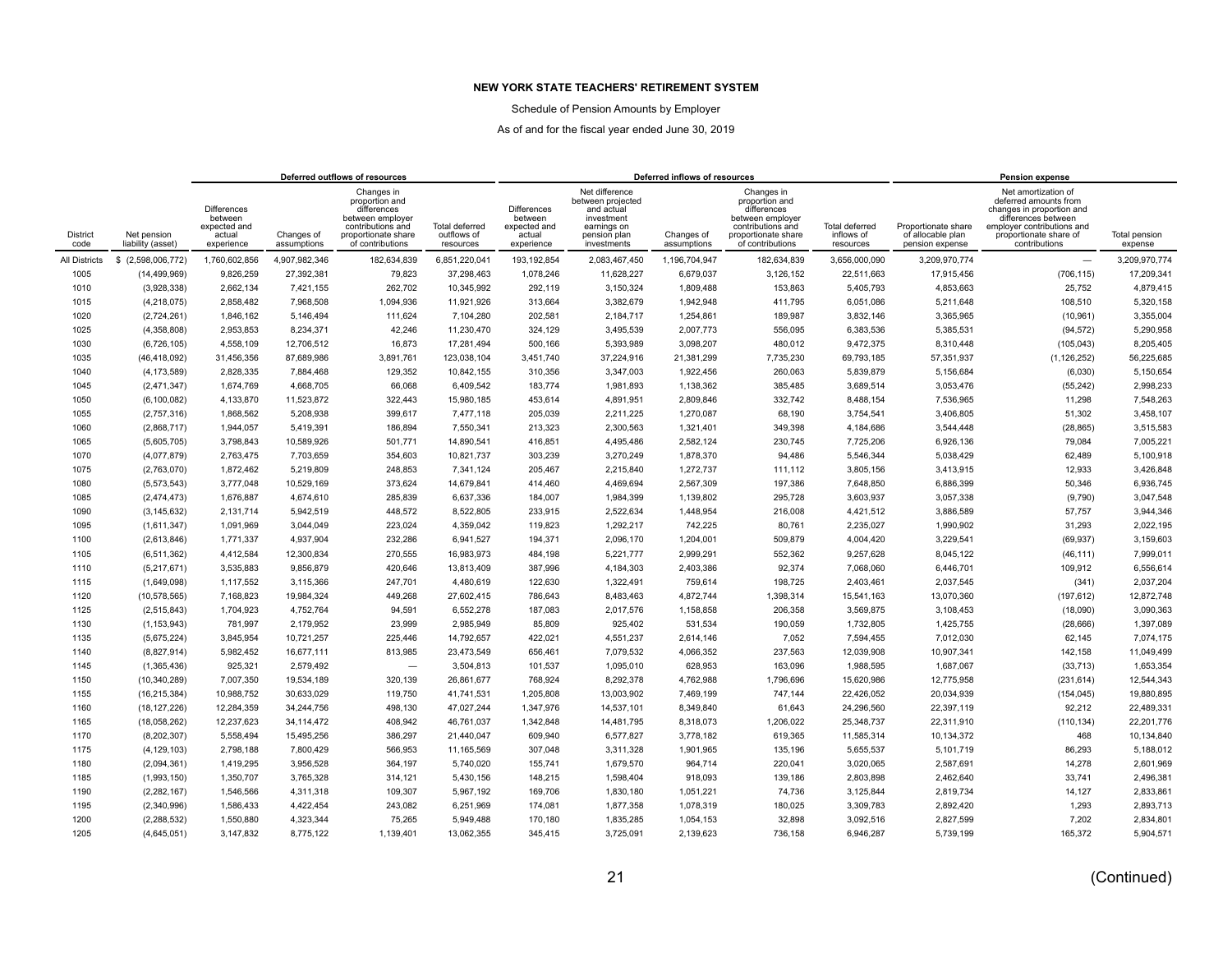### Schedule of Pension Amounts by Employer

<span id="page-22-0"></span>

|                         |                                  |                                                                       |                            | Deferred outflows of resources                                                                                                  |                                            |                                                                       |                                                                                                               | Deferred inflows of resources |                                                                                                                                 |                                                  |                                                             | <b>Pension expense</b>                                                                                                                                                    |                          |  |
|-------------------------|----------------------------------|-----------------------------------------------------------------------|----------------------------|---------------------------------------------------------------------------------------------------------------------------------|--------------------------------------------|-----------------------------------------------------------------------|---------------------------------------------------------------------------------------------------------------|-------------------------------|---------------------------------------------------------------------------------------------------------------------------------|--------------------------------------------------|-------------------------------------------------------------|---------------------------------------------------------------------------------------------------------------------------------------------------------------------------|--------------------------|--|
| <b>District</b><br>code | Net pension<br>liability (asset) | <b>Differences</b><br>between<br>expected and<br>actual<br>experience | Changes of<br>assumptions  | Changes in<br>proportion and<br>differences<br>between employer<br>contributions and<br>proportionate share<br>of contributions | Total deferred<br>outflows of<br>resources | <b>Differences</b><br>between<br>expected and<br>actual<br>experience | Net difference<br>between projected<br>and actual<br>investment<br>earnings on<br>pension plan<br>investments | Changes of<br>assumptions     | Changes in<br>proportion and<br>differences<br>between employer<br>contributions and<br>proportionate share<br>of contributions | <b>Total deferred</b><br>inflows of<br>resources | Proportionate share<br>of allocable plan<br>pension expense | Net amortization of<br>deferred amounts from<br>changes in proportion and<br>differences between<br>employer contributions and<br>proportionate share of<br>contributions | Total pension<br>expense |  |
| <b>All Districts</b>    | \$ (2,598,006,772)               | 1,760,602,856                                                         | 4,907,982,346              | 182,634,839                                                                                                                     | 6,851,220,041                              | 193, 192, 854                                                         | 2,083,467,450                                                                                                 | 1,196,704,947                 | 182,634,839                                                                                                                     | 3,656,000,090                                    | 3,209,970,774                                               | $\overline{\phantom{0}}$                                                                                                                                                  | 3,209,970,774            |  |
| 1005                    | (14, 499, 969)                   | 9,826,259                                                             | 27,392,381                 | 79,823                                                                                                                          | 37,298,463                                 | 1,078,246                                                             | 11,628,227                                                                                                    | 6,679,037                     | 3,126,152                                                                                                                       | 22,511,663                                       | 17,915,456                                                  | (706, 115)                                                                                                                                                                | 17,209,341               |  |
| 1010                    | (3,928,338)                      | 2,662,134                                                             | 7,421,155                  | 262,702                                                                                                                         | 10,345,992                                 | 292,119                                                               | 3,150,324                                                                                                     | 1,809,488                     | 153,863                                                                                                                         | 5,405,793                                        | 4,853,663                                                   | 25,752                                                                                                                                                                    | 4,879,415                |  |
| 1015                    | (4,218,075)                      | 2.858.482                                                             | 7.968.508                  | 1,094,936                                                                                                                       | 11.921.926                                 | 313.664                                                               | 3.382.679                                                                                                     | 1.942.948                     | 411.795                                                                                                                         | 6.051.086                                        | 5,211,648                                                   | 108.510                                                                                                                                                                   | 5,320,158                |  |
| 1020                    | (2,724,261)                      | 1,846,162                                                             | 5,146,494                  | 111,624                                                                                                                         | 7,104,280                                  | 202,581                                                               | 2,184,717                                                                                                     | 1,254,861                     | 189,987                                                                                                                         | 3,832,146                                        | 3,365,965                                                   | (10, 961)                                                                                                                                                                 | 3,355,004                |  |
| 1025                    | (4,358,808)                      | 2,953,853                                                             | 8,234,371                  | 42,246                                                                                                                          | 11,230,470                                 | 324,129                                                               | 3,495,539                                                                                                     | 2,007,773                     | 556,095                                                                                                                         | 6,383,536                                        | 5,385,531                                                   | (94, 572)                                                                                                                                                                 | 5,290,958                |  |
| 1030                    | (6,726,105)                      | 4,558,109                                                             | 12,706,512                 | 16,873                                                                                                                          | 17,281,494                                 | 500,166                                                               | 5,393,989                                                                                                     | 3,098,207                     | 480,012                                                                                                                         | 9,472,375                                        | 8,310,448                                                   | (105, 043)                                                                                                                                                                | 8,205,405                |  |
| 1035                    | (46, 418, 092)                   | 31,456,356                                                            | 87,689,986                 | 3,891,761                                                                                                                       | 123,038,104                                | 3,451,740                                                             | 37,224,916                                                                                                    | 21,381,299                    | 7,735,230                                                                                                                       | 69,793,185                                       | 57,351,937                                                  | (1, 126, 252)                                                                                                                                                             | 56,225,685               |  |
| 1040                    | (4, 173, 589)                    | 2,828,335                                                             | 7,884,468                  | 129,352                                                                                                                         | 10,842,155                                 | 310,356                                                               | 3,347,003                                                                                                     | 1,922,456                     | 260,063                                                                                                                         | 5,839,879                                        | 5,156,684                                                   | (6,030)                                                                                                                                                                   | 5,150,654                |  |
| 1045                    | (2,471,347)                      | 1.674.769                                                             | 4,668,705                  | 66,068                                                                                                                          | 6.409.542                                  | 183,774                                                               | 1.981.893                                                                                                     | 1,138,362                     | 385.485                                                                                                                         | 3,689,514                                        | 3,053,476                                                   | (55, 242)                                                                                                                                                                 | 2,998,233                |  |
| 1050                    | (6, 100, 082)                    | 4.133.870                                                             | 11.523.872                 | 322.443                                                                                                                         | 15.980.185                                 | 453.614                                                               | 4.891.951                                                                                                     | 2.809.846                     | 332.742                                                                                                                         | 8.488.154                                        | 7.536.965                                                   | 11.298                                                                                                                                                                    | 7,548,263                |  |
| 1055                    | (2,757,316)                      | 1,868,562                                                             | 5,208,938                  | 399,617                                                                                                                         | 7.477.118                                  | 205,039                                                               | 2,211,225                                                                                                     | 1,270,087                     | 68,190                                                                                                                          | 3,754,541                                        | 3,406,805                                                   | 51,302                                                                                                                                                                    | 3,458,107                |  |
| 1060                    | (2,868,717)                      | 1,944,057                                                             | 5,419,391                  | 186,894                                                                                                                         | 7,550,341                                  | 213,323                                                               | 2,300,563                                                                                                     | 1,321,401                     | 349,398                                                                                                                         | 4,184,686                                        | 3,544,448                                                   | (28, 865)                                                                                                                                                                 | 3,515,583                |  |
| 1065                    | (5,605,705)                      | 3,798,843                                                             | 10,589,926                 | 501,771                                                                                                                         | 14,890,541                                 | 416,851                                                               | 4,495,486                                                                                                     | 2,582,124                     | 230,745                                                                                                                         | 7,725,206                                        | 6,926,136                                                   | 79,084                                                                                                                                                                    | 7,005,221                |  |
| 1070                    | (4,077,879)                      | 2,763,475                                                             | 7,703,659                  | 354,603                                                                                                                         | 10,821,737                                 | 303,239                                                               | 3,270,249                                                                                                     | 1,878,370                     | 94,486                                                                                                                          | 5,546,344                                        | 5,038,429                                                   | 62,489                                                                                                                                                                    | 5,100,918                |  |
| 1075                    | (2,763,070)                      | 1,872,462                                                             | 5,219,809                  | 248,853                                                                                                                         | 7,341,124                                  | 205,467                                                               | 2,215,840                                                                                                     | 1,272,737                     | 111,112                                                                                                                         | 3,805,156                                        | 3,413,915                                                   | 12,933                                                                                                                                                                    | 3,426,848                |  |
| 1080                    | (5,573,543)                      | 3.777.048                                                             | 10,529,169                 | 373,624                                                                                                                         | 14.679.841                                 | 414,460                                                               | 4.469.694                                                                                                     | 2,567,309                     | 197,386                                                                                                                         | 7,648,850                                        | 6,886,399                                                   | 50,346                                                                                                                                                                    | 6.936.745                |  |
| 1085                    | (2,474,473)                      | 1.676.887                                                             | 4,674,610                  | 285,839                                                                                                                         | 6.637.336                                  | 184.007                                                               | 1.984.399                                                                                                     | 1.139.802                     | 295.728                                                                                                                         | 3.603.937                                        | 3,057,338                                                   | (9,790)                                                                                                                                                                   | 3,047,548                |  |
| 1090                    | (3, 145, 632)                    | 2,131,714                                                             | 5,942,519                  | 448,572                                                                                                                         | 8,522,805                                  | 233,915                                                               | 2,522,634                                                                                                     | 1,448,954                     | 216,008                                                                                                                         | 4,421,512                                        | 3,886,589                                                   | 57,757                                                                                                                                                                    | 3,944,346                |  |
| 1095                    | (1,611,347)                      | 1,091,969                                                             | 3,044,049                  | 223,024                                                                                                                         | 4,359,042                                  | 119,823                                                               | 1,292,217                                                                                                     | 742,225                       | 80,761                                                                                                                          | 2,235,027                                        | 1,990,902                                                   | 31,293                                                                                                                                                                    | 2,022,195                |  |
| 1100                    | (2,613,846)                      | 1,771,337                                                             | 4,937,904                  | 232,286                                                                                                                         | 6,941,527                                  | 194,371                                                               | 2,096,170                                                                                                     | 1,204,001                     | 509,879                                                                                                                         | 4,004,420                                        | 3,229,541                                                   | (69, 937)                                                                                                                                                                 | 3,159,603                |  |
| 1105                    | (6, 511, 362)                    | 4,412,584                                                             | 12,300,834                 | 270,555                                                                                                                         | 16,983,973                                 | 484,198                                                               | 5,221,777                                                                                                     | 2,999,291                     | 552,362                                                                                                                         | 9,257,628                                        | 8,045,122                                                   | (46, 111)                                                                                                                                                                 | 7,999,011                |  |
| 1110                    | (5,217,671)                      | 3,535,883                                                             | 9,856,879                  | 420,646                                                                                                                         | 13,813,409                                 | 387,996                                                               | 4,184,303                                                                                                     | 2,403,386                     | 92,374                                                                                                                          | 7,068,060                                        | 6,446,701                                                   | 109,912                                                                                                                                                                   | 6,556,614                |  |
| 1115                    | (1,649,098)                      | 1,117,552                                                             | 3,115,366                  | 247,701                                                                                                                         | 4,480,619                                  | 122,630                                                               | 1,322,491                                                                                                     | 759.614                       | 198.725                                                                                                                         | 2,403,461                                        | 2,037,545                                                   | (341)                                                                                                                                                                     | 2,037,204                |  |
| 1120                    | (10, 578, 565)                   | 7.168.823                                                             | 19,984,324                 | 449.268                                                                                                                         | 27.602.415                                 | 786.643                                                               | 8.483.463                                                                                                     | 4.872.744                     | 1.398.314                                                                                                                       | 15,541,163                                       | 13,070,360                                                  | (197, 612)                                                                                                                                                                | 12.872.748               |  |
| 1125                    | (2,515,843)                      | 1,704,923                                                             | 4,752,764                  | 94,591                                                                                                                          | 6,552,278                                  | 187,083                                                               | 2,017,576                                                                                                     | 1,158,858                     | 206,358                                                                                                                         | 3,569,875                                        | 3,108,453                                                   | (18,090)                                                                                                                                                                  | 3,090,363                |  |
| 1130                    | (1, 153, 943)                    | 781,997                                                               | 2,179,952                  | 23,999                                                                                                                          | 2,985,949                                  | 85,809                                                                | 925,402                                                                                                       | 531,534                       | 190,059                                                                                                                         | 1,732,805                                        | 1,425,755                                                   | (28, 666)                                                                                                                                                                 | 1,397,089                |  |
| 1135                    | (5,675,224)                      | 3,845,954                                                             | 10,721,257                 | 225,446                                                                                                                         | 14,792,657                                 | 422,021                                                               | 4,551,237                                                                                                     | 2,614,146                     | 7,052                                                                                                                           | 7,594,455                                        | 7,012,030                                                   | 62,145                                                                                                                                                                    | 7,074,175                |  |
| 1140                    | (8,827,914)                      | 5,982,452                                                             | 16,677,111                 | 813,985                                                                                                                         | 23,473,549                                 | 656,461                                                               | 7,079,532                                                                                                     | 4,066,352                     | 237,563                                                                                                                         | 12,039,908                                       | 10,907,341                                                  | 142,158                                                                                                                                                                   | 11,049,499               |  |
| 1145<br>1150            | (1,365,436)                      | 925,321                                                               | 2,579,492                  | $\overline{\phantom{0}}$                                                                                                        | 3,504,813                                  | 101,537                                                               | 1,095,010                                                                                                     | 628,953                       | 163,096                                                                                                                         | 1,988,595                                        | 1,687,067                                                   | (33, 713)                                                                                                                                                                 | 1,653,354                |  |
|                         | (10, 340, 289)                   | 7,007,350                                                             | 19,534,189                 | 320,139                                                                                                                         | 26,861,677                                 | 768,924                                                               | 8,292,378                                                                                                     | 4,762,988                     | 1,796,696                                                                                                                       | 15,620,986                                       | 12,775,958                                                  | (231, 614)                                                                                                                                                                | 12,544,343               |  |
| 1155                    | (16, 215, 384)                   | 10.988.752                                                            | 30.633.029                 | 119,750                                                                                                                         | 41,741,531                                 | 1,205,808                                                             | 13.003.902                                                                                                    | 7,469,199                     | 747,144                                                                                                                         | 22,426,052                                       | 20,034,939                                                  | (154, 045)                                                                                                                                                                | 19,880,895               |  |
| 1160<br>1165            | (18, 127, 226)                   | 12,284,359<br>12,237,623                                              | 34,244,756                 | 498,130<br>408,942                                                                                                              | 47,027,244<br>46,761,037                   | 1,347,976                                                             | 14,537,101<br>14,481,795                                                                                      | 8,349,840<br>8,318,073        | 61,643                                                                                                                          | 24,296,560                                       | 22,397,119                                                  | 92,212                                                                                                                                                                    | 22,489,331<br>22,201,776 |  |
| 1170                    | (18,058,262)<br>(8, 202, 307)    | 5,558,494                                                             | 34, 114, 472<br>15,495,256 | 386,297                                                                                                                         |                                            | 1,342,848<br>609,940                                                  | 6,577,827                                                                                                     | 3,778,182                     | 1,206,022<br>619,365                                                                                                            | 25,348,737<br>11,585,314                         | 22,311,910                                                  | (110, 134)<br>468                                                                                                                                                         | 10,134,840               |  |
| 1175                    | (4, 129, 103)                    | 2,798,188                                                             | 7,800,429                  | 566,953                                                                                                                         | 21,440,047<br>11,165,569                   | 307,048                                                               | 3,311,328                                                                                                     | 1,901,965                     | 135,196                                                                                                                         | 5,655,537                                        | 10,134,372<br>5,101,719                                     | 86,293                                                                                                                                                                    | 5,188,012                |  |
| 1180                    |                                  |                                                                       | 3,956,528                  |                                                                                                                                 |                                            |                                                                       |                                                                                                               | 964,714                       |                                                                                                                                 |                                                  | 2,587,691                                                   |                                                                                                                                                                           | 2,601,969                |  |
| 1185                    | (2,094,361)                      | 1,419,295                                                             |                            | 364,197<br>314,121                                                                                                              | 5,740,020                                  | 155,741                                                               | 1,679,570                                                                                                     | 918.093                       | 220,041                                                                                                                         | 3,020,065                                        |                                                             | 14,278                                                                                                                                                                    | 2,496,381                |  |
| 1190                    | (1,993,150)                      | 1,350,707                                                             | 3,765,328                  |                                                                                                                                 | 5,430,156                                  | 148,215                                                               | 1,598,404                                                                                                     |                               | 139,186                                                                                                                         | 2,803,898                                        | 2,462,640                                                   | 33,741                                                                                                                                                                    |                          |  |
|                         | (2, 282, 167)                    | 1,546,566                                                             | 4,311,318                  | 109,307                                                                                                                         | 5.967.192                                  | 169,706                                                               | 1,830,180                                                                                                     | 1,051,221                     | 74,736                                                                                                                          | 3,125,844                                        | 2,819,734                                                   | 14,127                                                                                                                                                                    | 2,833,861                |  |
| 1195<br>1200            | (2,340,996)<br>(2, 288, 532)     | 1,586,433<br>1,550,880                                                | 4,422,454<br>4,323,344     | 243,082<br>75,265                                                                                                               | 6,251,969<br>5,949,488                     | 174,081<br>170,180                                                    | 1,877,358<br>1,835,285                                                                                        | 1,078,319<br>1,054,153        | 180,025<br>32,898                                                                                                               | 3,309,783<br>3,092,516                           | 2,892,420<br>2,827,599                                      | 1,293<br>7,202                                                                                                                                                            | 2,893,713<br>2,834,801   |  |
| 1205                    | (4,645,051)                      | 3,147,832                                                             | 8,775,122                  | 1,139,401                                                                                                                       | 13,062,355                                 | 345,415                                                               | 3,725,091                                                                                                     | 2,139,623                     | 736.158                                                                                                                         | 6,946,287                                        | 5,739,199                                                   | 165.372                                                                                                                                                                   | 5,904,571                |  |
|                         |                                  |                                                                       |                            |                                                                                                                                 |                                            |                                                                       |                                                                                                               |                               |                                                                                                                                 |                                                  |                                                             |                                                                                                                                                                           |                          |  |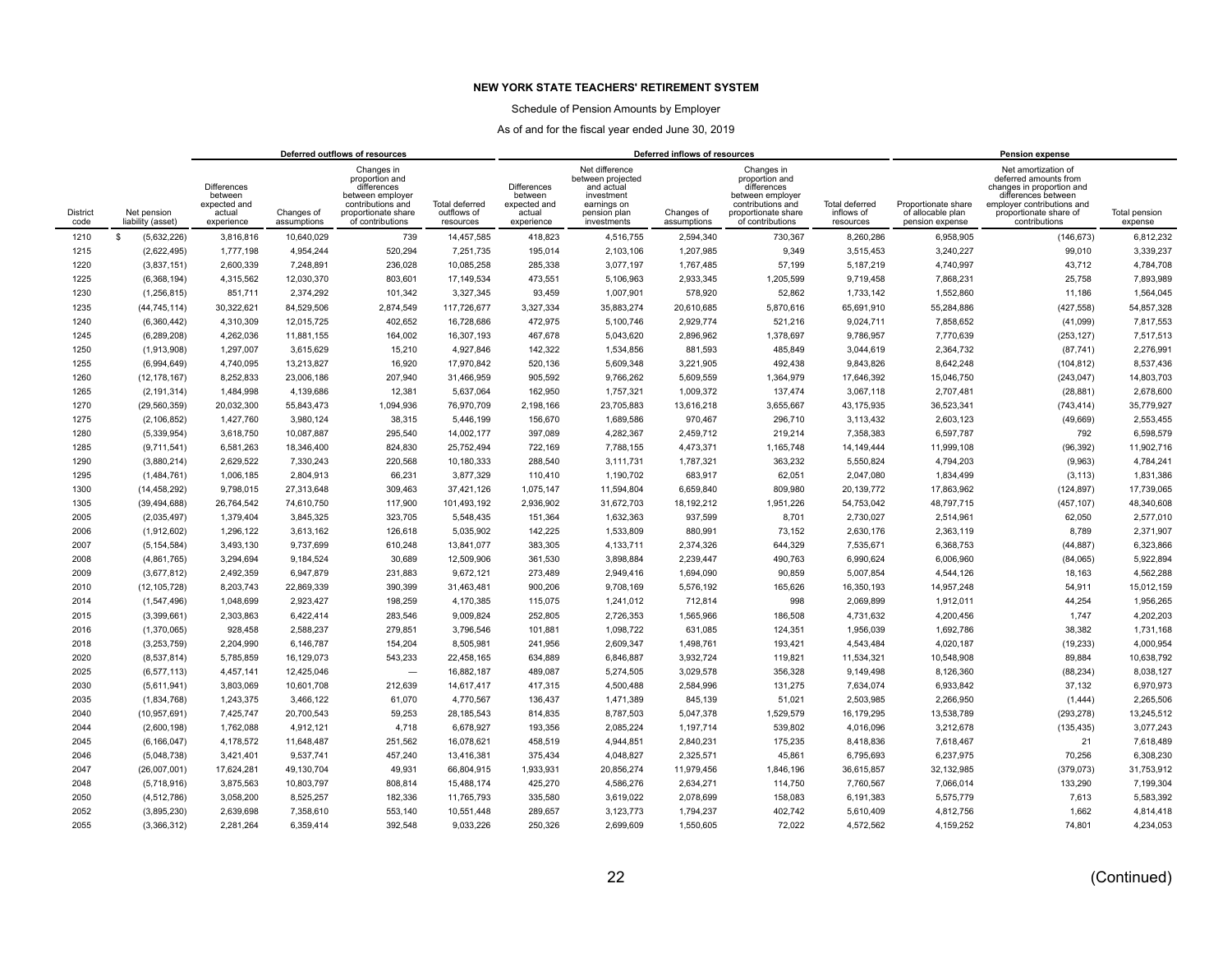### Schedule of Pension Amounts by Employer

|                         |                                  |                                                                |                           | Deferred outflows of resources                                                                                                  |                                            |                                                                |                                                                                                               | Deferred inflows of resources |                                                                                                                                 |                                           |                                                             | <b>Pension expense</b>                                                                                                                                                    |                          |  |
|-------------------------|----------------------------------|----------------------------------------------------------------|---------------------------|---------------------------------------------------------------------------------------------------------------------------------|--------------------------------------------|----------------------------------------------------------------|---------------------------------------------------------------------------------------------------------------|-------------------------------|---------------------------------------------------------------------------------------------------------------------------------|-------------------------------------------|-------------------------------------------------------------|---------------------------------------------------------------------------------------------------------------------------------------------------------------------------|--------------------------|--|
| <b>District</b><br>code | Net pension<br>liability (asset) | Differences<br>between<br>expected and<br>actual<br>experience | Changes of<br>assumptions | Changes in<br>proportion and<br>differences<br>between employer<br>contributions and<br>proportionate share<br>of contributions | Total deferred<br>outflows of<br>resources | Differences<br>between<br>expected and<br>actual<br>experience | Net difference<br>between projected<br>and actual<br>investment<br>earnings on<br>pension plan<br>investments | Changes of<br>assumptions     | Changes in<br>proportion and<br>differences<br>between employer<br>contributions and<br>proportionate share<br>of contributions | Total deferred<br>inflows of<br>resources | Proportionate share<br>of allocable plan<br>pension expense | Net amortization of<br>deferred amounts from<br>changes in proportion and<br>differences between<br>employer contributions and<br>proportionate share of<br>contributions | Total pension<br>expense |  |
| 1210                    | \$<br>(5,632,226)                | 3,816,816                                                      | 10,640,029                | 739                                                                                                                             | 14,457,585                                 | 418,823                                                        | 4,516,755                                                                                                     | 2,594,340                     | 730,367                                                                                                                         | 8,260,286                                 | 6,958,905                                                   | (146, 673)                                                                                                                                                                | 6,812,232                |  |
| 1215                    | (2,622,495)                      | 1,777,198                                                      | 4,954,244                 | 520,294                                                                                                                         | 7,251,735                                  | 195,014                                                        | 2,103,106                                                                                                     | 1,207,985                     | 9,349                                                                                                                           | 3,515,453                                 | 3,240,227                                                   | 99,010                                                                                                                                                                    | 3,339,237                |  |
| 1220                    | (3,837,151)                      | 2,600,339                                                      | 7,248,891                 | 236,028                                                                                                                         | 10,085,258                                 | 285,338                                                        | 3,077,197                                                                                                     | 1,767,485                     | 57,199                                                                                                                          | 5,187,219                                 | 4,740,997                                                   | 43,712                                                                                                                                                                    | 4,784,708                |  |
| 1225                    | (6,368,194)                      | 4,315,562                                                      | 12,030,370                | 803,601                                                                                                                         | 17, 149, 534                               | 473,551                                                        | 5,106,963                                                                                                     | 2,933,345                     | 1,205,599                                                                                                                       | 9,719,458                                 | 7,868,231                                                   | 25,758                                                                                                                                                                    | 7,893,989                |  |
| 1230                    | (1,256,815)                      | 851.711                                                        | 2,374,292                 | 101,342                                                                                                                         | 3.327.345                                  | 93,459                                                         | 1,007,901                                                                                                     | 578,920                       | 52.862                                                                                                                          | 1,733,142                                 | 1,552,860                                                   | 11,186                                                                                                                                                                    | 1,564,045                |  |
| 1235                    | (44, 745, 114)                   | 30,322,621                                                     | 84,529,506                | 2,874,549                                                                                                                       | 117,726,677                                | 3,327,334                                                      | 35,883,274                                                                                                    | 20,610,685                    | 5,870,616                                                                                                                       | 65,691,910                                | 55,284,886                                                  | (427, 558)                                                                                                                                                                | 54,857,328               |  |
| 1240                    | (6,360,442)                      | 4,310,309                                                      | 12,015,725                | 402,652                                                                                                                         | 16,728,686                                 | 472,975                                                        | 5,100,746                                                                                                     | 2,929,774                     | 521,216                                                                                                                         | 9,024,711                                 | 7,858,652                                                   | (41,099)                                                                                                                                                                  | 7,817,553                |  |
| 1245                    | (6, 289, 208)                    | 4,262,036                                                      | 11,881,155                | 164,002                                                                                                                         | 16,307,193                                 | 467,678                                                        | 5,043,620                                                                                                     | 2,896,962                     | 1,378,697                                                                                                                       | 9,786,957                                 | 7,770,639                                                   | (253, 127)                                                                                                                                                                | 7,517,513                |  |
| 1250                    | (1,913,908)                      | 1,297,007                                                      | 3,615,629                 | 15,210                                                                                                                          | 4,927,846                                  | 142,322                                                        | 1,534,856                                                                                                     | 881,593                       | 485,849                                                                                                                         | 3,044,619                                 | 2,364,732                                                   | (87, 741)                                                                                                                                                                 | 2,276,991                |  |
| 1255                    | (6,994,649)                      | 4,740,095                                                      | 13,213,827                | 16,920                                                                                                                          | 17,970,842                                 | 520,136                                                        | 5,609,348                                                                                                     | 3,221,905                     | 492,438                                                                                                                         | 9,843,826                                 | 8,642,248                                                   | (104, 812)                                                                                                                                                                | 8,537,436                |  |
| 1260                    | (12, 178, 167)                   | 8,252,833                                                      | 23,006,186                | 207,940                                                                                                                         | 31,466,959                                 | 905,592                                                        | 9,766,262                                                                                                     | 5,609,559                     | 1,364,979                                                                                                                       | 17,646,392                                | 15,046,750                                                  | (243, 047)                                                                                                                                                                | 14,803,703               |  |
| 1265                    | (2, 191, 314)                    | 1,484,998                                                      | 4,139,686                 | 12,381                                                                                                                          | 5,637,064                                  | 162,950                                                        | 1,757,321                                                                                                     | 1,009,372                     | 137,474                                                                                                                         | 3,067,118                                 | 2,707,481                                                   | (28, 881)                                                                                                                                                                 | 2,678,600                |  |
| 1270                    | (29, 560, 359)                   | 20.032.300                                                     | 55,843,473                | 1,094,936                                                                                                                       | 76.970.709                                 | 2,198,166                                                      | 23.705.883                                                                                                    | 13,616,218                    | 3.655.667                                                                                                                       | 43.175.935                                | 36,523,341                                                  | (743, 414)                                                                                                                                                                | 35,779,927               |  |
| 1275                    | (2, 106, 852)                    | 1,427,760                                                      | 3,980,124                 | 38,315                                                                                                                          | 5,446,199                                  | 156,670                                                        | 1,689,586                                                                                                     | 970,467                       | 296,710                                                                                                                         | 3,113,432                                 | 2,603,123                                                   | (49,669)                                                                                                                                                                  | 2,553,455                |  |
| 1280                    | (5,339,954)                      | 3,618,750                                                      | 10,087,887                | 295,540                                                                                                                         | 14,002,177                                 | 397,089                                                        | 4,282,367                                                                                                     | 2,459,712                     | 219,214                                                                                                                         | 7,358,383                                 | 6,597,787                                                   | 792                                                                                                                                                                       | 6,598,579                |  |
| 1285                    | (9,711,541)                      | 6,581,263                                                      | 18,346,400                | 824,830                                                                                                                         | 25,752,494                                 | 722,169                                                        | 7,788,155                                                                                                     | 4,473,371                     | 1,165,748                                                                                                                       | 14, 149, 444                              | 11,999,108                                                  | (96, 392)                                                                                                                                                                 | 11,902,716               |  |
| 1290                    | (3,880,214)                      | 2,629,522                                                      | 7,330,243                 | 220,568                                                                                                                         | 10,180,333                                 | 288,540                                                        | 3,111,731                                                                                                     | 1,787,321                     | 363,232                                                                                                                         | 5,550,824                                 | 4,794,203                                                   | (9,963)                                                                                                                                                                   | 4,784,241                |  |
| 1295                    | (1,484,761)                      | 1,006,185                                                      | 2,804,913                 | 66,231                                                                                                                          | 3,877,329                                  | 110,410                                                        | 1,190,702                                                                                                     | 683,917                       | 62,051                                                                                                                          | 2,047,080                                 | 1,834,499                                                   | (3, 113)                                                                                                                                                                  | 1,831,386                |  |
| 1300                    | (14, 458, 292)                   | 9,798,015                                                      | 27,313,648                | 309,463                                                                                                                         | 37,421,126                                 | 1,075,147                                                      | 11,594,804                                                                                                    | 6,659,840                     | 809,980                                                                                                                         | 20, 139, 772                              | 17,863,962                                                  | (124, 897)                                                                                                                                                                | 17,739,065               |  |
| 1305                    | (39, 494, 688)                   | 26,764,542                                                     | 74,610,750                | 117,900                                                                                                                         | 101,493,192                                | 2,936,902                                                      | 31,672,703                                                                                                    | 18,192,212                    | 1,951,226                                                                                                                       | 54,753,042                                | 48,797,715                                                  | (457, 107)                                                                                                                                                                | 48,340,608               |  |
| 2005                    | (2,035,497)                      | 1,379,404                                                      | 3,845,325                 | 323,705                                                                                                                         | 5,548,435                                  | 151,364                                                        | 1,632,363                                                                                                     | 937,599                       | 8,701                                                                                                                           | 2,730,027                                 | 2,514,961                                                   | 62,050                                                                                                                                                                    | 2,577,010                |  |
| 2006                    | (1,912,602)                      | 1,296,122                                                      | 3,613,162                 | 126,618                                                                                                                         | 5,035,902                                  | 142,225                                                        | 1,533,809                                                                                                     | 880,991                       | 73,152                                                                                                                          | 2,630,176                                 | 2,363,119                                                   | 8,789                                                                                                                                                                     | 2,371,907                |  |
| 2007                    | (5, 154, 584)                    | 3,493,130                                                      | 9,737,699                 | 610,248                                                                                                                         | 13,841,077                                 | 383,305                                                        | 4,133,711                                                                                                     | 2,374,326                     | 644,329                                                                                                                         | 7,535,671                                 | 6,368,753                                                   | (44, 887)                                                                                                                                                                 | 6,323,866                |  |
| 2008                    | (4,861,765)                      | 3,294,694                                                      | 9,184,524                 | 30,689                                                                                                                          | 12,509,906                                 | 361,530                                                        | 3,898,884                                                                                                     | 2,239,447                     | 490,763                                                                                                                         | 6,990,624                                 | 6,006,960                                                   | (84,065)                                                                                                                                                                  | 5,922,894                |  |
| 2009                    | (3,677,812)                      | 2,492,359                                                      | 6,947,879                 | 231,883                                                                                                                         | 9.672.121                                  | 273,489                                                        | 2,949,416                                                                                                     | 1,694,090                     | 90,859                                                                                                                          | 5,007,854                                 | 4,544,126                                                   | 18,163                                                                                                                                                                    | 4,562,288                |  |
| 2010                    | (12, 105, 728)                   | 8,203,743                                                      | 22,869,339                | 390,399                                                                                                                         | 31,463,481                                 | 900,206                                                        | 9,708,169                                                                                                     | 5,576,192                     | 165,626                                                                                                                         | 16,350,193                                | 14,957,248                                                  | 54,911                                                                                                                                                                    | 15,012,159               |  |
| 2014                    | (1,547,496)                      | 1.048.699                                                      | 2.923.427                 | 198,259                                                                                                                         | 4.170.385                                  | 115,075                                                        | 1,241,012                                                                                                     | 712.814                       | 998                                                                                                                             | 2,069,899                                 | 1,912,011                                                   | 44,254                                                                                                                                                                    | 1,956,265                |  |
| 2015                    | (3,399,661)                      | 2,303,863                                                      | 6,422,414                 | 283,546                                                                                                                         | 9,009,824                                  | 252,805                                                        | 2,726,353                                                                                                     | 1,565,966                     | 186,508                                                                                                                         | 4,731,632                                 | 4,200,456                                                   | 1,747                                                                                                                                                                     | 4,202,203                |  |
| 2016                    | (1,370,065)                      | 928,458                                                        | 2,588,237                 | 279,851                                                                                                                         | 3,796,546                                  | 101,881                                                        | 1,098,722                                                                                                     | 631,085                       | 124,351                                                                                                                         | 1,956,039                                 | 1,692,786                                                   | 38,382                                                                                                                                                                    | 1,731,168                |  |
| 2018                    | (3,253,759)                      | 2,204,990                                                      | 6,146,787                 | 154,204                                                                                                                         | 8.505.981                                  | 241,956                                                        | 2,609,347                                                                                                     | 1,498,761                     | 193,421                                                                                                                         | 4,543,484                                 | 4,020,187                                                   | (19, 233)                                                                                                                                                                 | 4,000,954                |  |
| 2020                    | (8,537,814)                      | 5,785,859                                                      | 16,129,073                | 543,233                                                                                                                         | 22,458,165                                 | 634,889                                                        | 6,846,887                                                                                                     | 3,932,724                     | 119,821                                                                                                                         | 11,534,321                                | 10,548,908                                                  | 89,884                                                                                                                                                                    | 10,638,792               |  |
| 2025                    | (6, 577, 113)                    | 4,457,141                                                      | 12,425,046                | $\overline{\phantom{a}}$                                                                                                        | 16,882,187                                 | 489,087                                                        | 5,274,505                                                                                                     | 3,029,578                     | 356,328                                                                                                                         | 9,149,498                                 | 8,126,360                                                   | (88, 234)                                                                                                                                                                 | 8,038,127                |  |
| 2030                    | (5,611,941)                      | 3,803,069                                                      | 10,601,708                | 212,639                                                                                                                         | 14,617,417                                 | 417,315                                                        | 4,500,488                                                                                                     | 2,584,996                     | 131,275                                                                                                                         | 7,634,074                                 | 6,933,842                                                   | 37,132                                                                                                                                                                    | 6,970,973                |  |
| 2035                    | (1,834,768)                      | 1,243,375                                                      | 3,466,122                 | 61,070                                                                                                                          | 4,770,567                                  | 136,437                                                        | 1,471,389                                                                                                     | 845,139                       | 51,021                                                                                                                          | 2,503,985                                 | 2,266,950                                                   | (1,444)                                                                                                                                                                   | 2,265,506                |  |
| 2040                    | (10, 957, 691)                   | 7,425,747                                                      | 20,700,543                | 59,253                                                                                                                          | 28, 185, 543                               | 814,835                                                        | 8,787,503                                                                                                     | 5,047,378                     | 1,529,579                                                                                                                       | 16,179,295                                | 13,538,789                                                  | (293, 278)                                                                                                                                                                | 13,245,512               |  |
| 2044                    | (2,600,198)                      | 1,762,088                                                      | 4,912,121                 | 4,718                                                                                                                           | 6,678,927                                  | 193,356                                                        | 2,085,224                                                                                                     | 1,197,714                     | 539,802                                                                                                                         | 4,016,096                                 | 3,212,678                                                   | (135, 435)                                                                                                                                                                | 3,077,243                |  |
| 2045                    | (6, 166, 047)                    | 4,178,572                                                      | 11,648,487                | 251,562                                                                                                                         | 16,078,621                                 | 458,519                                                        | 4,944,851                                                                                                     | 2,840,231                     | 175,235                                                                                                                         | 8,418,836                                 | 7,618,467                                                   | 21                                                                                                                                                                        | 7,618,489                |  |
| 2046                    | (5,048,738)                      | 3,421,401                                                      | 9,537,741                 | 457,240                                                                                                                         | 13,416,381                                 | 375,434                                                        | 4,048,827                                                                                                     | 2,325,571                     | 45,861                                                                                                                          | 6,795,693                                 | 6,237,975                                                   | 70,256                                                                                                                                                                    | 6,308,230                |  |
| 2047                    | (26,007,001)                     | 17,624,281                                                     | 49,130,704                | 49,931                                                                                                                          | 66,804,915                                 | 1,933,931                                                      | 20,856,274                                                                                                    | 11,979,456                    | 1,846,196                                                                                                                       | 36,615,857                                | 32, 132, 985                                                | (379, 073)                                                                                                                                                                | 31,753,912               |  |
| 2048                    | (5,718,916)                      | 3,875,563                                                      | 10,803,797                | 808,814                                                                                                                         | 15,488,174                                 | 425,270                                                        | 4,586,276                                                                                                     | 2,634,271                     | 114,750                                                                                                                         | 7,760,567                                 | 7,066,014                                                   | 133,290                                                                                                                                                                   | 7,199,304                |  |
| 2050                    | (4,512,786)                      | 3,058,200                                                      | 8,525,257                 | 182,336                                                                                                                         | 11,765,793                                 | 335,580                                                        | 3,619,022                                                                                                     | 2,078,699                     | 158,083                                                                                                                         | 6,191,383                                 | 5,575,779                                                   | 7,613                                                                                                                                                                     | 5,583,392                |  |
| 2052                    | (3,895,230)                      | 2,639,698                                                      | 7,358,610                 | 553,140                                                                                                                         | 10,551,448                                 | 289,657                                                        | 3,123,773                                                                                                     | 1,794,237                     | 402,742                                                                                                                         | 5,610,409                                 | 4,812,756                                                   | 1,662                                                                                                                                                                     | 4,814,418                |  |
| 2055                    | (3,366,312)                      | 2,281,264                                                      | 6,359,414                 | 392,548                                                                                                                         | 9,033,226                                  | 250,326                                                        | 2,699,609                                                                                                     | 1,550,605                     | 72,022                                                                                                                          | 4,572,562                                 | 4,159,252                                                   | 74,801                                                                                                                                                                    | 4,234,053                |  |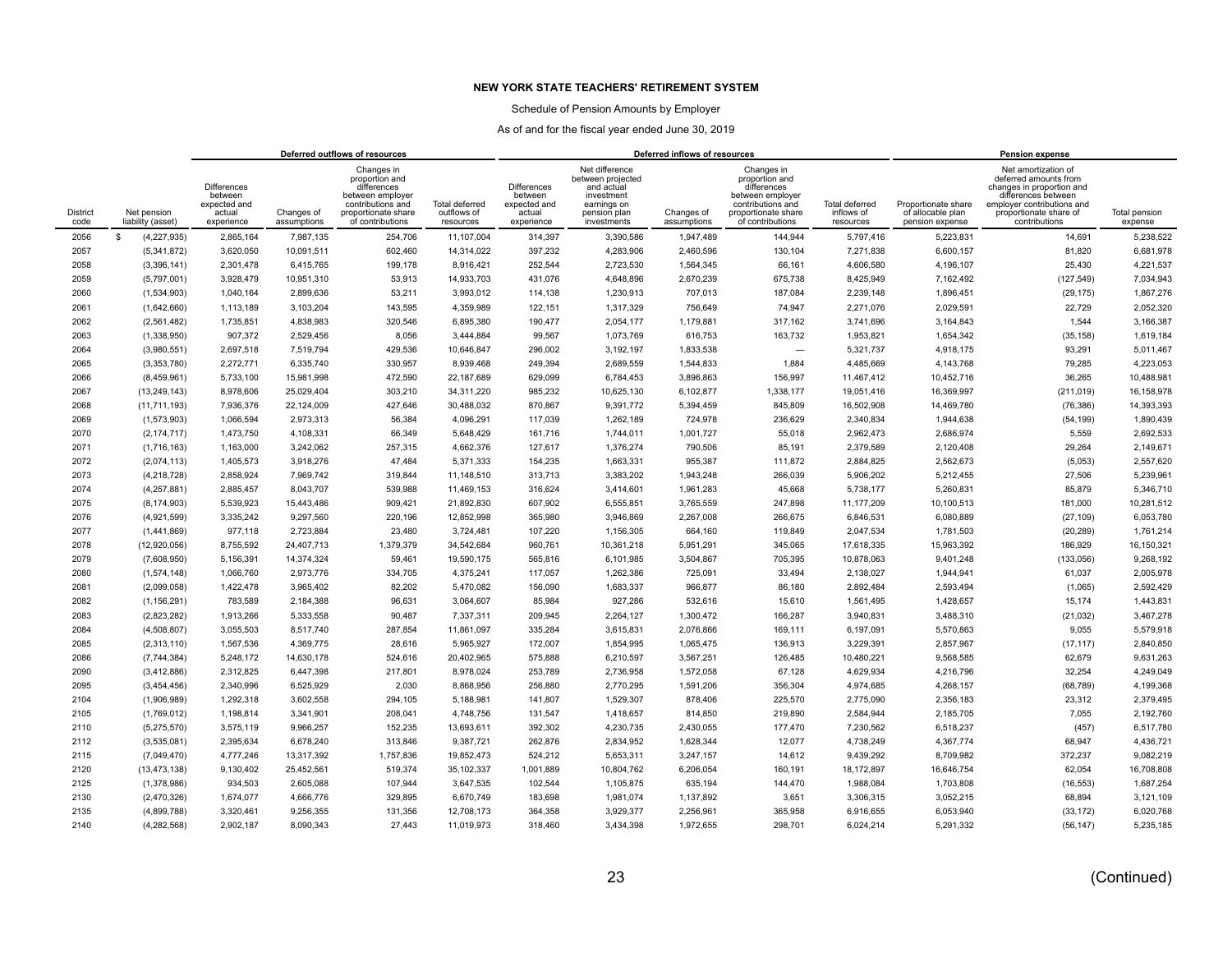### Schedule of Pension Amounts by Employer

|                         |                                  | Deferred outflows of resources                                 |                           |                                                                                                                                 |                                            |                                                                       | Deferred inflows of resources                                                                                 |                           |                                                                                                                                 |                                           |                                                             | <b>Pension expense</b>                                                                                                                                                    |                          |  |
|-------------------------|----------------------------------|----------------------------------------------------------------|---------------------------|---------------------------------------------------------------------------------------------------------------------------------|--------------------------------------------|-----------------------------------------------------------------------|---------------------------------------------------------------------------------------------------------------|---------------------------|---------------------------------------------------------------------------------------------------------------------------------|-------------------------------------------|-------------------------------------------------------------|---------------------------------------------------------------------------------------------------------------------------------------------------------------------------|--------------------------|--|
| <b>District</b><br>code | Net pension<br>liability (asset) | Differences<br>between<br>expected and<br>actual<br>experience | Changes of<br>assumptions | Changes in<br>proportion and<br>differences<br>between employer<br>contributions and<br>proportionate share<br>of contributions | Total deferred<br>outflows of<br>resources | <b>Differences</b><br>between<br>expected and<br>actual<br>experience | Net difference<br>between projected<br>and actual<br>investment<br>earnings on<br>pension plan<br>investments | Changes of<br>assumptions | Changes in<br>proportion and<br>differences<br>between employer<br>contributions and<br>proportionate share<br>of contributions | Total deferred<br>inflows of<br>resources | Proportionate share<br>of allocable plan<br>pension expense | Net amortization of<br>deferred amounts from<br>changes in proportion and<br>differences between<br>employer contributions and<br>proportionate share of<br>contributions | Total pension<br>expense |  |
| 2056                    | \$<br>(4,227,935)                | 2,865,164                                                      | 7,987,135                 | 254,706                                                                                                                         | 11,107,004                                 | 314,397                                                               | 3,390,586                                                                                                     | 1,947,489                 | 144,944                                                                                                                         | 5,797,416                                 | 5,223,831                                                   | 14,691                                                                                                                                                                    | 5,238,522                |  |
| 2057                    | (5,341,872)                      | 3,620,050                                                      | 10,091,511                | 602,460                                                                                                                         | 14,314,022                                 | 397,232                                                               | 4,283,906                                                                                                     | 2,460,596                 | 130,104                                                                                                                         | 7,271,838                                 | 6,600,157                                                   | 81,820                                                                                                                                                                    | 6,681,978                |  |
| 2058                    | (3,396,141)                      | 2,301,478                                                      | 6,415,765                 | 199,178                                                                                                                         | 8,916,421                                  | 252,544                                                               | 2,723,530                                                                                                     | 1,564,345                 | 66,161                                                                                                                          | 4,606,580                                 | 4,196,107                                                   | 25,430                                                                                                                                                                    | 4,221,537                |  |
| 2059                    | (5,797,001)                      | 3,928,479                                                      | 10,951,310                | 53,913                                                                                                                          | 14,933,703                                 | 431,076                                                               | 4,648,896                                                                                                     | 2,670,239                 | 675,738                                                                                                                         | 8,425,949                                 | 7,162,492                                                   | (127, 549)                                                                                                                                                                | 7,034,943                |  |
| 2060                    | (1,534,903)                      | 1.040.164                                                      | 2,899,636                 | 53,211                                                                                                                          | 3.993.012                                  | 114,138                                                               | 1,230,913                                                                                                     | 707,013                   | 187.084                                                                                                                         | 2,239,148                                 | 1,896,451                                                   | (29, 175)                                                                                                                                                                 | 1,867,276                |  |
| 2061                    | (1,642,660)                      | 1,113,189                                                      | 3,103,204                 | 143,595                                                                                                                         | 4,359,989                                  | 122,151                                                               | 1,317,329                                                                                                     | 756,649                   | 74,947                                                                                                                          | 2,271,076                                 | 2,029,591                                                   | 22,729                                                                                                                                                                    | 2,052,320                |  |
| 2062                    | (2,561,482)                      | 1,735,851                                                      | 4,838,983                 | 320,546                                                                                                                         | 6,895,380                                  | 190,477                                                               | 2,054,177                                                                                                     | 1,179,881                 | 317,162                                                                                                                         | 3,741,696                                 | 3,164,843                                                   | 1,544                                                                                                                                                                     | 3,166,387                |  |
| 2063                    | (1,338,950)                      | 907,372                                                        | 2,529,456                 | 8,056                                                                                                                           | 3,444,884                                  | 99,567                                                                | 1,073,769                                                                                                     | 616,753                   | 163,732                                                                                                                         | 1,953,821                                 | 1,654,342                                                   | (35, 158)                                                                                                                                                                 | 1,619,184                |  |
| 2064                    | (3,980,551)                      | 2,697,518                                                      | 7,519,794                 | 429,536                                                                                                                         | 10,646,847                                 | 296,002                                                               | 3,192,197                                                                                                     | 1,833,538                 | $\overline{\phantom{a}}$                                                                                                        | 5,321,737                                 | 4,918,175                                                   | 93,291                                                                                                                                                                    | 5,011,467                |  |
| 2065                    | (3,353,780)                      | 2,272,771                                                      | 6,335,740                 | 330,957                                                                                                                         | 8,939,468                                  | 249,394                                                               | 2,689,559                                                                                                     | 1,544,833                 | 1,884                                                                                                                           | 4,485,669                                 | 4,143,768                                                   | 79,285                                                                                                                                                                    | 4,223,053                |  |
| 2066                    | (8,459,961)                      | 5,733,100                                                      | 15,981,998                | 472,590                                                                                                                         | 22,187,689                                 | 629,099                                                               | 6,784,453                                                                                                     | 3,896,863                 | 156,997                                                                                                                         | 11,467,412                                | 10,452,716                                                  | 36,265                                                                                                                                                                    | 10,488,981               |  |
| 2067                    | (13, 249, 143)                   | 8,978,606                                                      | 25,029,404                | 303,210                                                                                                                         | 34,311,220                                 | 985,232                                                               | 10,625,130                                                                                                    | 6,102,877                 | 1,338,177                                                                                                                       | 19,051,416                                | 16,369,997                                                  | (211, 019)                                                                                                                                                                | 16,158,978               |  |
| 2068                    | (11, 711, 193)                   | 7,936,376                                                      | 22,124,009                | 427.646                                                                                                                         | 30.488.032                                 | 870.867                                                               | 9.391.772                                                                                                     | 5,394,459                 | 845,809                                                                                                                         | 16.502.908                                | 14,469,780                                                  | (76, 386)                                                                                                                                                                 | 14,393,393               |  |
| 2069                    | (1,573,903)                      | 1,066,594                                                      | 2,973,313                 | 56,384                                                                                                                          | 4,096,291                                  | 117,039                                                               | 1,262,189                                                                                                     | 724,978                   | 236,629                                                                                                                         | 2,340,834                                 | 1,944,638                                                   | (54, 199)                                                                                                                                                                 | 1,890,439                |  |
| 2070                    | (2, 174, 717)                    | 1,473,750                                                      | 4,108,331                 | 66,349                                                                                                                          | 5.648.429                                  | 161,716                                                               | 1,744,011                                                                                                     | 1,001,727                 | 55.018                                                                                                                          | 2,962,473                                 | 2,686,974                                                   | 5,559                                                                                                                                                                     | 2,692,533                |  |
| 2071                    | (1,716,163)                      | 1,163,000                                                      | 3,242,062                 | 257,315                                                                                                                         | 4,662,376                                  | 127,617                                                               | 1,376,274                                                                                                     | 790,506                   | 85,191                                                                                                                          | 2,379,589                                 | 2,120,408                                                   | 29,264                                                                                                                                                                    | 2,149,671                |  |
| 2072                    | (2,074,113)                      | 1,405,573                                                      | 3,918,276                 | 47,484                                                                                                                          | 5,371,333                                  | 154,235                                                               | 1,663,331                                                                                                     | 955,387                   | 111,872                                                                                                                         | 2,884,825                                 | 2,562,673                                                   | (5,053)                                                                                                                                                                   | 2,557,620                |  |
| 2073                    | (4,218,728)                      | 2,858,924                                                      | 7,969,742                 | 319,844                                                                                                                         | 11,148,510                                 | 313,713                                                               | 3,383,202                                                                                                     | 1,943,248                 | 266,039                                                                                                                         | 5,906,202                                 | 5,212,455                                                   | 27,506                                                                                                                                                                    | 5,239,961                |  |
| 2074                    | (4,257,881)                      | 2,885,457                                                      | 8,043,707                 | 539,988                                                                                                                         | 11,469,153                                 | 316,624                                                               | 3,414,601                                                                                                     | 1,961,283                 | 45,668                                                                                                                          | 5,738,177                                 | 5,260,831                                                   | 85,879                                                                                                                                                                    | 5,346,710                |  |
| 2075                    | (8, 174, 903)                    | 5,539,923                                                      | 15,443,486                | 909,421                                                                                                                         | 21,892,830                                 | 607,902                                                               | 6,555,851                                                                                                     | 3,765,559                 | 247,898                                                                                                                         | 11, 177, 209                              | 10,100,513                                                  | 181,000                                                                                                                                                                   | 10,281,512               |  |
| 2076                    | (4,921,599)                      | 3,335,242                                                      | 9,297,560                 | 220,196                                                                                                                         | 12.852.998                                 | 365,980                                                               | 3.946.869                                                                                                     | 2,267,008                 | 266,675                                                                                                                         | 6,846,531                                 | 6,080,889                                                   | (27, 109)                                                                                                                                                                 | 6,053,780                |  |
| 2077                    | (1,441,869)                      | 977,118                                                        | 2,723,884                 | 23,480                                                                                                                          | 3,724,481                                  | 107,220                                                               | 1,156,305                                                                                                     | 664,160                   | 119,849                                                                                                                         | 2,047,534                                 | 1,781,503                                                   | (20, 289)                                                                                                                                                                 | 1,761,214                |  |
| 2078                    | (12,920,056)                     | 8,755,592                                                      | 24,407,713                | 1,379,379                                                                                                                       | 34.542.684                                 | 960,761                                                               | 10,361,218                                                                                                    | 5,951,291                 | 345,065                                                                                                                         | 17,618,335                                | 15,963,392                                                  | 186,929                                                                                                                                                                   | 16,150,321               |  |
| 2079                    | (7,608,950)                      | 5,156,391                                                      | 14,374,324                | 59,461                                                                                                                          | 19,590,175                                 | 565,816                                                               | 6,101,985                                                                                                     | 3,504,867                 | 705,395                                                                                                                         | 10,878,063                                | 9,401,248                                                   | (133,056)                                                                                                                                                                 | 9,268,192                |  |
| 2080                    | (1,574,148)                      | 1,066,760                                                      | 2,973,776                 | 334,705                                                                                                                         | 4,375,241                                  | 117,057                                                               | 1,262,386                                                                                                     | 725,091                   | 33,494                                                                                                                          | 2,138,027                                 | 1,944,941                                                   | 61,037                                                                                                                                                                    | 2,005,978                |  |
| 2081                    | (2,099,058)                      | 1,422,478                                                      | 3,965,402                 | 82,202                                                                                                                          | 5,470,082                                  | 156,090                                                               | 1,683,337                                                                                                     | 966,877                   | 86,180                                                                                                                          | 2,892,484                                 | 2,593,494                                                   | (1,065)                                                                                                                                                                   | 2,592,429                |  |
| 2082                    | (1, 156, 291)                    | 783.589                                                        | 2,184,388                 | 96,631                                                                                                                          | 3,064,607                                  | 85.984                                                                | 927,286                                                                                                       | 532,616                   | 15,610                                                                                                                          | 1,561,495                                 | 1,428,657                                                   | 15.174                                                                                                                                                                    | 1,443,831                |  |
| 2083                    | (2,823,282)                      | 1,913,266                                                      | 5,333,558                 | 90,487                                                                                                                          | 7,337,311                                  | 209,945                                                               | 2,264,127                                                                                                     | 1,300,472                 | 166,287                                                                                                                         | 3,940,831                                 | 3,488,310                                                   | (21, 032)                                                                                                                                                                 | 3,467,278                |  |
| 2084                    | (4,508,807)                      | 3,055,503                                                      | 8,517,740                 | 287,854                                                                                                                         | 11,861,097                                 | 335,284                                                               | 3,615,831                                                                                                     | 2,076,866                 | 169,111                                                                                                                         | 6,197,091                                 | 5,570,863                                                   | 9,055                                                                                                                                                                     | 5,579,918                |  |
| 2085                    | (2,313,110)                      | 1,567,536                                                      | 4,369,775                 | 28,616                                                                                                                          | 5,965,927                                  | 172,007                                                               | 1,854,995                                                                                                     | 1,065,475                 | 136,913                                                                                                                         | 3,229,391                                 | 2,857,967                                                   | (17, 117)                                                                                                                                                                 | 2,840,850                |  |
| 2086                    | (7,744,384)                      | 5,248,172                                                      | 14,630,178                | 524,616                                                                                                                         | 20,402,965                                 | 575,888                                                               | 6,210,597                                                                                                     | 3,567,251                 | 126,485                                                                                                                         | 10,480,221                                | 9,568,585                                                   | 62,679                                                                                                                                                                    | 9,631,263                |  |
| 2090                    | (3,412,886)                      | 2,312,825                                                      | 6,447,398                 | 217,801                                                                                                                         | 8,978,024                                  | 253,789                                                               | 2,736,958                                                                                                     | 1,572,058                 | 67,128                                                                                                                          | 4,629,934                                 | 4,216,796                                                   | 32,254                                                                                                                                                                    | 4,249,049                |  |
| 2095                    | (3,454,456)                      | 2,340,996                                                      | 6,525,929                 | 2,030                                                                                                                           | 8,868,956                                  | 256,880                                                               | 2,770,295                                                                                                     | 1,591,206                 | 356,304                                                                                                                         | 4,974,685                                 | 4,268,157                                                   | (68, 789)                                                                                                                                                                 | 4,199,368                |  |
| 2104                    | (1,906,989)                      | 1,292,318                                                      | 3,602,558                 | 294,105                                                                                                                         | 5,188,981                                  | 141,807                                                               | 1,529,307                                                                                                     | 878,406                   | 225,570                                                                                                                         | 2,775,090                                 | 2,356,183                                                   | 23,312                                                                                                                                                                    | 2,379,495                |  |
| 2105                    | (1,769,012)                      | 1,198,814                                                      | 3,341,901                 | 208,041                                                                                                                         | 4,748,756                                  | 131,547                                                               | 1,418,657                                                                                                     | 814,850                   | 219,890                                                                                                                         | 2,584,944                                 | 2,185,705                                                   | 7,055                                                                                                                                                                     | 2,192,760                |  |
| 2110                    | (5,275,570)                      | 3,575,119                                                      | 9,966,257                 | 152,235                                                                                                                         | 13,693,611                                 | 392,302                                                               | 4,230,735                                                                                                     | 2,430,055                 | 177,470                                                                                                                         | 7,230,562                                 | 6,518,237                                                   | (457)                                                                                                                                                                     | 6,517,780                |  |
| 2112                    | (3,535,081)                      | 2,395,634                                                      | 6,678,240                 | 313,846                                                                                                                         | 9,387,721                                  | 262,876                                                               | 2,834,952                                                                                                     | 1,628,344                 | 12,077                                                                                                                          | 4,738,249                                 | 4,367,774                                                   | 68,947                                                                                                                                                                    | 4,436,721                |  |
| 2115                    | (7,049,470)                      | 4,777,246                                                      | 13,317,392                | 1,757,836                                                                                                                       | 19,852,473                                 | 524,212                                                               | 5,653,311                                                                                                     | 3,247,157                 | 14,612                                                                                                                          | 9,439,292                                 | 8,709,982                                                   | 372,237                                                                                                                                                                   | 9,082,219                |  |
| 2120                    | (13, 473, 138)                   | 9,130,402                                                      | 25,452,561                | 519,374                                                                                                                         | 35, 102, 337                               | 1,001,889                                                             | 10,804,762                                                                                                    | 6,206,054                 | 160,191                                                                                                                         | 18,172,897                                | 16,646,754                                                  | 62,054                                                                                                                                                                    | 16,708,808               |  |
| 2125                    | (1,378,986)                      | 934,503                                                        | 2,605,088                 | 107,944                                                                                                                         | 3,647,535                                  | 102,544                                                               | 1,105,875                                                                                                     | 635,194                   | 144,470                                                                                                                         | 1,988,084                                 | 1,703,808                                                   | (16, 553)                                                                                                                                                                 | 1,687,254                |  |
| 2130                    | (2,470,326)                      | 1,674,077                                                      | 4,666,776                 | 329,895                                                                                                                         | 6,670,749                                  | 183,698                                                               | 1,981,074                                                                                                     | 1,137,892                 | 3,651                                                                                                                           | 3,306,315                                 | 3,052,215                                                   | 68,894                                                                                                                                                                    | 3,121,109                |  |
| 2135                    | (4,899,788)                      | 3,320,461                                                      | 9,256,355                 | 131,356                                                                                                                         | 12,708,173                                 | 364,358                                                               | 3,929,377                                                                                                     | 2,256,961                 | 365,958                                                                                                                         | 6,916,655                                 | 6,053,940                                                   | (33, 172)                                                                                                                                                                 | 6,020,768                |  |
| 2140                    | (4, 282, 568)                    | 2,902,187                                                      | 8,090,343                 | 27,443                                                                                                                          | 11,019,973                                 | 318,460                                                               | 3,434,398                                                                                                     | 1,972,655                 | 298,701                                                                                                                         | 6,024,214                                 | 5,291,332                                                   | (56, 147)                                                                                                                                                                 | 5,235,185                |  |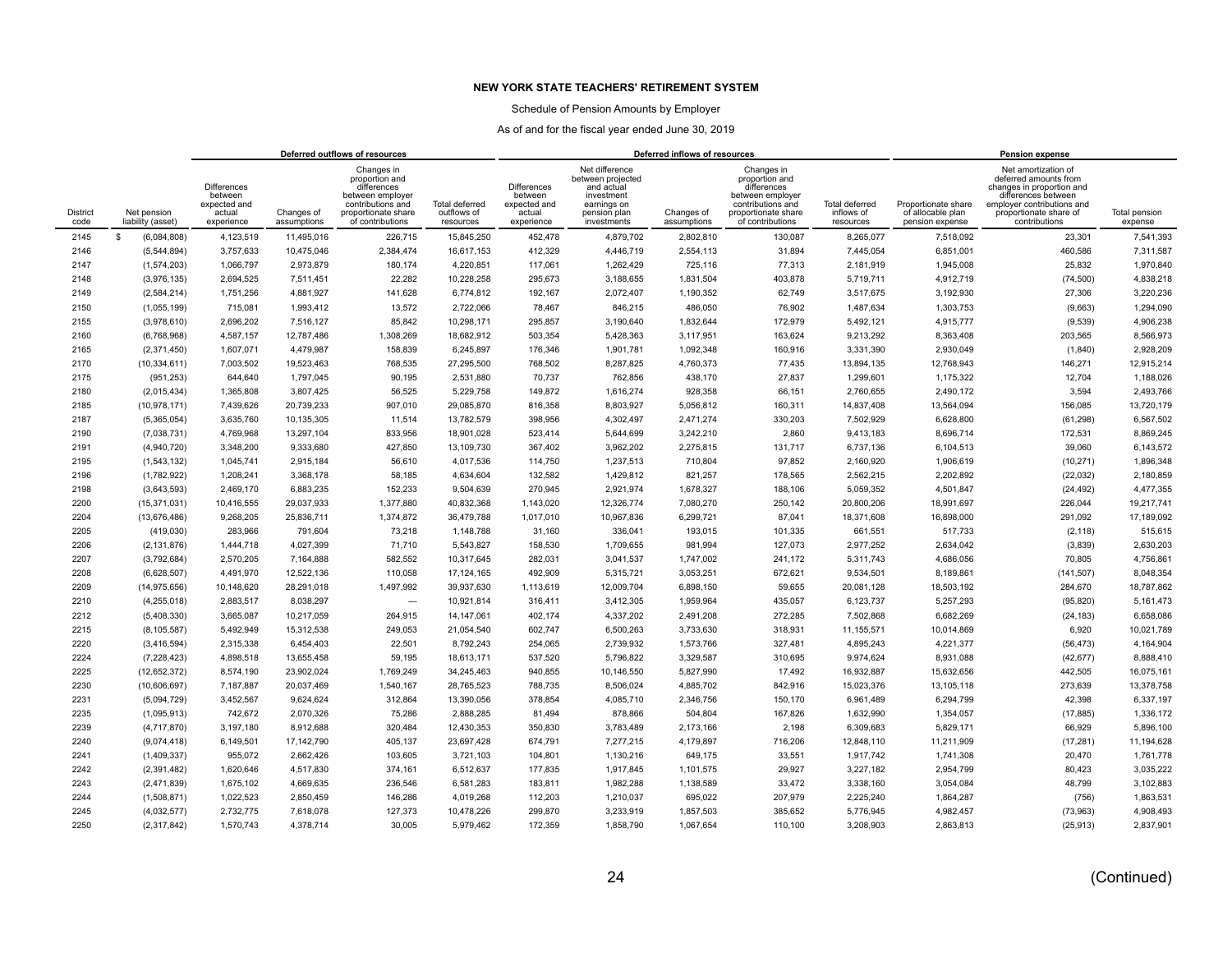### Schedule of Pension Amounts by Employer

|                         |                                  |                                                                |                           | Deferred outflows of resources                                                                                                  |                                            |                                                                |                                                                                                               | Deferred inflows of resources |                                                                                                                                 |                                           |                                                             | <b>Pension expense</b>                                                                                                                                                    |                          |  |
|-------------------------|----------------------------------|----------------------------------------------------------------|---------------------------|---------------------------------------------------------------------------------------------------------------------------------|--------------------------------------------|----------------------------------------------------------------|---------------------------------------------------------------------------------------------------------------|-------------------------------|---------------------------------------------------------------------------------------------------------------------------------|-------------------------------------------|-------------------------------------------------------------|---------------------------------------------------------------------------------------------------------------------------------------------------------------------------|--------------------------|--|
| <b>District</b><br>code | Net pension<br>liability (asset) | Differences<br>between<br>expected and<br>actual<br>experience | Changes of<br>assumptions | Changes in<br>proportion and<br>differences<br>between employer<br>contributions and<br>proportionate share<br>of contributions | Total deferred<br>outflows of<br>resources | Differences<br>between<br>expected and<br>actual<br>experience | Net difference<br>between projected<br>and actual<br>investment<br>earnings on<br>pension plan<br>investments | Changes of<br>assumptions     | Changes in<br>proportion and<br>differences<br>between employer<br>contributions and<br>proportionate share<br>of contributions | Total deferred<br>inflows of<br>resources | Proportionate share<br>of allocable plan<br>pension expense | Net amortization of<br>deferred amounts from<br>changes in proportion and<br>differences between<br>employer contributions and<br>proportionate share of<br>contributions | Total pension<br>expense |  |
| 2145                    | s.<br>(6,084,808)                | 4,123,519                                                      | 11,495,016                | 226,715                                                                                                                         | 15,845,250                                 | 452,478                                                        | 4,879,702                                                                                                     | 2,802,810                     | 130,087                                                                                                                         | 8,265,077                                 | 7,518,092                                                   | 23,301                                                                                                                                                                    | 7,541,393                |  |
| 2146                    | (5,544,894)                      | 3,757,633                                                      | 10,475,046                | 2,384,474                                                                                                                       | 16,617,153                                 | 412,329                                                        | 4,446,719                                                                                                     | 2,554,113                     | 31,894                                                                                                                          | 7,445,054                                 | 6,851,001                                                   | 460,586                                                                                                                                                                   | 7,311,587                |  |
| 2147                    | (1,574,203)                      | 1,066,797                                                      | 2,973,879                 | 180,174                                                                                                                         | 4,220,851                                  | 117,061                                                        | 1,262,429                                                                                                     | 725,116                       | 77,313                                                                                                                          | 2,181,919                                 | 1,945,008                                                   | 25,832                                                                                                                                                                    | 1,970,840                |  |
| 2148                    | (3,976,135)                      | 2,694,525                                                      | 7,511,451                 | 22,282                                                                                                                          | 10,228,258                                 | 295,673                                                        | 3,188,655                                                                                                     | 1,831,504                     | 403,878                                                                                                                         | 5,719,711                                 | 4,912,719                                                   | (74, 500)                                                                                                                                                                 | 4,838,218                |  |
| 2149                    | (2,584,214)                      | 1,751,256                                                      | 4,881,927                 | 141,628                                                                                                                         | 6.774.812                                  | 192,167                                                        | 2,072,407                                                                                                     | 1,190,352                     | 62,749                                                                                                                          | 3,517,675                                 | 3,192,930                                                   | 27,306                                                                                                                                                                    | 3,220,236                |  |
| 2150                    | (1,055,199)                      | 715,081                                                        | 1,993,412                 | 13,572                                                                                                                          | 2,722,066                                  | 78,467                                                         | 846,215                                                                                                       | 486,050                       | 76,902                                                                                                                          | 1,487,634                                 | 1,303,753                                                   | (9,663)                                                                                                                                                                   | 1,294,090                |  |
| 2155                    | (3,978,610)                      | 2,696,202                                                      | 7,516,127                 | 85,842                                                                                                                          | 10,298,171                                 | 295,857                                                        | 3,190,640                                                                                                     | 1,832,644                     | 172,979                                                                                                                         | 5,492,121                                 | 4,915,777                                                   | (9,539)                                                                                                                                                                   | 4,906,238                |  |
| 2160                    | (6,768,968)                      | 4,587,157                                                      | 12,787,486                | 1,308,269                                                                                                                       | 18,682,912                                 | 503,354                                                        | 5,428,363                                                                                                     | 3,117,951                     | 163,624                                                                                                                         | 9,213,292                                 | 8,363,408                                                   | 203,565                                                                                                                                                                   | 8,566,973                |  |
| 2165                    | (2,371,450)                      | 1,607,071                                                      | 4,479,987                 | 158,839                                                                                                                         | 6,245,897                                  | 176,346                                                        | 1,901,781                                                                                                     | 1,092,348                     | 160,916                                                                                                                         | 3,331,390                                 | 2,930,049                                                   | (1,840)                                                                                                                                                                   | 2,928,209                |  |
| 2170                    | (10, 334, 611)                   | 7,003,502                                                      | 19,523,463                | 768,535                                                                                                                         | 27,295,500                                 | 768,502                                                        | 8,287,825                                                                                                     | 4,760,373                     | 77,435                                                                                                                          | 13,894,135                                | 12,768,943                                                  | 146,271                                                                                                                                                                   | 12,915,214               |  |
| 2175                    | (951, 253)                       | 644,640                                                        | 1,797,045                 | 90,195                                                                                                                          | 2,531,880                                  | 70,737                                                         | 762,856                                                                                                       | 438,170                       | 27,837                                                                                                                          | 1,299,601                                 | 1,175,322                                                   | 12,704                                                                                                                                                                    | 1,188,026                |  |
| 2180                    | (2,015,434)                      | 1,365,808                                                      | 3,807,425                 | 56,525                                                                                                                          | 5,229,758                                  | 149,872                                                        | 1,616,274                                                                                                     | 928,358                       | 66,151                                                                                                                          | 2,760,655                                 | 2,490,172                                                   | 3,594                                                                                                                                                                     | 2,493,766                |  |
| 2185                    | (10, 978, 171)                   | 7,439,626                                                      | 20,739,233                | 907.010                                                                                                                         | 29.085.870                                 | 816,358                                                        | 8.803.927                                                                                                     | 5.056.812                     | 160.311                                                                                                                         | 14,837,408                                | 13,564,094                                                  | 156,085                                                                                                                                                                   | 13,720,179               |  |
| 2187                    | (5,365,054)                      | 3,635,760                                                      | 10,135,305                | 11,514                                                                                                                          | 13,782,579                                 | 398,956                                                        | 4,302,497                                                                                                     | 2,471,274                     | 330,203                                                                                                                         | 7,502,929                                 | 6,628,800                                                   | (61, 298)                                                                                                                                                                 | 6,567,502                |  |
| 2190                    | (7,038,731)                      | 4,769,968                                                      | 13,297,104                | 833,956                                                                                                                         | 18.901.028                                 | 523,414                                                        | 5.644.699                                                                                                     | 3,242,210                     | 2.860                                                                                                                           | 9,413,183                                 | 8,696,714                                                   | 172,531                                                                                                                                                                   | 8,869,245                |  |
| 2191                    | (4,940,720)                      | 3,348,200                                                      | 9,333,680                 | 427,850                                                                                                                         | 13,109,730                                 | 367,402                                                        | 3,962,202                                                                                                     | 2,275,815                     | 131,717                                                                                                                         | 6,737,136                                 | 6,104,513                                                   | 39,060                                                                                                                                                                    | 6,143,572                |  |
| 2195                    | (1,543,132)                      | 1,045,741                                                      | 2,915,184                 | 56,610                                                                                                                          | 4,017,536                                  | 114,750                                                        | 1,237,513                                                                                                     | 710,804                       | 97,852                                                                                                                          | 2,160,920                                 | 1,906,619                                                   | (10, 271)                                                                                                                                                                 | 1,896,348                |  |
| 2196                    | (1,782,922)                      | 1,208,241                                                      | 3,368,178                 | 58,185                                                                                                                          | 4,634,604                                  | 132,582                                                        | 1,429,812                                                                                                     | 821,257                       | 178,565                                                                                                                         | 2,562,215                                 | 2,202,892                                                   | (22, 032)                                                                                                                                                                 | 2,180,859                |  |
| 2198                    | (3,643,593)                      | 2,469,170                                                      | 6,883,235                 | 152,233                                                                                                                         | 9,504,639                                  | 270,945                                                        | 2,921,974                                                                                                     | 1,678,327                     | 188,106                                                                                                                         | 5,059,352                                 | 4,501,847                                                   | (24, 492)                                                                                                                                                                 | 4,477,355                |  |
| 2200                    | (15, 371, 031)                   | 10,416,555                                                     | 29,037,933                | 1,377,880                                                                                                                       | 40,832,368                                 | 1,143,020                                                      | 12,326,774                                                                                                    | 7,080,270                     | 250,142                                                                                                                         | 20,800,206                                | 18,991,697                                                  | 226,044                                                                                                                                                                   | 19,217,741               |  |
| 2204                    | (13,676,486)                     | 9,268,205                                                      | 25,836,711                | 1,374,872                                                                                                                       | 36,479,788                                 | 1,017,010                                                      | 10.967.836                                                                                                    | 6,299,721                     | 87.041                                                                                                                          | 18,371,608                                | 16,898,000                                                  | 291,092                                                                                                                                                                   | 17,189,092               |  |
| 2205                    | (419,030)                        | 283,966                                                        | 791,604                   | 73,218                                                                                                                          | 1,148,788                                  | 31,160                                                         | 336,041                                                                                                       | 193,015                       | 101,335                                                                                                                         | 661,551                                   | 517,733                                                     | (2, 118)                                                                                                                                                                  | 515,615                  |  |
| 2206                    | (2, 131, 876)                    | 1,444,718                                                      | 4,027,399                 | 71,710                                                                                                                          | 5,543,827                                  | 158,530                                                        | 1,709,655                                                                                                     | 981,994                       | 127.073                                                                                                                         | 2,977,252                                 | 2,634,042                                                   | (3,839)                                                                                                                                                                   | 2,630,203                |  |
| 2207                    | (3,792,684)                      | 2,570,205                                                      | 7,164,888                 | 582,552                                                                                                                         | 10,317,645                                 | 282,031                                                        | 3,041,537                                                                                                     | 1,747,002                     | 241,172                                                                                                                         | 5,311,743                                 | 4,686,056                                                   | 70,805                                                                                                                                                                    | 4,756,861                |  |
| 2208                    | (6,628,507)                      | 4,491,970                                                      | 12,522,136                | 110,058                                                                                                                         | 17, 124, 165                               | 492,909                                                        | 5,315,721                                                                                                     | 3,053,251                     | 672,621                                                                                                                         | 9,534,501                                 | 8,189,861                                                   | (141, 507)                                                                                                                                                                | 8,048,354                |  |
| 2209                    | (14, 975, 656)                   | 10,148,620                                                     | 28,291,018                | 1,497,992                                                                                                                       | 39,937,630                                 | 1,113,619                                                      | 12,009,704                                                                                                    | 6,898,150                     | 59,655                                                                                                                          | 20,081,128                                | 18,503,192                                                  | 284,670                                                                                                                                                                   | 18,787,862               |  |
| 2210                    | (4,255,018)                      | 2,883,517                                                      | 8.038.297                 | $\overline{\phantom{0}}$                                                                                                        | 10.921.814                                 | 316,411                                                        | 3,412,305                                                                                                     | 1,959,964                     | 435.057                                                                                                                         | 6,123,737                                 | 5,257,293                                                   | (95, 820)                                                                                                                                                                 | 5,161,473                |  |
| 2212                    | (5,408,330)                      | 3,665,087                                                      | 10,217,059                | 264,915                                                                                                                         | 14, 147, 061                               | 402,174                                                        | 4,337,202                                                                                                     | 2,491,208                     | 272,285                                                                                                                         | 7,502,868                                 | 6,682,269                                                   | (24, 183)                                                                                                                                                                 | 6,658,086                |  |
| 2215                    | (8, 105, 587)                    | 5,492,949                                                      | 15,312,538                | 249,053                                                                                                                         | 21,054,540                                 | 602,747                                                        | 6,500,263                                                                                                     | 3,733,630                     | 318,931                                                                                                                         | 11, 155, 571                              | 10,014,869                                                  | 6,920                                                                                                                                                                     | 10,021,789               |  |
| 2220                    | (3,416,594)                      | 2,315,338                                                      | 6,454,403                 | 22,501                                                                                                                          | 8.792.243                                  | 254,065                                                        | 2.739.932                                                                                                     | 1,573,766                     | 327,481                                                                                                                         | 4,895,243                                 | 4,221,377                                                   | (56, 473)                                                                                                                                                                 | 4,164,904                |  |
| 2224                    | (7,228,423)                      | 4,898,518                                                      | 13,655,458                | 59,195                                                                                                                          | 18,613,171                                 | 537,520                                                        | 5,796,822                                                                                                     | 3,329,587                     | 310,695                                                                                                                         | 9,974,624                                 | 8,931,088                                                   | (42, 677)                                                                                                                                                                 | 8,888,410                |  |
| 2225                    | (12, 652, 372)                   | 8,574,190                                                      | 23,902,024                | 1,769,249                                                                                                                       | 34,245,463                                 | 940,855                                                        | 10,146,550                                                                                                    | 5,827,990                     | 17,492                                                                                                                          | 16,932,887                                | 15,632,656                                                  | 442,505                                                                                                                                                                   | 16,075,161               |  |
| 2230                    | (10,606,697)                     | 7,187,887                                                      | 20,037,469                | 1,540,167                                                                                                                       | 28,765,523                                 | 788,735                                                        | 8,506,024                                                                                                     | 4,885,702                     | 842,916                                                                                                                         | 15,023,376                                | 13,105,118                                                  | 273,639                                                                                                                                                                   | 13,378,758               |  |
| 2231                    | (5,094,729)                      | 3,452,567                                                      | 9,624,624                 | 312,864                                                                                                                         | 13,390,056                                 | 378,854                                                        | 4,085,710                                                                                                     | 2,346,756                     | 150,170                                                                                                                         | 6,961,489                                 | 6,294,799                                                   | 42,398                                                                                                                                                                    | 6,337,197                |  |
| 2235                    | (1,095,913)                      | 742,672                                                        | 2,070,326                 | 75,286                                                                                                                          | 2,888,285                                  | 81,494                                                         | 878,866                                                                                                       | 504,804                       | 167,826                                                                                                                         | 1,632,990                                 | 1,354,057                                                   | (17, 885)                                                                                                                                                                 | 1,336,172                |  |
| 2239                    | (4,717,870)                      | 3,197,180                                                      | 8,912,688                 | 320,484                                                                                                                         | 12,430,353                                 | 350,830                                                        | 3,783,489                                                                                                     | 2,173,166                     | 2,198                                                                                                                           | 6,309,683                                 | 5,829,171                                                   | 66,929                                                                                                                                                                    | 5,896,100                |  |
| 2240                    | (9,074,418)                      | 6,149,501                                                      | 17, 142, 790              | 405,137                                                                                                                         | 23,697,428                                 | 674,791                                                        | 7,277,215                                                                                                     | 4,179,897                     | 716,206                                                                                                                         | 12,848,110                                | 11,211,909                                                  | (17, 281)                                                                                                                                                                 | 11,194,628               |  |
| 2241                    | (1,409,337)                      | 955,072                                                        | 2,662,426                 | 103,605                                                                                                                         | 3,721,103                                  | 104,801                                                        | 1,130,216                                                                                                     | 649,175                       | 33,551                                                                                                                          | 1,917,742                                 | 1,741,308                                                   | 20,470                                                                                                                                                                    | 1,761,778                |  |
| 2242                    | (2, 391, 482)                    | 1,620,646                                                      | 4,517,830                 | 374,161                                                                                                                         | 6,512,637                                  | 177,835                                                        | 1,917,845                                                                                                     | 1,101,575                     | 29,927                                                                                                                          | 3,227,182                                 | 2,954,799                                                   | 80,423                                                                                                                                                                    | 3,035,222                |  |
| 2243                    | (2,471,839)                      | 1,675,102                                                      | 4,669,635                 | 236,546                                                                                                                         | 6,581,283                                  | 183,811                                                        | 1,982,288                                                                                                     | 1,138,589                     | 33,472                                                                                                                          | 3,338,160                                 | 3,054,084                                                   | 48,799                                                                                                                                                                    | 3,102,883                |  |
| 2244                    | (1,508,871)                      | 1,022,523                                                      | 2,850,459                 | 146,286                                                                                                                         | 4,019,268                                  | 112,203                                                        | 1,210,037                                                                                                     | 695,022                       | 207,979                                                                                                                         | 2,225,240                                 | 1,864,287                                                   | (756)                                                                                                                                                                     | 1,863,531                |  |
| 2245                    | (4,032,577)                      | 2,732,775                                                      | 7,618,078                 | 127,373                                                                                                                         | 10,478,226                                 | 299,870                                                        | 3,233,919                                                                                                     | 1,857,503                     | 385,652                                                                                                                         | 5,776,945                                 | 4,982,457                                                   | (73,963)                                                                                                                                                                  | 4,908,493                |  |
| 2250                    | (2,317,842)                      | 1,570,743                                                      | 4,378,714                 | 30,005                                                                                                                          | 5,979,462                                  | 172,359                                                        | 1,858,790                                                                                                     | 1,067,654                     | 110,100                                                                                                                         | 3,208,903                                 | 2,863,813                                                   | (25, 913)                                                                                                                                                                 | 2,837,901                |  |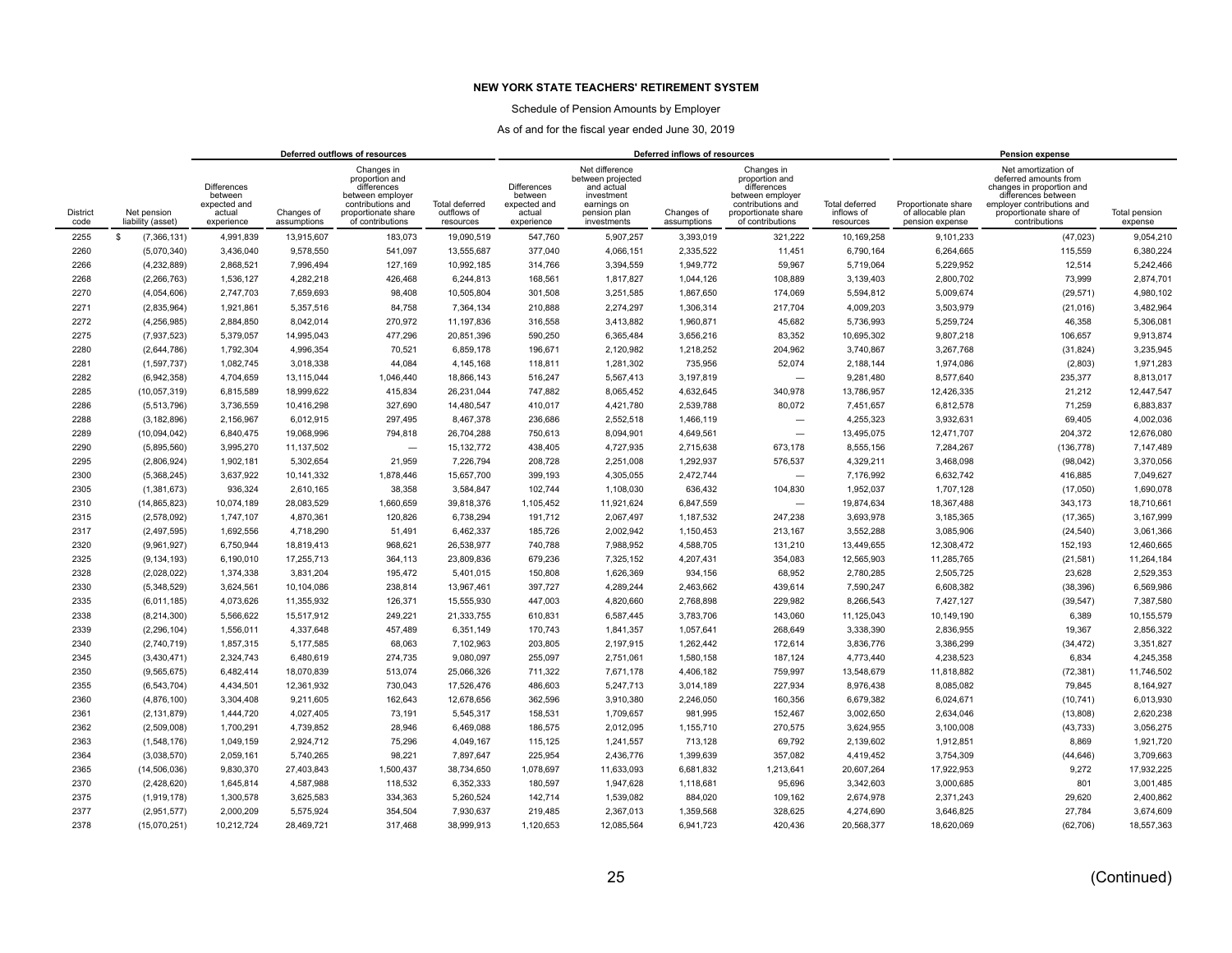### Schedule of Pension Amounts by Employer

|                         |                                  |                                                                |                           | Deferred outflows of resources                                                                                                  |                                                   |                                                                |                                                                                                               | Deferred inflows of resources |                                                                                                                                 |                                           |                                                             | <b>Pension expense</b>                                                                                                                                                    |                          |
|-------------------------|----------------------------------|----------------------------------------------------------------|---------------------------|---------------------------------------------------------------------------------------------------------------------------------|---------------------------------------------------|----------------------------------------------------------------|---------------------------------------------------------------------------------------------------------------|-------------------------------|---------------------------------------------------------------------------------------------------------------------------------|-------------------------------------------|-------------------------------------------------------------|---------------------------------------------------------------------------------------------------------------------------------------------------------------------------|--------------------------|
| <b>District</b><br>code | Net pension<br>liability (asset) | Differences<br>between<br>expected and<br>actual<br>experience | Changes of<br>assumptions | Changes in<br>proportion and<br>differences<br>between employer<br>contributions and<br>proportionate share<br>of contributions | <b>Total deferred</b><br>outflows of<br>resources | Differences<br>between<br>expected and<br>actual<br>experience | Net difference<br>between projected<br>and actual<br>investment<br>earnings on<br>pension plan<br>investments | Changes of<br>assumptions     | Changes in<br>proportion and<br>differences<br>between employer<br>contributions and<br>proportionate share<br>of contributions | Total deferred<br>inflows of<br>resources | Proportionate share<br>of allocable plan<br>pension expense | Net amortization of<br>deferred amounts from<br>changes in proportion and<br>differences between<br>employer contributions and<br>proportionate share of<br>contributions | Total pension<br>expense |
| 2255                    | $\mathbb{S}$<br>(7,366,131)      | 4,991,839                                                      | 13,915,607                | 183,073                                                                                                                         | 19,090,519                                        | 547,760                                                        | 5,907,257                                                                                                     | 3,393,019                     | 321,222                                                                                                                         | 10,169,258                                | 9,101,233                                                   | (47, 023)                                                                                                                                                                 | 9,054,210                |
| 2260                    | (5,070,340)                      | 3,436,040                                                      | 9,578,550                 | 541,097                                                                                                                         | 13,555,687                                        | 377,040                                                        | 4,066,151                                                                                                     | 2,335,522                     | 11,451                                                                                                                          | 6,790,164                                 | 6,264,665                                                   | 115,559                                                                                                                                                                   | 6,380,224                |
| 2266                    | (4,232,889)                      | 2,868,521                                                      | 7,996,494                 | 127,169                                                                                                                         | 10,992,185                                        | 314,766                                                        | 3,394,559                                                                                                     | 1,949,772                     | 59,967                                                                                                                          | 5,719,064                                 | 5,229,952                                                   | 12,514                                                                                                                                                                    | 5,242,466                |
| 2268                    | (2, 266, 763)                    | 1,536,127                                                      | 4,282,218                 | 426,468                                                                                                                         | 6,244,813                                         | 168,561                                                        | 1,817,827                                                                                                     | 1,044,126                     | 108,889                                                                                                                         | 3,139,403                                 | 2,800,702                                                   | 73,999                                                                                                                                                                    | 2,874,701                |
| 2270                    | (4,054,606)                      | 2.747.703                                                      | 7,659,693                 | 98,408                                                                                                                          | 10.505.804                                        | 301,508                                                        | 3,251,585                                                                                                     | 1,867,650                     | 174,069                                                                                                                         | 5,594,812                                 | 5,009,674                                                   | (29, 571)                                                                                                                                                                 | 4,980,102                |
| 2271                    | (2,835,964)                      | 1,921,861                                                      | 5,357,516                 | 84,758                                                                                                                          | 7,364,134                                         | 210,888                                                        | 2,274,297                                                                                                     | 1,306,314                     | 217,704                                                                                                                         | 4,009,203                                 | 3,503,979                                                   | (21, 016)                                                                                                                                                                 | 3,482,964                |
| 2272                    | (4, 256, 985)                    | 2,884,850                                                      | 8,042,014                 | 270,972                                                                                                                         | 11,197,836                                        | 316,558                                                        | 3,413,882                                                                                                     | 1,960,871                     | 45,682                                                                                                                          | 5,736,993                                 | 5,259,724                                                   | 46,358                                                                                                                                                                    | 5,306,081                |
| 2275                    | (7,937,523)                      | 5,379,057                                                      | 14,995,043                | 477,296                                                                                                                         | 20,851,396                                        | 590,250                                                        | 6,365,484                                                                                                     | 3,656,216                     | 83,352                                                                                                                          | 10,695,302                                | 9,807,218                                                   | 106,657                                                                                                                                                                   | 9,913,874                |
| 2280                    | (2,644,786)                      | 1,792,304                                                      | 4,996,354                 | 70,521                                                                                                                          | 6,859,178                                         | 196,671                                                        | 2,120,982                                                                                                     | 1,218,252                     | 204,962                                                                                                                         | 3,740,867                                 | 3,267,768                                                   | (31, 824)                                                                                                                                                                 | 3,235,945                |
| 2281                    | (1,597,737)                      | 1,082,745                                                      | 3,018,338                 | 44,084                                                                                                                          | 4,145,168                                         | 118,811                                                        | 1,281,302                                                                                                     | 735,956                       | 52,074                                                                                                                          | 2,188,144                                 | 1,974,086                                                   | (2,803)                                                                                                                                                                   | 1,971,283                |
| 2282                    | (6,942,358)                      | 4,704,659                                                      | 13,115,044                | 1,046,440                                                                                                                       | 18.866.143                                        | 516,247                                                        | 5,567,413                                                                                                     | 3,197,819                     | $\overline{\phantom{a}}$                                                                                                        | 9,281,480                                 | 8,577,640                                                   | 235,377                                                                                                                                                                   | 8,813,017                |
| 2285                    | (10,057,319)                     | 6,815,589                                                      | 18,999,622                | 415,834                                                                                                                         | 26,231,044                                        | 747,882                                                        | 8,065,452                                                                                                     | 4,632,645                     | 340,978                                                                                                                         | 13,786,957                                | 12,426,335                                                  | 21,212                                                                                                                                                                    | 12,447,547               |
| 2286                    | (5,513,796)                      | 3.736.559                                                      | 10,416,298                | 327.690                                                                                                                         | 14.480.547                                        | 410.017                                                        | 4,421,780                                                                                                     | 2,539,788                     | 80.072                                                                                                                          | 7,451,657                                 | 6,812,578                                                   | 71,259                                                                                                                                                                    | 6,883,837                |
| 2288                    | (3, 182, 896)                    | 2,156,967                                                      | 6,012,915                 | 297,495                                                                                                                         | 8,467,378                                         | 236,686                                                        | 2.552.518                                                                                                     | 1,466,119                     | $\overbrace{\phantom{123221111}}$                                                                                               | 4,255,323                                 | 3,932,631                                                   | 69,405                                                                                                                                                                    | 4,002,036                |
| 2289                    | (10,094,042)                     | 6,840,475                                                      | 19,068,996                | 794,818                                                                                                                         | 26,704,288                                        | 750,613                                                        | 8,094,901                                                                                                     | 4,649,561                     | $\overline{\phantom{a}}$                                                                                                        | 13,495,075                                | 12,471,707                                                  | 204,372                                                                                                                                                                   | 12,676,080               |
| 2290                    | (5,895,560)                      | 3,995,270                                                      | 11,137,502                | $\overline{\phantom{0}}$                                                                                                        | 15, 132, 772                                      | 438,405                                                        | 4,727,935                                                                                                     | 2,715,638                     | 673,178                                                                                                                         | 8,555,156                                 | 7,284,267                                                   | (136, 778)                                                                                                                                                                | 7,147,489                |
| 2295                    | (2,806,924)                      | 1,902,181                                                      | 5,302,654                 | 21,959                                                                                                                          | 7,226,794                                         | 208,728                                                        | 2,251,008                                                                                                     | 1,292,937                     | 576,537                                                                                                                         | 4,329,211                                 | 3,468,098                                                   | (98, 042)                                                                                                                                                                 | 3,370,056                |
| 2300                    | (5,368,245)                      | 3,637,922                                                      | 10,141,332                | 1,878,446                                                                                                                       | 15,657,700                                        | 399,193                                                        | 4,305,055                                                                                                     | 2,472,744                     | $\overline{\phantom{0}}$                                                                                                        | 7,176,992                                 | 6,632,742                                                   | 416,885                                                                                                                                                                   | 7,049,627                |
| 2305                    | (1,381,673)                      | 936,324                                                        | 2,610,165                 | 38,358                                                                                                                          | 3,584,847                                         | 102,744                                                        | 1,108,030                                                                                                     | 636,432                       | 104,830                                                                                                                         | 1,952,037                                 | 1,707,128                                                   | (17,050)                                                                                                                                                                  | 1,690,078                |
| 2310                    | (14, 865, 823)                   | 10,074,189                                                     | 28,083,529                | 1,660,659                                                                                                                       | 39,818,376                                        | 1,105,452                                                      | 11,921,624                                                                                                    | 6,847,559                     |                                                                                                                                 | 19,874,634                                | 18,367,488                                                  | 343,173                                                                                                                                                                   | 18,710,661               |
| 2315                    | (2,578,092)                      | 1,747,107                                                      | 4,870,361                 | 120,826                                                                                                                         | 6,738,294                                         | 191,712                                                        | 2.067.497                                                                                                     | 1,187,532                     | 247,238                                                                                                                         | 3,693,978                                 | 3,185,365                                                   | (17, 365)                                                                                                                                                                 | 3,167,999                |
| 2317                    | (2, 497, 595)                    | 1,692,556                                                      | 4,718,290                 | 51,491                                                                                                                          | 6,462,337                                         | 185,726                                                        | 2,002,942                                                                                                     | 1,150,453                     | 213,167                                                                                                                         | 3,552,288                                 | 3,085,906                                                   | (24, 540)                                                                                                                                                                 | 3,061,366                |
| 2320                    | (9,961,927)                      | 6,750,944                                                      | 18,819,413                | 968,621                                                                                                                         | 26,538,977                                        | 740,788                                                        | 7,988,952                                                                                                     | 4,588,705                     | 131,210                                                                                                                         | 13,449,655                                | 12,308,472                                                  | 152,193                                                                                                                                                                   | 12,460,665               |
| 2325                    | (9, 134, 193)                    | 6,190,010                                                      | 17,255,713                | 364,113                                                                                                                         | 23,809,836                                        | 679,236                                                        | 7,325,152                                                                                                     | 4,207,431                     | 354,083                                                                                                                         | 12,565,903                                | 11,285,765                                                  | (21, 581)                                                                                                                                                                 | 11,264,184               |
| 2328                    | (2,028,022)                      | 1,374,338                                                      | 3,831,204                 | 195,472                                                                                                                         | 5,401,015                                         | 150,808                                                        | 1,626,369                                                                                                     | 934,156                       | 68,952                                                                                                                          | 2,780,285                                 | 2,505,725                                                   | 23,628                                                                                                                                                                    | 2,529,353                |
| 2330                    | (5,348,529)                      | 3,624,561                                                      | 10,104,086                | 238,814                                                                                                                         | 13,967,461                                        | 397,727                                                        | 4,289,244                                                                                                     | 2,463,662                     | 439,614                                                                                                                         | 7,590,247                                 | 6,608,382                                                   | (38, 396)                                                                                                                                                                 | 6,569,986                |
| 2335                    | (6,011,185)                      | 4,073,626                                                      | 11.355.932                | 126,371                                                                                                                         | 15.555.930                                        | 447.003                                                        | 4,820,660                                                                                                     | 2,768,898                     | 229.982                                                                                                                         | 8,266,543                                 | 7,427,127                                                   | (39, 547)                                                                                                                                                                 | 7,387,580                |
| 2338                    | (8,214,300)                      | 5,566,622                                                      | 15,517,912                | 249,221                                                                                                                         | 21,333,755                                        | 610,831                                                        | 6,587,445                                                                                                     | 3,783,706                     | 143,060                                                                                                                         | 11,125,043                                | 10,149,190                                                  | 6,389                                                                                                                                                                     | 10,155,579               |
| 2339                    | (2, 296, 104)                    | 1,556,011                                                      | 4,337,648                 | 457,489                                                                                                                         | 6,351,149                                         | 170,743                                                        | 1,841,357                                                                                                     | 1,057,641                     | 268,649                                                                                                                         | 3,338,390                                 | 2,836,955                                                   | 19,367                                                                                                                                                                    | 2,856,322                |
| 2340                    | (2,740,719)                      | 1,857,315                                                      | 5,177,585                 | 68,063                                                                                                                          | 7,102,963                                         | 203,805                                                        | 2,197,915                                                                                                     | 1,262,442                     | 172,614                                                                                                                         | 3,836,776                                 | 3,386,299                                                   | (34, 472)                                                                                                                                                                 | 3,351,827                |
| 2345                    | (3,430,471)                      | 2,324,743                                                      | 6,480,619                 | 274,735                                                                                                                         | 9,080,097                                         | 255,097                                                        | 2,751,061                                                                                                     | 1,580,158                     | 187,124                                                                                                                         | 4,773,440                                 | 4,238,523                                                   | 6,834                                                                                                                                                                     | 4,245,358                |
| 2350                    | (9, 565, 675)                    | 6,482,414                                                      | 18,070,839                | 513,074                                                                                                                         | 25,066,326                                        | 711,322                                                        | 7,671,178                                                                                                     | 4,406,182                     | 759,997                                                                                                                         | 13,548,679                                | 11,818,882                                                  | (72, 381)                                                                                                                                                                 | 11,746,502               |
| 2355                    | (6, 543, 704)                    | 4,434,501                                                      | 12,361,932                | 730,043                                                                                                                         | 17,526,476                                        | 486,603                                                        | 5,247,713                                                                                                     | 3,014,189                     | 227,934                                                                                                                         | 8,976,438                                 | 8,085,082                                                   | 79,845                                                                                                                                                                    | 8,164,927                |
| 2360                    | (4,876,100)                      | 3,304,408                                                      | 9,211,605                 | 162,643                                                                                                                         | 12,678,656                                        | 362,596                                                        | 3,910,380                                                                                                     | 2,246,050                     | 160,356                                                                                                                         | 6,679,382                                 | 6,024,671                                                   | (10, 741)                                                                                                                                                                 | 6,013,930                |
| 2361                    | (2, 131, 879)                    | 1,444,720                                                      | 4,027,405                 | 73,191                                                                                                                          | 5,545,317                                         | 158,531                                                        | 1,709,657                                                                                                     | 981,995                       | 152,467                                                                                                                         | 3,002,650                                 | 2,634,046                                                   | (13,808)                                                                                                                                                                  | 2,620,238                |
| 2362                    | (2,509,008)                      | 1,700,291                                                      | 4,739,852                 | 28,946                                                                                                                          | 6,469,088                                         | 186,575                                                        | 2,012,095                                                                                                     | 1,155,710                     | 270,575                                                                                                                         | 3,624,955                                 | 3,100,008                                                   | (43, 733)                                                                                                                                                                 | 3,056,275                |
| 2363                    | (1,548,176)                      | 1,049,159                                                      | 2,924,712                 | 75,296                                                                                                                          | 4,049,167                                         | 115,125                                                        | 1,241,557                                                                                                     | 713,128                       | 69,792                                                                                                                          | 2,139,602                                 | 1,912,851                                                   | 8,869                                                                                                                                                                     | 1,921,720                |
| 2364                    | (3,038,570)                      | 2,059,161                                                      | 5,740,265                 | 98,221                                                                                                                          | 7,897,647                                         | 225,954                                                        | 2,436,776                                                                                                     | 1,399,639                     | 357,082                                                                                                                         | 4,419,452                                 | 3,754,309                                                   | (44, 646)                                                                                                                                                                 | 3,709,663                |
| 2365                    | (14, 506, 036)                   | 9,830,370                                                      | 27,403,843                | 1,500,437                                                                                                                       | 38,734,650                                        | 1,078,697                                                      | 11,633,093                                                                                                    | 6,681,832                     | 1,213,641                                                                                                                       | 20,607,264                                | 17,922,953                                                  | 9,272                                                                                                                                                                     | 17,932,225               |
| 2370                    | (2,428,620)                      | 1,645,814                                                      | 4,587,988                 | 118,532                                                                                                                         | 6,352,333                                         | 180,597                                                        | 1,947,628                                                                                                     | 1,118,681                     | 95,696                                                                                                                          | 3,342,603                                 | 3,000,685                                                   | 801                                                                                                                                                                       | 3,001,485                |
| 2375                    | (1,919,178)                      | 1,300,578                                                      | 3,625,583                 | 334,363                                                                                                                         | 5,260,524                                         | 142,714                                                        | 1,539,082                                                                                                     | 884,020                       | 109,162                                                                                                                         | 2,674,978                                 | 2,371,243                                                   | 29,620                                                                                                                                                                    | 2,400,862                |
| 2377                    | (2,951,577)                      | 2,000,209                                                      | 5,575,924                 | 354,504                                                                                                                         | 7,930,637                                         | 219,485                                                        | 2,367,013                                                                                                     | 1,359,568                     | 328,625                                                                                                                         | 4,274,690                                 | 3,646,825                                                   | 27,784                                                                                                                                                                    | 3,674,609                |
| 2378                    | (15,070,251)                     | 10,212,724                                                     | 28,469,721                | 317,468                                                                                                                         | 38,999,913                                        | 1,120,653                                                      | 12,085,564                                                                                                    | 6,941,723                     | 420,436                                                                                                                         | 20,568,377                                | 18,620,069                                                  | (62, 706)                                                                                                                                                                 | 18,557,363               |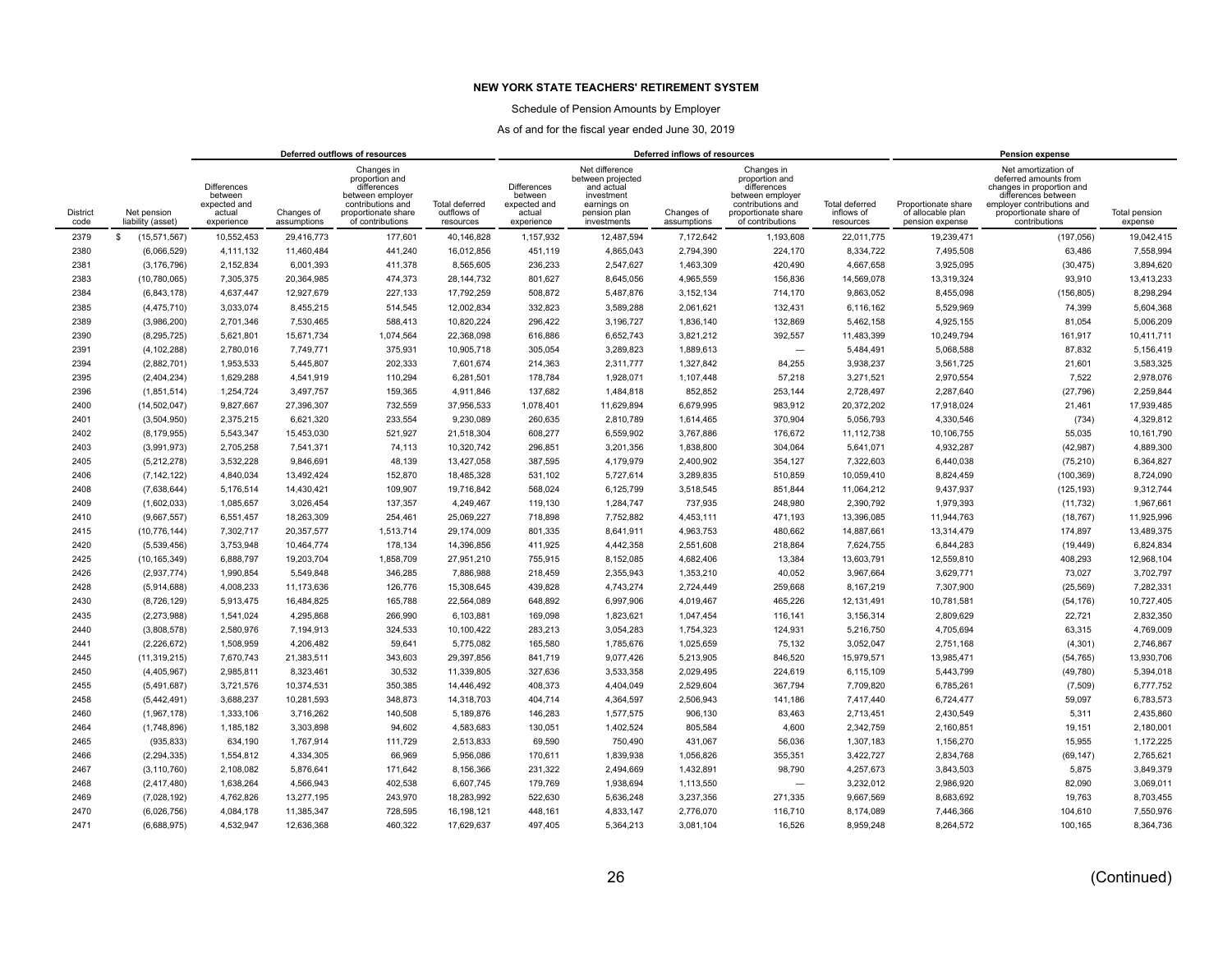### Schedule of Pension Amounts by Employer

|                         |                                  |                                                                |                           | Deferred outflows of resources                                                                                                  |                                                   |                                                                |                                                                                                               | Deferred inflows of resources |                                                                                                                                 |                                           |                                                             | <b>Pension expense</b>                                                                                                                                                    |                          |
|-------------------------|----------------------------------|----------------------------------------------------------------|---------------------------|---------------------------------------------------------------------------------------------------------------------------------|---------------------------------------------------|----------------------------------------------------------------|---------------------------------------------------------------------------------------------------------------|-------------------------------|---------------------------------------------------------------------------------------------------------------------------------|-------------------------------------------|-------------------------------------------------------------|---------------------------------------------------------------------------------------------------------------------------------------------------------------------------|--------------------------|
| <b>District</b><br>code | Net pension<br>liability (asset) | Differences<br>between<br>expected and<br>actual<br>experience | Changes of<br>assumptions | Changes in<br>proportion and<br>differences<br>between employer<br>contributions and<br>proportionate share<br>of contributions | <b>Total deferred</b><br>outflows of<br>resources | Differences<br>between<br>expected and<br>actual<br>experience | Net difference<br>between projected<br>and actual<br>investment<br>earnings on<br>pension plan<br>investments | Changes of<br>assumptions     | Changes in<br>proportion and<br>differences<br>between employer<br>contributions and<br>proportionate share<br>of contributions | Total deferred<br>inflows of<br>resources | Proportionate share<br>of allocable plan<br>pension expense | Net amortization of<br>deferred amounts from<br>changes in proportion and<br>differences between<br>employer contributions and<br>proportionate share of<br>contributions | Total pension<br>expense |
| 2379                    | \$<br>(15, 571, 567)             | 10,552,453                                                     | 29,416,773                | 177,601                                                                                                                         | 40,146,828                                        | 1,157,932                                                      | 12,487,594                                                                                                    | 7,172,642                     | 1,193,608                                                                                                                       | 22,011,775                                | 19,239,471                                                  | (197, 056)                                                                                                                                                                | 19,042,415               |
| 2380                    | (6,066,529)                      | 4,111,132                                                      | 11,460,484                | 441,240                                                                                                                         | 16,012,856                                        | 451,119                                                        | 4,865,043                                                                                                     | 2,794,390                     | 224,170                                                                                                                         | 8,334,722                                 | 7,495,508                                                   | 63,486                                                                                                                                                                    | 7,558,994                |
| 2381                    | (3, 176, 796)                    | 2,152,834                                                      | 6,001,393                 | 411,378                                                                                                                         | 8,565,605                                         | 236,233                                                        | 2,547,627                                                                                                     | 1,463,309                     | 420,490                                                                                                                         | 4,667,658                                 | 3,925,095                                                   | (30, 475)                                                                                                                                                                 | 3,894,620                |
| 2383                    | (10,780,065)                     | 7,305,375                                                      | 20,364,985                | 474,373                                                                                                                         | 28, 144, 732                                      | 801,627                                                        | 8,645,056                                                                                                     | 4,965,559                     | 156,836                                                                                                                         | 14,569,078                                | 13,319,324                                                  | 93,910                                                                                                                                                                    | 13,413,233               |
| 2384                    | (6, 843, 178)                    | 4.637.447                                                      | 12,927,679                | 227,133                                                                                                                         | 17,792,259                                        | 508,872                                                        | 5,487,876                                                                                                     | 3,152,134                     | 714,170                                                                                                                         | 9,863,052                                 | 8,455,098                                                   | (156, 805)                                                                                                                                                                | 8,298,294                |
| 2385                    | (4, 475, 710)                    | 3,033,074                                                      | 8,455,215                 | 514,545                                                                                                                         | 12,002,834                                        | 332,823                                                        | 3,589,288                                                                                                     | 2,061,621                     | 132,431                                                                                                                         | 6,116,162                                 | 5,529,969                                                   | 74,399                                                                                                                                                                    | 5,604,368                |
| 2389                    | (3,986,200)                      | 2,701,346                                                      | 7,530,465                 | 588,413                                                                                                                         | 10,820,224                                        | 296,422                                                        | 3,196,727                                                                                                     | 1,836,140                     | 132,869                                                                                                                         | 5,462,158                                 | 4,925,155                                                   | 81,054                                                                                                                                                                    | 5,006,209                |
| 2390                    | (8, 295, 725)                    | 5,621,801                                                      | 15,671,734                | 1,074,564                                                                                                                       | 22,368,098                                        | 616,886                                                        | 6,652,743                                                                                                     | 3,821,212                     | 392,557                                                                                                                         | 11,483,399                                | 10,249,794                                                  | 161,917                                                                                                                                                                   | 10,411,711               |
| 2391                    | (4, 102, 288)                    | 2,780,016                                                      | 7,749,771                 | 375,931                                                                                                                         | 10,905,718                                        | 305,054                                                        | 3,289,823                                                                                                     | 1,889,613                     | $\overline{\phantom{0}}$                                                                                                        | 5,484,491                                 | 5,068,588                                                   | 87,832                                                                                                                                                                    | 5,156,419                |
| 2394                    | (2,882,701)                      | 1,953,533                                                      | 5,445,807                 | 202,333                                                                                                                         | 7,601,674                                         | 214,363                                                        | 2,311,777                                                                                                     | 1,327,842                     | 84,255                                                                                                                          | 3,938,237                                 | 3,561,725                                                   | 21,601                                                                                                                                                                    | 3,583,325                |
| 2395                    | (2,404,234)                      | 1,629,288                                                      | 4,541,919                 | 110,294                                                                                                                         | 6,281,501                                         | 178,784                                                        | 1,928,071                                                                                                     | 1,107,448                     | 57,218                                                                                                                          | 3,271,521                                 | 2,970,554                                                   | 7,522                                                                                                                                                                     | 2,978,076                |
| 2396                    | (1,851,514)                      | 1,254,724                                                      | 3,497,757                 | 159,365                                                                                                                         | 4,911,846                                         | 137,682                                                        | 1,484,818                                                                                                     | 852,852                       | 253,144                                                                                                                         | 2,728,497                                 | 2,287,640                                                   | (27, 796)                                                                                                                                                                 | 2,259,844                |
| 2400                    | (14, 502, 047)                   | 9.827.667                                                      | 27,396,307                | 732.559                                                                                                                         | 37.956.533                                        | 1,078,401                                                      | 11.629.894                                                                                                    | 6,679,995                     | 983.912                                                                                                                         | 20,372,202                                | 17,918,024                                                  | 21,461                                                                                                                                                                    | 17,939,485               |
| 2401                    | (3,504,950)                      | 2,375,215                                                      | 6,621,320                 | 233,554                                                                                                                         | 9,230,089                                         | 260,635                                                        | 2,810,789                                                                                                     | 1,614,465                     | 370,904                                                                                                                         | 5,056,793                                 | 4,330,546                                                   | (734)                                                                                                                                                                     | 4,329,812                |
| 2402                    | (8, 179, 955)                    | 5,543,347                                                      | 15,453,030                | 521,927                                                                                                                         | 21,518,304                                        | 608,277                                                        | 6.559.902                                                                                                     | 3,767,886                     | 176,672                                                                                                                         | 11,112,738                                | 10,106,755                                                  | 55,035                                                                                                                                                                    | 10,161,790               |
| 2403                    | (3,991,973)                      | 2,705,258                                                      | 7,541,371                 | 74,113                                                                                                                          | 10,320,742                                        | 296,851                                                        | 3,201,356                                                                                                     | 1,838,800                     | 304,064                                                                                                                         | 5,641,071                                 | 4,932,287                                                   | (42, 987)                                                                                                                                                                 | 4,889,300                |
| 2405                    | (5,212,278)                      | 3,532,228                                                      | 9,846,691                 | 48,139                                                                                                                          | 13,427,058                                        | 387,595                                                        | 4,179,979                                                                                                     | 2,400,902                     | 354,127                                                                                                                         | 7,322,603                                 | 6,440,038                                                   | (75, 210)                                                                                                                                                                 | 6,364,827                |
| 2406                    | (7, 142, 122)                    | 4,840,034                                                      | 13,492,424                | 152,870                                                                                                                         | 18,485,328                                        | 531,102                                                        | 5,727,614                                                                                                     | 3,289,835                     | 510,859                                                                                                                         | 10,059,410                                | 8,824,459                                                   | (100, 369)                                                                                                                                                                | 8,724,090                |
| 2408                    | (7,638,644)                      | 5,176,514                                                      | 14,430,421                | 109,907                                                                                                                         | 19,716,842                                        | 568,024                                                        | 6,125,799                                                                                                     | 3,518,545                     | 851,844                                                                                                                         | 11,064,212                                | 9,437,937                                                   | (125, 193)                                                                                                                                                                | 9,312,744                |
| 2409                    | (1,602,033)                      | 1,085,657                                                      | 3,026,454                 | 137,357                                                                                                                         | 4,249,467                                         | 119,130                                                        | 1,284,747                                                                                                     | 737,935                       | 248,980                                                                                                                         | 2,390,792                                 | 1,979,393                                                   | (11, 732)                                                                                                                                                                 | 1,967,661                |
| 2410                    | (9,667,557)                      | 6,551,457                                                      | 18,263,309                | 254,461                                                                                                                         | 25,069,227                                        | 718.898                                                        | 7,752,882                                                                                                     | 4,453,111                     | 471,193                                                                                                                         | 13,396,085                                | 11,944,763                                                  | (18, 767)                                                                                                                                                                 | 11,925,996               |
| 2415                    | (10, 776, 144)                   | 7,302,717                                                      | 20,357,577                | 1,513,714                                                                                                                       | 29,174,009                                        | 801,335                                                        | 8,641,911                                                                                                     | 4,963,753                     | 480,662                                                                                                                         | 14,887,661                                | 13,314,479                                                  | 174,897                                                                                                                                                                   | 13,489,375               |
| 2420                    | (5,539,456)                      | 3,753,948                                                      | 10,464,774                | 178,134                                                                                                                         | 14,396,856                                        | 411,925                                                        | 4,442,358                                                                                                     | 2,551,608                     | 218,864                                                                                                                         | 7,624,755                                 | 6,844,283                                                   | (19, 449)                                                                                                                                                                 | 6,824,834                |
| 2425                    | (10, 165, 349)                   | 6,888,797                                                      | 19,203,704                | 1,858,709                                                                                                                       | 27,951,210                                        | 755,915                                                        | 8,152,085                                                                                                     | 4,682,406                     | 13,384                                                                                                                          | 13,603,791                                | 12,559,810                                                  | 408,293                                                                                                                                                                   | 12,968,104               |
| 2426                    | (2,937,774)                      | 1,990,854                                                      | 5,549,848                 | 346,285                                                                                                                         | 7.886.988                                         | 218,459                                                        | 2,355,943                                                                                                     | 1,353,210                     | 40,052                                                                                                                          | 3,967,664                                 | 3,629,771                                                   | 73,027                                                                                                                                                                    | 3,702,797                |
| 2428                    | (5,914,688)                      | 4,008,233                                                      | 11,173,636                | 126,776                                                                                                                         | 15,308,645                                        | 439,828                                                        | 4,743,274                                                                                                     | 2,724,449                     | 259,668                                                                                                                         | 8,167,219                                 | 7,307,900                                                   | (25, 569)                                                                                                                                                                 | 7,282,331                |
| 2430                    | (8,726,129)                      | 5,913,475                                                      | 16,484,825                | 165,788                                                                                                                         | 22.564.089                                        | 648.892                                                        | 6,997,906                                                                                                     | 4,019,467                     | 465.226                                                                                                                         | 12, 131, 491                              | 10,781,581                                                  | (54, 176)                                                                                                                                                                 | 10,727,405               |
| 2435                    | (2,273,988)                      | 1,541,024                                                      | 4,295,868                 | 266,990                                                                                                                         | 6,103,881                                         | 169,098                                                        | 1,823,621                                                                                                     | 1,047,454                     | 116,141                                                                                                                         | 3,156,314                                 | 2,809,629                                                   | 22,721                                                                                                                                                                    | 2,832,350                |
| 2440                    | (3,808,578)                      | 2,580,976                                                      | 7,194,913                 | 324,533                                                                                                                         | 10,100,422                                        | 283,213                                                        | 3,054,283                                                                                                     | 1,754,323                     | 124,931                                                                                                                         | 5,216,750                                 | 4,705,694                                                   | 63,315                                                                                                                                                                    | 4,769,009                |
| 2441                    | (2,226,672)                      | 1,508,959                                                      | 4,206,482                 | 59,641                                                                                                                          | 5,775,082                                         | 165,580                                                        | 1,785,676                                                                                                     | 1,025,659                     | 75,132                                                                                                                          | 3,052,047                                 | 2,751,168                                                   | (4, 301)                                                                                                                                                                  | 2,746,867                |
| 2445                    | (11, 319, 215)                   | 7,670,743                                                      | 21,383,511                | 343,603                                                                                                                         | 29,397,856                                        | 841,719                                                        | 9,077,426                                                                                                     | 5,213,905                     | 846,520                                                                                                                         | 15,979,571                                | 13,985,471                                                  | (54, 765)                                                                                                                                                                 | 13,930,706               |
| 2450                    | (4,405,967)                      | 2,985,811                                                      | 8,323,461                 | 30,532                                                                                                                          | 11,339,805                                        | 327,636                                                        | 3,533,358                                                                                                     | 2,029,495                     | 224,619                                                                                                                         | 6,115,109                                 | 5,443,799                                                   | (49, 780)                                                                                                                                                                 | 5,394,018                |
| 2455                    | (5,491,687)                      | 3,721,576                                                      | 10,374,531                | 350,385                                                                                                                         | 14,446,492                                        | 408,373                                                        | 4,404,049                                                                                                     | 2,529,604                     | 367,794                                                                                                                         | 7,709,820                                 | 6,785,261                                                   | (7,509)                                                                                                                                                                   | 6,777,752                |
| 2458                    | (5,442,491)                      | 3,688,237                                                      | 10,281,593                | 348,873                                                                                                                         | 14,318,703                                        | 404,714                                                        | 4,364,597                                                                                                     | 2,506,943                     | 141,186                                                                                                                         | 7,417,440                                 | 6,724,477                                                   | 59,097                                                                                                                                                                    | 6,783,573                |
| 2460                    | (1,967,178)                      | 1,333,106                                                      | 3,716,262                 | 140,508                                                                                                                         | 5,189,876                                         | 146,283                                                        | 1,577,575                                                                                                     | 906,130                       | 83,463                                                                                                                          | 2,713,451                                 | 2,430,549                                                   | 5,311                                                                                                                                                                     | 2,435,860                |
| 2464                    | (1,748,896)                      | 1,185,182                                                      | 3,303,898                 | 94,602                                                                                                                          | 4,583,683                                         | 130,051                                                        | 1,402,524                                                                                                     | 805,584                       | 4,600                                                                                                                           | 2,342,759                                 | 2,160,851                                                   | 19,151                                                                                                                                                                    | 2,180,001                |
| 2465                    | (935, 833)                       | 634,190                                                        | 1,767,914                 | 111,729                                                                                                                         | 2,513,833                                         | 69,590                                                         | 750,490                                                                                                       | 431,067                       | 56,036                                                                                                                          | 1,307,183                                 | 1,156,270                                                   | 15,955                                                                                                                                                                    | 1,172,225                |
| 2466                    | (2, 294, 335)                    | 1,554,812                                                      | 4,334,305                 | 66,969                                                                                                                          | 5,956,086                                         | 170,611                                                        | 1,839,938                                                                                                     | 1,056,826                     | 355,351                                                                                                                         | 3,422,727                                 | 2,834,768                                                   | (69, 147)                                                                                                                                                                 | 2,765,621                |
| 2467                    | (3, 110, 760)                    | 2,108,082                                                      | 5,876,641                 | 171,642                                                                                                                         | 8,156,366                                         | 231,322                                                        | 2,494,669                                                                                                     | 1,432,891                     | 98,790                                                                                                                          | 4,257,673                                 | 3,843,503                                                   | 5,875                                                                                                                                                                     | 3,849,379                |
| 2468                    | (2, 417, 480)                    | 1,638,264                                                      | 4,566,943                 | 402,538                                                                                                                         | 6,607,745                                         | 179,769                                                        | 1,938,694                                                                                                     | 1,113,550                     | $\overline{\phantom{0}}$                                                                                                        | 3,232,012                                 | 2,986,920                                                   | 82,090                                                                                                                                                                    | 3,069,011                |
| 2469                    | (7,028,192)                      | 4,762,826                                                      | 13,277,195                | 243,970                                                                                                                         | 18,283,992                                        | 522,630                                                        | 5,636,248                                                                                                     | 3,237,356                     | 271,335                                                                                                                         | 9,667,569                                 | 8,683,692                                                   | 19,763                                                                                                                                                                    | 8,703,455                |
| 2470                    | (6,026,756)                      | 4,084,178                                                      | 11,385,347                | 728,595                                                                                                                         | 16,198,121                                        | 448,161                                                        | 4,833,147                                                                                                     | 2,776,070                     | 116,710                                                                                                                         | 8,174,089                                 | 7,446,366                                                   | 104,610                                                                                                                                                                   | 7,550,976                |
| 2471                    | (6,688,975)                      | 4,532,947                                                      | 12,636,368                | 460,322                                                                                                                         | 17,629,637                                        | 497,405                                                        | 5,364,213                                                                                                     | 3,081,104                     | 16,526                                                                                                                          | 8,959,248                                 | 8,264,572                                                   | 100,165                                                                                                                                                                   | 8,364,736                |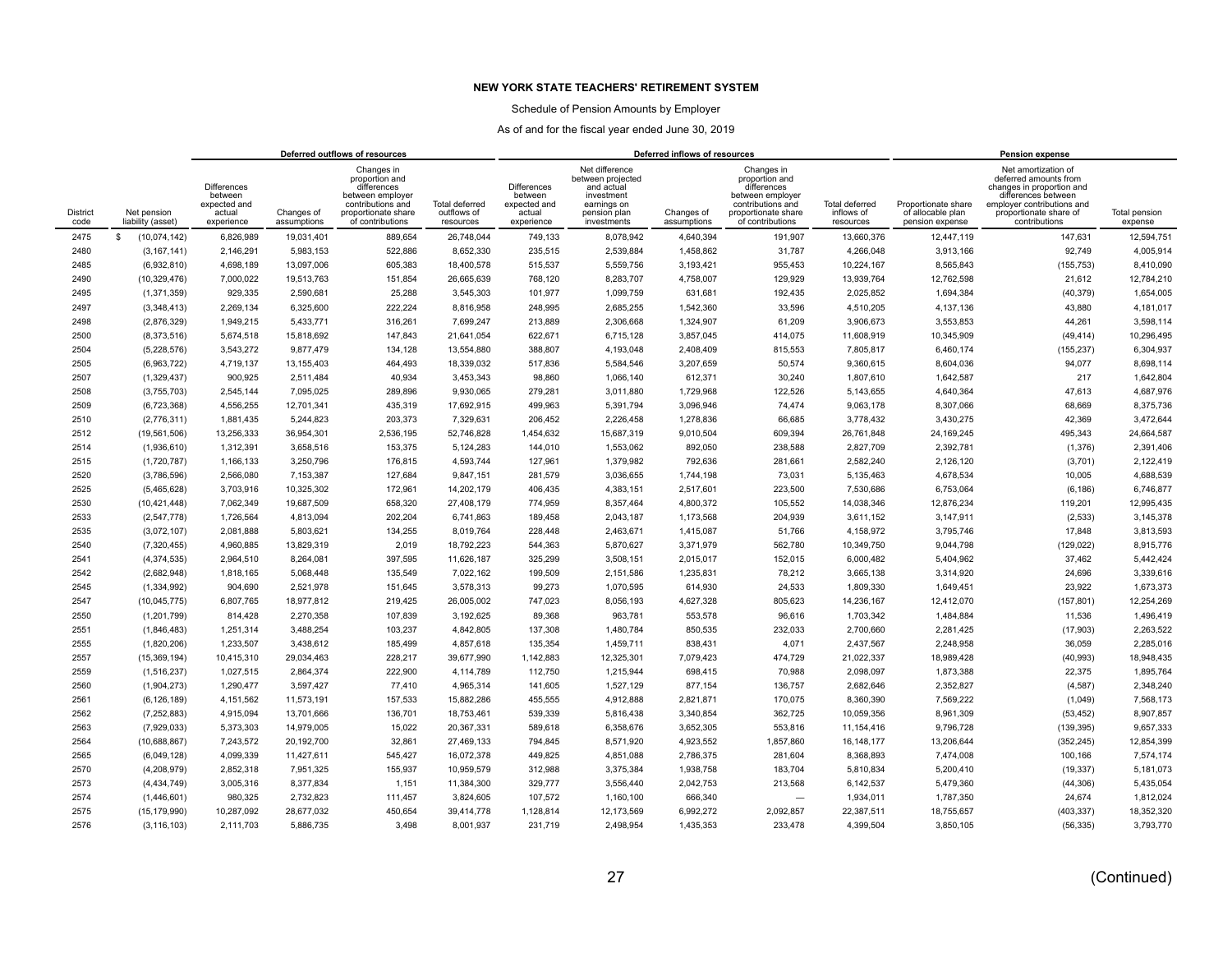### Schedule of Pension Amounts by Employer

|                         |                                  |                                                                |                           | Deferred outflows of resources                                                                                                  |                                                   |                                                                |                                                                                                               | Deferred inflows of resources |                                                                                                                                 |                                           |                                                             | <b>Pension expense</b>                                                                                                                                                    |                          |
|-------------------------|----------------------------------|----------------------------------------------------------------|---------------------------|---------------------------------------------------------------------------------------------------------------------------------|---------------------------------------------------|----------------------------------------------------------------|---------------------------------------------------------------------------------------------------------------|-------------------------------|---------------------------------------------------------------------------------------------------------------------------------|-------------------------------------------|-------------------------------------------------------------|---------------------------------------------------------------------------------------------------------------------------------------------------------------------------|--------------------------|
| <b>District</b><br>code | Net pension<br>liability (asset) | Differences<br>between<br>expected and<br>actual<br>experience | Changes of<br>assumptions | Changes in<br>proportion and<br>differences<br>between employer<br>contributions and<br>proportionate share<br>of contributions | <b>Total deferred</b><br>outflows of<br>resources | Differences<br>between<br>expected and<br>actual<br>experience | Net difference<br>between projected<br>and actual<br>investment<br>earnings on<br>pension plan<br>investments | Changes of<br>assumptions     | Changes in<br>proportion and<br>differences<br>between employer<br>contributions and<br>proportionate share<br>of contributions | Total deferred<br>inflows of<br>resources | Proportionate share<br>of allocable plan<br>pension expense | Net amortization of<br>deferred amounts from<br>changes in proportion and<br>differences between<br>employer contributions and<br>proportionate share of<br>contributions | Total pension<br>expense |
| 2475                    | s.<br>(10,074,142)               | 6,826,989                                                      | 19,031,401                | 889,654                                                                                                                         | 26,748,044                                        | 749,133                                                        | 8,078,942                                                                                                     | 4,640,394                     | 191,907                                                                                                                         | 13,660,376                                | 12,447,119                                                  | 147,631                                                                                                                                                                   | 12,594,751               |
| 2480                    | (3, 167, 141)                    | 2,146,291                                                      | 5,983,153                 | 522,886                                                                                                                         | 8,652,330                                         | 235,515                                                        | 2,539,884                                                                                                     | 1,458,862                     | 31,787                                                                                                                          | 4,266,048                                 | 3,913,166                                                   | 92,749                                                                                                                                                                    | 4,005,914                |
| 2485                    | (6,932,810)                      | 4,698,189                                                      | 13,097,006                | 605,383                                                                                                                         | 18,400,578                                        | 515,537                                                        | 5,559,756                                                                                                     | 3,193,421                     | 955,453                                                                                                                         | 10,224,167                                | 8,565,843                                                   | (155, 753)                                                                                                                                                                | 8,410,090                |
| 2490                    | (10, 329, 476)                   | 7,000,022                                                      | 19,513,763                | 151,854                                                                                                                         | 26,665,639                                        | 768,120                                                        | 8,283,707                                                                                                     | 4,758,007                     | 129,929                                                                                                                         | 13,939,764                                | 12,762,598                                                  | 21,612                                                                                                                                                                    | 12,784,210               |
| 2495                    | (1,371,359)                      | 929.335                                                        | 2,590,681                 | 25,288                                                                                                                          | 3,545,303                                         | 101.977                                                        | 1,099,759                                                                                                     | 631,681                       | 192,435                                                                                                                         | 2,025,852                                 | 1,694,384                                                   | (40, 379)                                                                                                                                                                 | 1,654,005                |
| 2497                    | (3,348,413)                      | 2,269,134                                                      | 6,325,600                 | 222,224                                                                                                                         | 8,816,958                                         | 248,995                                                        | 2,685,255                                                                                                     | 1,542,360                     | 33,596                                                                                                                          | 4,510,205                                 | 4,137,136                                                   | 43,880                                                                                                                                                                    | 4,181,017                |
| 2498                    | (2,876,329)                      | 1,949,215                                                      | 5,433,771                 | 316,261                                                                                                                         | 7,699,247                                         | 213,889                                                        | 2,306,668                                                                                                     | 1,324,907                     | 61,209                                                                                                                          | 3,906,673                                 | 3,553,853                                                   | 44,261                                                                                                                                                                    | 3,598,114                |
| 2500                    | (8,373,516)                      | 5,674,518                                                      | 15,818,692                | 147,843                                                                                                                         | 21,641,054                                        | 622,671                                                        | 6,715,128                                                                                                     | 3,857,045                     | 414,075                                                                                                                         | 11,608,919                                | 10,345,909                                                  | (49, 414)                                                                                                                                                                 | 10,296,495               |
| 2504                    | (5,228,576)                      | 3,543,272                                                      | 9,877,479                 | 134,128                                                                                                                         | 13,554,880                                        | 388,807                                                        | 4,193,048                                                                                                     | 2,408,409                     | 815,553                                                                                                                         | 7,805,817                                 | 6,460,174                                                   | (155, 237)                                                                                                                                                                | 6,304,937                |
| 2505                    | (6,963,722)                      | 4,719,137                                                      | 13, 155, 403              | 464,493                                                                                                                         | 18,339,032                                        | 517,836                                                        | 5,584,546                                                                                                     | 3,207,659                     | 50,574                                                                                                                          | 9,360,615                                 | 8,604,036                                                   | 94,077                                                                                                                                                                    | 8,698,114                |
| 2507                    | (1,329,437)                      | 900.925                                                        | 2,511,484                 | 40,934                                                                                                                          | 3,453,343                                         | 98.860                                                         | 1,066,140                                                                                                     | 612,371                       | 30,240                                                                                                                          | 1,807,610                                 | 1,642,587                                                   | 217                                                                                                                                                                       | 1,642,804                |
| 2508                    | (3,755,703)                      | 2,545,144                                                      | 7,095,025                 | 289,896                                                                                                                         | 9,930,065                                         | 279,281                                                        | 3,011,880                                                                                                     | 1,729,968                     | 122,526                                                                                                                         | 5,143,655                                 | 4,640,364                                                   | 47,613                                                                                                                                                                    | 4,687,976                |
| 2509                    | (6,723,368)                      | 4.556.255                                                      | 12,701,341                | 435.319                                                                                                                         | 17.692.915                                        | 499.963                                                        | 5.391.794                                                                                                     | 3,096,946                     | 74.474                                                                                                                          | 9.063.178                                 | 8,307,066                                                   | 68,669                                                                                                                                                                    | 8,375,736                |
| 2510                    | (2,776,311)                      | 1,881,435                                                      | 5,244,823                 | 203,373                                                                                                                         | 7,329,631                                         | 206,452                                                        | 2,226,458                                                                                                     | 1,278,836                     | 66,685                                                                                                                          | 3,778,432                                 | 3,430,275                                                   | 42,369                                                                                                                                                                    | 3,472,644                |
| 2512                    | (19, 561, 506)                   | 13,256,333                                                     | 36,954,301                | 2,536,195                                                                                                                       | 52,746,828                                        | 1,454,632                                                      | 15,687,319                                                                                                    | 9,010,504                     | 609,394                                                                                                                         | 26,761,848                                | 24, 169, 245                                                | 495,343                                                                                                                                                                   | 24,664,587               |
| 2514                    | (1,936,610)                      | 1,312,391                                                      | 3,658,516                 | 153,375                                                                                                                         | 5,124,283                                         | 144,010                                                        | 1,553,062                                                                                                     | 892,050                       | 238,588                                                                                                                         | 2,827,709                                 | 2,392,781                                                   | (1,376)                                                                                                                                                                   | 2,391,406                |
| 2515                    | (1,720,787)                      | 1,166,133                                                      | 3,250,796                 | 176,815                                                                                                                         | 4,593,744                                         | 127,961                                                        | 1,379,982                                                                                                     | 792,636                       | 281,661                                                                                                                         | 2,582,240                                 | 2,126,120                                                   | (3,701)                                                                                                                                                                   | 2,122,419                |
| 2520                    | (3,786,596)                      | 2,566,080                                                      | 7,153,387                 | 127,684                                                                                                                         | 9,847,151                                         | 281,579                                                        | 3,036,655                                                                                                     | 1,744,198                     | 73,031                                                                                                                          | 5,135,463                                 | 4,678,534                                                   | 10,005                                                                                                                                                                    | 4,688,539                |
| 2525                    | (5,465,628)                      | 3,703,916                                                      | 10,325,302                | 172,961                                                                                                                         | 14,202,179                                        | 406,435                                                        | 4,383,151                                                                                                     | 2,517,601                     | 223,500                                                                                                                         | 7,530,686                                 | 6,753,064                                                   | (6, 186)                                                                                                                                                                  | 6,746,877                |
| 2530                    | (10, 421, 448)                   | 7,062,349                                                      | 19,687,509                | 658,320                                                                                                                         | 27,408,179                                        | 774,959                                                        | 8,357,464                                                                                                     | 4,800,372                     | 105,552                                                                                                                         | 14,038,346                                | 12,876,234                                                  | 119,201                                                                                                                                                                   | 12,995,435               |
| 2533                    | (2,547,778)                      | 1,726,564                                                      | 4,813,094                 | 202,204                                                                                                                         | 6.741.863                                         | 189,458                                                        | 2.043.187                                                                                                     | 1,173,568                     | 204,939                                                                                                                         | 3,611,152                                 | 3,147,911                                                   | (2,533)                                                                                                                                                                   | 3,145,378                |
| 2535                    | (3,072,107)                      | 2,081,888                                                      | 5,803,621                 | 134,255                                                                                                                         | 8,019,764                                         | 228,448                                                        | 2,463,671                                                                                                     | 1,415,087                     | 51,766                                                                                                                          | 4,158,972                                 | 3,795,746                                                   | 17,848                                                                                                                                                                    | 3,813,593                |
| 2540                    | (7,320,455)                      | 4,960,885                                                      | 13,829,319                | 2,019                                                                                                                           | 18,792,223                                        | 544,363                                                        | 5.870.627                                                                                                     | 3,371,979                     | 562,780                                                                                                                         | 10,349,750                                | 9,044,798                                                   | (129, 022)                                                                                                                                                                | 8,915,776                |
| 2541                    | (4, 374, 535)                    | 2,964,510                                                      | 8,264,081                 | 397,595                                                                                                                         | 11,626,187                                        | 325,299                                                        | 3,508,151                                                                                                     | 2,015,017                     | 152,015                                                                                                                         | 6,000,482                                 | 5,404,962                                                   | 37,462                                                                                                                                                                    | 5,442,424                |
| 2542                    | (2,682,948)                      | 1,818,165                                                      | 5,068,448                 | 135,549                                                                                                                         | 7,022,162                                         | 199,509                                                        | 2,151,586                                                                                                     | 1,235,831                     | 78,212                                                                                                                          | 3,665,138                                 | 3,314,920                                                   | 24,696                                                                                                                                                                    | 3,339,616                |
| 2545                    | (1,334,992)                      | 904,690                                                        | 2,521,978                 | 151,645                                                                                                                         | 3,578,313                                         | 99,273                                                         | 1,070,595                                                                                                     | 614,930                       | 24,533                                                                                                                          | 1,809,330                                 | 1,649,451                                                   | 23,922                                                                                                                                                                    | 1,673,373                |
| 2547                    | (10,045,775)                     | 6.807.765                                                      | 18,977,812                | 219,425                                                                                                                         | 26,005,002                                        | 747.023                                                        | 8,056,193                                                                                                     | 4,627,328                     | 805.623                                                                                                                         | 14,236,167                                | 12,412,070                                                  | (157, 801)                                                                                                                                                                | 12,254,269               |
| 2550                    | (1,201,799)                      | 814,428                                                        | 2,270,358                 | 107,839                                                                                                                         | 3,192,625                                         | 89,368                                                         | 963,781                                                                                                       | 553,578                       | 96,616                                                                                                                          | 1,703,342                                 | 1,484,884                                                   | 11,536                                                                                                                                                                    | 1,496,419                |
| 2551                    | (1,846,483)                      | 1,251,314                                                      | 3,488,254                 | 103,237                                                                                                                         | 4,842,805                                         | 137,308                                                        | 1,480,784                                                                                                     | 850,535                       | 232,033                                                                                                                         | 2,700,660                                 | 2,281,425                                                   | (17,903)                                                                                                                                                                  | 2,263,522                |
| 2555                    | (1,820,206)                      | 1,233,507                                                      | 3,438,612                 | 185,499                                                                                                                         | 4,857,618                                         | 135.354                                                        | 1,459,711                                                                                                     | 838,431                       | 4.071                                                                                                                           | 2,437,567                                 | 2,248,958                                                   | 36,059                                                                                                                                                                    | 2,285,016                |
| 2557                    | (15, 369, 194)                   | 10,415,310                                                     | 29,034,463                | 228,217                                                                                                                         | 39,677,990                                        | 1,142,883                                                      | 12,325,301                                                                                                    | 7,079,423                     | 474,729                                                                                                                         | 21,022,337                                | 18,989,428                                                  | (40, 993)                                                                                                                                                                 | 18,948,435               |
| 2559                    | (1,516,237)                      | 1,027,515                                                      | 2,864,374                 | 222,900                                                                                                                         | 4,114,789                                         | 112,750                                                        | 1,215,944                                                                                                     | 698,415                       | 70,988                                                                                                                          | 2,098,097                                 | 1,873,388                                                   | 22,375                                                                                                                                                                    | 1,895,764                |
| 2560                    | (1,904,273)                      | 1,290,477                                                      | 3,597,427                 | 77,410                                                                                                                          | 4,965,314                                         | 141,605                                                        | 1,527,129                                                                                                     | 877,154                       | 136,757                                                                                                                         | 2,682,646                                 | 2,352,827                                                   | (4, 587)                                                                                                                                                                  | 2,348,240                |
| 2561                    | (6, 126, 189)                    | 4,151,562                                                      | 11,573,191                | 157,533                                                                                                                         | 15,882,286                                        | 455,555                                                        | 4,912,888                                                                                                     | 2,821,871                     | 170,075                                                                                                                         | 8,360,390                                 | 7,569,222                                                   | (1,049)                                                                                                                                                                   | 7,568,173                |
| 2562                    | (7, 252, 883)                    | 4,915,094                                                      | 13,701,666                | 136,701                                                                                                                         | 18,753,461                                        | 539,339                                                        | 5,816,438                                                                                                     | 3,340,854                     | 362,725                                                                                                                         | 10,059,356                                | 8,961,309                                                   | (53, 452)                                                                                                                                                                 | 8,907,857                |
| 2563                    | (7,929,033)                      | 5,373,303                                                      | 14,979,005                | 15,022                                                                                                                          | 20,367,331                                        | 589,618                                                        | 6,358,676                                                                                                     | 3,652,305                     | 553,816                                                                                                                         | 11, 154, 416                              | 9,796,728                                                   | (139, 395)                                                                                                                                                                | 9,657,333                |
| 2564                    | (10,688,867)                     | 7,243,572                                                      | 20,192,700                | 32,861                                                                                                                          | 27,469,133                                        | 794,845                                                        | 8,571,920                                                                                                     | 4,923,552                     | 1,857,860                                                                                                                       | 16, 148, 177                              | 13,206,644                                                  | (352, 245)                                                                                                                                                                | 12,854,399               |
| 2565                    | (6,049,128)                      | 4,099,339                                                      | 11,427,611                | 545,427                                                                                                                         | 16,072,378                                        | 449,825                                                        | 4,851,088                                                                                                     | 2,786,375                     | 281,604                                                                                                                         | 8,368,893                                 | 7,474,008                                                   | 100,166                                                                                                                                                                   | 7,574,174                |
| 2570                    | (4,208,979)                      | 2,852,318                                                      | 7,951,325                 | 155,937                                                                                                                         | 10,959,579                                        | 312,988                                                        | 3,375,384                                                                                                     | 1,938,758                     | 183,704                                                                                                                         | 5,810,834                                 | 5,200,410                                                   | (19, 337)                                                                                                                                                                 | 5,181,073                |
| 2573                    | (4, 434, 749)                    | 3,005,316                                                      | 8,377,834                 | 1,151                                                                                                                           | 11,384,300                                        | 329,777                                                        | 3,556,440                                                                                                     | 2,042,753                     | 213,568                                                                                                                         | 6,142,537                                 | 5,479,360                                                   | (44, 306)                                                                                                                                                                 | 5,435,054                |
| 2574                    | (1,446,601)                      | 980,325                                                        | 2,732,823                 | 111,457                                                                                                                         | 3,824,605                                         | 107,572                                                        | 1,160,100                                                                                                     | 666,340                       | $\overline{\phantom{a}}$                                                                                                        | 1,934,011                                 | 1,787,350                                                   | 24,674                                                                                                                                                                    | 1,812,024                |
| 2575                    | (15, 179, 990)                   | 10,287,092                                                     | 28,677,032                | 450,654                                                                                                                         | 39,414,778                                        | 1,128,814                                                      | 12,173,569                                                                                                    | 6,992,272                     | 2,092,857                                                                                                                       | 22,387,511                                | 18,755,657                                                  | (403, 337)                                                                                                                                                                | 18,352,320               |
| 2576                    | (3, 116, 103)                    | 2,111,703                                                      | 5,886,735                 | 3,498                                                                                                                           | 8,001,937                                         | 231,719                                                        | 2,498,954                                                                                                     | 1,435,353                     | 233,478                                                                                                                         | 4,399,504                                 | 3,850,105                                                   | (56, 335)                                                                                                                                                                 | 3,793,770                |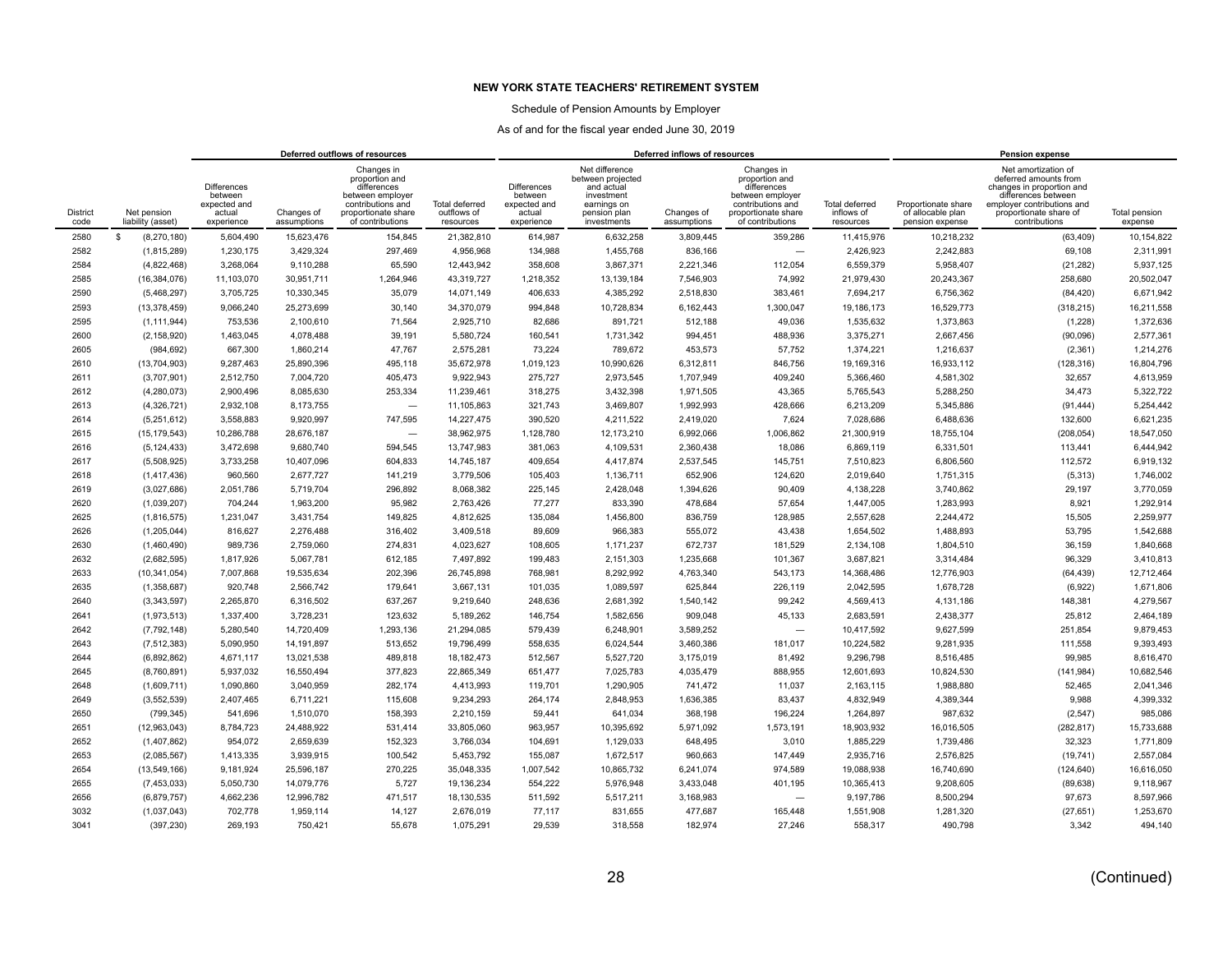### Schedule of Pension Amounts by Employer

|                         |                                  |                                                                       |                           | Deferred outflows of resources                                                                                                  |                                                   |                                                                       |                                                                                                               | Deferred inflows of resources |                                                                                                                                 |                                                  |                                                             | <b>Pension expense</b>                                                                                                                                                    |                          |
|-------------------------|----------------------------------|-----------------------------------------------------------------------|---------------------------|---------------------------------------------------------------------------------------------------------------------------------|---------------------------------------------------|-----------------------------------------------------------------------|---------------------------------------------------------------------------------------------------------------|-------------------------------|---------------------------------------------------------------------------------------------------------------------------------|--------------------------------------------------|-------------------------------------------------------------|---------------------------------------------------------------------------------------------------------------------------------------------------------------------------|--------------------------|
| <b>District</b><br>code | Net pension<br>liability (asset) | <b>Differences</b><br>between<br>expected and<br>actual<br>experience | Changes of<br>assumptions | Changes in<br>proportion and<br>differences<br>between employer<br>contributions and<br>proportionate share<br>of contributions | <b>Total deferred</b><br>outflows of<br>resources | <b>Differences</b><br>between<br>expected and<br>actual<br>experience | Net difference<br>between projected<br>and actual<br>investment<br>earnings on<br>pension plan<br>investments | Changes of<br>assumptions     | Changes in<br>proportion and<br>differences<br>between employer<br>contributions and<br>proportionate share<br>of contributions | <b>Total deferred</b><br>inflows of<br>resources | Proportionate share<br>of allocable plan<br>pension expense | Net amortization of<br>deferred amounts from<br>changes in proportion and<br>differences between<br>employer contributions and<br>proportionate share of<br>contributions | Total pension<br>expense |
| 2580                    | S<br>(8,270,180)                 | 5,604,490                                                             | 15,623,476                | 154,845                                                                                                                         | 21,382,810                                        | 614,987                                                               | 6,632,258                                                                                                     | 3,809,445                     | 359,286                                                                                                                         | 11,415,976                                       | 10,218,232                                                  | (63, 409)                                                                                                                                                                 | 10,154,822               |
| 2582                    | (1,815,289)                      | 1,230,175                                                             | 3,429,324                 | 297,469                                                                                                                         | 4,956,968                                         | 134,988                                                               | 1,455,768                                                                                                     | 836,166                       | $\overline{\phantom{0}}$                                                                                                        | 2,426,923                                        | 2,242,883                                                   | 69,108                                                                                                                                                                    | 2,311,991                |
| 2584                    | (4,822,468)                      | 3.268.064                                                             | 9,110,288                 | 65,590                                                                                                                          | 12,443,942                                        | 358,608                                                               | 3,867,371                                                                                                     | 2,221,346                     | 112.054                                                                                                                         | 6,559,379                                        | 5,958,407                                                   | (21, 282)                                                                                                                                                                 | 5,937,125                |
| 2585                    | (16, 384, 076)                   | 11,103,070                                                            | 30,951,711                | 1,264,946                                                                                                                       | 43,319,727                                        | 1,218,352                                                             | 13,139,184                                                                                                    | 7,546,903                     | 74,992                                                                                                                          | 21,979,430                                       | 20,243,367                                                  | 258,680                                                                                                                                                                   | 20,502,047               |
| 2590                    | (5,468,297)                      | 3,705,725                                                             | 10,330,345                | 35,079                                                                                                                          | 14,071,149                                        | 406,633                                                               | 4,385,292                                                                                                     | 2,518,830                     | 383,461                                                                                                                         | 7,694,217                                        | 6,756,362                                                   | (84, 420)                                                                                                                                                                 | 6,671,942                |
| 2593                    | (13, 378, 459)                   | 9,066,240                                                             | 25,273,699                | 30,140                                                                                                                          | 34,370,079                                        | 994,848                                                               | 10,728,834                                                                                                    | 6,162,443                     | 1,300,047                                                                                                                       | 19,186,173                                       | 16,529,773                                                  | (318, 215)                                                                                                                                                                | 16,211,558               |
| 2595                    | (1, 111, 944)                    | 753,536                                                               | 2,100,610                 | 71,564                                                                                                                          | 2,925,710                                         | 82,686                                                                | 891,721                                                                                                       | 512,188                       | 49,036                                                                                                                          | 1,535,632                                        | 1,373,863                                                   | (1,228)                                                                                                                                                                   | 1,372,636                |
| 2600                    | (2, 158, 920)                    | 1,463,045                                                             | 4,078,488                 | 39.191                                                                                                                          | 5.580.724                                         | 160,541                                                               | 1,731,342                                                                                                     | 994,451                       | 488,936                                                                                                                         | 3,375,271                                        | 2,667,456                                                   | (90,096)                                                                                                                                                                  | 2,577,361                |
| 2605                    | (984, 692)                       | 667,300                                                               | 1,860,214                 | 47,767                                                                                                                          | 2,575,281                                         | 73,224                                                                | 789,672                                                                                                       | 453,573                       | 57,752                                                                                                                          | 1,374,221                                        | 1,216,637                                                   | (2, 361)                                                                                                                                                                  | 1,214,276                |
| 2610                    | (13,704,903)                     | 9.287.463                                                             | 25.890.396                | 495.118                                                                                                                         | 35.672.978                                        | 1.019.123                                                             | 10.990.626                                                                                                    | 6.312.811                     | 846.756                                                                                                                         | 19.169.316                                       | 16.933.112                                                  | (128, 316)                                                                                                                                                                | 16,804,796               |
| 2611                    | (3,707,901)                      | 2,512,750                                                             | 7,004,720                 | 405,473                                                                                                                         | 9,922,943                                         | 275,727                                                               | 2,973,545                                                                                                     | 1,707,949                     | 409,240                                                                                                                         | 5,366,460                                        | 4,581,302                                                   | 32,657                                                                                                                                                                    | 4,613,959                |
| 2612                    | (4,280,073)                      | 2,900,496                                                             | 8,085,630                 | 253,334                                                                                                                         | 11,239,461                                        | 318,275                                                               | 3,432,398                                                                                                     | 1,971,505                     | 43,365                                                                                                                          | 5,765,543                                        | 5,288,250                                                   | 34,473                                                                                                                                                                    | 5,322,722                |
| 2613                    | (4,326,721)                      | 2,932,108                                                             | 8,173,755                 | $\overline{\phantom{a}}$                                                                                                        | 11,105,863                                        | 321,743                                                               | 3,469,807                                                                                                     | 1,992,993                     | 428,666                                                                                                                         | 6,213,209                                        | 5,345,886                                                   | (91, 444)                                                                                                                                                                 | 5,254,442                |
| 2614                    | (5,251,612)                      | 3,558,883                                                             | 9,920,997                 | 747,595                                                                                                                         | 14,227,475                                        | 390,520                                                               | 4,211,522                                                                                                     | 2,419,020                     | 7,624                                                                                                                           | 7,028,686                                        | 6,488,636                                                   | 132,600                                                                                                                                                                   | 6,621,235                |
| 2615                    | (15, 179, 543)                   | 10,286,788                                                            | 28,676,187                | $\overline{\phantom{0}}$                                                                                                        | 38,962,975                                        | 1,128,780                                                             | 12,173,210                                                                                                    | 6,992,066                     | 1,006,862                                                                                                                       | 21,300,919                                       | 18,755,104                                                  | (208, 054)                                                                                                                                                                | 18,547,050               |
| 2616                    | (5, 124, 433)                    | 3,472,698                                                             | 9,680,740                 | 594,545                                                                                                                         | 13,747,983                                        | 381,063                                                               | 4,109,531                                                                                                     | 2,360,438                     | 18,086                                                                                                                          | 6,869,119                                        | 6,331,501                                                   | 113,441                                                                                                                                                                   | 6,444,942                |
| 2617                    | (5,508,925)                      | 3,733,258                                                             | 10,407,096                | 604,833                                                                                                                         | 14,745,187                                        | 409,654                                                               | 4,417,874                                                                                                     | 2,537,545                     | 145,751                                                                                                                         | 7,510,823                                        | 6,806,560                                                   | 112,572                                                                                                                                                                   | 6,919,132                |
| 2618                    | (1,417,436)                      | 960.560                                                               | 2.677.727                 | 141.219                                                                                                                         | 3.779.506                                         | 105,403                                                               | 1,136,711                                                                                                     | 652.906                       | 124,620                                                                                                                         | 2,019,640                                        | 1,751,315                                                   | (5,313)                                                                                                                                                                   | 1,746,002                |
| 2619                    | (3,027,686)                      | 2,051,786                                                             | 5,719,704                 | 296,892                                                                                                                         | 8,068,382                                         | 225,145                                                               | 2,428,048                                                                                                     | 1,394,626                     | 90,409                                                                                                                          | 4,138,228                                        | 3,740,862                                                   | 29,197                                                                                                                                                                    | 3,770,059                |
| 2620                    | (1,039,207)                      | 704.244                                                               | 1,963,200                 | 95,982                                                                                                                          | 2,763,426                                         | 77.277                                                                | 833,390                                                                                                       | 478,684                       | 57.654                                                                                                                          | 1,447,005                                        | 1,283,993                                                   | 8,921                                                                                                                                                                     | 1,292,914                |
| 2625                    | (1,816,575)                      | 1,231,047                                                             | 3,431,754                 | 149,825                                                                                                                         | 4,812,625                                         | 135,084                                                               | 1,456,800                                                                                                     | 836,759                       | 128,985                                                                                                                         | 2,557,628                                        | 2,244,472                                                   | 15,505                                                                                                                                                                    | 2,259,977                |
| 2626                    | (1,205,044)                      | 816,627                                                               | 2,276,488                 | 316,402                                                                                                                         | 3,409,518                                         | 89,609                                                                | 966,383                                                                                                       | 555,072                       | 43,438                                                                                                                          | 1,654,502                                        | 1,488,893                                                   | 53,795                                                                                                                                                                    | 1,542,688                |
| 2630                    | (1,460,490)                      | 989,736                                                               | 2,759,060                 | 274,831                                                                                                                         | 4,023,627                                         | 108,605                                                               | 1,171,237                                                                                                     | 672,737                       | 181,529                                                                                                                         | 2,134,108                                        | 1,804,510                                                   | 36,159                                                                                                                                                                    | 1,840,668                |
| 2632                    | (2,682,595)                      | 1,817,926                                                             | 5,067,781                 | 612,185                                                                                                                         | 7,497,892                                         | 199,483                                                               | 2,151,303                                                                                                     | 1,235,668                     | 101,367                                                                                                                         | 3,687,821                                        | 3,314,484                                                   | 96,329                                                                                                                                                                    | 3,410,813                |
| 2633                    | (10, 341, 054)                   | 7,007,868                                                             | 19,535,634                | 202,396                                                                                                                         | 26,745,898                                        | 768,981                                                               | 8,292,992                                                                                                     | 4,763,340                     | 543,173                                                                                                                         | 14,368,486                                       | 12,776,903                                                  | (64, 439)                                                                                                                                                                 | 12,712,464               |
| 2635                    | (1,358,687)                      | 920,748                                                               | 2,566,742                 | 179,641                                                                                                                         | 3.667.131                                         | 101,035                                                               | 1,089,597                                                                                                     | 625,844                       | 226,119                                                                                                                         | 2,042,595                                        | 1,678,728                                                   | (6,922)                                                                                                                                                                   | 1,671,806                |
| 2640                    | (3,343,597)                      | 2,265,870                                                             | 6,316,502                 | 637,267                                                                                                                         | 9,219,640                                         | 248,636                                                               | 2,681,392                                                                                                     | 1,540,142                     | 99,242                                                                                                                          | 4,569,413                                        | 4,131,186                                                   | 148,381                                                                                                                                                                   | 4,279,567                |
| 2641                    | (1,973,513)                      | 1,337,400                                                             | 3,728,231                 | 123,632                                                                                                                         | 5,189,262                                         | 146,754                                                               | 1,582,656                                                                                                     | 909,048                       | 45,133                                                                                                                          | 2,683,591                                        | 2,438,377                                                   | 25,812                                                                                                                                                                    | 2,464,189                |
| 2642                    | (7, 792, 148)                    | 5,280,540                                                             | 14,720,409                | 1,293,136                                                                                                                       | 21,294,085                                        | 579,439                                                               | 6,248,901                                                                                                     | 3,589,252                     | $\overline{\phantom{0}}$                                                                                                        | 10,417,592                                       | 9,627,599                                                   | 251,854                                                                                                                                                                   | 9,879,453                |
| 2643                    | (7,512,383)                      | 5,090,950                                                             | 14, 191, 897              | 513,652                                                                                                                         | 19,796,499                                        | 558,635                                                               | 6,024,544                                                                                                     | 3,460,386                     | 181,017                                                                                                                         | 10,224,582                                       | 9,281,935                                                   | 111,558                                                                                                                                                                   | 9,393,493                |
| 2644                    | (6,892,862)                      | 4,671,117                                                             | 13,021,538                | 489,818                                                                                                                         | 18, 182, 473                                      | 512,567                                                               | 5,527,720                                                                                                     | 3,175,019                     | 81,492                                                                                                                          | 9,296,798                                        | 8,516,485                                                   | 99,985                                                                                                                                                                    | 8,616,470                |
| 2645                    | (8,760,891)                      | 5,937,032                                                             | 16,550,494                | 377,823                                                                                                                         | 22,865,349                                        | 651,477                                                               | 7,025,783                                                                                                     | 4,035,479                     | 888,955                                                                                                                         | 12,601,693                                       | 10,824,530                                                  | (141, 984)                                                                                                                                                                | 10,682,546               |
| 2648                    | (1,609,711)                      | 1,090,860                                                             | 3,040,959                 | 282,174                                                                                                                         | 4,413,993                                         | 119,701                                                               | 1,290,905                                                                                                     | 741,472                       | 11,037                                                                                                                          | 2,163,115                                        | 1,988,880                                                   | 52,465                                                                                                                                                                    | 2,041,346                |
| 2649                    | (3,552,539)                      | 2,407,465                                                             | 6,711,221                 | 115,608                                                                                                                         | 9.234.293                                         | 264,174                                                               | 2.848.953                                                                                                     | 1,636,385                     | 83.437                                                                                                                          | 4,832,949                                        | 4,389,344                                                   | 9.988                                                                                                                                                                     | 4,399,332                |
| 2650                    | (799, 345)                       | 541,696                                                               | 1,510,070                 | 158,393                                                                                                                         | 2,210,159                                         | 59,441                                                                | 641,034                                                                                                       | 368,198                       | 196,224                                                                                                                         | 1,264,897                                        | 987,632                                                     | (2, 547)                                                                                                                                                                  | 985,086                  |
| 2651                    | (12,963,043)                     | 8,784,723                                                             | 24,488,922                | 531,414                                                                                                                         | 33,805,060                                        | 963,957                                                               | 10,395,692                                                                                                    | 5,971,092                     | 1,573,191                                                                                                                       | 18,903,932                                       | 16,016,505                                                  | (282, 817)                                                                                                                                                                | 15,733,688               |
| 2652                    | (1,407,862)                      | 954,072                                                               | 2,659,639                 | 152,323                                                                                                                         | 3,766,034                                         | 104,691                                                               | 1,129,033                                                                                                     | 648,495                       | 3,010                                                                                                                           | 1,885,229                                        | 1,739,486                                                   | 32,323                                                                                                                                                                    | 1,771,809                |
| 2653                    | (2,085,567)                      | 1,413,335                                                             | 3,939,915                 | 100,542                                                                                                                         | 5,453,792                                         | 155,087                                                               | 1,672,517                                                                                                     | 960,663                       | 147,449                                                                                                                         | 2,935,716                                        | 2,576,825                                                   | (19, 741)                                                                                                                                                                 | 2,557,084                |
| 2654                    | (13, 549, 166)                   | 9,181,924                                                             | 25,596,187                | 270,225                                                                                                                         | 35,048,335                                        | 1,007,542                                                             | 10,865,732                                                                                                    | 6,241,074                     | 974,589                                                                                                                         | 19,088,938                                       | 16,740,690                                                  | (124, 640)                                                                                                                                                                | 16,616,050               |
| 2655                    | (7,453,033)                      | 5,050,730                                                             | 14,079,776                | 5,727                                                                                                                           | 19,136,234                                        | 554,222                                                               | 5,976,948                                                                                                     | 3,433,048                     | 401,195                                                                                                                         | 10,365,413                                       | 9,208,605                                                   | (89, 638)                                                                                                                                                                 | 9,118,967                |
| 2656                    | (6,879,757)                      | 4,662,236                                                             | 12,996,782                | 471,517                                                                                                                         | 18,130,535                                        | 511,592                                                               | 5,517,211                                                                                                     | 3,168,983                     | $\overline{\phantom{0}}$                                                                                                        | 9,197,786                                        | 8,500,294                                                   | 97,673                                                                                                                                                                    | 8,597,966                |
| 3032                    | (1,037,043)                      | 702,778                                                               | 1,959,114                 | 14,127                                                                                                                          | 2.676.019                                         | 77.117                                                                | 831,655                                                                                                       | 477,687                       | 165.448                                                                                                                         | 1,551,908                                        | 1,281,320                                                   | (27, 651)                                                                                                                                                                 | 1,253,670                |
| 3041                    | (397, 230)                       | 269,193                                                               | 750,421                   | 55,678                                                                                                                          | 1,075,291                                         | 29,539                                                                | 318.558                                                                                                       | 182,974                       | 27.246                                                                                                                          | 558.317                                          | 490.798                                                     | 3.342                                                                                                                                                                     | 494.140                  |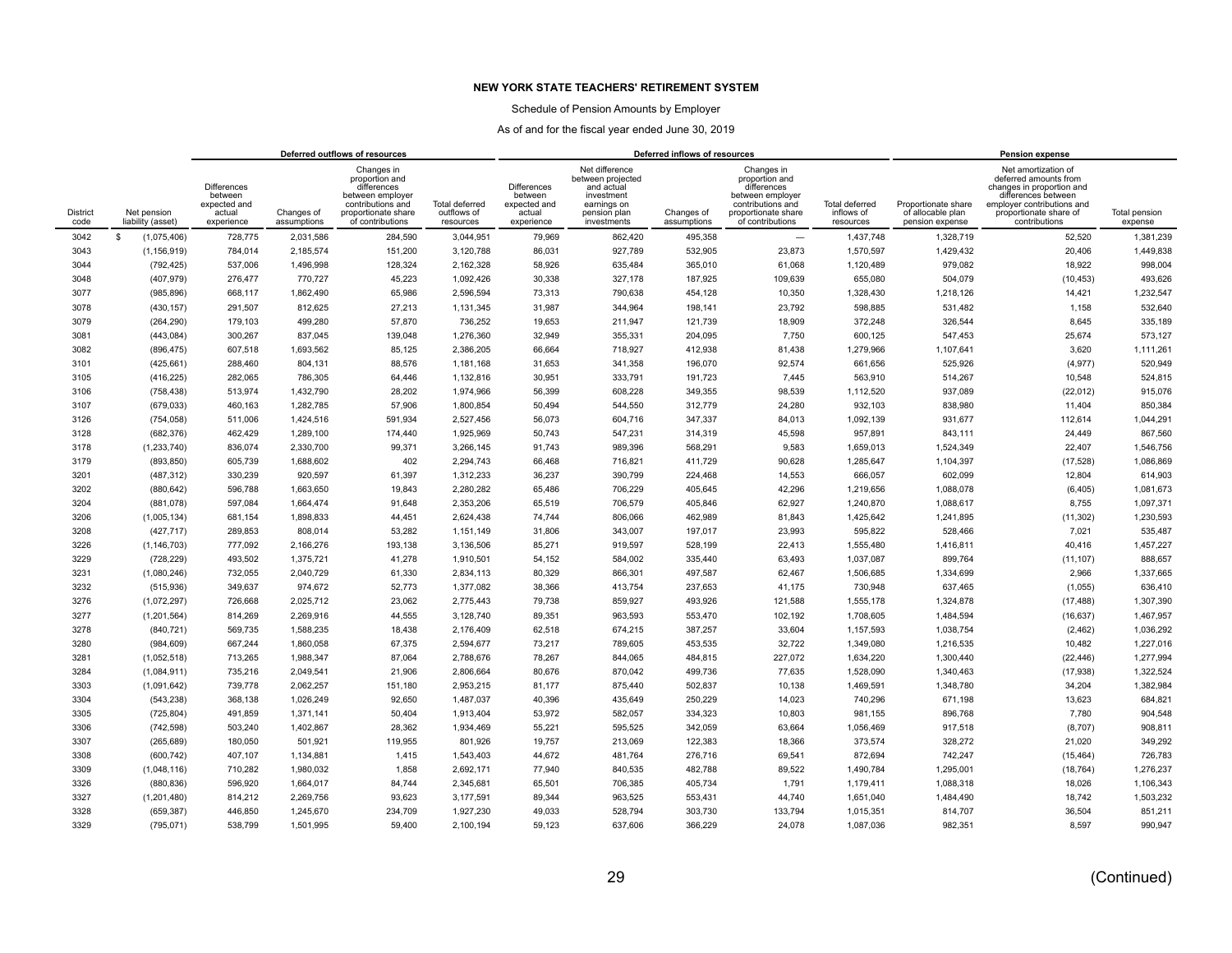### Schedule of Pension Amounts by Employer

|                         |                                  |                                                                |                           | Deferred outflows of resources                                                                                                  |                                            |                                                                       |                                                                                                               | Deferred inflows of resources |                                                                                                                                 |                                           |                                                             | <b>Pension expense</b>                                                                                                                                                    |                          |
|-------------------------|----------------------------------|----------------------------------------------------------------|---------------------------|---------------------------------------------------------------------------------------------------------------------------------|--------------------------------------------|-----------------------------------------------------------------------|---------------------------------------------------------------------------------------------------------------|-------------------------------|---------------------------------------------------------------------------------------------------------------------------------|-------------------------------------------|-------------------------------------------------------------|---------------------------------------------------------------------------------------------------------------------------------------------------------------------------|--------------------------|
| <b>District</b><br>code | Net pension<br>liability (asset) | Differences<br>between<br>expected and<br>actual<br>experience | Changes of<br>assumptions | Changes in<br>proportion and<br>differences<br>between employer<br>contributions and<br>proportionate share<br>of contributions | Total deferred<br>outflows of<br>resources | <b>Differences</b><br>between<br>expected and<br>actual<br>experience | Net difference<br>between projected<br>and actual<br>investment<br>earnings on<br>pension plan<br>investments | Changes of<br>assumptions     | Changes in<br>proportion and<br>differences<br>between employer<br>contributions and<br>proportionate share<br>of contributions | Total deferred<br>inflows of<br>resources | Proportionate share<br>of allocable plan<br>pension expense | Net amortization of<br>deferred amounts from<br>changes in proportion and<br>differences between<br>employer contributions and<br>proportionate share of<br>contributions | Total pension<br>expense |
| 3042                    | s.<br>(1,075,406)                | 728.775                                                        | 2,031,586                 | 284,590                                                                                                                         | 3,044,951                                  | 79,969                                                                | 862,420                                                                                                       | 495,358                       |                                                                                                                                 | 1,437,748                                 | 1,328,719                                                   | 52.520                                                                                                                                                                    | 1,381,239                |
| 3043                    | (1, 156, 919)                    | 784,014                                                        | 2,185,574                 | 151,200                                                                                                                         | 3,120,788                                  | 86,031                                                                | 927,789                                                                                                       | 532,905                       | 23,873                                                                                                                          | 1,570,597                                 | 1,429,432                                                   | 20,406                                                                                                                                                                    | 1,449,838                |
| 3044                    | (792, 425)                       | 537.006                                                        | 1.496.998                 | 128,324                                                                                                                         | 2.162.328                                  | 58.926                                                                | 635.484                                                                                                       | 365.010                       | 61.068                                                                                                                          | 1,120,489                                 | 979.082                                                     | 18.922                                                                                                                                                                    | 998.004                  |
| 3048                    | (407, 979)                       | 276,477                                                        | 770,727                   | 45,223                                                                                                                          | 1,092,426                                  | 30,338                                                                | 327,178                                                                                                       | 187,925                       | 109,639                                                                                                                         | 655,080                                   | 504,079                                                     | (10, 453)                                                                                                                                                                 | 493,626                  |
| 3077                    | (985, 896)                       | 668.117                                                        | 1.862.490                 | 65.986                                                                                                                          | 2.596.594                                  | 73.313                                                                | 790.638                                                                                                       | 454.128                       | 10.350                                                                                                                          | 1,328,430                                 | 1,218,126                                                   | 14,421                                                                                                                                                                    | 1,232,547                |
| 3078                    | (430, 157)                       | 291,507                                                        | 812,625                   | 27,213                                                                                                                          | 1,131,345                                  | 31,987                                                                | 344,964                                                                                                       | 198,141                       | 23,792                                                                                                                          | 598,885                                   | 531,482                                                     | 1,158                                                                                                                                                                     | 532,640                  |
| 3079                    | (264, 290)                       | 179,103                                                        | 499,280                   | 57,870                                                                                                                          | 736,252                                    | 19,653                                                                | 211,947                                                                                                       | 121,739                       | 18,909                                                                                                                          | 372,248                                   | 326,544                                                     | 8,645                                                                                                                                                                     | 335,189                  |
| 3081                    | (443, 084)                       | 300,267                                                        | 837,045                   | 139,048                                                                                                                         | 1,276,360                                  | 32,949                                                                | 355,331                                                                                                       | 204,095                       | 7,750                                                                                                                           | 600,125                                   | 547,453                                                     | 25,674                                                                                                                                                                    | 573,127                  |
| 3082                    | (896, 475)                       | 607,518                                                        | 1,693,562                 | 85,125                                                                                                                          | 2,386,205                                  | 66,664                                                                | 718,927                                                                                                       | 412,938                       | 81,438                                                                                                                          | 1,279,966                                 | 1,107,641                                                   | 3,620                                                                                                                                                                     | 1,111,261                |
| 3101                    | (425, 661)                       | 288,460                                                        | 804,131                   | 88,576                                                                                                                          | 1,181,168                                  | 31,653                                                                | 341,358                                                                                                       | 196,070                       | 92,574                                                                                                                          | 661,656                                   | 525,926                                                     | (4,977)                                                                                                                                                                   | 520,949                  |
| 3105                    | (416, 225)                       | 282,065                                                        | 786,305                   | 64,446                                                                                                                          | 1,132,816                                  | 30,951                                                                | 333,791                                                                                                       | 191,723                       | 7,445                                                                                                                           | 563,910                                   | 514,267                                                     | 10,548                                                                                                                                                                    | 524,815                  |
| 3106                    | (758, 438)                       | 513,974                                                        | 1,432,790                 | 28.202                                                                                                                          | 1.974.966                                  | 56.399                                                                | 608,228                                                                                                       | 349,355                       | 98.539                                                                                                                          | 1,112,520                                 | 937.089                                                     | (22, 012)                                                                                                                                                                 | 915,076                  |
| 3107                    | (679, 033)                       | 460,163                                                        | 1,282,785                 | 57,906                                                                                                                          | 1,800,854                                  | 50,494                                                                | 544,550                                                                                                       | 312,779                       | 24,280                                                                                                                          | 932,103                                   | 838,980                                                     | 11,404                                                                                                                                                                    | 850,384                  |
| 3126                    | (754, 058)                       | 511,006                                                        | 1,424,516                 | 591,934                                                                                                                         | 2.527.456                                  | 56.073                                                                | 604,716                                                                                                       | 347,337                       | 84.013                                                                                                                          | 1,092,139                                 | 931,677                                                     | 112,614                                                                                                                                                                   | 1,044,291                |
| 3128                    | (682, 376)                       | 462,429                                                        | 1,289,100                 | 174,440                                                                                                                         | 1,925,969                                  | 50,743                                                                | 547,231                                                                                                       | 314,319                       | 45,598                                                                                                                          | 957,891                                   | 843,111                                                     | 24,449                                                                                                                                                                    | 867,560                  |
| 3178                    | (1,233,740)                      | 836,074                                                        | 2,330,700                 | 99,371                                                                                                                          | 3,266,145                                  | 91.743                                                                | 989,396                                                                                                       | 568,291                       | 9,583                                                                                                                           | 1,659,013                                 | 1,524,349                                                   | 22,407                                                                                                                                                                    | 1,546,756                |
| 3179                    | (893, 850)                       | 605,739                                                        | 1,688,602                 | 402                                                                                                                             | 2,294,743                                  | 66,468                                                                | 716,821                                                                                                       | 411,729                       | 90,628                                                                                                                          | 1,285,647                                 | 1,104,397                                                   | (17, 528)                                                                                                                                                                 | 1,086,869                |
| 3201                    | (487, 312)                       | 330,239                                                        | 920,597                   | 61.397                                                                                                                          | 1,312,233                                  | 36.237                                                                | 390,799                                                                                                       | 224,468                       | 14.553                                                                                                                          | 666,057                                   | 602,099                                                     | 12,804                                                                                                                                                                    | 614,903                  |
| 3202                    | (880, 642)                       | 596,788                                                        | 1,663,650                 | 19,843                                                                                                                          | 2,280,282                                  | 65,486                                                                | 706,229                                                                                                       | 405,645                       | 42,296                                                                                                                          | 1,219,656                                 | 1,088,078                                                   | (6, 405)                                                                                                                                                                  | 1,081,673                |
| 3204                    | (881,078)                        | 597.084                                                        | 1,664,474                 | 91.648                                                                                                                          | 2.353.206                                  | 65.519                                                                | 706.579                                                                                                       | 405,846                       | 62.927                                                                                                                          | 1,240,870                                 | 1.088.617                                                   | 8,755                                                                                                                                                                     | 1,097,371                |
| 3206                    | (1,005,134)                      | 681,154                                                        | 1,898,833                 | 44,451                                                                                                                          | 2,624,438                                  | 74,744                                                                | 806,066                                                                                                       | 462,989                       | 81,843                                                                                                                          | 1,425,642                                 | 1,241,895                                                   | (11, 302)                                                                                                                                                                 | 1,230,593                |
| 3208                    | (427, 717)                       | 289,853                                                        | 808.014                   | 53,282                                                                                                                          | 1.151.149                                  | 31,806                                                                | 343,007                                                                                                       | 197,017                       | 23.993                                                                                                                          | 595,822                                   | 528.466                                                     | 7,021                                                                                                                                                                     | 535.487                  |
| 3226                    | (1, 146, 703)                    | 777,092                                                        | 2,166,276                 | 193,138                                                                                                                         | 3,136,506                                  | 85,271                                                                | 919,597                                                                                                       | 528,199                       | 22,413                                                                                                                          | 1,555,480                                 | 1,416,811                                                   | 40,416                                                                                                                                                                    | 1,457,227                |
| 3229                    | (728, 229)                       | 493,502                                                        | 1,375,721                 | 41,278                                                                                                                          | 1,910,501                                  | 54,152                                                                | 584,002                                                                                                       | 335,440                       | 63,493                                                                                                                          | 1,037,087                                 | 899,764                                                     | (11, 107)                                                                                                                                                                 | 888,657                  |
| 3231                    | (1,080,246)                      | 732,055                                                        | 2,040,729                 | 61,330                                                                                                                          | 2,834,113                                  | 80,329                                                                | 866,301                                                                                                       | 497,587                       | 62,467                                                                                                                          | 1,506,685                                 | 1,334,699                                                   | 2,966                                                                                                                                                                     | 1,337,665                |
| 3232<br>3276            | (515, 936)<br>(1,072,297)        | 349,637<br>726,668                                             | 974,672<br>2,025,712      | 52,773<br>23,062                                                                                                                | 1,377,082<br>2,775,443                     | 38,366<br>79,738                                                      | 413,754<br>859,927                                                                                            | 237,653<br>493,926            | 41,175<br>121,588                                                                                                               | 730,948<br>1,555,178                      | 637,465<br>1,324,878                                        | (1,055)<br>(17, 488)                                                                                                                                                      | 636,410<br>1,307,390     |
| 3277                    |                                  | 814,269                                                        | 2,269,916                 | 44,555                                                                                                                          | 3,128,740                                  | 89,351                                                                | 963,593                                                                                                       | 553,470                       | 102,192                                                                                                                         | 1,708,605                                 | 1,484,594                                                   |                                                                                                                                                                           | 1,467,957                |
| 3278                    | (1,201,564)<br>(840, 721)        | 569.735                                                        | 1.588.235                 | 18.438                                                                                                                          | 2.176.409                                  | 62.518                                                                | 674,215                                                                                                       | 387.257                       | 33,604                                                                                                                          | 1,157,593                                 | 1.038.754                                                   | (16, 637)<br>(2, 462)                                                                                                                                                     | 1,036,292                |
| 3280                    | (984, 609)                       | 667,244                                                        | 1,860,058                 | 67,375                                                                                                                          | 2,594,677                                  | 73,217                                                                | 789,605                                                                                                       | 453,535                       | 32,722                                                                                                                          | 1,349,080                                 | 1,216,535                                                   | 10,482                                                                                                                                                                    | 1,227,016                |
| 3281                    | (1,052,518)                      | 713.265                                                        | 1,988,347                 | 87.064                                                                                                                          | 2.788.676                                  | 78.267                                                                | 844,065                                                                                                       | 484,815                       | 227.072                                                                                                                         | 1,634,220                                 | 1,300,440                                                   | (22, 446)                                                                                                                                                                 | 1,277,994                |
| 3284                    | (1,084,911)                      | 735,216                                                        | 2,049,541                 | 21,906                                                                                                                          | 2,806,664                                  | 80,676                                                                | 870,042                                                                                                       | 499,736                       | 77,635                                                                                                                          | 1,528,090                                 | 1,340,463                                                   | (17, 938)                                                                                                                                                                 | 1,322,524                |
| 3303                    | (1,091,642)                      | 739,778                                                        | 2,062,257                 | 151,180                                                                                                                         | 2,953,215                                  | 81,177                                                                | 875,440                                                                                                       | 502,837                       | 10,138                                                                                                                          | 1,469,591                                 | 1,348,780                                                   | 34,204                                                                                                                                                                    | 1,382,984                |
| 3304                    | (543, 238)                       | 368,138                                                        | 1,026,249                 | 92,650                                                                                                                          | 1,487,037                                  | 40,396                                                                | 435,649                                                                                                       | 250,229                       | 14,023                                                                                                                          | 740,296                                   | 671,198                                                     | 13,623                                                                                                                                                                    | 684,821                  |
| 3305                    | (725, 804)                       | 491,859                                                        | 1,371,141                 | 50,404                                                                                                                          | 1,913,404                                  | 53.972                                                                | 582,057                                                                                                       | 334,323                       | 10.803                                                                                                                          | 981,155                                   | 896,768                                                     | 7,780                                                                                                                                                                     | 904,548                  |
| 3306                    | (742, 598)                       | 503,240                                                        | 1,402,867                 | 28,362                                                                                                                          | 1,934,469                                  | 55,221                                                                | 595,525                                                                                                       | 342,059                       | 63,664                                                                                                                          | 1,056,469                                 | 917,518                                                     | (8,707)                                                                                                                                                                   | 908,811                  |
| 3307                    | (265, 689)                       | 180,050                                                        | 501.921                   | 119.955                                                                                                                         | 801.926                                    | 19.757                                                                | 213,069                                                                                                       | 122,383                       | 18.366                                                                                                                          | 373,574                                   | 328,272                                                     | 21,020                                                                                                                                                                    | 349.292                  |
| 3308                    | (600, 742)                       | 407,107                                                        | 1,134,881                 | 1,415                                                                                                                           | 1,543,403                                  | 44.672                                                                | 481,764                                                                                                       | 276,716                       | 69,541                                                                                                                          | 872,694                                   | 742,247                                                     | (15, 464)                                                                                                                                                                 | 726,783                  |
| 3309                    | (1,048,116)                      | 710,282                                                        | 1,980,032                 | 1,858                                                                                                                           | 2,692,171                                  | 77,940                                                                | 840,535                                                                                                       | 482,788                       | 89,522                                                                                                                          | 1,490,784                                 | 1,295,001                                                   | (18, 764)                                                                                                                                                                 | 1,276,237                |
| 3326                    | (880, 836)                       | 596,920                                                        | 1,664,017                 | 84,744                                                                                                                          | 2,345,681                                  | 65,501                                                                | 706,385                                                                                                       | 405,734                       | 1,791                                                                                                                           | 1,179,411                                 | 1,088,318                                                   | 18,026                                                                                                                                                                    | 1,106,343                |
| 3327                    | (1,201,480)                      | 814,212                                                        | 2,269,756                 | 93,623                                                                                                                          | 3,177,591                                  | 89,344                                                                | 963,525                                                                                                       | 553,431                       | 44,740                                                                                                                          | 1,651,040                                 | 1,484,490                                                   | 18,742                                                                                                                                                                    | 1,503,232                |
| 3328                    | (659, 387)                       | 446,850                                                        | 1,245,670                 | 234,709                                                                                                                         | 1,927,230                                  | 49,033                                                                | 528,794                                                                                                       | 303,730                       | 133,794                                                                                                                         | 1,015,351                                 | 814,707                                                     | 36,504                                                                                                                                                                    | 851,211                  |
| 3329                    | (795, 071)                       | 538,799                                                        | 1,501,995                 | 59,400                                                                                                                          | 2,100,194                                  | 59,123                                                                | 637,606                                                                                                       | 366,229                       | 24,078                                                                                                                          | 1,087,036                                 | 982,351                                                     | 8,597                                                                                                                                                                     | 990,947                  |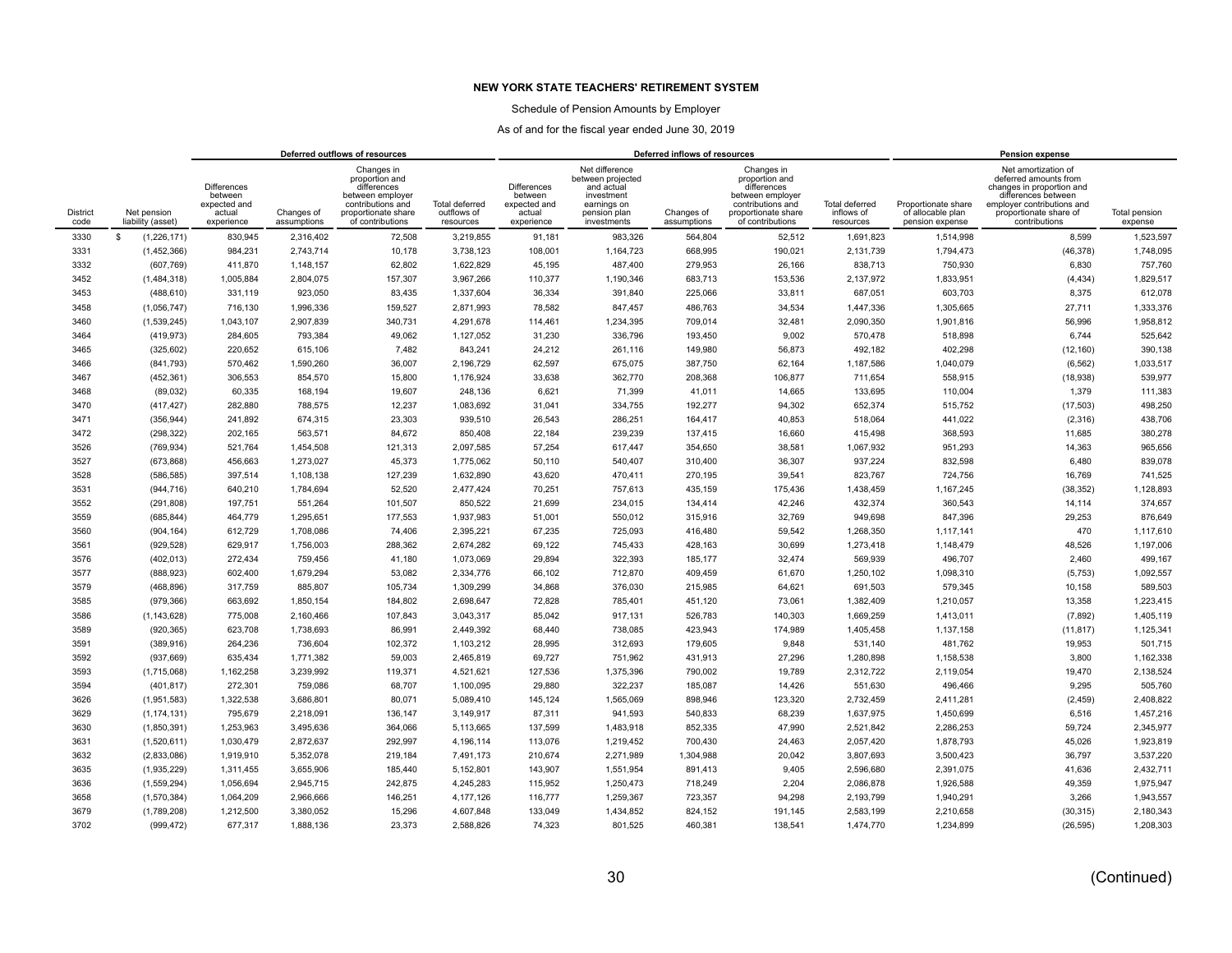### Schedule of Pension Amounts by Employer

|                         |                                  |                                                                |                           | Deferred outflows of resources                                                                                                  |                                            |                                                                |                                                                                                               | Deferred inflows of resources |                                                                                                                                 |                                           |                                                             | <b>Pension expense</b>                                                                                                                                                    |                          |
|-------------------------|----------------------------------|----------------------------------------------------------------|---------------------------|---------------------------------------------------------------------------------------------------------------------------------|--------------------------------------------|----------------------------------------------------------------|---------------------------------------------------------------------------------------------------------------|-------------------------------|---------------------------------------------------------------------------------------------------------------------------------|-------------------------------------------|-------------------------------------------------------------|---------------------------------------------------------------------------------------------------------------------------------------------------------------------------|--------------------------|
| <b>District</b><br>code | Net pension<br>liability (asset) | Differences<br>between<br>expected and<br>actual<br>experience | Changes of<br>assumptions | Changes in<br>proportion and<br>differences<br>between employer<br>contributions and<br>proportionate share<br>of contributions | Total deferred<br>outflows of<br>resources | Differences<br>between<br>expected and<br>actual<br>experience | Net difference<br>between projected<br>and actual<br>investment<br>earnings on<br>pension plan<br>investments | Changes of<br>assumptions     | Changes in<br>proportion and<br>differences<br>between employer<br>contributions and<br>proportionate share<br>of contributions | Total deferred<br>inflows of<br>resources | Proportionate share<br>of allocable plan<br>pension expense | Net amortization of<br>deferred amounts from<br>changes in proportion and<br>differences between<br>employer contributions and<br>proportionate share of<br>contributions | Total pension<br>expense |
| 3330                    | s.<br>(1,226,171)                | 830,945                                                        | 2,316,402                 | 72,508                                                                                                                          | 3,219,855                                  | 91,181                                                         | 983,326                                                                                                       | 564,804                       | 52,512                                                                                                                          | 1,691,823                                 | 1,514,998                                                   | 8,599                                                                                                                                                                     | 1,523,597                |
| 3331                    | (1,452,366)                      | 984,231                                                        | 2,743,714                 | 10,178                                                                                                                          | 3,738,123                                  | 108,001                                                        | 1,164,723                                                                                                     | 668,995                       | 190,021                                                                                                                         | 2,131,739                                 | 1,794,473                                                   | (46, 378)                                                                                                                                                                 | 1,748,095                |
| 3332                    | (607, 769)                       | 411,870                                                        | 1,148,157                 | 62,802                                                                                                                          | 1,622,829                                  | 45,195                                                         | 487,400                                                                                                       | 279,953                       | 26,166                                                                                                                          | 838,713                                   | 750,930                                                     | 6,830                                                                                                                                                                     | 757,760                  |
| 3452                    | (1,484,318)                      | 1,005,884                                                      | 2,804,075                 | 157,307                                                                                                                         | 3,967,266                                  | 110,377                                                        | 1,190,346                                                                                                     | 683,713                       | 153,536                                                                                                                         | 2,137,972                                 | 1,833,951                                                   | (4, 434)                                                                                                                                                                  | 1,829,517                |
| 3453                    | (488, 610)                       | 331.119                                                        | 923,050                   | 83,435                                                                                                                          | 1.337.604                                  | 36,334                                                         | 391,840                                                                                                       | 225,066                       | 33,811                                                                                                                          | 687,051                                   | 603,703                                                     | 8,375                                                                                                                                                                     | 612,078                  |
| 3458                    | (1,056,747)                      | 716,130                                                        | 1,996,336                 | 159,527                                                                                                                         | 2,871,993                                  | 78,582                                                         | 847,457                                                                                                       | 486,763                       | 34,534                                                                                                                          | 1,447,336                                 | 1,305,665                                                   | 27,711                                                                                                                                                                    | 1,333,376                |
| 3460                    | (1,539,245)                      | 1,043,107                                                      | 2,907,839                 | 340,731                                                                                                                         | 4,291,678                                  | 114,461                                                        | 1,234,395                                                                                                     | 709,014                       | 32,481                                                                                                                          | 2,090,350                                 | 1,901,816                                                   | 56,996                                                                                                                                                                    | 1,958,812                |
| 3464                    | (419, 973)                       | 284,605                                                        | 793,384                   | 49,062                                                                                                                          | 1,127,052                                  | 31,230                                                         | 336,796                                                                                                       | 193,450                       | 9,002                                                                                                                           | 570,478                                   | 518,898                                                     | 6,744                                                                                                                                                                     | 525,642                  |
| 3465                    | (325, 602)                       | 220,652                                                        | 615,106                   | 7,482                                                                                                                           | 843,241                                    | 24,212                                                         | 261,116                                                                                                       | 149,980                       | 56,873                                                                                                                          | 492,182                                   | 402,298                                                     | (12, 160)                                                                                                                                                                 | 390,138                  |
| 3466                    | (841,793)                        | 570,462                                                        | 1,590,260                 | 36,007                                                                                                                          | 2,196,729                                  | 62,597                                                         | 675,075                                                                                                       | 387,750                       | 62,164                                                                                                                          | 1,187,586                                 | 1,040,079                                                   | (6, 562)                                                                                                                                                                  | 1,033,517                |
| 3467                    | (452, 361)                       | 306,553                                                        | 854,570                   | 15,800                                                                                                                          | 1,176,924                                  | 33,638                                                         | 362,770                                                                                                       | 208,368                       | 106,877                                                                                                                         | 711,654                                   | 558,915                                                     | (18,938)                                                                                                                                                                  | 539,977                  |
| 3468                    | (89,032)                         | 60,335                                                         | 168,194                   | 19,607                                                                                                                          | 248,136                                    | 6,621                                                          | 71,399                                                                                                        | 41,011                        | 14,665                                                                                                                          | 133,695                                   | 110,004                                                     | 1,379                                                                                                                                                                     | 111,383                  |
| 3470                    | (417, 427)                       | 282,880                                                        | 788,575                   | 12.237                                                                                                                          | 1.083.692                                  | 31.041                                                         | 334,755                                                                                                       | 192.277                       | 94.302                                                                                                                          | 652,374                                   | 515,752                                                     | (17, 503)                                                                                                                                                                 | 498,250                  |
| 3471                    | (356, 944)                       | 241,892                                                        | 674,315                   | 23,303                                                                                                                          | 939,510                                    | 26,543                                                         | 286,251                                                                                                       | 164,417                       | 40,853                                                                                                                          | 518,064                                   | 441,022                                                     | (2,316)                                                                                                                                                                   | 438,706                  |
| 3472                    | (298, 322)                       | 202,165                                                        | 563,571                   | 84,672                                                                                                                          | 850.408                                    | 22.184                                                         | 239,239                                                                                                       | 137,415                       | 16.660                                                                                                                          | 415,498                                   | 368,593                                                     | 11,685                                                                                                                                                                    | 380,278                  |
| 3526                    | (769, 934)                       | 521,764                                                        | 1,454,508                 | 121,313                                                                                                                         | 2,097,585                                  | 57,254                                                         | 617,447                                                                                                       | 354,650                       | 38,581                                                                                                                          | 1,067,932                                 | 951,293                                                     | 14,363                                                                                                                                                                    | 965,656                  |
| 3527                    | (673, 868)                       | 456,663                                                        | 1,273,027                 | 45,373                                                                                                                          | 1,775,062                                  | 50,110                                                         | 540,407                                                                                                       | 310,400                       | 36,307                                                                                                                          | 937,224                                   | 832,598                                                     | 6,480                                                                                                                                                                     | 839,078                  |
| 3528                    | (586, 585)                       | 397,514                                                        | 1,108,138                 | 127,239                                                                                                                         | 1,632,890                                  | 43,620                                                         | 470,411                                                                                                       | 270,195                       | 39,541                                                                                                                          | 823,767                                   | 724,756                                                     | 16,769                                                                                                                                                                    | 741,525                  |
| 3531                    | (944, 716)                       | 640,210                                                        | 1,784,694                 | 52,520                                                                                                                          | 2,477,424                                  | 70,251                                                         | 757,613                                                                                                       | 435,159                       | 175,436                                                                                                                         | 1,438,459                                 | 1,167,245                                                   | (38, 352)                                                                                                                                                                 | 1,128,893                |
| 3552                    | (291, 808)                       | 197,751                                                        | 551,264                   | 101,507                                                                                                                         | 850,522                                    | 21,699                                                         | 234,015                                                                                                       | 134,414                       | 42,246                                                                                                                          | 432,374                                   | 360,543                                                     | 14,114                                                                                                                                                                    | 374,657                  |
| 3559                    | (685, 844)                       | 464,779                                                        | 1,295,651                 | 177,553                                                                                                                         | 1,937,983                                  | 51.001                                                         | 550,012                                                                                                       | 315,916                       | 32,769                                                                                                                          | 949,698                                   | 847,396                                                     | 29,253                                                                                                                                                                    | 876,649                  |
| 3560                    | (904, 164)                       | 612,729                                                        | 1,708,086                 | 74,406                                                                                                                          | 2,395,221                                  | 67,235                                                         | 725,093                                                                                                       | 416,480                       | 59,542                                                                                                                          | 1,268,350                                 | 1,117,141                                                   | 470                                                                                                                                                                       | 1,117,610                |
| 3561                    | (929, 528)                       | 629,917                                                        | 1,756,003                 | 288,362                                                                                                                         | 2,674,282                                  | 69.122                                                         | 745,433                                                                                                       | 428,163                       | 30,699                                                                                                                          | 1,273,418                                 | 1,148,479                                                   | 48,526                                                                                                                                                                    | 1,197,006                |
| 3576                    | (402, 013)                       | 272,434                                                        | 759,456                   | 41,180                                                                                                                          | 1,073,069                                  | 29,894                                                         | 322,393                                                                                                       | 185,177                       | 32,474                                                                                                                          | 569,939                                   | 496,707                                                     | 2,460                                                                                                                                                                     | 499,167                  |
| 3577                    | (888, 923)                       | 602,400                                                        | 1,679,294                 | 53,082                                                                                                                          | 2,334,776                                  | 66,102                                                         | 712,870                                                                                                       | 409,459                       | 61,670                                                                                                                          | 1,250,102                                 | 1,098,310                                                   | (5,753)                                                                                                                                                                   | 1,092,557                |
| 3579                    | (468, 896)                       | 317,759                                                        | 885,807                   | 105,734                                                                                                                         | 1,309,299                                  | 34,868                                                         | 376,030                                                                                                       | 215,985                       | 64,621                                                                                                                          | 691,503                                   | 579,345                                                     | 10,158                                                                                                                                                                    | 589,503                  |
| 3585                    | (979, 366)                       | 663.692                                                        | 1.850.154                 | 184,802                                                                                                                         | 2.698.647                                  | 72.828                                                         | 785,401                                                                                                       | 451,120                       | 73.061                                                                                                                          | 1,382,409                                 | 1,210,057                                                   | 13.358                                                                                                                                                                    | 1,223,415                |
| 3586                    | (1, 143, 628)                    | 775,008                                                        | 2,160,466                 | 107,843                                                                                                                         | 3,043,317                                  | 85,042                                                         | 917,131                                                                                                       | 526,783                       | 140,303                                                                                                                         | 1,669,259                                 | 1,413,011                                                   | (7,892)                                                                                                                                                                   | 1,405,119                |
| 3589                    | (920, 365)                       | 623,708                                                        | 1,738,693                 | 86,991                                                                                                                          | 2,449,392                                  | 68,440                                                         | 738,085                                                                                                       | 423,943                       | 174,989                                                                                                                         | 1,405,458                                 | 1,137,158                                                   | (11, 817)                                                                                                                                                                 | 1,125,341                |
| 3591                    | (389, 916)                       | 264,236                                                        | 736,604                   | 102,372                                                                                                                         | 1,103,212                                  | 28,995                                                         | 312,693                                                                                                       | 179,605                       | 9,848                                                                                                                           | 531,140                                   | 481,762                                                     | 19,953                                                                                                                                                                    | 501,715                  |
| 3592                    | (937, 669)                       | 635,434                                                        | 1,771,382                 | 59,003                                                                                                                          | 2,465,819                                  | 69,727                                                         | 751,962                                                                                                       | 431,913                       | 27,296                                                                                                                          | 1,280,898                                 | 1,158,538                                                   | 3,800                                                                                                                                                                     | 1,162,338                |
| 3593                    | (1,715,068)                      | 1,162,258                                                      | 3,239,992                 | 119,371                                                                                                                         | 4,521,621                                  | 127,536                                                        | 1,375,396                                                                                                     | 790,002                       | 19,789                                                                                                                          | 2,312,722                                 | 2,119,054                                                   | 19,470                                                                                                                                                                    | 2,138,524                |
| 3594                    | (401, 817)                       | 272,301                                                        | 759,086                   | 68,707                                                                                                                          | 1,100,095                                  | 29,880                                                         | 322,237                                                                                                       | 185,087                       | 14,426                                                                                                                          | 551,630                                   | 496,466                                                     | 9,295                                                                                                                                                                     | 505,760                  |
| 3626                    | (1,951,583)                      | 1,322,538                                                      | 3,686,801                 | 80,071                                                                                                                          | 5,089,410                                  | 145,124                                                        | 1,565,069                                                                                                     | 898,946                       | 123,320                                                                                                                         | 2,732,459                                 | 2,411,281                                                   | (2, 459)                                                                                                                                                                  | 2,408,822                |
| 3629                    | (1, 174, 131)                    | 795,679                                                        | 2,218,091                 | 136,147                                                                                                                         | 3,149,917                                  | 87,311                                                         | 941,593                                                                                                       | 540,833                       | 68,239                                                                                                                          | 1,637,975                                 | 1,450,699                                                   | 6,516                                                                                                                                                                     | 1,457,216                |
| 3630                    | (1,850,391)                      | 1,253,963                                                      | 3,495,636                 | 364,066                                                                                                                         | 5,113,665                                  | 137,599                                                        | 1,483,918                                                                                                     | 852,335                       | 47,990                                                                                                                          | 2,521,842                                 | 2,286,253                                                   | 59,724                                                                                                                                                                    | 2,345,977                |
| 3631                    | (1,520,611)                      | 1,030,479                                                      | 2,872,637                 | 292,997                                                                                                                         | 4,196,114                                  | 113,076                                                        | 1,219,452                                                                                                     | 700,430                       | 24,463                                                                                                                          | 2,057,420                                 | 1,878,793                                                   | 45,026                                                                                                                                                                    | 1,923,819                |
| 3632                    | (2,833,086)                      | 1,919,910                                                      | 5,352,078                 | 219,184                                                                                                                         | 7,491,173                                  | 210,674                                                        | 2,271,989                                                                                                     | 1,304,988                     | 20,042                                                                                                                          | 3,807,693                                 | 3,500,423                                                   | 36,797                                                                                                                                                                    | 3,537,220                |
| 3635                    | (1,935,229)                      | 1,311,455                                                      | 3,655,906                 | 185,440                                                                                                                         | 5,152,801                                  | 143,907                                                        | 1,551,954                                                                                                     | 891,413                       | 9,405                                                                                                                           | 2,596,680                                 | 2,391,075                                                   | 41,636                                                                                                                                                                    | 2,432,711                |
| 3636                    | (1,559,294)                      | 1,056,694                                                      | 2,945,715                 | 242,875                                                                                                                         | 4,245,283                                  | 115,952                                                        | 1,250,473                                                                                                     | 718,249                       | 2,204                                                                                                                           | 2,086,878                                 | 1,926,588                                                   | 49,359                                                                                                                                                                    | 1,975,947                |
| 3658                    | (1,570,384)                      | 1,064,209                                                      | 2,966,666                 | 146,251                                                                                                                         | 4,177,126                                  | 116,777                                                        | 1,259,367                                                                                                     | 723,357                       | 94,298                                                                                                                          | 2,193,799                                 | 1,940,291                                                   | 3,266                                                                                                                                                                     | 1,943,557                |
| 3679                    | (1,789,208)                      | 1,212,500                                                      | 3,380,052                 | 15,296                                                                                                                          | 4,607,848                                  | 133,049                                                        | 1,434,852                                                                                                     | 824,152                       | 191,145                                                                                                                         | 2,583,199                                 | 2,210,658                                                   | (30, 315)                                                                                                                                                                 | 2,180,343                |
| 3702                    | (999, 472)                       | 677,317                                                        | 1,888,136                 | 23,373                                                                                                                          | 2,588,826                                  | 74,323                                                         | 801,525                                                                                                       | 460,381                       | 138,541                                                                                                                         | 1,474,770                                 | 1,234,899                                                   | (26, 595)                                                                                                                                                                 | 1,208,303                |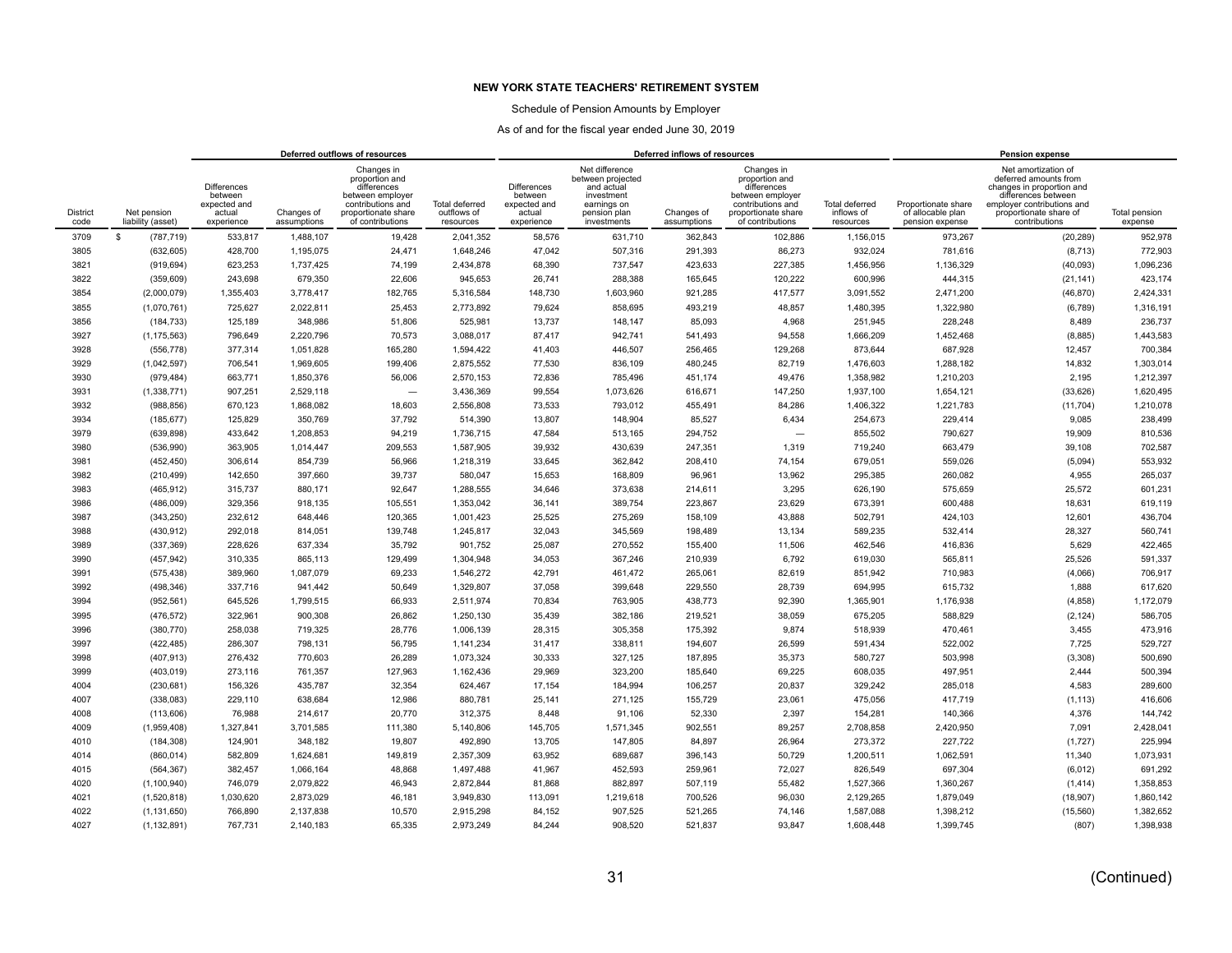### Schedule of Pension Amounts by Employer

|                         |                                  | Deferred outflows of resources<br>Changes in                   |                           |                                                                                                                   |                                            |                                                                       |                                                                                                               | Deferred inflows of resources |                                                                                                                                 |                                           |                                                             | <b>Pension expense</b>                                                                                                                                                    |                          |
|-------------------------|----------------------------------|----------------------------------------------------------------|---------------------------|-------------------------------------------------------------------------------------------------------------------|--------------------------------------------|-----------------------------------------------------------------------|---------------------------------------------------------------------------------------------------------------|-------------------------------|---------------------------------------------------------------------------------------------------------------------------------|-------------------------------------------|-------------------------------------------------------------|---------------------------------------------------------------------------------------------------------------------------------------------------------------------------|--------------------------|
| <b>District</b><br>code | Net pension<br>liability (asset) | Differences<br>between<br>expected and<br>actual<br>experience | Changes of<br>assumptions | proportion and<br>differences<br>between employer<br>contributions and<br>proportionate share<br>of contributions | Total deferred<br>outflows of<br>resources | <b>Differences</b><br>between<br>expected and<br>actual<br>experience | Net difference<br>between projected<br>and actual<br>investment<br>earnings on<br>pension plan<br>investments | Changes of<br>assumptions     | Changes in<br>proportion and<br>differences<br>between employer<br>contributions and<br>proportionate share<br>of contributions | Total deferred<br>inflows of<br>resources | Proportionate share<br>of allocable plan<br>pension expense | Net amortization of<br>deferred amounts from<br>changes in proportion and<br>differences between<br>employer contributions and<br>proportionate share of<br>contributions | Total pension<br>expense |
| 3709                    | \$<br>(787, 719)                 | 533,817                                                        | 1,488,107                 | 19,428                                                                                                            | 2,041,352                                  | 58,576                                                                | 631,710                                                                                                       | 362.843                       | 102,886                                                                                                                         | 1,156,015                                 | 973,267                                                     | (20, 289)                                                                                                                                                                 | 952,978                  |
| 3805                    | (632, 605)                       | 428,700                                                        | 1,195,075                 | 24,471                                                                                                            | 1,648,246                                  | 47,042                                                                | 507,316                                                                                                       | 291,393                       | 86,273                                                                                                                          | 932,024                                   | 781,616                                                     | (8,713)                                                                                                                                                                   | 772,903                  |
| 3821                    | (919, 694)                       | 623,253                                                        | 1,737,425                 | 74.199                                                                                                            | 2,434,878                                  | 68.390                                                                | 737,547                                                                                                       | 423.633                       | 227,385                                                                                                                         | 1,456,956                                 | 1,136,329                                                   | (40,093)                                                                                                                                                                  | 1,096,236                |
| 3822                    | (359, 609)                       | 243,698                                                        | 679,350                   | 22,606                                                                                                            | 945,653                                    | 26,741                                                                | 288,388                                                                                                       | 165,645                       | 120,222                                                                                                                         | 600,996                                   | 444,315                                                     | (21, 141)                                                                                                                                                                 | 423,174                  |
| 3854                    | (2,000,079)                      | 1,355,403                                                      | 3,778,417                 | 182,765                                                                                                           | 5,316,584                                  | 148,730                                                               | 1,603,960                                                                                                     | 921,285                       | 417,577                                                                                                                         | 3,091,552                                 | 2,471,200                                                   | (46, 870)                                                                                                                                                                 | 2,424,331                |
| 3855                    | (1,070,761)                      | 725,627                                                        | 2,022,811                 | 25,453                                                                                                            | 2,773,892                                  | 79,624                                                                | 858,695                                                                                                       | 493,219                       | 48,857                                                                                                                          | 1,480,395                                 | 1,322,980                                                   | (6,789)                                                                                                                                                                   | 1,316,191                |
| 3856                    | (184, 733)                       | 125,189                                                        | 348,986                   | 51,806                                                                                                            | 525,981                                    | 13,737                                                                | 148,147                                                                                                       | 85,093                        | 4,968                                                                                                                           | 251,945                                   | 228,248                                                     | 8,489                                                                                                                                                                     | 236,737                  |
| 3927                    | (1, 175, 563)                    | 796,649                                                        | 2,220,796                 | 70,573                                                                                                            | 3,088,017                                  | 87,417                                                                | 942,741                                                                                                       | 541,493                       | 94,558                                                                                                                          | 1,666,209                                 | 1,452,468                                                   | (8,885)                                                                                                                                                                   | 1,443,583                |
| 3928                    | (556, 778)                       | 377,314                                                        | 1,051,828                 | 165,280                                                                                                           | 1,594,422                                  | 41.403                                                                | 446,507                                                                                                       | 256,465                       | 129,268                                                                                                                         | 873,644                                   | 687,928                                                     | 12,457                                                                                                                                                                    | 700,384                  |
| 3929                    | (1,042,597)                      | 706,541                                                        | 1,969,605                 | 199,406                                                                                                           | 2,875,552                                  | 77,530                                                                | 836,109                                                                                                       | 480,245                       | 82,719                                                                                                                          | 1,476,603                                 | 1,288,182                                                   | 14,832                                                                                                                                                                    | 1,303,014                |
| 3930                    | (979, 484)                       | 663,771                                                        | 1,850,376                 | 56,006                                                                                                            | 2,570,153                                  | 72.836                                                                | 785,496                                                                                                       | 451.174                       | 49.476                                                                                                                          | 1,358,982                                 | 1,210,203                                                   | 2,195                                                                                                                                                                     | 1,212,397                |
| 3931                    | (1,338,771)                      | 907,251                                                        | 2,529,118                 | $\overline{\phantom{0}}$                                                                                          | 3,436,369                                  | 99,554                                                                | 1,073,626                                                                                                     | 616,671                       | 147,250                                                                                                                         | 1,937,100                                 | 1,654,121                                                   | (33, 626)                                                                                                                                                                 | 1,620,495                |
| 3932                    | (988, 856)                       | 670,123                                                        | 1,868,082                 | 18.603                                                                                                            | 2,556,808                                  | 73.533                                                                | 793,012                                                                                                       | 455,491                       | 84,286                                                                                                                          | 1,406,322                                 | 1,221,783                                                   | (11, 704)                                                                                                                                                                 | 1,210,078                |
| 3934                    | (185, 677)                       | 125,829                                                        | 350,769                   | 37,792                                                                                                            | 514,390                                    | 13,807                                                                | 148,904                                                                                                       | 85,527                        | 6,434                                                                                                                           | 254,673                                   | 229,414                                                     | 9,085                                                                                                                                                                     | 238,499                  |
| 3979                    | (639, 898)                       | 433,642                                                        | 1,208,853                 | 94,219                                                                                                            | 1,736,715                                  | 47,584                                                                | 513,165                                                                                                       | 294,752                       | $\overline{\phantom{a}}$                                                                                                        | 855,502                                   | 790,627                                                     | 19,909                                                                                                                                                                    | 810,536                  |
| 3980                    | (536,990)                        | 363,905                                                        | 1,014,447                 | 209,553                                                                                                           | 1,587,905                                  | 39,932                                                                | 430,639                                                                                                       | 247,351                       | 1,319                                                                                                                           | 719,240                                   | 663,479                                                     | 39,108                                                                                                                                                                    | 702,587                  |
| 3981                    | (452, 450)                       | 306,614                                                        | 854,739                   | 56,966                                                                                                            | 1,218,319                                  | 33.645                                                                | 362,842                                                                                                       | 208,410                       | 74,154                                                                                                                          | 679,051                                   | 559,026                                                     | (5,094)                                                                                                                                                                   | 553,932                  |
| 3982                    | (210, 499)                       | 142,650                                                        | 397,660                   | 39,737                                                                                                            | 580,047                                    | 15,653                                                                | 168,809                                                                                                       | 96,961                        | 13,962                                                                                                                          | 295,385                                   | 260,082                                                     | 4,955                                                                                                                                                                     | 265,037                  |
| 3983                    | (465, 912)                       | 315,737                                                        | 880,171                   | 92.647                                                                                                            | 1.288.555                                  | 34.646                                                                | 373,638                                                                                                       | 214,611                       | 3.295                                                                                                                           | 626,190                                   | 575,659                                                     | 25,572                                                                                                                                                                    | 601,231                  |
| 3986                    | (486,009)                        | 329,356                                                        | 918,135                   | 105,551                                                                                                           | 1,353,042                                  | 36,141                                                                | 389,754                                                                                                       | 223,867                       | 23,629                                                                                                                          | 673,391                                   | 600,488                                                     | 18,631                                                                                                                                                                    | 619,119                  |
| 3987                    | (343, 250)                       | 232,612                                                        | 648,446                   | 120,365                                                                                                           | 1,001,423                                  | 25,525                                                                | 275,269                                                                                                       | 158,109                       | 43.888                                                                                                                          | 502,791                                   | 424,103                                                     | 12,601                                                                                                                                                                    | 436,704                  |
| 3988                    | (430, 912)                       | 292,018                                                        | 814,051                   | 139,748                                                                                                           | 1,245,817                                  | 32,043                                                                | 345,569                                                                                                       | 198,489                       | 13,134                                                                                                                          | 589,235                                   | 532,414                                                     | 28,327                                                                                                                                                                    | 560,741                  |
| 3989                    | (337, 369)                       | 228,626                                                        | 637,334                   | 35,792                                                                                                            | 901.752                                    | 25,087                                                                | 270,552                                                                                                       | 155,400                       | 11,506                                                                                                                          | 462,546                                   | 416,836                                                     | 5,629                                                                                                                                                                     | 422,465                  |
| 3990                    | (457, 942)                       | 310,335                                                        | 865,113                   | 129,499                                                                                                           | 1,304,948                                  | 34,053                                                                | 367,246                                                                                                       | 210,939                       | 6,792                                                                                                                           | 619,030                                   | 565,811                                                     | 25,526                                                                                                                                                                    | 591,337                  |
| 3991                    | (575, 438)                       | 389.960                                                        | 1,087,079                 | 69.233                                                                                                            | 1,546,272                                  | 42.791                                                                | 461,472                                                                                                       | 265,061                       | 82.619                                                                                                                          | 851,942                                   | 710,983                                                     | (4,066)                                                                                                                                                                   | 706,917                  |
| 3992                    | (498, 346)                       | 337,716                                                        | 941,442                   | 50,649                                                                                                            | 1,329,807                                  | 37,058                                                                | 399,648                                                                                                       | 229,550                       | 28,739                                                                                                                          | 694,995                                   | 615,732                                                     | 1,888                                                                                                                                                                     | 617,620                  |
| 3994<br>3995            | (952.561)                        | 645.526                                                        | 1.799.515                 | 66.933                                                                                                            | 2.511.974                                  | 70.834                                                                | 763.905                                                                                                       | 438.773                       | 92.390                                                                                                                          | 1.365.901                                 | 1.176.938                                                   | (4,858)                                                                                                                                                                   | 1.172.079                |
|                         | (476, 572)                       | 322,961                                                        | 900,308<br>719.325        | 26,862<br>28,776                                                                                                  | 1,250,130                                  | 35.439                                                                | 382,186                                                                                                       | 219,521                       | 38,059                                                                                                                          | 675,205                                   | 588,829                                                     | (2, 124)                                                                                                                                                                  | 586,705<br>473.916       |
| 3996<br>3997            | (380, 770)                       | 258,038                                                        | 798,131                   | 56,795                                                                                                            | 1.006.139<br>1,141,234                     | 28.315<br>31,417                                                      | 305,358                                                                                                       | 175,392<br>194,607            | 9.874<br>26,599                                                                                                                 | 518,939                                   | 470,461<br>522,002                                          | 3,455                                                                                                                                                                     | 529,727                  |
| 3998                    | (422, 485)<br>(407, 913)         | 286,307<br>276,432                                             | 770,603                   | 26,289                                                                                                            | 1,073,324                                  | 30,333                                                                | 338,811<br>327,125                                                                                            | 187,895                       | 35,373                                                                                                                          | 591,434<br>580,727                        | 503,998                                                     | 7,725<br>(3,308)                                                                                                                                                          | 500,690                  |
| 3999                    | (403, 019)                       | 273,116                                                        | 761,357                   | 127,963                                                                                                           | 1,162,436                                  | 29,969                                                                | 323,200                                                                                                       | 185,640                       | 69,225                                                                                                                          | 608,035                                   | 497,951                                                     | 2,444                                                                                                                                                                     | 500,394                  |
| 4004                    | (230, 681)                       | 156,326                                                        | 435,787                   | 32,354                                                                                                            | 624,467                                    | 17,154                                                                | 184,994                                                                                                       | 106,257                       | 20,837                                                                                                                          | 329,242                                   | 285,018                                                     | 4,583                                                                                                                                                                     | 289,600                  |
| 4007                    | (338,083)                        | 229,110                                                        | 638,684                   | 12,986                                                                                                            | 880,781                                    | 25,141                                                                | 271,125                                                                                                       | 155,729                       | 23,061                                                                                                                          | 475,056                                   | 417,719                                                     | (1, 113)                                                                                                                                                                  | 416,606                  |
| 4008                    | (113,606)                        | 76,988                                                         | 214,617                   | 20,770                                                                                                            | 312,375                                    | 8,448                                                                 | 91,106                                                                                                        | 52,330                        | 2,397                                                                                                                           | 154,281                                   | 140,366                                                     | 4,376                                                                                                                                                                     | 144,742                  |
| 4009                    | (1,959,408)                      | 1,327,841                                                      | 3,701,585                 | 111,380                                                                                                           | 5,140,806                                  | 145.705                                                               | 1,571,345                                                                                                     | 902,551                       | 89,257                                                                                                                          | 2,708,858                                 | 2,420,950                                                   | 7,091                                                                                                                                                                     | 2,428,041                |
| 4010                    | (184, 308)                       | 124,901                                                        | 348,182                   | 19,807                                                                                                            | 492,890                                    | 13,705                                                                | 147,805                                                                                                       | 84,897                        | 26,964                                                                                                                          | 273,372                                   | 227,722                                                     | (1, 727)                                                                                                                                                                  | 225,994                  |
| 4014                    | (860, 014)                       | 582,809                                                        | 1,624,681                 | 149,819                                                                                                           | 2,357,309                                  | 63,952                                                                | 689,687                                                                                                       | 396,143                       | 50,729                                                                                                                          | 1,200,511                                 | 1,062,591                                                   | 11,340                                                                                                                                                                    | 1,073,931                |
| 4015                    | (564, 367)                       | 382,457                                                        | 1,066,164                 | 48,868                                                                                                            | 1,497,488                                  | 41,967                                                                | 452,593                                                                                                       | 259,961                       | 72,027                                                                                                                          | 826,549                                   | 697,304                                                     | (6,012)                                                                                                                                                                   | 691,292                  |
| 4020                    | (1,100,940)                      | 746,079                                                        | 2,079,822                 | 46,943                                                                                                            | 2,872,844                                  | 81,868                                                                | 882,897                                                                                                       | 507,119                       | 55,482                                                                                                                          | 1,527,366                                 | 1,360,267                                                   | (1, 414)                                                                                                                                                                  | 1,358,853                |
| 4021                    | (1,520,818)                      | 1,030,620                                                      | 2,873,029                 | 46,181                                                                                                            | 3,949,830                                  | 113,091                                                               | 1,219,618                                                                                                     | 700,526                       | 96,030                                                                                                                          | 2,129,265                                 | 1,879,049                                                   | (18,907)                                                                                                                                                                  | 1,860,142                |
| 4022                    | (1, 131, 650)                    | 766,890                                                        | 2,137,838                 | 10,570                                                                                                            | 2,915,298                                  | 84,152                                                                | 907,525                                                                                                       | 521,265                       | 74.146                                                                                                                          | 1,587,088                                 | 1,398,212                                                   | (15, 560)                                                                                                                                                                 | 1,382,652                |
| 4027                    | (1, 132, 891)                    | 767,731                                                        | 2,140,183                 | 65,335                                                                                                            | 2,973,249                                  | 84,244                                                                | 908,520                                                                                                       | 521,837                       | 93,847                                                                                                                          | 1,608,448                                 | 1,399,745                                                   | (807)                                                                                                                                                                     | 1,398,938                |
|                         |                                  |                                                                |                           |                                                                                                                   |                                            |                                                                       |                                                                                                               |                               |                                                                                                                                 |                                           |                                                             |                                                                                                                                                                           |                          |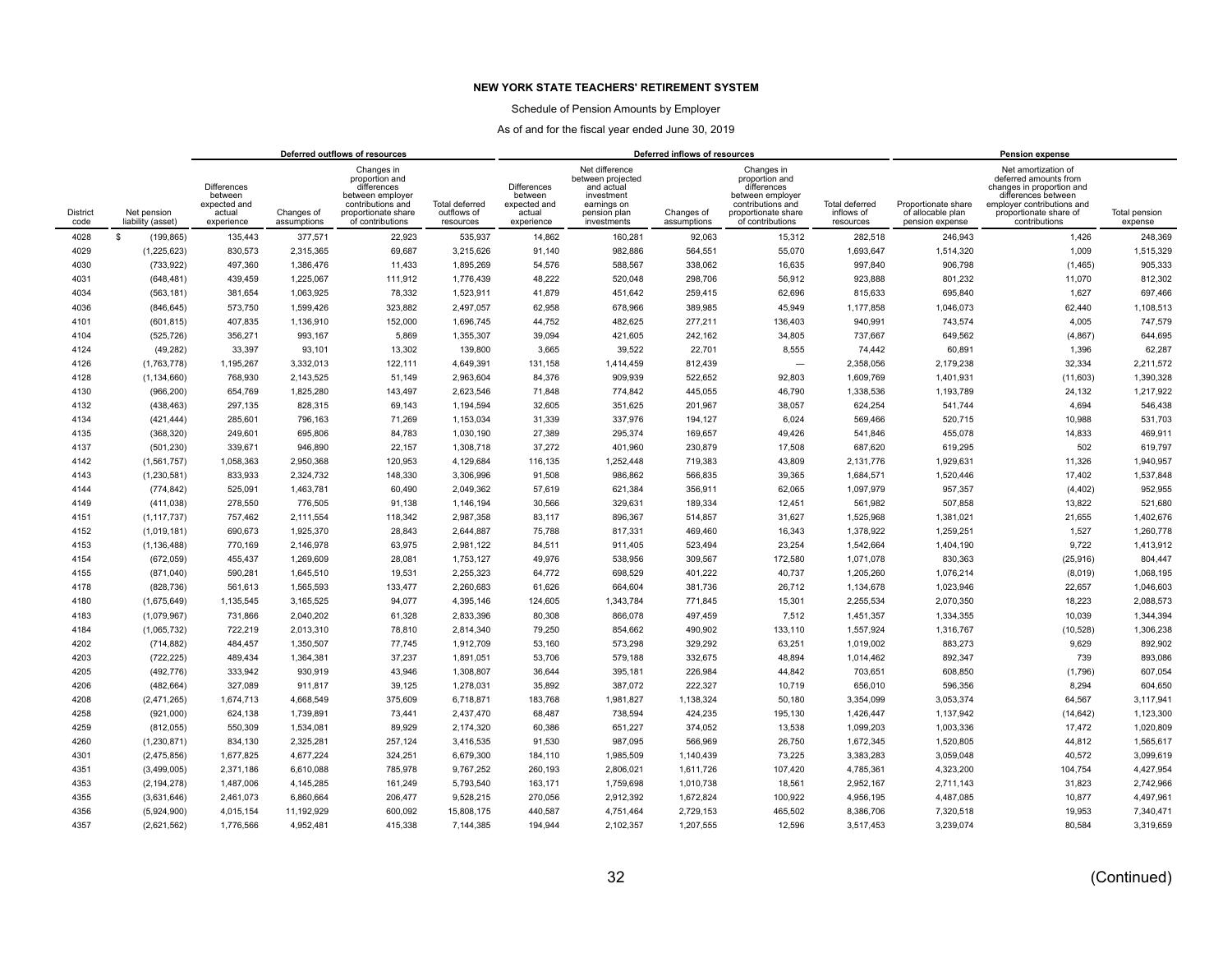### Schedule of Pension Amounts by Employer

|                         |                                  |                                                                |                           | Deferred outflows of resources                                                                                                  |                                            |                                                                |                                                                                                               | Deferred inflows of resources |                                                                                                                                 |                                           |                                                             | <b>Pension expense</b>                                                                                                                                                    |                          |
|-------------------------|----------------------------------|----------------------------------------------------------------|---------------------------|---------------------------------------------------------------------------------------------------------------------------------|--------------------------------------------|----------------------------------------------------------------|---------------------------------------------------------------------------------------------------------------|-------------------------------|---------------------------------------------------------------------------------------------------------------------------------|-------------------------------------------|-------------------------------------------------------------|---------------------------------------------------------------------------------------------------------------------------------------------------------------------------|--------------------------|
| <b>District</b><br>code | Net pension<br>liability (asset) | Differences<br>between<br>expected and<br>actual<br>experience | Changes of<br>assumptions | Changes in<br>proportion and<br>differences<br>between employer<br>contributions and<br>proportionate share<br>of contributions | Total deferred<br>outflows of<br>resources | Differences<br>between<br>expected and<br>actual<br>experience | Net difference<br>between projected<br>and actual<br>investment<br>earnings on<br>pension plan<br>investments | Changes of<br>assumptions     | Changes in<br>proportion and<br>differences<br>between employer<br>contributions and<br>proportionate share<br>of contributions | Total deferred<br>inflows of<br>resources | Proportionate share<br>of allocable plan<br>pension expense | Net amortization of<br>deferred amounts from<br>changes in proportion and<br>differences between<br>employer contributions and<br>proportionate share of<br>contributions | Total pension<br>expense |
| 4028                    | s.<br>(199, 865)                 | 135,443                                                        | 377,571                   | 22.923                                                                                                                          | 535,937                                    | 14,862                                                         | 160,281                                                                                                       | 92,063                        | 15,312                                                                                                                          | 282,518                                   | 246,943                                                     | 1,426                                                                                                                                                                     | 248,369                  |
| 4029                    | (1,225,623)                      | 830,573                                                        | 2,315,365                 | 69,687                                                                                                                          | 3,215,626                                  | 91,140                                                         | 982,886                                                                                                       | 564,551                       | 55,070                                                                                                                          | 1,693,647                                 | 1,514,320                                                   | 1,009                                                                                                                                                                     | 1,515,329                |
| 4030                    | (733, 922)                       | 497.360                                                        | 1,386,476                 | 11.433                                                                                                                          | 1.895.269                                  | 54.576                                                         | 588.567                                                                                                       | 338.062                       | 16.635                                                                                                                          | 997.840                                   | 906.798                                                     | (1, 465)                                                                                                                                                                  | 905,333                  |
| 4031                    | (648, 481)                       | 439,459                                                        | 1,225,067                 | 111,912                                                                                                                         | 1,776,439                                  | 48.222                                                         | 520,048                                                                                                       | 298,706                       | 56,912                                                                                                                          | 923,888                                   | 801,232                                                     | 11,070                                                                                                                                                                    | 812,302                  |
| 4034                    | (563, 181)                       | 381,654                                                        | 1.063.925                 | 78,332                                                                                                                          | 1.523.911                                  | 41.879                                                         | 451,642                                                                                                       | 259,415                       | 62.696                                                                                                                          | 815.633                                   | 695.840                                                     | 1,627                                                                                                                                                                     | 697,466                  |
| 4036                    | (846, 645)                       | 573,750                                                        | 1,599,426                 | 323,882                                                                                                                         | 2,497,057                                  | 62,958                                                         | 678,966                                                                                                       | 389,985                       | 45,949                                                                                                                          | 1,177,858                                 | 1,046,073                                                   | 62,440                                                                                                                                                                    | 1,108,513                |
| 4101                    | (601, 815)                       | 407,835                                                        | 1,136,910                 | 152,000                                                                                                                         | 1,696,745                                  | 44,752                                                         | 482,625                                                                                                       | 277,211                       | 136,403                                                                                                                         | 940,991                                   | 743,574                                                     | 4,005                                                                                                                                                                     | 747,579                  |
| 4104                    | (525, 726)                       | 356,271                                                        | 993,167                   | 5,869                                                                                                                           | 1,355,307                                  | 39,094                                                         | 421,605                                                                                                       | 242,162                       | 34,805                                                                                                                          | 737,667                                   | 649,562                                                     | (4, 867)                                                                                                                                                                  | 644,695                  |
| 4124                    | (49, 282)                        | 33,397                                                         | 93,101                    | 13,302                                                                                                                          | 139,800                                    | 3,665                                                          | 39,522                                                                                                        | 22,701                        | 8,555                                                                                                                           | 74,442                                    | 60,891                                                      | 1,396                                                                                                                                                                     | 62,287                   |
| 4126                    | (1,763,778)                      | 1,195,267                                                      | 3,332,013                 | 122,111                                                                                                                         | 4,649,391                                  | 131,158                                                        | 1,414,459                                                                                                     | 812,439                       | $\overline{\phantom{0}}$                                                                                                        | 2,358,056                                 | 2,179,238                                                   | 32,334                                                                                                                                                                    | 2,211,572                |
| 4128                    | (1, 134, 660)                    | 768,930                                                        | 2,143,525                 | 51,149                                                                                                                          | 2,963,604                                  | 84,376                                                         | 909,939                                                                                                       | 522,652                       | 92,803                                                                                                                          | 1,609,769                                 | 1,401,931                                                   | (11,603)                                                                                                                                                                  | 1,390,328                |
| 4130                    | (966, 200)                       | 654,769                                                        | 1,825,280                 | 143,497                                                                                                                         | 2.623.546                                  | 71.848                                                         | 774,842                                                                                                       | 445,055                       | 46,790                                                                                                                          | 1,338,536                                 | 1,193,789                                                   | 24,132                                                                                                                                                                    | 1,217,922                |
| 4132                    | (438, 463)                       | 297,135                                                        | 828,315                   | 69,143                                                                                                                          | 1,194,594                                  | 32,605                                                         | 351,625                                                                                                       | 201,967                       | 38,057                                                                                                                          | 624,254                                   | 541,744                                                     | 4,694                                                                                                                                                                     | 546,438                  |
| 4134                    | (421, 444)                       | 285,601                                                        | 796,163                   | 71,269                                                                                                                          | 1,153,034                                  | 31,339                                                         | 337,976                                                                                                       | 194,127                       | 6.024                                                                                                                           | 569,466                                   | 520,715                                                     | 10,988                                                                                                                                                                    | 531,703                  |
| 4135                    | (368, 320)                       | 249,601                                                        | 695,806                   | 84,783                                                                                                                          | 1,030,190                                  | 27,389                                                         | 295,374                                                                                                       | 169,657                       | 49,426                                                                                                                          | 541,846                                   | 455,078                                                     | 14,833                                                                                                                                                                    | 469,911                  |
| 4137                    | (501, 230)                       | 339,671                                                        | 946,890                   | 22,157                                                                                                                          | 1,308,718                                  | 37.272                                                         | 401,960                                                                                                       | 230,879                       | 17,508                                                                                                                          | 687,620                                   | 619,295                                                     | 502                                                                                                                                                                       | 619,797                  |
| 4142                    | (1,561,757)                      | 1,058,363                                                      | 2,950,368                 | 120,953                                                                                                                         | 4,129,684                                  | 116,135                                                        | 1,252,448                                                                                                     | 719,383                       | 43,809                                                                                                                          | 2,131,776                                 | 1,929,631                                                   | 11,326                                                                                                                                                                    | 1,940,957                |
| 4143                    | (1,230,581)                      | 833,933                                                        | 2,324,732                 | 148,330                                                                                                                         | 3,306,996                                  | 91.508                                                         | 986,862                                                                                                       | 566,835                       | 39,365                                                                                                                          | 1,684,571                                 | 1,520,446                                                   | 17,402                                                                                                                                                                    | 1,537,848                |
| 4144                    | (774, 842)                       | 525,091                                                        | 1,463,781                 | 60,490                                                                                                                          | 2,049,362                                  | 57,619                                                         | 621,384                                                                                                       | 356,911                       | 62,065                                                                                                                          | 1,097,979                                 | 957,357                                                     | (4, 402)                                                                                                                                                                  | 952,955                  |
| 4149                    | (411, 038)                       | 278,550                                                        | 776.505                   | 91.138                                                                                                                          | 1.146.194                                  | 30.566                                                         | 329.631                                                                                                       | 189.334                       | 12.451                                                                                                                          | 561.982                                   | 507,858                                                     | 13,822                                                                                                                                                                    | 521,680                  |
| 4151                    | (1, 117, 737)                    | 757,462                                                        | 2,111,554                 | 118,342                                                                                                                         | 2,987,358                                  | 83,117                                                         | 896,367                                                                                                       | 514,857                       | 31,627                                                                                                                          | 1,525,968                                 | 1,381,021                                                   | 21,655                                                                                                                                                                    | 1,402,676                |
| 4152                    | (1,019,181)                      | 690,673                                                        | 1,925,370                 | 28,843                                                                                                                          | 2.644.887                                  | 75,788                                                         | 817,331                                                                                                       | 469,460                       | 16.343                                                                                                                          | 1,378,922                                 | 1,259,251                                                   | 1,527                                                                                                                                                                     | 1,260,778                |
| 4153                    | (1, 136, 488)                    | 770,169                                                        | 2,146,978                 | 63,975                                                                                                                          | 2,981,122                                  | 84,511                                                         | 911,405                                                                                                       | 523,494                       | 23,254                                                                                                                          | 1,542,664                                 | 1,404,190                                                   | 9,722                                                                                                                                                                     | 1,413,912                |
| 4154                    | (672, 059)                       | 455,437                                                        | 1,269,609                 | 28,081                                                                                                                          | 1,753,127                                  | 49,976                                                         | 538,956                                                                                                       | 309,567                       | 172,580                                                                                                                         | 1,071,078                                 | 830,363                                                     | (25, 916)                                                                                                                                                                 | 804,447                  |
| 4155                    | (871,040)                        | 590,281                                                        | 1,645,510                 | 19,531                                                                                                                          | 2,255,323                                  | 64,772                                                         | 698,529                                                                                                       | 401,222                       | 40,737                                                                                                                          | 1,205,260                                 | 1,076,214                                                   | (8,019)                                                                                                                                                                   | 1,068,195                |
| 4178                    | (828, 736)                       | 561,613                                                        | 1,565,593                 | 133,477                                                                                                                         | 2,260,683                                  | 61,626                                                         | 664,604                                                                                                       | 381,736                       | 26,712                                                                                                                          | 1,134,678                                 | 1,023,946                                                   | 22,657                                                                                                                                                                    | 1,046,603                |
| 4180                    | (1,675,649)                      | 1,135,545                                                      | 3,165,525                 | 94,077                                                                                                                          | 4,395,146                                  | 124,605                                                        | 1,343,784                                                                                                     | 771,845                       | 15,301                                                                                                                          | 2,255,534                                 | 2,070,350                                                   | 18,223                                                                                                                                                                    | 2,088,573                |
| 4183<br>4184            | (1,079,967)<br>(1,065,732)       | 731,866<br>722.219                                             | 2,040,202<br>2,013,310    | 61,328<br>78.810                                                                                                                | 2,833,396<br>2.814.340                     | 80,308<br>79.250                                               | 866,078<br>854,662                                                                                            | 497,459<br>490.902            | 7,512<br>133.110                                                                                                                | 1,451,357<br>1,557,924                    | 1,334,355<br>1,316,767                                      | 10,039                                                                                                                                                                    | 1,344,394<br>1,306,238   |
| 4202                    |                                  | 484,457                                                        | 1,350,507                 | 77,745                                                                                                                          | 1,912,709                                  | 53,160                                                         | 573,298                                                                                                       | 329,292                       | 63,251                                                                                                                          | 1,019,002                                 | 883,273                                                     | (10, 528)<br>9,629                                                                                                                                                        | 892,902                  |
| 4203                    | (714, 882)<br>(722, 225)         | 489.434                                                        | 1,364,381                 | 37.237                                                                                                                          | 1.891.051                                  | 53.706                                                         | 579,188                                                                                                       | 332.675                       | 48.894                                                                                                                          | 1,014,462                                 | 892.347                                                     | 739                                                                                                                                                                       | 893,086                  |
| 4205                    | (492, 776)                       | 333,942                                                        | 930,919                   | 43,946                                                                                                                          | 1,308,807                                  | 36,644                                                         | 395,181                                                                                                       | 226,984                       | 44,842                                                                                                                          | 703,651                                   | 608,850                                                     | (1,796)                                                                                                                                                                   | 607,054                  |
| 4206                    | (482, 664)                       | 327,089                                                        | 911,817                   | 39,125                                                                                                                          | 1,278,031                                  | 35,892                                                         | 387,072                                                                                                       | 222,327                       | 10,719                                                                                                                          | 656,010                                   | 596,356                                                     | 8,294                                                                                                                                                                     | 604,650                  |
| 4208                    | (2,471,265)                      | 1,674,713                                                      | 4,668,549                 | 375,609                                                                                                                         | 6,718,871                                  | 183,768                                                        | 1,981,827                                                                                                     | 1,138,324                     | 50,180                                                                                                                          | 3,354,099                                 | 3,053,374                                                   | 64,567                                                                                                                                                                    | 3,117,941                |
| 4258                    | (921,000)                        | 624,138                                                        | 1,739,891                 | 73,441                                                                                                                          | 2,437,470                                  | 68,487                                                         | 738,594                                                                                                       | 424,235                       | 195,130                                                                                                                         | 1,426,447                                 | 1,137,942                                                   | (14, 642)                                                                                                                                                                 | 1,123,300                |
| 4259                    | (812, 055)                       | 550,309                                                        | 1,534,081                 | 89,929                                                                                                                          | 2,174,320                                  | 60,386                                                         | 651,227                                                                                                       | 374,052                       | 13,538                                                                                                                          | 1,099,203                                 | 1,003,336                                                   | 17,472                                                                                                                                                                    | 1,020,809                |
| 4260                    | (1,230,871)                      | 834,130                                                        | 2,325,281                 | 257,124                                                                                                                         | 3,416,535                                  | 91.530                                                         | 987.095                                                                                                       | 566,969                       | 26,750                                                                                                                          | 1,672,345                                 | 1,520,805                                                   | 44,812                                                                                                                                                                    | 1,565,617                |
| 4301                    | (2,475,856)                      | 1,677,825                                                      | 4,677,224                 | 324,251                                                                                                                         | 6,679,300                                  | 184,110                                                        | 1,985,509                                                                                                     | 1,140,439                     | 73,225                                                                                                                          | 3,383,283                                 | 3,059,048                                                   | 40,572                                                                                                                                                                    | 3,099,619                |
| 4351                    | (3,499,005)                      | 2,371,186                                                      | 6,610,088                 | 785,978                                                                                                                         | 9,767,252                                  | 260,193                                                        | 2,806,021                                                                                                     | 1,611,726                     | 107,420                                                                                                                         | 4,785,361                                 | 4,323,200                                                   | 104,754                                                                                                                                                                   | 4,427,954                |
| 4353                    | (2, 194, 278)                    | 1,487,006                                                      | 4,145,285                 | 161,249                                                                                                                         | 5,793,540                                  | 163,171                                                        | 1,759,698                                                                                                     | 1,010,738                     | 18,561                                                                                                                          | 2,952,167                                 | 2,711,143                                                   | 31,823                                                                                                                                                                    | 2,742,966                |
| 4355                    | (3,631,646)                      | 2,461,073                                                      | 6,860,664                 | 206,477                                                                                                                         | 9,528,215                                  | 270,056                                                        | 2,912,392                                                                                                     | 1,672,824                     | 100,922                                                                                                                         | 4,956,195                                 | 4,487,085                                                   | 10,877                                                                                                                                                                    | 4,497,961                |
| 4356                    | (5,924,900)                      | 4,015,154                                                      | 11,192,929                | 600,092                                                                                                                         | 15,808,175                                 | 440,587                                                        | 4,751,464                                                                                                     | 2,729,153                     | 465,502                                                                                                                         | 8,386,706                                 | 7,320,518                                                   | 19,953                                                                                                                                                                    | 7,340,471                |
| 4357                    | (2,621,562)                      | 1,776,566                                                      | 4,952,481                 | 415,338                                                                                                                         | 7,144,385                                  | 194,944                                                        | 2,102,357                                                                                                     | 1,207,555                     | 12,596                                                                                                                          | 3,517,453                                 | 3,239,074                                                   | 80,584                                                                                                                                                                    | 3,319,659                |
|                         |                                  |                                                                |                           |                                                                                                                                 |                                            |                                                                |                                                                                                               |                               |                                                                                                                                 |                                           |                                                             |                                                                                                                                                                           |                          |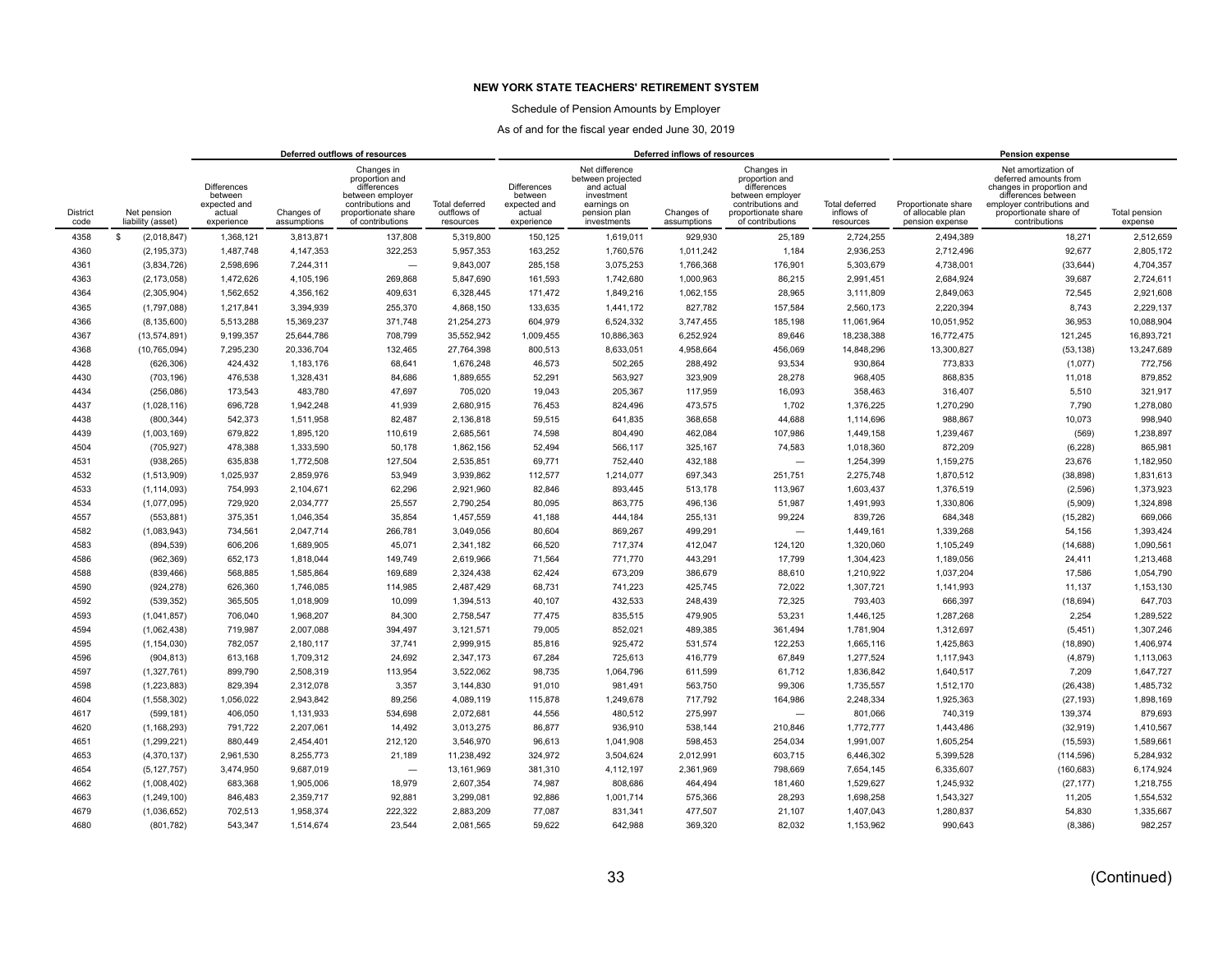### Schedule of Pension Amounts by Employer

|                         |                                  |                                                                       |                           | Deferred outflows of resources                                                                                                  |                                            |                                                                |                                                                                                               | Deferred inflows of resources |                                                                                                                                 |                                           |                                                             | <b>Pension expense</b>                                                                                                                                                    |                          |
|-------------------------|----------------------------------|-----------------------------------------------------------------------|---------------------------|---------------------------------------------------------------------------------------------------------------------------------|--------------------------------------------|----------------------------------------------------------------|---------------------------------------------------------------------------------------------------------------|-------------------------------|---------------------------------------------------------------------------------------------------------------------------------|-------------------------------------------|-------------------------------------------------------------|---------------------------------------------------------------------------------------------------------------------------------------------------------------------------|--------------------------|
| <b>District</b><br>code | Net pension<br>liability (asset) | <b>Differences</b><br>between<br>expected and<br>actual<br>experience | Changes of<br>assumptions | Changes in<br>proportion and<br>differences<br>between employer<br>contributions and<br>proportionate share<br>of contributions | Total deferred<br>outflows of<br>resources | Differences<br>between<br>expected and<br>actual<br>experience | Net difference<br>between projected<br>and actual<br>investment<br>earnings on<br>pension plan<br>investments | Changes of<br>assumptions     | Changes in<br>proportion and<br>differences<br>between employer<br>contributions and<br>proportionate share<br>of contributions | Total deferred<br>inflows of<br>resources | Proportionate share<br>of allocable plan<br>pension expense | Net amortization of<br>deferred amounts from<br>changes in proportion and<br>differences between<br>employer contributions and<br>proportionate share of<br>contributions | Total pension<br>expense |
| 4358                    | S.<br>(2,018,847)                | 1,368,121                                                             | 3,813,871                 | 137,808                                                                                                                         | 5,319,800                                  | 150,125                                                        | 1,619,011                                                                                                     | 929.930                       | 25,189                                                                                                                          | 2,724,255                                 | 2,494,389                                                   | 18,271                                                                                                                                                                    | 2,512,659                |
| 4360                    | (2, 195, 373)                    | 1,487,748                                                             | 4,147,353                 | 322,253                                                                                                                         | 5,957,353                                  | 163,252                                                        | 1,760,576                                                                                                     | 1,011,242                     | 1,184                                                                                                                           | 2,936,253                                 | 2,712,496                                                   | 92,677                                                                                                                                                                    | 2,805,172                |
| 4361                    | (3,834,726)                      | 2.598.696                                                             | 7,244,311                 | $\overline{\phantom{a}}$                                                                                                        | 9.843.007                                  | 285.158                                                        | 3.075.253                                                                                                     | 1,766,368                     | 176.901                                                                                                                         | 5,303,679                                 | 4,738,001                                                   | (33, 644)                                                                                                                                                                 | 4,704,357                |
| 4363                    | (2, 173, 058)                    | 1,472,626                                                             | 4,105,196                 | 269,868                                                                                                                         | 5,847,690                                  | 161,593                                                        | 1,742,680                                                                                                     | 1,000,963                     | 86,215                                                                                                                          | 2,991,451                                 | 2,684,924                                                   | 39,687                                                                                                                                                                    | 2,724,611                |
| 4364                    | (2,305,904)                      | 1.562.652                                                             | 4.356.162                 | 409.631                                                                                                                         | 6.328.445                                  | 171.472                                                        | 1.849.216                                                                                                     | 1,062,155                     | 28.965                                                                                                                          | 3.111.809                                 | 2.849.063                                                   | 72.545                                                                                                                                                                    | 2,921,608                |
| 4365                    | (1,797,088)                      | 1,217,841                                                             | 3,394,939                 | 255,370                                                                                                                         | 4,868,150                                  | 133,635                                                        | 1,441,172                                                                                                     | 827,782                       | 157,584                                                                                                                         | 2,560,173                                 | 2,220,394                                                   | 8,743                                                                                                                                                                     | 2,229,137                |
| 4366                    | (8, 135, 600)                    | 5,513,288                                                             | 15,369,237                | 371,748                                                                                                                         | 21,254,273                                 | 604,979                                                        | 6,524,332                                                                                                     | 3,747,455                     | 185,198                                                                                                                         | 11,061,964                                | 10,051,952                                                  | 36,953                                                                                                                                                                    | 10,088,904               |
| 4367                    | (13,574,891)                     | 9,199,357                                                             | 25,644,786                | 708,799                                                                                                                         | 35,552,942                                 | 1,009,455                                                      | 10,886,363                                                                                                    | 6,252,924                     | 89,646                                                                                                                          | 18,238,388                                | 16,772,475                                                  | 121,245                                                                                                                                                                   | 16,893,721               |
| 4368                    | (10, 765, 094)                   | 7,295,230                                                             | 20,336,704                | 132,465                                                                                                                         | 27,764,398                                 | 800,513                                                        | 8,633,051                                                                                                     | 4,958,664                     | 456,069                                                                                                                         | 14,848,296                                | 13,300,827                                                  | (53, 138)                                                                                                                                                                 | 13,247,689               |
| 4428                    | (626, 306)                       | 424,432                                                               | 1,183,176                 | 68,641                                                                                                                          | 1,676,248                                  | 46,573                                                         | 502,265                                                                                                       | 288,492                       | 93,534                                                                                                                          | 930,864                                   | 773,833                                                     | (1,077)                                                                                                                                                                   | 772,756                  |
| 4430                    | (703, 196)                       | 476,538                                                               | 1,328,431                 | 84,686                                                                                                                          | 1,889,655                                  | 52,291                                                         | 563,927                                                                                                       | 323,909                       | 28,278                                                                                                                          | 968,405                                   | 868,835                                                     | 11,018                                                                                                                                                                    | 879,852                  |
| 4434                    | (256, 086)                       | 173.543                                                               | 483.780                   | 47.697                                                                                                                          | 705.020                                    | 19.043                                                         | 205,367                                                                                                       | 117,959                       | 16.093                                                                                                                          | 358,463                                   | 316,407                                                     | 5,510                                                                                                                                                                     | 321,917                  |
| 4437                    | (1,028,116)                      | 696,728                                                               | 1,942,248                 | 41,939                                                                                                                          | 2,680,915                                  | 76,453                                                         | 824,496                                                                                                       | 473,575                       | 1,702                                                                                                                           | 1,376,225                                 | 1,270,290                                                   | 7,790                                                                                                                                                                     | 1,278,080                |
| 4438                    | (800, 344)                       | 542,373                                                               | 1,511,958                 | 82.487                                                                                                                          | 2,136,818                                  | 59,515                                                         | 641,835                                                                                                       | 368,658                       | 44,688                                                                                                                          | 1,114,696                                 | 988,867                                                     | 10,073                                                                                                                                                                    | 998,940                  |
| 4439                    | (1,003,169)                      | 679,822                                                               | 1,895,120                 | 110,619                                                                                                                         | 2,685,561                                  | 74,598                                                         | 804,490                                                                                                       | 462,084                       | 107,986                                                                                                                         | 1,449,158                                 | 1,239,467                                                   | (569)                                                                                                                                                                     | 1,238,897                |
| 4504                    | (705, 927)                       | 478,388                                                               | 1,333,590                 | 50,178                                                                                                                          | 1,862,156                                  | 52,494                                                         | 566,117                                                                                                       | 325,167                       | 74,583                                                                                                                          | 1,018,360                                 | 872,209                                                     | (6, 228)                                                                                                                                                                  | 865,981                  |
| 4531                    | (938, 265)                       | 635,838                                                               | 1,772,508                 | 127,504                                                                                                                         | 2,535,851                                  | 69,771                                                         | 752,440                                                                                                       | 432,188                       |                                                                                                                                 | 1,254,399                                 | 1,159,275                                                   | 23,676                                                                                                                                                                    | 1,182,950                |
| 4532                    | (1,513,909)                      | 1,025,937                                                             | 2,859,976                 | 53,949                                                                                                                          | 3,939,862                                  | 112,577                                                        | 1,214,077                                                                                                     | 697,343                       | 251.751                                                                                                                         | 2,275,748                                 | 1,870,512                                                   | (38, 898)                                                                                                                                                                 | 1,831,613                |
| 4533                    | (1, 114, 093)                    | 754,993                                                               | 2,104,671                 | 62,296                                                                                                                          | 2,921,960                                  | 82,846                                                         | 893,445                                                                                                       | 513,178                       | 113,967                                                                                                                         | 1,603,437                                 | 1,376,519                                                   | (2, 596)                                                                                                                                                                  | 1,373,923                |
| 4534                    | (1,077,095)                      | 729.920                                                               | 2,034,777                 | 25.557                                                                                                                          | 2.790.254                                  | 80.095                                                         | 863,775                                                                                                       | 496,136                       | 51,987                                                                                                                          | 1,491,993                                 | 1,330,806                                                   | (5,909)                                                                                                                                                                   | 1,324,898                |
| 4557                    | (553, 881)                       | 375,351                                                               | 1,046,354                 | 35,854                                                                                                                          | 1,457,559                                  | 41.188                                                         | 444,184                                                                                                       | 255,131                       | 99,224                                                                                                                          | 839,726                                   | 684,348                                                     | (15, 282)                                                                                                                                                                 | 669,066                  |
| 4582                    | (1,083,943)                      | 734.561                                                               | 2.047.714                 | 266,781                                                                                                                         | 3.049.056                                  | 80.604                                                         | 869.267                                                                                                       | 499.291                       | $\overline{\phantom{0}}$                                                                                                        | 1,449,161                                 | 1.339.268                                                   | 54,156                                                                                                                                                                    | 1,393,424                |
| 4583                    | (894, 539)                       | 606,206                                                               | 1,689,905                 | 45,071                                                                                                                          | 2,341,182                                  | 66,520                                                         | 717,374                                                                                                       | 412,047                       | 124,120                                                                                                                         | 1,320,060                                 | 1,105,249                                                   | (14, 688)                                                                                                                                                                 | 1,090,561                |
| 4586                    | (962, 369)                       | 652,173                                                               | 1,818,044                 | 149,749                                                                                                                         | 2,619,966                                  | 71,564                                                         | 771,770                                                                                                       | 443,291                       | 17,799                                                                                                                          | 1,304,423                                 | 1,189,056                                                   | 24,411                                                                                                                                                                    | 1,213,468                |
| 4588                    | (839, 466)                       | 568,885                                                               | 1,585,864                 | 169,689                                                                                                                         | 2,324,438                                  | 62,424                                                         | 673,209                                                                                                       | 386,679                       | 88,610                                                                                                                          | 1,210,922                                 | 1,037,204                                                   | 17,586                                                                                                                                                                    | 1,054,790                |
| 4590                    | (924, 278)                       | 626,360                                                               | 1,746,085                 | 114,985                                                                                                                         | 2,487,429                                  | 68,731                                                         | 741,223                                                                                                       | 425,745                       | 72,022                                                                                                                          | 1,307,721                                 | 1,141,993                                                   | 11,137                                                                                                                                                                    | 1,153,130                |
| 4592                    | (539, 352)                       | 365,505                                                               | 1,018,909                 | 10,099                                                                                                                          | 1,394,513                                  | 40,107                                                         | 432,533                                                                                                       | 248,439                       | 72,325                                                                                                                          | 793,403                                   | 666,397                                                     | (18, 694)                                                                                                                                                                 | 647,703                  |
| 4593                    | (1,041,857)                      | 706,040                                                               | 1,968,207                 | 84,300                                                                                                                          | 2,758,547                                  | 77,475                                                         | 835,515                                                                                                       | 479,905                       | 53,231                                                                                                                          | 1,446,125                                 | 1,287,268                                                   | 2,254                                                                                                                                                                     | 1,289,522                |
| 4594                    | (1,062,438)                      | 719.987                                                               | 2.007.088                 | 394,497                                                                                                                         | 3.121.571                                  | 79.005                                                         | 852.021                                                                                                       | 489.385                       | 361,494                                                                                                                         | 1,781,904                                 | 1,312,697                                                   | (5, 451)                                                                                                                                                                  | 1,307,246                |
| 4595                    | (1, 154, 030)                    | 782,057                                                               | 2,180,117                 | 37,741                                                                                                                          | 2,999,915                                  | 85,816                                                         | 925,472                                                                                                       | 531,574                       | 122,253                                                                                                                         | 1,665,116                                 | 1,425,863                                                   | (18, 890)                                                                                                                                                                 | 1,406,974                |
| 4596                    | (904, 813)                       | 613,168                                                               | 1,709,312                 | 24,692                                                                                                                          | 2,347,173                                  | 67.284                                                         | 725,613                                                                                                       | 416.779                       | 67.849                                                                                                                          | 1,277,524                                 | 1,117,943                                                   | (4,879)                                                                                                                                                                   | 1,113,063                |
| 4597                    | (1,327,761)                      | 899,790                                                               | 2,508,319                 | 113,954                                                                                                                         | 3,522,062                                  | 98,735                                                         | 1,064,796                                                                                                     | 611,599                       | 61,712                                                                                                                          | 1,836,842                                 | 1,640,517                                                   | 7,209                                                                                                                                                                     | 1,647,727                |
| 4598                    | (1,223,883)                      | 829,394                                                               | 2,312,078                 | 3,357                                                                                                                           | 3,144,830                                  | 91,010                                                         | 981,491                                                                                                       | 563,750                       | 99,306                                                                                                                          | 1,735,557                                 | 1,512,170                                                   | (26, 438)                                                                                                                                                                 | 1,485,732                |
| 4604                    | (1,558,302)                      | 1,056,022                                                             | 2,943,842                 | 89,256                                                                                                                          | 4,089,119                                  | 115,878                                                        | 1,249,678                                                                                                     | 717,792                       | 164,986                                                                                                                         | 2,248,334                                 | 1,925,363                                                   | (27, 193)                                                                                                                                                                 | 1,898,169                |
| 4617                    | (599, 181)                       | 406,050                                                               | 1,131,933                 | 534,698                                                                                                                         | 2,072,681                                  | 44,556                                                         | 480,512                                                                                                       | 275,997                       | $\overline{\phantom{a}}$                                                                                                        | 801,066                                   | 740,319                                                     | 139,374                                                                                                                                                                   | 879,693                  |
| 4620                    | (1, 168, 293)                    | 791,722                                                               | 2,207,061                 | 14,492                                                                                                                          | 3,013,275                                  | 86,877                                                         | 936,910                                                                                                       | 538,144                       | 210,846                                                                                                                         | 1,772,777                                 | 1,443,486                                                   | (32, 919)                                                                                                                                                                 | 1,410,567                |
| 4651                    | (1,299,221)                      | 880.449                                                               | 2,454,401                 | 212,120                                                                                                                         | 3.546.970                                  | 96.613                                                         | 1,041,908                                                                                                     | 598,453                       | 254.034                                                                                                                         | 1.991.007                                 | 1,605,254                                                   | (15, 593)                                                                                                                                                                 | 1,589,661                |
| 4653                    | (4,370,137)                      | 2,961,530                                                             | 8,255,773                 | 21,189                                                                                                                          | 11,238,492                                 | 324,972                                                        | 3,504,624                                                                                                     | 2,012,991                     | 603,715                                                                                                                         | 6,446,302                                 | 5,399,528                                                   | (114, 596)                                                                                                                                                                | 5,284,932                |
| 4654                    | (5, 127, 757)                    | 3,474,950                                                             | 9,687,019                 | $\overline{\phantom{0}}$                                                                                                        | 13,161,969                                 | 381,310                                                        | 4,112,197                                                                                                     | 2,361,969                     | 798,669                                                                                                                         | 7,654,145                                 | 6,335,607                                                   | (160, 683)                                                                                                                                                                | 6,174,924                |
| 4662                    | (1,008,402)                      | 683,368                                                               | 1,905,006                 | 18,979                                                                                                                          | 2,607,354                                  | 74,987                                                         | 808,686                                                                                                       | 464,494                       | 181,460                                                                                                                         | 1,529,627                                 | 1,245,932                                                   | (27, 177)                                                                                                                                                                 | 1,218,755                |
| 4663                    | (1,249,100)                      | 846,483                                                               | 2,359,717                 | 92,881                                                                                                                          | 3,299,081                                  | 92,886                                                         | 1,001,714                                                                                                     | 575,366                       | 28,293                                                                                                                          | 1,698,258                                 | 1,543,327                                                   | 11,205                                                                                                                                                                    | 1,554,532                |
| 4679                    | (1,036,652)                      | 702,513                                                               | 1,958,374                 | 222,322                                                                                                                         | 2,883,209                                  | 77,087                                                         | 831,341                                                                                                       | 477,507                       | 21,107                                                                                                                          | 1,407,043                                 | 1,280,837                                                   | 54,830                                                                                                                                                                    | 1,335,667                |
| 4680                    | (801, 782)                       | 543,347                                                               | 1,514,674                 | 23,544                                                                                                                          | 2,081,565                                  | 59,622                                                         | 642,988                                                                                                       | 369,320                       | 82,032                                                                                                                          | 1,153,962                                 | 990,643                                                     | (8,386)                                                                                                                                                                   | 982,257                  |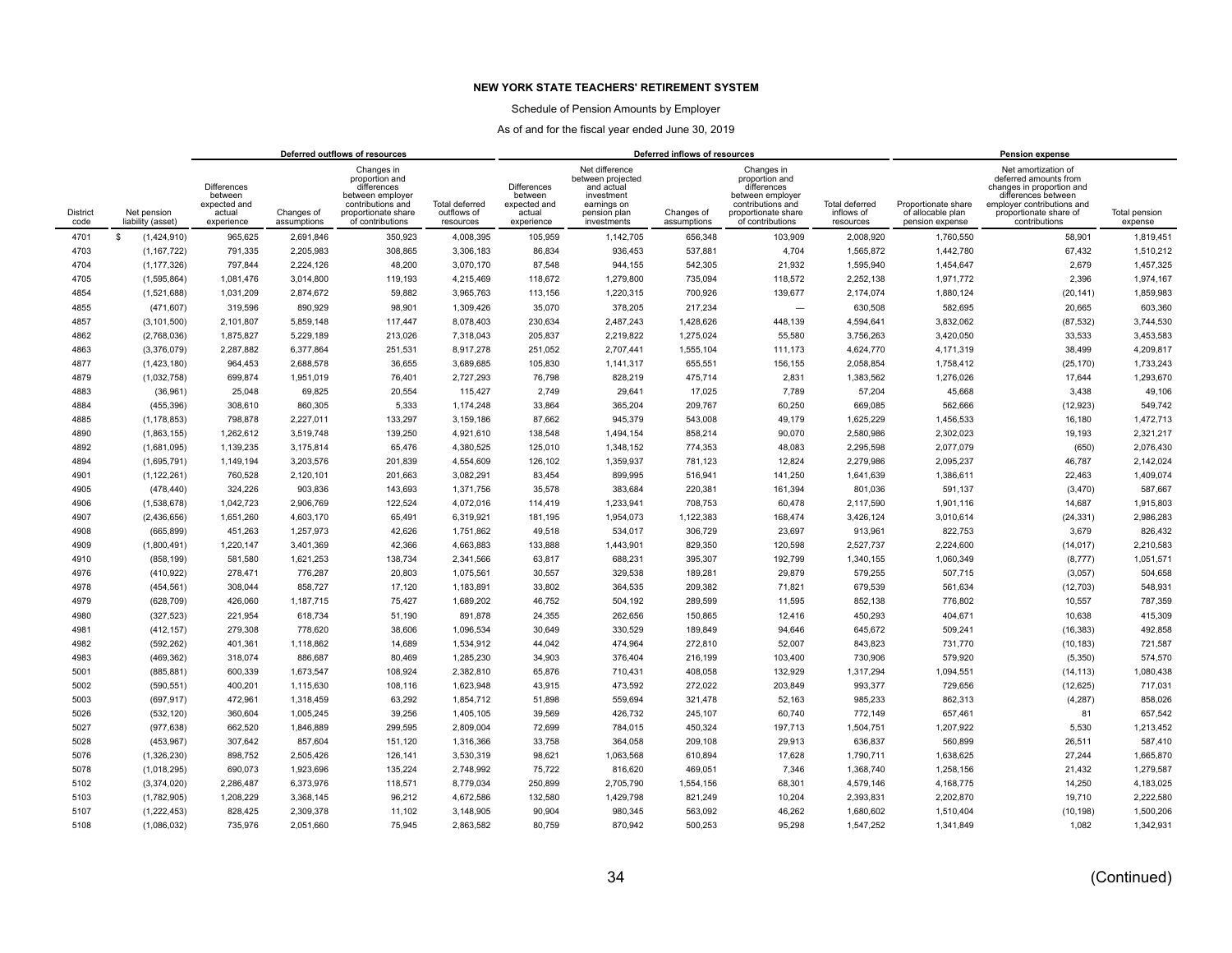### Schedule of Pension Amounts by Employer

|                         |                                  |                                                                |                           | Deferred outflows of resources                                                                                                  |                                            |                                                                |                                                                                                               | Deferred inflows of resources |                                                                                                                                 |                                           |                                                             | <b>Pension expense</b>                                                                                                                                                    |                          |
|-------------------------|----------------------------------|----------------------------------------------------------------|---------------------------|---------------------------------------------------------------------------------------------------------------------------------|--------------------------------------------|----------------------------------------------------------------|---------------------------------------------------------------------------------------------------------------|-------------------------------|---------------------------------------------------------------------------------------------------------------------------------|-------------------------------------------|-------------------------------------------------------------|---------------------------------------------------------------------------------------------------------------------------------------------------------------------------|--------------------------|
| <b>District</b><br>code | Net pension<br>liability (asset) | Differences<br>between<br>expected and<br>actual<br>experience | Changes of<br>assumptions | Changes in<br>proportion and<br>differences<br>between employer<br>contributions and<br>proportionate share<br>of contributions | Total deferred<br>outflows of<br>resources | Differences<br>between<br>expected and<br>actual<br>experience | Net difference<br>between projected<br>and actual<br>investment<br>earnings on<br>pension plan<br>investments | Changes of<br>assumptions     | Changes in<br>proportion and<br>differences<br>between employer<br>contributions and<br>proportionate share<br>of contributions | Total deferred<br>inflows of<br>resources | Proportionate share<br>of allocable plan<br>pension expense | Net amortization of<br>deferred amounts from<br>changes in proportion and<br>differences between<br>employer contributions and<br>proportionate share of<br>contributions | Total pension<br>expense |
| 4701                    | S.<br>(1,424,910)                | 965,625                                                        | 2,691,846                 | 350,923                                                                                                                         | 4,008,395                                  | 105,959                                                        | 1,142,705                                                                                                     | 656,348                       | 103,909                                                                                                                         | 2,008,920                                 | 1,760,550                                                   | 58,901                                                                                                                                                                    | 1,819,451                |
| 4703                    | (1, 167, 722)                    | 791,335                                                        | 2,205,983                 | 308,865                                                                                                                         | 3,306,183                                  | 86,834                                                         | 936,453                                                                                                       | 537,881                       | 4,704                                                                                                                           | 1,565,872                                 | 1,442,780                                                   | 67,432                                                                                                                                                                    | 1,510,212                |
| 4704                    | (1, 177, 326)                    | 797,844                                                        | 2,224,126                 | 48,200                                                                                                                          | 3,070,170                                  | 87,548                                                         | 944,155                                                                                                       | 542,305                       | 21,932                                                                                                                          | 1,595,940                                 | 1,454,647                                                   | 2,679                                                                                                                                                                     | 1,457,325                |
| 4705                    | (1, 595, 864)                    | 1,081,476                                                      | 3,014,800                 | 119,193                                                                                                                         | 4,215,469                                  | 118,672                                                        | 1,279,800                                                                                                     | 735,094                       | 118,572                                                                                                                         | 2,252,138                                 | 1,971,772                                                   | 2,396                                                                                                                                                                     | 1,974,167                |
| 4854                    | (1,521,688)                      | 1,031,209                                                      | 2,874,672                 | 59,882                                                                                                                          | 3,965,763                                  | 113,156                                                        | 1,220,315                                                                                                     | 700,926                       | 139,677                                                                                                                         | 2,174,074                                 | 1,880,124                                                   | (20, 141)                                                                                                                                                                 | 1,859,983                |
| 4855                    | (471, 607)                       | 319,596                                                        | 890,929                   | 98,901                                                                                                                          | 1,309,426                                  | 35,070                                                         | 378,205                                                                                                       | 217,234                       | $\overbrace{\phantom{123221111}}$                                                                                               | 630,508                                   | 582,695                                                     | 20,665                                                                                                                                                                    | 603,360                  |
| 4857                    | (3, 101, 500)                    | 2,101,807                                                      | 5,859,148                 | 117,447                                                                                                                         | 8,078,403                                  | 230,634                                                        | 2,487,243                                                                                                     | 1,428,626                     | 448.139                                                                                                                         | 4,594,641                                 | 3,832,062                                                   | (87, 532)                                                                                                                                                                 | 3,744,530                |
| 4862                    | (2,768,036)                      | 1,875,827                                                      | 5,229,189                 | 213,026                                                                                                                         | 7,318,043                                  | 205,837                                                        | 2,219,822                                                                                                     | 1,275,024                     | 55,580                                                                                                                          | 3,756,263                                 | 3,420,050                                                   | 33,533                                                                                                                                                                    | 3,453,583                |
| 4863                    | (3,376,079)                      | 2,287,882                                                      | 6,377,864                 | 251,531                                                                                                                         | 8,917,278                                  | 251,052                                                        | 2,707,441                                                                                                     | 1,555,104                     | 111,173                                                                                                                         | 4,624,770                                 | 4,171,319                                                   | 38,499                                                                                                                                                                    | 4,209,817                |
| 4877                    | (1,423,180)                      | 964,453                                                        | 2,688,578                 | 36,655                                                                                                                          | 3,689,685                                  | 105,830                                                        | 1,141,317                                                                                                     | 655,551                       | 156,155                                                                                                                         | 2,058,854                                 | 1,758,412                                                   | (25, 170)                                                                                                                                                                 | 1,733,243                |
| 4879                    | (1,032,758)                      | 699,874                                                        | 1,951,019                 | 76,401                                                                                                                          | 2,727,293                                  | 76.798                                                         | 828,219                                                                                                       | 475,714                       | 2,831                                                                                                                           | 1,383,562                                 | 1,276,026                                                   | 17,644                                                                                                                                                                    | 1,293,670                |
| 4883                    | (36,961)                         | 25,048                                                         | 69,825                    | 20,554                                                                                                                          | 115,427                                    | 2,749                                                          | 29,641                                                                                                        | 17,025                        | 7,789                                                                                                                           | 57,204                                    | 45,668                                                      | 3,438                                                                                                                                                                     | 49,106                   |
| 4884                    | (455, 396)                       | 308,610                                                        | 860,305                   | 5.333                                                                                                                           | 1,174,248                                  | 33.864                                                         | 365.204                                                                                                       | 209,767                       | 60.250                                                                                                                          | 669.085                                   | 562.666                                                     | (12, 923)                                                                                                                                                                 | 549.742                  |
| 4885                    | (1, 178, 853)                    | 798,878                                                        | 2,227,011                 | 133,297                                                                                                                         | 3,159,186                                  | 87,662                                                         | 945,379                                                                                                       | 543,008                       | 49,179                                                                                                                          | 1,625,229                                 | 1,456,533                                                   | 16,180                                                                                                                                                                    | 1,472,713                |
| 4890                    | (1,863,155)                      | 1,262,612                                                      | 3,519,748                 | 139,250                                                                                                                         | 4,921,610                                  | 138,548                                                        | 1,494,154                                                                                                     | 858,214                       | 90.070                                                                                                                          | 2,580,986                                 | 2,302,023                                                   | 19,193                                                                                                                                                                    | 2,321,217                |
| 4892                    | (1,681,095)                      | 1,139,235                                                      | 3,175,814                 | 65,476                                                                                                                          | 4,380,525                                  | 125,010                                                        | 1,348,152                                                                                                     | 774,353                       | 48,083                                                                                                                          | 2,295,598                                 | 2,077,079                                                   | (650)                                                                                                                                                                     | 2,076,430                |
| 4894                    | (1,695,791)                      | 1,149,194                                                      | 3,203,576                 | 201,839                                                                                                                         | 4,554,609                                  | 126,102                                                        | 1,359,937                                                                                                     | 781,123                       | 12,824                                                                                                                          | 2,279,986                                 | 2,095,237                                                   | 46,787                                                                                                                                                                    | 2,142,024                |
| 4901                    | (1, 122, 261)                    | 760,528                                                        | 2,120,101                 | 201,663                                                                                                                         | 3,082,291                                  | 83,454                                                         | 899,995                                                                                                       | 516,941                       | 141,250                                                                                                                         | 1,641,639                                 | 1,386,611                                                   | 22,463                                                                                                                                                                    | 1,409,074                |
| 4905                    | (478, 440)                       | 324,226                                                        | 903,836                   | 143,693                                                                                                                         | 1,371,756                                  | 35,578                                                         | 383,684                                                                                                       | 220,381                       | 161,394                                                                                                                         | 801,036                                   | 591,137                                                     | (3,470)                                                                                                                                                                   | 587,667                  |
| 4906                    | (1,538,678)                      | 1,042,723                                                      | 2,906,769                 | 122,524                                                                                                                         | 4,072,016                                  | 114,419                                                        | 1,233,941                                                                                                     | 708,753                       | 60,478                                                                                                                          | 2,117,590                                 | 1,901,116                                                   | 14,687                                                                                                                                                                    | 1,915,803                |
| 4907                    | (2,436,656)                      | 1,651,260                                                      | 4,603,170                 | 65,491                                                                                                                          | 6,319,921                                  | 181,195                                                        | 1,954,073                                                                                                     | 1,122,383                     | 168,474                                                                                                                         | 3,426,124                                 | 3,010,614                                                   | (24, 331)                                                                                                                                                                 | 2,986,283                |
| 4908                    | (665, 899)                       | 451,263                                                        | 1,257,973                 | 42,626                                                                                                                          | 1,751,862                                  | 49,518                                                         | 534,017                                                                                                       | 306,729                       | 23,697                                                                                                                          | 913,961                                   | 822,753                                                     | 3,679                                                                                                                                                                     | 826,432                  |
| 4909                    | (1,800,491)                      | 1,220,147                                                      | 3,401,369                 | 42,366                                                                                                                          | 4,663,883                                  | 133,888                                                        | 1,443,901                                                                                                     | 829,350                       | 120,598                                                                                                                         | 2,527,737                                 | 2,224,600                                                   | (14, 017)                                                                                                                                                                 | 2,210,583                |
| 4910                    | (858, 199)                       | 581,580                                                        | 1,621,253                 | 138,734                                                                                                                         | 2,341,566                                  | 63,817                                                         | 688,231                                                                                                       | 395,307                       | 192,799                                                                                                                         | 1,340,155                                 | 1,060,349                                                   | (8,777)                                                                                                                                                                   | 1,051,571                |
| 4976                    | (410, 922)                       | 278,471                                                        | 776,287                   | 20,803                                                                                                                          | 1,075,561                                  | 30,557                                                         | 329,538                                                                                                       | 189,281                       | 29,879                                                                                                                          | 579,255                                   | 507,715                                                     | (3,057)                                                                                                                                                                   | 504,658                  |
| 4978                    | (454, 561)                       | 308,044                                                        | 858,727                   | 17,120                                                                                                                          | 1,183,891                                  | 33,802                                                         | 364,535                                                                                                       | 209,382                       | 71,821                                                                                                                          | 679,539                                   | 561,634                                                     | (12, 703)                                                                                                                                                                 | 548,931                  |
| 4979                    | (628, 709)                       | 426,060                                                        | 1,187,715                 | 75.427                                                                                                                          | 1.689.202                                  | 46.752                                                         | 504,192                                                                                                       | 289,599                       | 11.595                                                                                                                          | 852,138                                   | 776,802                                                     | 10,557                                                                                                                                                                    | 787,359                  |
| 4980                    | (327, 523)                       | 221,954                                                        | 618,734                   | 51,190                                                                                                                          | 891,878                                    | 24,355                                                         | 262,656                                                                                                       | 150,865                       | 12,416                                                                                                                          | 450,293                                   | 404,671                                                     | 10,638                                                                                                                                                                    | 415,309                  |
| 4981                    | (412, 157)                       | 279,308                                                        | 778,620                   | 38,606                                                                                                                          | 1,096,534                                  | 30,649                                                         | 330,529                                                                                                       | 189,849                       | 94,646                                                                                                                          | 645,672                                   | 509,241                                                     | (16, 383)                                                                                                                                                                 | 492,858                  |
| 4982                    | (592, 262)                       | 401,361                                                        | 1,118,862                 | 14,689                                                                                                                          | 1,534,912                                  | 44,042                                                         | 474,964                                                                                                       | 272,810                       | 52,007                                                                                                                          | 843,823                                   | 731,770                                                     | (10, 183)                                                                                                                                                                 | 721,587                  |
| 4983                    | (469, 362)                       | 318,074                                                        | 886,687                   | 80,469                                                                                                                          | 1,285,230                                  | 34,903                                                         | 376,404                                                                                                       | 216,199                       | 103,400                                                                                                                         | 730,906                                   | 579,920                                                     | (5,350)                                                                                                                                                                   | 574,570                  |
| 5001                    | (885, 881)                       | 600,339                                                        | 1,673,547                 | 108,924                                                                                                                         | 2,382,810                                  | 65,876                                                         | 710,431                                                                                                       | 408,058                       | 132,929                                                                                                                         | 1,317,294                                 | 1,094,551                                                   | (14, 113)                                                                                                                                                                 | 1,080,438                |
| 5002                    | (590, 551)                       | 400,201                                                        | 1,115,630                 | 108,116                                                                                                                         | 1,623,948                                  | 43,915                                                         | 473,592                                                                                                       | 272,022                       | 203,849                                                                                                                         | 993,377                                   | 729,656                                                     | (12, 625)                                                                                                                                                                 | 717,031                  |
| 5003                    | (697, 917)                       | 472,961                                                        | 1,318,459                 | 63,292                                                                                                                          | 1,854,712                                  | 51,898                                                         | 559,694                                                                                                       | 321,478                       | 52,163                                                                                                                          | 985,233                                   | 862,313                                                     | (4, 287)                                                                                                                                                                  | 858,026                  |
| 5026                    | (532, 120)                       | 360,604                                                        | 1,005,245                 | 39,256                                                                                                                          | 1,405,105                                  | 39,569                                                         | 426,732                                                                                                       | 245,107                       | 60,740                                                                                                                          | 772,149                                   | 657,461                                                     | 81                                                                                                                                                                        | 657,542                  |
| 5027                    | (977, 638)                       | 662,520                                                        | 1,846,889                 | 299,595                                                                                                                         | 2,809,004                                  | 72,699                                                         | 784,015                                                                                                       | 450,324                       | 197,713                                                                                                                         | 1,504,751                                 | 1,207,922                                                   | 5,530                                                                                                                                                                     | 1,213,452                |
| 5028                    | (453, 967)                       | 307,642                                                        | 857,604                   | 151,120                                                                                                                         | 1,316,366                                  | 33,758                                                         | 364,058                                                                                                       | 209,108                       | 29,913                                                                                                                          | 636,837                                   | 560,899                                                     | 26,511                                                                                                                                                                    | 587,410                  |
| 5076                    | (1,326,230)                      | 898,752                                                        | 2,505,426                 | 126,141                                                                                                                         | 3,530,319                                  | 98,621                                                         | 1,063,568                                                                                                     | 610,894                       | 17,628                                                                                                                          | 1,790,711                                 | 1,638,625                                                   | 27,244                                                                                                                                                                    | 1,665,870                |
| 5078                    | (1,018,295)                      | 690,073                                                        | 1,923,696                 | 135,224                                                                                                                         | 2,748,992                                  | 75,722                                                         | 816,620                                                                                                       | 469,051                       | 7,346                                                                                                                           | 1,368,740                                 | 1,258,156                                                   | 21,432                                                                                                                                                                    | 1,279,587                |
| 5102                    | (3,374,020)                      | 2,286,487                                                      | 6,373,976                 | 118,571                                                                                                                         | 8,779,034                                  | 250,899                                                        | 2,705,790                                                                                                     | 1,554,156                     | 68,301                                                                                                                          | 4,579,146                                 | 4,168,775                                                   | 14,250                                                                                                                                                                    | 4,183,025                |
| 5103                    | (1,782,905)                      | 1,208,229                                                      | 3,368,145                 | 96,212                                                                                                                          | 4,672,586                                  | 132,580                                                        | 1,429,798                                                                                                     | 821,249                       | 10,204                                                                                                                          | 2,393,831                                 | 2,202,870                                                   | 19,710                                                                                                                                                                    | 2,222,580                |
| 5107                    | (1,222,453)                      | 828,425                                                        | 2,309,378                 | 11,102                                                                                                                          | 3,148,905                                  | 90,904                                                         | 980,345                                                                                                       | 563,092                       | 46,262                                                                                                                          | 1,680,602                                 | 1,510,404                                                   | (10, 198)                                                                                                                                                                 | 1,500,206                |
| 5108                    | (1,086,032)                      | 735,976                                                        | 2,051,660                 | 75,945                                                                                                                          | 2,863,582                                  | 80,759                                                         | 870,942                                                                                                       | 500,253                       | 95,298                                                                                                                          | 1,547,252                                 | 1,341,849                                                   | 1,082                                                                                                                                                                     | 1,342,931                |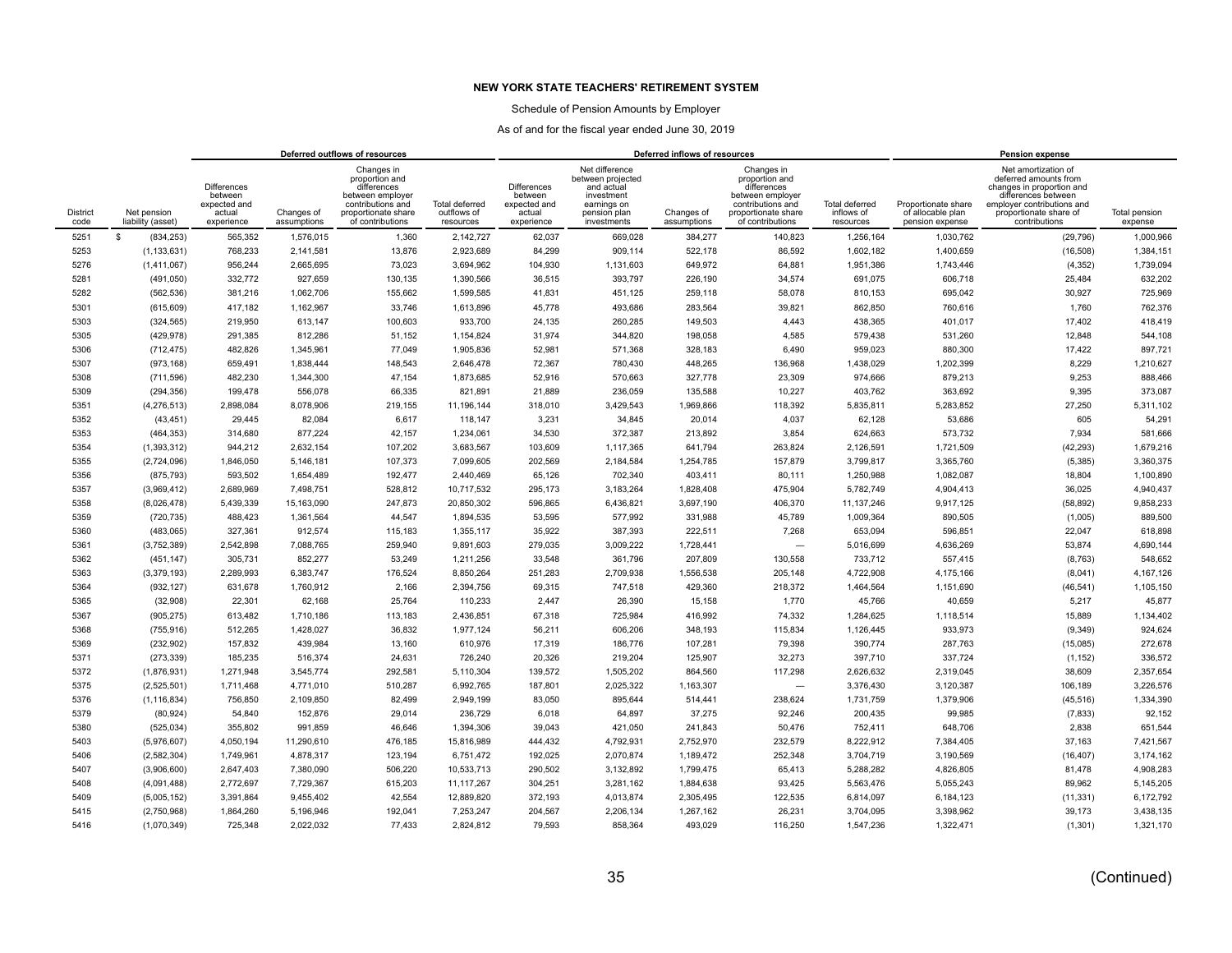### Schedule of Pension Amounts by Employer

|                         |                                  | Deferred outflows of resources<br>Changes in                   |                           |                                                                                                                   |                                            |                                                                |                                                                                                               | Deferred inflows of resources |                                                                                                                                 |                                           |                                                             | <b>Pension expense</b>                                                                                                                                                    |                          |
|-------------------------|----------------------------------|----------------------------------------------------------------|---------------------------|-------------------------------------------------------------------------------------------------------------------|--------------------------------------------|----------------------------------------------------------------|---------------------------------------------------------------------------------------------------------------|-------------------------------|---------------------------------------------------------------------------------------------------------------------------------|-------------------------------------------|-------------------------------------------------------------|---------------------------------------------------------------------------------------------------------------------------------------------------------------------------|--------------------------|
| <b>District</b><br>code | Net pension<br>liability (asset) | Differences<br>between<br>expected and<br>actual<br>experience | Changes of<br>assumptions | proportion and<br>differences<br>between employer<br>contributions and<br>proportionate share<br>of contributions | Total deferred<br>outflows of<br>resources | Differences<br>between<br>expected and<br>actual<br>experience | Net difference<br>between projected<br>and actual<br>investment<br>earnings on<br>pension plan<br>investments | Changes of<br>assumptions     | Changes in<br>proportion and<br>differences<br>between employer<br>contributions and<br>proportionate share<br>of contributions | Total deferred<br>inflows of<br>resources | Proportionate share<br>of allocable plan<br>pension expense | Net amortization of<br>deferred amounts from<br>changes in proportion and<br>differences between<br>employer contributions and<br>proportionate share of<br>contributions | Total pension<br>expense |
| 5251                    | (834, 253)<br>s.                 | 565,352                                                        | 1,576,015                 | 1,360                                                                                                             | 2,142,727                                  | 62,037                                                         | 669,028                                                                                                       | 384,277                       | 140,823                                                                                                                         | 1,256,164                                 | 1,030,762                                                   | (29, 796)                                                                                                                                                                 | 1,000,966                |
| 5253                    | (1, 133, 631)                    | 768,233                                                        | 2,141,581                 | 13,876                                                                                                            | 2,923,689                                  | 84,299                                                         | 909,114                                                                                                       | 522,178                       | 86,592                                                                                                                          | 1,602,182                                 | 1,400,659                                                   | (16, 508)                                                                                                                                                                 | 1,384,151                |
| 5276                    | (1,411,067)                      | 956,244                                                        | 2,665,695                 | 73,023                                                                                                            | 3.694.962                                  | 104.930                                                        | 1,131,603                                                                                                     | 649,972                       | 64,881                                                                                                                          | 1,951,386                                 | 1,743,446                                                   | (4, 352)                                                                                                                                                                  | 1,739,094                |
| 5281                    | (491,050)                        | 332,772                                                        | 927,659                   | 130,135                                                                                                           | 1,390,566                                  | 36,515                                                         | 393,797                                                                                                       | 226,190                       | 34,574                                                                                                                          | 691,075                                   | 606,718                                                     | 25,484                                                                                                                                                                    | 632,202                  |
| 5282                    | (562, 536)                       | 381,216                                                        | 1,062,706                 | 155,662                                                                                                           | 1.599.585                                  | 41.831                                                         | 451,125                                                                                                       | 259,118                       | 58.078                                                                                                                          | 810,153                                   | 695,042                                                     | 30,927                                                                                                                                                                    | 725,969                  |
| 5301                    | (615, 609)                       | 417,182                                                        | 1,162,967                 | 33,746                                                                                                            | 1,613,896                                  | 45,778                                                         | 493,686                                                                                                       | 283,564                       | 39,821                                                                                                                          | 862,850                                   | 760,616                                                     | 1,760                                                                                                                                                                     | 762,376                  |
| 5303                    | (324, 565)                       | 219,950                                                        | 613,147                   | 100,603                                                                                                           | 933,700                                    | 24,135                                                         | 260,285                                                                                                       | 149,503                       | 4,443                                                                                                                           | 438,365                                   | 401,017                                                     | 17,402                                                                                                                                                                    | 418,419                  |
| 5305                    | (429, 978)                       | 291,385                                                        | 812,286                   | 51,152                                                                                                            | 1,154,824                                  | 31,974                                                         | 344,820                                                                                                       | 198,058                       | 4,585                                                                                                                           | 579,438                                   | 531,260                                                     | 12,848                                                                                                                                                                    | 544,108                  |
| 5306                    | (712, 475)                       | 482,826                                                        | 1,345,961                 | 77.049                                                                                                            | 1,905,836                                  | 52.981                                                         | 571,368                                                                                                       | 328,183                       | 6.490                                                                                                                           | 959,023                                   | 880,300                                                     | 17,422                                                                                                                                                                    | 897,721                  |
| 5307                    | (973, 168)                       | 659,491                                                        | 1,838,444                 | 148,543                                                                                                           | 2,646,478                                  | 72,367                                                         | 780,430                                                                                                       | 448,265                       | 136,968                                                                                                                         | 1,438,029                                 | 1,202,399                                                   | 8,229                                                                                                                                                                     | 1,210,627                |
| 5308                    | (711, 596)                       | 482,230                                                        | 1,344,300                 | 47.154                                                                                                            | 1.873.685                                  | 52.916                                                         | 570,663                                                                                                       | 327,778                       | 23,309                                                                                                                          | 974,666                                   | 879,213                                                     | 9,253                                                                                                                                                                     | 888,466                  |
| 5309                    | (294, 356)                       | 199,478                                                        | 556,078                   | 66,335                                                                                                            | 821,891                                    | 21,889                                                         | 236,059                                                                                                       | 135,588                       | 10,227                                                                                                                          | 403,762                                   | 363,692                                                     | 9,395                                                                                                                                                                     | 373,087                  |
| 5351                    | (4,276,513)                      | 2,898,084                                                      | 8,078,906                 | 219,155                                                                                                           | 11,196,144                                 | 318,010                                                        | 3,429,543                                                                                                     | 1,969,866                     | 118,392                                                                                                                         | 5,835,811                                 | 5,283,852                                                   | 27,250                                                                                                                                                                    | 5,311,102                |
| 5352                    | (43, 451)                        | 29,445                                                         | 82,084                    | 6,617                                                                                                             | 118,147                                    | 3,231                                                          | 34,845                                                                                                        | 20,014                        | 4,037                                                                                                                           | 62,128                                    | 53,686                                                      | 605                                                                                                                                                                       | 54,291                   |
| 5353                    | (464, 353)                       | 314,680                                                        | 877,224                   | 42,157                                                                                                            | 1,234,061                                  | 34,530                                                         | 372,387                                                                                                       | 213,892                       | 3,854                                                                                                                           | 624,663                                   | 573,732                                                     | 7,934                                                                                                                                                                     | 581,666                  |
| 5354                    | (1, 393, 312)                    | 944,212                                                        | 2,632,154                 | 107,202                                                                                                           | 3,683,567                                  | 103,609                                                        | 1,117,365                                                                                                     | 641,794                       | 263,824                                                                                                                         | 2,126,591                                 | 1,721,509                                                   | (42, 293)                                                                                                                                                                 | 1,679,216                |
| 5355                    | (2,724,096)                      | 1,846,050                                                      | 5,146,181                 | 107,373                                                                                                           | 7,099,605                                  | 202,569                                                        | 2,184,584                                                                                                     | 1,254,785                     | 157,879                                                                                                                         | 3,799,817                                 | 3,365,760                                                   | (5, 385)                                                                                                                                                                  | 3,360,375                |
| 5356                    | (875, 793)                       | 593,502                                                        | 1,654,489                 | 192,477                                                                                                           | 2,440,469                                  | 65,126                                                         | 702,340                                                                                                       | 403,411                       | 80,111                                                                                                                          | 1,250,988                                 | 1,082,087                                                   | 18,804                                                                                                                                                                    | 1,100,890                |
| 5357                    | (3,969,412)                      | 2,689,969                                                      | 7,498,751                 | 528,812                                                                                                           | 10.717.532                                 | 295.173                                                        | 3,183,264                                                                                                     | 1,828,408                     | 475.904                                                                                                                         | 5,782,749                                 | 4,904,413                                                   | 36,025                                                                                                                                                                    | 4,940,437                |
| 5358                    | (8,026,478)                      | 5,439,339                                                      | 15,163,090                | 247,873                                                                                                           | 20,850,302                                 | 596,865                                                        | 6,436,821                                                                                                     | 3,697,190                     | 406,370                                                                                                                         | 11, 137, 246                              | 9,917,125                                                   | (58, 892)                                                                                                                                                                 | 9,858,233                |
| 5359                    | (720, 735)                       | 488,423                                                        | 1,361,564                 | 44,547                                                                                                            | 1.894.535                                  | 53,595                                                         | 577.992                                                                                                       | 331,988                       | 45.789                                                                                                                          | 1,009,364                                 | 890.505                                                     | (1,005)                                                                                                                                                                   | 889,500                  |
| 5360                    | (483,065)                        | 327,361                                                        | 912,574                   | 115,183                                                                                                           | 1,355,117                                  | 35,922                                                         | 387,393                                                                                                       | 222,511                       | 7,268                                                                                                                           | 653,094                                   | 596,851                                                     | 22,047                                                                                                                                                                    | 618,898                  |
| 5361                    | (3,752,389)                      | 2,542,898                                                      | 7,088,765                 | 259,940                                                                                                           | 9,891,603                                  | 279,035                                                        | 3,009,222                                                                                                     | 1,728,441                     | $\overline{\phantom{0}}$                                                                                                        | 5,016,699                                 | 4,636,269                                                   | 53,874                                                                                                                                                                    | 4,690,144                |
| 5362                    | (451, 147)                       | 305,731                                                        | 852,277                   | 53,249                                                                                                            | 1,211,256                                  | 33,548                                                         | 361,796                                                                                                       | 207,809                       | 130,558                                                                                                                         | 733,712                                   | 557,415                                                     | (8, 763)                                                                                                                                                                  | 548,652                  |
| 5363                    | (3,379,193)                      | 2,289,993                                                      | 6.383.747                 | 176,524                                                                                                           | 8.850.264                                  | 251.283                                                        | 2.709.938                                                                                                     | 1,556,538                     | 205.148                                                                                                                         | 4,722,908                                 | 4,175,166                                                   | (8,041)                                                                                                                                                                   | 4,167,126                |
| 5364                    | (932, 127)                       | 631,678                                                        | 1,760,912                 | 2,166                                                                                                             | 2,394,756                                  | 69,315                                                         | 747,518                                                                                                       | 429,360                       | 218,372                                                                                                                         | 1,464,564                                 | 1,151,690                                                   | (46, 541)                                                                                                                                                                 | 1,105,150                |
| 5365                    | (32,908)                         | 22.301                                                         | 62.168                    | 25.764                                                                                                            | 110.233                                    | 2.447                                                          | 26.390                                                                                                        | 15.158                        | 1.770                                                                                                                           | 45,766                                    | 40.659                                                      | 5,217                                                                                                                                                                     | 45.877                   |
| 5367                    | (905, 275)                       | 613,482                                                        | 1,710,186                 | 113,183                                                                                                           | 2,436,851                                  | 67,318                                                         | 725,984                                                                                                       | 416,992                       | 74,332                                                                                                                          | 1,284,625                                 | 1,118,514                                                   | 15,889                                                                                                                                                                    | 1,134,402                |
| 5368                    | (755, 916)                       | 512,265                                                        | 1,428,027                 | 36,832                                                                                                            | 1,977,124                                  | 56,211                                                         | 606,206                                                                                                       | 348,193                       | 115,834                                                                                                                         | 1,126,445                                 | 933,973                                                     | (9,349)                                                                                                                                                                   | 924,624                  |
| 5369                    | (232, 902)                       | 157,832                                                        | 439,984                   | 13,160                                                                                                            | 610,976                                    | 17,319                                                         | 186,776                                                                                                       | 107,281                       | 79,398                                                                                                                          | 390,774                                   | 287,763                                                     | (15,085)                                                                                                                                                                  | 272,678                  |
| 5371                    | (273, 339)                       | 185,235                                                        | 516,374                   | 24,631                                                                                                            | 726,240                                    | 20,326                                                         | 219,204                                                                                                       | 125,907                       | 32,273                                                                                                                          | 397,710                                   | 337,724                                                     | (1, 152)                                                                                                                                                                  | 336,572                  |
| 5372                    | (1,876,931)                      | 1,271,948                                                      | 3,545,774                 | 292,581                                                                                                           | 5,110,304                                  | 139,572                                                        | 1,505,202                                                                                                     | 864,560                       | 117,298                                                                                                                         | 2,626,632                                 | 2,319,045                                                   | 38,609                                                                                                                                                                    | 2,357,654                |
| 5375                    | (2,525,501)                      | 1,711,468                                                      | 4,771,010                 | 510,287                                                                                                           | 6,992,765                                  | 187,801                                                        | 2,025,322                                                                                                     | 1,163,307                     |                                                                                                                                 | 3,376,430                                 | 3,120,387                                                   | 106,189                                                                                                                                                                   | 3,226,576                |
| 5376                    | (1, 116, 834)                    | 756,850                                                        | 2,109,850                 | 82,499                                                                                                            | 2,949,199                                  | 83,050                                                         | 895,644                                                                                                       | 514,441                       | 238,624                                                                                                                         | 1,731,759                                 | 1,379,906                                                   | (45, 516)                                                                                                                                                                 | 1,334,390                |
| 5379                    | (80, 924)                        | 54,840                                                         | 152,876                   | 29,014                                                                                                            | 236,729                                    | 6,018                                                          | 64,897                                                                                                        | 37,275                        | 92,246                                                                                                                          | 200,435                                   | 99,985                                                      | (7, 833)                                                                                                                                                                  | 92,152                   |
| 5380                    | (525, 034)                       | 355,802                                                        | 991,859                   | 46,646                                                                                                            | 1.394.306                                  | 39.043                                                         | 421,050                                                                                                       | 241,843                       | 50,476                                                                                                                          | 752,411                                   | 648,706                                                     | 2,838                                                                                                                                                                     | 651,544                  |
| 5403                    | (5,976,607)                      | 4,050,194                                                      | 11,290,610                | 476,185                                                                                                           | 15,816,989                                 | 444,432                                                        | 4,792,931                                                                                                     | 2,752,970                     | 232,579                                                                                                                         | 8,222,912                                 | 7,384,405                                                   | 37,163                                                                                                                                                                    | 7,421,567                |
| 5406                    | (2,582,304)                      | 1,749,961                                                      | 4,878,317                 | 123,194                                                                                                           | 6,751,472                                  | 192,025                                                        | 2,070,874                                                                                                     | 1,189,472                     | 252,348                                                                                                                         | 3,704,719                                 | 3,190,569                                                   | (16, 407)                                                                                                                                                                 | 3,174,162                |
| 5407                    | (3,906,600)                      | 2,647,403                                                      | 7,380,090                 | 506,220                                                                                                           | 10,533,713                                 | 290,502                                                        | 3,132,892                                                                                                     | 1,799,475                     | 65,413                                                                                                                          | 5,288,282                                 | 4,826,805                                                   | 81,478                                                                                                                                                                    | 4,908,283                |
| 5408                    | (4,091,488)                      | 2,772,697                                                      | 7,729,367                 | 615,203                                                                                                           | 11,117,267                                 | 304,251                                                        | 3,281,162                                                                                                     | 1,884,638                     | 93,425                                                                                                                          | 5,563,476                                 | 5,055,243                                                   | 89,962                                                                                                                                                                    | 5,145,205                |
| 5409                    | (5,005,152)                      | 3,391,864                                                      | 9,455,402                 | 42,554                                                                                                            | 12,889,820                                 | 372,193                                                        | 4,013,874                                                                                                     | 2,305,495                     | 122,535                                                                                                                         | 6,814,097                                 | 6,184,123                                                   | (11, 331)                                                                                                                                                                 | 6,172,792                |
| 5415                    | (2,750,968)                      | 1,864,260                                                      | 5,196,946                 | 192,041                                                                                                           | 7,253,247                                  | 204,567                                                        | 2,206,134                                                                                                     | 1,267,162                     | 26,231                                                                                                                          | 3,704,095                                 | 3,398,962                                                   | 39,173                                                                                                                                                                    | 3,438,135                |
| 5416                    | (1,070,349)                      | 725,348                                                        | 2,022,032                 | 77,433                                                                                                            | 2,824,812                                  | 79,593                                                         | 858,364                                                                                                       | 493,029                       | 116,250                                                                                                                         | 1,547,236                                 | 1,322,471                                                   | (1, 301)                                                                                                                                                                  | 1,321,170                |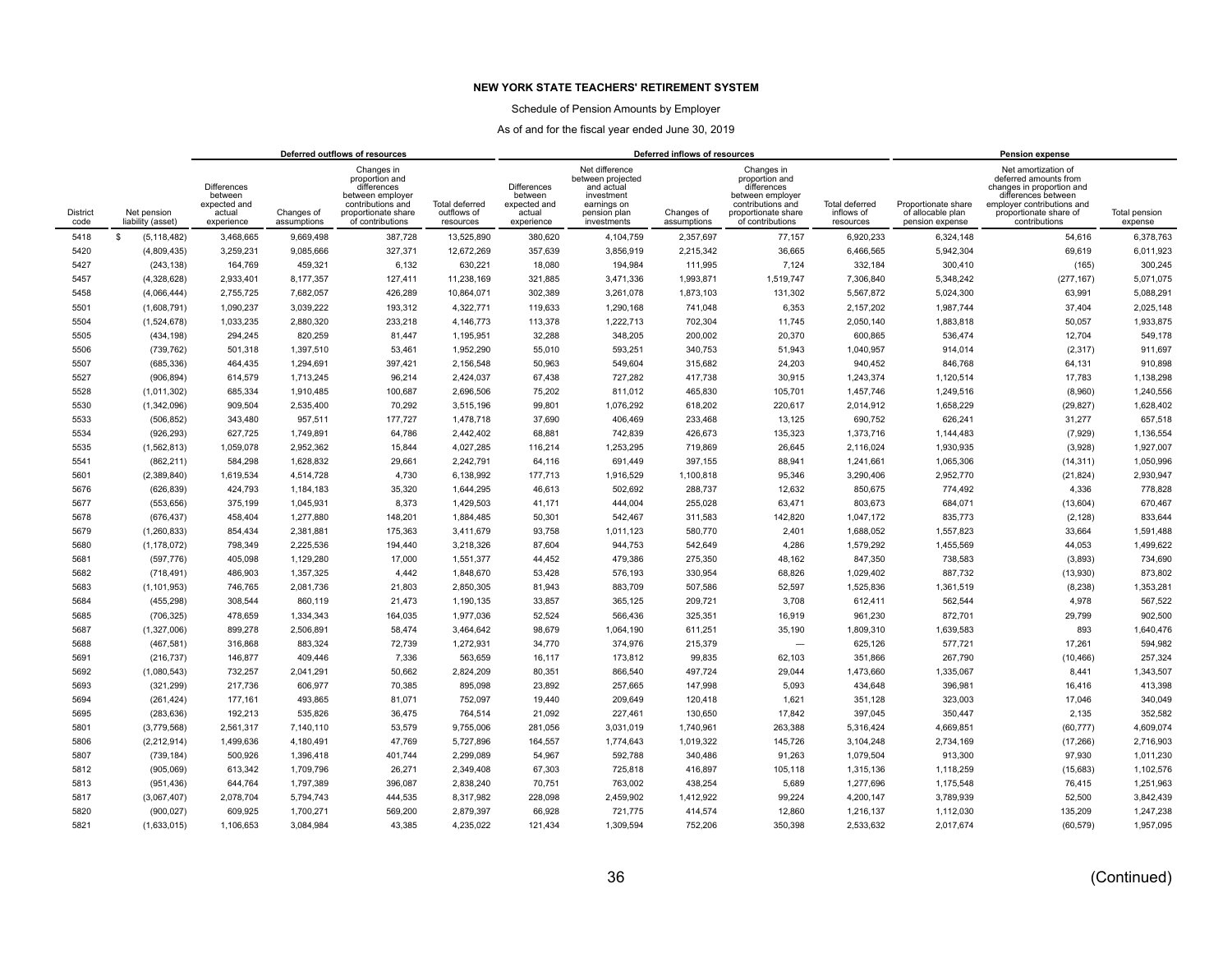### Schedule of Pension Amounts by Employer

|                         |                                  |                                                                       |                           | Deferred outflows of resources                                                                                                  |                                            |                                                                       |                                                                                                               | Deferred inflows of resources |                                                                                                                                 |                                           |                                                             | <b>Pension expense</b>                                                                                                                                                    |                          |
|-------------------------|----------------------------------|-----------------------------------------------------------------------|---------------------------|---------------------------------------------------------------------------------------------------------------------------------|--------------------------------------------|-----------------------------------------------------------------------|---------------------------------------------------------------------------------------------------------------|-------------------------------|---------------------------------------------------------------------------------------------------------------------------------|-------------------------------------------|-------------------------------------------------------------|---------------------------------------------------------------------------------------------------------------------------------------------------------------------------|--------------------------|
| <b>District</b><br>code | Net pension<br>liability (asset) | <b>Differences</b><br>between<br>expected and<br>actual<br>experience | Changes of<br>assumptions | Changes in<br>proportion and<br>differences<br>between employer<br>contributions and<br>proportionate share<br>of contributions | Total deferred<br>outflows of<br>resources | <b>Differences</b><br>between<br>expected and<br>actual<br>experience | Net difference<br>between projected<br>and actual<br>investment<br>earnings on<br>pension plan<br>investments | Changes of<br>assumptions     | Changes in<br>proportion and<br>differences<br>between employer<br>contributions and<br>proportionate share<br>of contributions | Total deferred<br>inflows of<br>resources | Proportionate share<br>of allocable plan<br>pension expense | Net amortization of<br>deferred amounts from<br>changes in proportion and<br>differences between<br>employer contributions and<br>proportionate share of<br>contributions | Total pension<br>expense |
| 5418                    | s.<br>(5, 118, 482)              | 3,468,665                                                             | 9,669,498                 | 387,728                                                                                                                         | 13,525,890                                 | 380,620                                                               | 4,104,759                                                                                                     | 2,357,697                     | 77,157                                                                                                                          | 6,920,233                                 | 6,324,148                                                   | 54,616                                                                                                                                                                    | 6,378,763                |
| 5420                    | (4,809,435)                      | 3,259,231                                                             | 9,085,666                 | 327,371                                                                                                                         | 12,672,269                                 | 357,639                                                               | 3,856,919                                                                                                     | 2,215,342                     | 36,665                                                                                                                          | 6,466,565                                 | 5,942,304                                                   | 69,619                                                                                                                                                                    | 6,011,923                |
| 5427                    | (243, 138)                       | 164.769                                                               | 459,321                   | 6,132                                                                                                                           | 630,221                                    | 18,080                                                                | 194.984                                                                                                       | 111.995                       | 7.124                                                                                                                           | 332,184                                   | 300,410                                                     | (165)                                                                                                                                                                     | 300,245                  |
| 5457                    | (4,328,628)                      | 2,933,401                                                             | 8,177,357                 | 127,411                                                                                                                         | 11,238,169                                 | 321,885                                                               | 3,471,336                                                                                                     | 1,993,871                     | 1,519,747                                                                                                                       | 7,306,840                                 | 5,348,242                                                   | (277, 167)                                                                                                                                                                | 5,071,075                |
| 5458                    | (4,066,444)                      | 2,755,725                                                             | 7,682,057                 | 426,289                                                                                                                         | 10.864.071                                 | 302,389                                                               | 3,261,078                                                                                                     | 1,873,103                     | 131,302                                                                                                                         | 5,567,872                                 | 5,024,300                                                   | 63,991                                                                                                                                                                    | 5,088,291                |
| 5501                    | (1,608,791)                      | 1,090,237                                                             | 3,039,222                 | 193,312                                                                                                                         | 4,322,771                                  | 119,633                                                               | 1,290,168                                                                                                     | 741,048                       | 6,353                                                                                                                           | 2,157,202                                 | 1,987,744                                                   | 37,404                                                                                                                                                                    | 2,025,148                |
| 5504                    | (1,524,678)                      | 1,033,235                                                             | 2,880,320                 | 233,218                                                                                                                         | 4,146,773                                  | 113,378                                                               | 1,222,713                                                                                                     | 702,304                       | 11,745                                                                                                                          | 2,050,140                                 | 1,883,818                                                   | 50,057                                                                                                                                                                    | 1,933,875                |
| 5505                    | (434, 198)                       | 294,245                                                               | 820,259                   | 81.447                                                                                                                          | 1.195.951                                  | 32.288                                                                | 348,205                                                                                                       | 200,002                       | 20,370                                                                                                                          | 600,865                                   | 536,474                                                     | 12,704                                                                                                                                                                    | 549.178                  |
| 5506                    | (739, 762)                       | 501,318                                                               | 1,397,510                 | 53,461                                                                                                                          | 1,952,290                                  | 55,010                                                                | 593,251                                                                                                       | 340,753                       | 51,943                                                                                                                          | 1,040,957                                 | 914,014                                                     | (2, 317)                                                                                                                                                                  | 911,697                  |
| 5507                    | (685.336)                        | 464.435                                                               | 1.294.691                 | 397.421                                                                                                                         | 2.156.548                                  | 50.963                                                                | 549,604                                                                                                       | 315.682                       | 24.203                                                                                                                          | 940,452                                   | 846.768                                                     | 64,131                                                                                                                                                                    | 910.898                  |
| 5527                    | (906, 894)                       | 614,579                                                               | 1,713,245                 | 96,214                                                                                                                          | 2,424,037                                  | 67,438                                                                | 727,282                                                                                                       | 417,738                       | 30,915                                                                                                                          | 1,243,374                                 | 1,120,514                                                   | 17,783                                                                                                                                                                    | 1,138,298                |
| 5528                    | (1,011,302)                      | 685,334                                                               | 1,910,485                 | 100,687                                                                                                                         | 2,696,506                                  | 75,202                                                                | 811,012                                                                                                       | 465,830                       | 105,701                                                                                                                         | 1,457,746                                 | 1,249,516                                                   | (8,960)                                                                                                                                                                   | 1,240,556                |
| 5530                    | (1,342,096)                      | 909,504                                                               | 2,535,400                 | 70,292                                                                                                                          | 3,515,196                                  | 99,801                                                                | 1,076,292                                                                                                     | 618,202                       | 220,617                                                                                                                         | 2,014,912                                 | 1,658,229                                                   | (29, 827)                                                                                                                                                                 | 1,628,402                |
| 5533                    | (506, 852)                       | 343,480                                                               | 957,511                   | 177,727                                                                                                                         | 1,478,718                                  | 37.690                                                                | 406,469                                                                                                       | 233,468                       | 13,125                                                                                                                          | 690,752                                   | 626,241                                                     | 31,277                                                                                                                                                                    | 657,518                  |
| 5534                    | (926, 293)                       | 627,725                                                               | 1,749,891                 | 64,786                                                                                                                          | 2,442,402                                  | 68,881                                                                | 742,839                                                                                                       | 426,673                       | 135,323                                                                                                                         | 1,373,716                                 | 1,144,483                                                   | (7,929)                                                                                                                                                                   | 1,136,554                |
| 5535                    | (1,562,813)                      | 1,059,078                                                             | 2,952,362                 | 15.844                                                                                                                          | 4,027,285                                  | 116,214                                                               | 1,253,295                                                                                                     | 719,869                       | 26,645                                                                                                                          | 2,116,024                                 | 1,930,935                                                   | (3,928)                                                                                                                                                                   | 1,927,007                |
| 5541                    | (862, 211)                       | 584,298                                                               | 1,628,832                 | 29,661                                                                                                                          | 2,242,791                                  | 64,116                                                                | 691,449                                                                                                       | 397,155                       | 88,941                                                                                                                          | 1,241,661                                 | 1,065,306                                                   | (14, 311)                                                                                                                                                                 | 1,050,996                |
| 5601                    | (2,389,840)                      | 1,619,534                                                             | 4,514,728                 | 4.730                                                                                                                           | 6.138.992                                  | 177.713                                                               | 1.916.529                                                                                                     | 1,100,818                     | 95.346                                                                                                                          | 3,290,406                                 | 2,952,770                                                   | (21, 824)                                                                                                                                                                 | 2,930,947                |
| 5676                    | (626, 839)                       | 424,793                                                               | 1,184,183                 | 35,320                                                                                                                          | 1,644,295                                  | 46,613                                                                | 502,692                                                                                                       | 288,737                       | 12,632                                                                                                                          | 850,675                                   | 774,492                                                     | 4,336                                                                                                                                                                     | 778,828                  |
| 5677                    | (553, 656)                       | 375,199                                                               | 1,045,931                 | 8.373                                                                                                                           | 1,429,503                                  | 41.171                                                                | 444.004                                                                                                       | 255,028                       | 63,471                                                                                                                          | 803,673                                   | 684,071                                                     | (13,604)                                                                                                                                                                  | 670,467                  |
| 5678                    | (676, 437)                       | 458,404                                                               | 1,277,880                 | 148,201                                                                                                                         | 1,884,485                                  | 50,301                                                                | 542,467                                                                                                       | 311,583                       | 142,820                                                                                                                         | 1,047,172                                 | 835,773                                                     | (2, 128)                                                                                                                                                                  | 833,644                  |
| 5679                    | (1,260,833)                      | 854,434                                                               | 2,381,881                 | 175,363                                                                                                                         | 3,411,679                                  | 93,758                                                                | 1,011,123                                                                                                     | 580,770                       | 2.401                                                                                                                           | 1,688,052                                 | 1,557,823                                                   | 33,664                                                                                                                                                                    | 1,591,488                |
| 5680                    | (1, 178, 072)                    | 798,349                                                               | 2,225,536                 | 194,440                                                                                                                         | 3,218,326                                  | 87,604                                                                | 944,753                                                                                                       | 542,649                       | 4,286                                                                                                                           | 1,579,292                                 | 1,455,569                                                   | 44,053                                                                                                                                                                    | 1,499,622                |
| 5681                    | (597, 776)                       | 405,098                                                               | 1,129,280                 | 17,000                                                                                                                          | 1,551,377                                  | 44,452                                                                | 479,386                                                                                                       | 275,350                       | 48,162                                                                                                                          | 847,350                                   | 738,583                                                     | (3,893)                                                                                                                                                                   | 734,690                  |
| 5682                    | (718, 491)                       | 486,903                                                               | 1,357,325                 | 4,442                                                                                                                           | 1,848,670                                  | 53,428                                                                | 576,193                                                                                                       | 330,954                       | 68,826                                                                                                                          | 1,029,402                                 | 887,732                                                     | (13,930)                                                                                                                                                                  | 873,802                  |
| 5683                    | (1, 101, 953)                    | 746,765                                                               | 2,081,736                 | 21.803                                                                                                                          | 2.850.305                                  | 81.943                                                                | 883,709                                                                                                       | 507,586                       | 52.597                                                                                                                          | 1,525,836                                 | 1,361,519                                                   | (8, 238)                                                                                                                                                                  | 1,353,281                |
| 5684                    | (455, 298)                       | 308,544                                                               | 860,119                   | 21.473                                                                                                                          | 1,190,135                                  | 33,857                                                                | 365,125                                                                                                       | 209,721                       | 3,708                                                                                                                           | 612,411                                   | 562,544                                                     | 4,978                                                                                                                                                                     | 567,522                  |
| 5685                    | (706, 325)                       | 478,659                                                               | 1,334,343                 | 164,035                                                                                                                         | 1,977,036                                  | 52,524                                                                | 566,436                                                                                                       | 325,351                       | 16,919                                                                                                                          | 961,230                                   | 872,701                                                     | 29,799                                                                                                                                                                    | 902,500                  |
| 5687                    | (1,327,006)                      | 899,278                                                               | 2,506,891                 | 58,474                                                                                                                          | 3,464,642                                  | 98,679                                                                | 1,064,190                                                                                                     | 611,251                       | 35,190                                                                                                                          | 1,809,310                                 | 1,639,583                                                   | 893                                                                                                                                                                       | 1,640,476                |
| 5688                    | (467, 581)                       | 316,868                                                               | 883,324                   | 72,739                                                                                                                          | 1,272,931                                  | 34,770                                                                | 374,976                                                                                                       | 215,379                       |                                                                                                                                 | 625,126                                   | 577,721                                                     | 17,261                                                                                                                                                                    | 594,982                  |
| 5691                    | (216, 737)                       | 146,877                                                               | 409,446                   | 7,336                                                                                                                           | 563,659                                    | 16,117                                                                | 173,812                                                                                                       | 99,835                        | 62,103                                                                                                                          | 351,866                                   | 267,790                                                     | (10, 466)                                                                                                                                                                 | 257,324                  |
| 5692                    | (1,080,543)                      | 732,257                                                               | 2,041,291                 | 50,662                                                                                                                          | 2,824,209                                  | 80.351                                                                | 866,540                                                                                                       | 497,724                       | 29,044                                                                                                                          | 1,473,660                                 | 1,335,067                                                   | 8,441                                                                                                                                                                     | 1,343,507                |
| 5693                    | (321, 299)                       | 217,736                                                               | 606,977                   | 70,385                                                                                                                          | 895,098                                    | 23,892                                                                | 257,665                                                                                                       | 147,998                       | 5,093                                                                                                                           | 434,648                                   | 396,981                                                     | 16,416                                                                                                                                                                    | 413,398                  |
| 5694                    | (261, 424)                       | 177,161                                                               | 493,865                   | 81.071                                                                                                                          | 752.097                                    | 19.440                                                                | 209.649                                                                                                       | 120,418                       | 1,621                                                                                                                           | 351,128                                   | 323,003                                                     | 17,046                                                                                                                                                                    | 340,049                  |
| 5695                    | (283, 636)                       | 192,213                                                               | 535,826                   | 36,475                                                                                                                          | 764,514                                    | 21,092                                                                | 227,461                                                                                                       | 130,650                       | 17,842                                                                                                                          | 397,045                                   | 350,447                                                     | 2,135                                                                                                                                                                     | 352,582                  |
| 5801                    | (3,779,568)                      | 2,561,317                                                             | 7,140,110                 | 53,579                                                                                                                          | 9,755,006                                  | 281,056                                                               | 3,031,019                                                                                                     | 1,740,961                     | 263,388                                                                                                                         | 5,316,424                                 | 4,669,851                                                   | (60, 777)                                                                                                                                                                 | 4,609,074                |
| 5806                    | (2,212,914)                      | 1,499,636                                                             | 4,180,491                 | 47,769                                                                                                                          | 5,727,896                                  | 164,557                                                               | 1,774,643                                                                                                     | 1,019,322                     | 145,726                                                                                                                         | 3,104,248                                 | 2,734,169                                                   | (17, 266)                                                                                                                                                                 | 2,716,903                |
| 5807                    | (739, 184)                       | 500,926                                                               | 1,396,418                 | 401,744                                                                                                                         | 2,299,089                                  | 54,967                                                                | 592,788                                                                                                       | 340,486                       | 91,263                                                                                                                          | 1,079,504                                 | 913,300                                                     | 97,930                                                                                                                                                                    | 1,011,230                |
| 5812                    | (905,069)                        | 613,342                                                               | 1,709,796                 | 26,271                                                                                                                          | 2,349,408                                  | 67,303                                                                | 725,818                                                                                                       | 416,897                       | 105,118                                                                                                                         | 1,315,136                                 | 1,118,259                                                   | (15,683)                                                                                                                                                                  | 1,102,576                |
| 5813                    | (951, 436)                       | 644,764                                                               | 1,797,389                 | 396,087                                                                                                                         | 2,838,240                                  | 70,751                                                                | 763,002                                                                                                       | 438,254                       | 5,689                                                                                                                           | 1,277,696                                 | 1,175,548                                                   | 76,415                                                                                                                                                                    | 1,251,963                |
| 5817                    | (3,067,407)                      | 2,078,704                                                             | 5,794,743                 | 444,535                                                                                                                         | 8,317,982                                  | 228,098                                                               | 2,459,902                                                                                                     | 1,412,922                     | 99,224                                                                                                                          | 4,200,147                                 | 3,789,939                                                   | 52,500                                                                                                                                                                    | 3,842,439                |
| 5820                    | (900, 027)                       | 609.925                                                               | 1,700,271                 | 569,200                                                                                                                         | 2,879,397                                  | 66.928                                                                | 721,775                                                                                                       | 414,574                       | 12.860                                                                                                                          | 1,216,137                                 | 1,112,030                                                   | 135,209                                                                                                                                                                   | 1,247,238                |
| 5821                    | (1,633,015)                      | 1,106,653                                                             | 3,084,984                 | 43.385                                                                                                                          | 4,235,022                                  | 121.434                                                               | 1,309,594                                                                                                     | 752,206                       | 350,398                                                                                                                         | 2,533,632                                 | 2,017,674                                                   | (60, 579)                                                                                                                                                                 | 1,957,095                |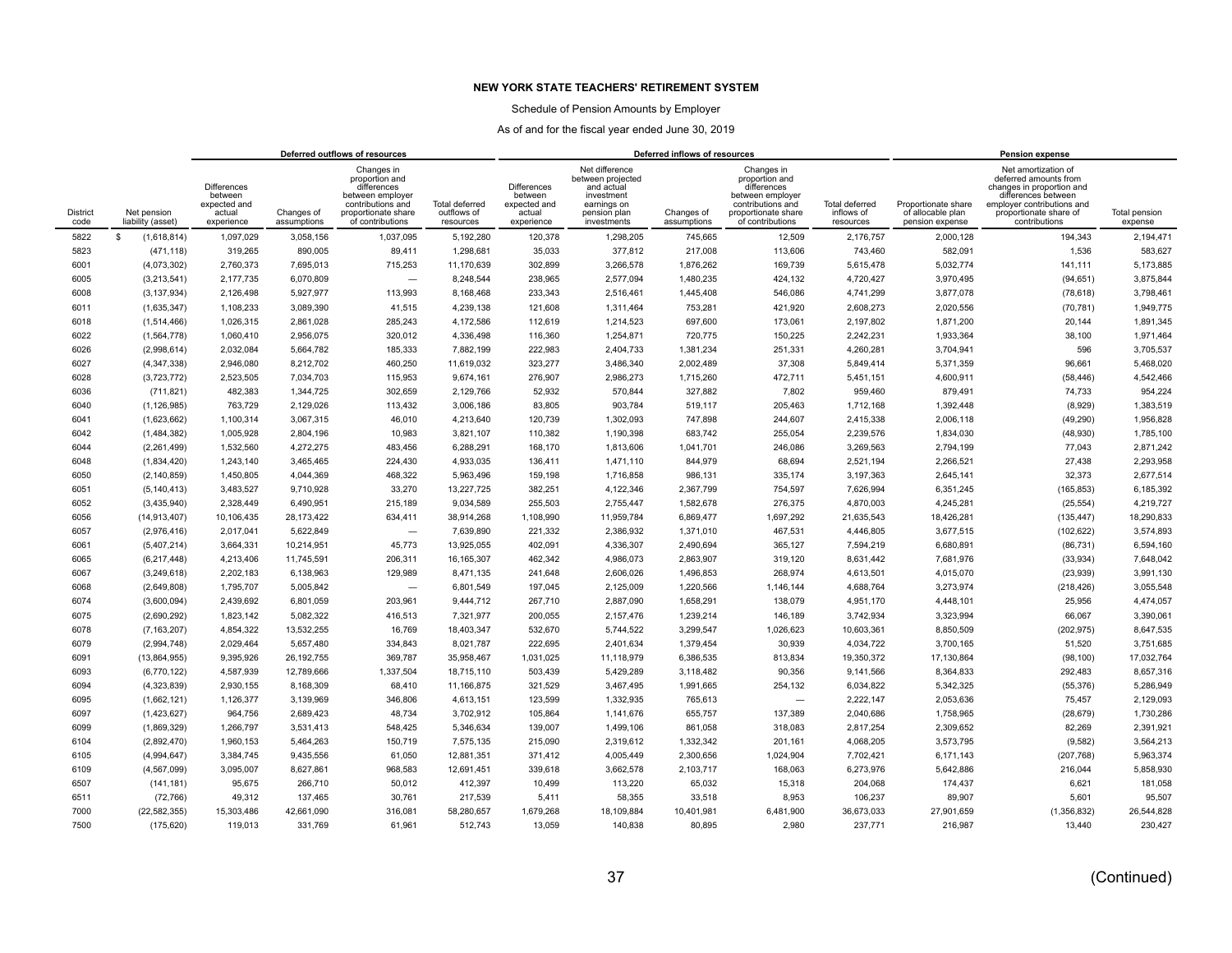### Schedule of Pension Amounts by Employer

|                         |                                  | Deferred outflows of resources                                        |                           |                                                                                                                                 |                                            |                                                                | Deferred inflows of resources                                                                                 |                           |                                                                                                                                 |                                           |                                                             | <b>Pension expense</b>                                                                                                                                                    |                          |  |
|-------------------------|----------------------------------|-----------------------------------------------------------------------|---------------------------|---------------------------------------------------------------------------------------------------------------------------------|--------------------------------------------|----------------------------------------------------------------|---------------------------------------------------------------------------------------------------------------|---------------------------|---------------------------------------------------------------------------------------------------------------------------------|-------------------------------------------|-------------------------------------------------------------|---------------------------------------------------------------------------------------------------------------------------------------------------------------------------|--------------------------|--|
| <b>District</b><br>code | Net pension<br>liability (asset) | <b>Differences</b><br>between<br>expected and<br>actual<br>experience | Changes of<br>assumptions | Changes in<br>proportion and<br>differences<br>between employer<br>contributions and<br>proportionate share<br>of contributions | Total deferred<br>outflows of<br>resources | Differences<br>between<br>expected and<br>actual<br>experience | Net difference<br>between projected<br>and actual<br>investment<br>earnings on<br>pension plan<br>investments | Changes of<br>assumptions | Changes in<br>proportion and<br>differences<br>between employer<br>contributions and<br>proportionate share<br>of contributions | Total deferred<br>inflows of<br>resources | Proportionate share<br>of allocable plan<br>pension expense | Net amortization of<br>deferred amounts from<br>changes in proportion and<br>differences between<br>employer contributions and<br>proportionate share of<br>contributions | Total pension<br>expense |  |
| 5822                    | S.<br>(1,618,814)                | 1,097,029                                                             | 3,058,156                 | 1,037,095                                                                                                                       | 5,192,280                                  | 120,378                                                        | 1,298,205                                                                                                     | 745,665                   | 12,509                                                                                                                          | 2,176,757                                 | 2,000,128                                                   | 194,343                                                                                                                                                                   | 2,194,471                |  |
| 5823                    | (471, 118)                       | 319,265                                                               | 890,005                   | 89,411                                                                                                                          | 1,298,681                                  | 35,033                                                         | 377,812                                                                                                       | 217,008                   | 113,606                                                                                                                         | 743,460                                   | 582,091                                                     | 1,536                                                                                                                                                                     | 583,627                  |  |
| 6001                    | (4,073,302)                      | 2,760,373                                                             | 7,695,013                 | 715,253                                                                                                                         | 11.170.639                                 | 302,899                                                        | 3,266,578                                                                                                     | 1,876,262                 | 169.739                                                                                                                         | 5,615,478                                 | 5,032,774                                                   | 141.111                                                                                                                                                                   | 5,173,885                |  |
| 6005                    | (3,213,541)                      | 2,177,735                                                             | 6,070,809                 | $\overline{\phantom{0}}$                                                                                                        | 8,248,544                                  | 238,965                                                        | 2,577,094                                                                                                     | 1,480,235                 | 424,132                                                                                                                         | 4,720,427                                 | 3,970,495                                                   | (94, 651)                                                                                                                                                                 | 3,875,844                |  |
| 6008                    | (3, 137, 934)                    | 2.126.498                                                             | 5,927,977                 | 113.993                                                                                                                         | 8.168.468                                  | 233,343                                                        | 2.516.461                                                                                                     | 1,445,408                 | 546.086                                                                                                                         | 4,741,299                                 | 3,877,078                                                   | (78, 618)                                                                                                                                                                 | 3,798,461                |  |
| 6011                    | (1,635,347)                      | 1,108,233                                                             | 3,089,390                 | 41,515                                                                                                                          | 4,239,138                                  | 121,608                                                        | 1,311,464                                                                                                     | 753,281                   | 421,920                                                                                                                         | 2,608,273                                 | 2,020,556                                                   | (70, 781)                                                                                                                                                                 | 1,949,775                |  |
| 6018                    | (1,514,466)                      | 1,026,315                                                             | 2,861,028                 | 285,243                                                                                                                         | 4,172,586                                  | 112,619                                                        | 1,214,523                                                                                                     | 697,600                   | 173,061                                                                                                                         | 2,197,802                                 | 1,871,200                                                   | 20,144                                                                                                                                                                    | 1,891,345                |  |
| 6022                    | (1,564,778)                      | 1,060,410                                                             | 2,956,075                 | 320,012                                                                                                                         | 4,336,498                                  | 116,360                                                        | 1,254,871                                                                                                     | 720,775                   | 150,225                                                                                                                         | 2,242,231                                 | 1,933,364                                                   | 38,100                                                                                                                                                                    | 1,971,464                |  |
| 6026                    | (2,998,614)                      | 2,032,084                                                             | 5,664,782                 | 185,333                                                                                                                         | 7,882,199                                  | 222,983                                                        | 2,404,733                                                                                                     | 1,381,234                 | 251,331                                                                                                                         | 4,260,281                                 | 3,704,941                                                   | 596                                                                                                                                                                       | 3,705,537                |  |
| 6027                    | (4,347,338)                      | 2,946,080                                                             | 8,212,702                 | 460,250                                                                                                                         | 11,619,032                                 | 323,277                                                        | 3,486,340                                                                                                     | 2,002,489                 | 37,308                                                                                                                          | 5,849,414                                 | 5,371,359                                                   | 96,661                                                                                                                                                                    | 5,468,020                |  |
| 6028                    | (3,723,772)                      | 2,523,505                                                             | 7,034,703                 | 115,953                                                                                                                         | 9,674,161                                  | 276,907                                                        | 2,986,273                                                                                                     | 1,715,260                 | 472,711                                                                                                                         | 5,451,151                                 | 4,600,911                                                   | (58, 446)                                                                                                                                                                 | 4,542,466                |  |
| 6036                    | (711, 821)                       | 482.383                                                               | 1,344,725                 | 302,659                                                                                                                         | 2,129,766                                  | 52.932                                                         | 570,844                                                                                                       | 327,882                   | 7,802                                                                                                                           | 959,460                                   | 879,491                                                     | 74,733                                                                                                                                                                    | 954,224                  |  |
| 6040                    | (1, 126, 985)                    | 763,729                                                               | 2,129,026                 | 113,432                                                                                                                         | 3,006,186                                  | 83,805                                                         | 903,784                                                                                                       | 519,117                   | 205,463                                                                                                                         | 1,712,168                                 | 1,392,448                                                   | (8,929)                                                                                                                                                                   | 1,383,519                |  |
| 6041                    | (1,623,662)                      | 1,100,314                                                             | 3,067,315                 | 46,010                                                                                                                          | 4,213,640                                  | 120,739                                                        | 1,302,093                                                                                                     | 747,898                   | 244,607                                                                                                                         | 2,415,338                                 | 2,006,118                                                   | (49, 290)                                                                                                                                                                 | 1,956,828                |  |
| 6042                    | (1,484,382)                      | 1,005,928                                                             | 2,804,196                 | 10,983                                                                                                                          | 3,821,107                                  | 110,382                                                        | 1,190,398                                                                                                     | 683,742                   | 255,054                                                                                                                         | 2,239,576                                 | 1,834,030                                                   | (48, 930)                                                                                                                                                                 | 1,785,100                |  |
| 6044                    | (2,261,499)                      | 1,532,560                                                             | 4,272,275                 | 483,456                                                                                                                         | 6,288,291                                  | 168,170                                                        | 1,813,606                                                                                                     | 1,041,701                 | 246,086                                                                                                                         | 3,269,563                                 | 2,794,199                                                   | 77,043                                                                                                                                                                    | 2,871,242                |  |
| 6048                    | (1,834,420)                      | 1,243,140                                                             | 3,465,465                 | 224,430                                                                                                                         | 4,933,035                                  | 136,411                                                        | 1,471,110                                                                                                     | 844,979                   | 68,694                                                                                                                          | 2,521,194                                 | 2,266,521                                                   | 27,438                                                                                                                                                                    | 2,293,958                |  |
| 6050                    | (2, 140, 859)                    | 1,450,805                                                             | 4,044,369                 | 468,322                                                                                                                         | 5,963,496                                  | 159,198                                                        | 1,716,858                                                                                                     | 986,131                   | 335,174                                                                                                                         | 3,197,363                                 | 2,645,141                                                   | 32,373                                                                                                                                                                    | 2,677,514                |  |
| 6051                    | (5, 140, 413)                    | 3,483,527                                                             | 9,710,928                 | 33,270                                                                                                                          | 13,227,725                                 | 382,251                                                        | 4,122,346                                                                                                     | 2,367,799                 | 754,597                                                                                                                         | 7,626,994                                 | 6,351,245                                                   | (165, 853)                                                                                                                                                                | 6,185,392                |  |
| 6052                    | (3,435,940)                      | 2.328.449                                                             | 6,490,951                 | 215,189                                                                                                                         | 9.034.589                                  | 255.503                                                        | 2.755.447                                                                                                     | 1,582,678                 | 276.375                                                                                                                         | 4,870,003                                 | 4,245,281                                                   | (25, 554)                                                                                                                                                                 | 4,219,727                |  |
| 6056                    | (14, 913, 407)                   | 10,106,435                                                            | 28, 173, 422              | 634,411                                                                                                                         | 38,914,268                                 | 1,108,990                                                      | 11,959,784                                                                                                    | 6,869,477                 | 1,697,292                                                                                                                       | 21,635,543                                | 18,426,281                                                  | (135, 447)                                                                                                                                                                | 18,290,833               |  |
| 6057                    | (2,976,416)                      | 2.017.041                                                             | 5,622,849                 | $\overline{\phantom{a}}$                                                                                                        | 7.639.890                                  | 221,332                                                        | 2.386.932                                                                                                     | 1.371.010                 | 467,531                                                                                                                         | 4,446,805                                 | 3,677,515                                                   | (102, 622)                                                                                                                                                                | 3,574,893                |  |
| 6061                    | (5,407,214)                      | 3,664,331                                                             | 10,214,951                | 45,773                                                                                                                          | 13,925,055                                 | 402,091                                                        | 4,336,307                                                                                                     | 2,490,694                 | 365,127                                                                                                                         | 7,594,219                                 | 6,680,891                                                   | (86, 731)                                                                                                                                                                 | 6,594,160                |  |
| 6065                    | (6,217,448)                      | 4,213,406                                                             | 11,745,591                | 206,311                                                                                                                         | 16, 165, 307                               | 462,342                                                        | 4,986,073                                                                                                     | 2,863,907                 | 319,120                                                                                                                         | 8,631,442                                 | 7,681,976                                                   | (33, 934)                                                                                                                                                                 | 7,648,042                |  |
| 6067                    | (3,249,618)                      | 2,202,183                                                             | 6,138,963                 | 129,989                                                                                                                         | 8,471,135                                  | 241,648                                                        | 2,606,026                                                                                                     | 1,496,853                 | 268,974                                                                                                                         | 4,613,501                                 | 4,015,070                                                   | (23, 939)                                                                                                                                                                 | 3,991,130                |  |
| 6068                    | (2,649,808)                      | 1,795,707                                                             | 5,005,842                 | $\overline{\phantom{a}}$                                                                                                        | 6,801,549                                  | 197,045                                                        | 2,125,009                                                                                                     | 1,220,566                 | 1,146,144                                                                                                                       | 4,688,764                                 | 3,273,974                                                   | (218, 426)                                                                                                                                                                | 3,055,548                |  |
| 6074                    | (3,600,094)                      | 2,439,692                                                             | 6,801,059                 | 203,961                                                                                                                         | 9,444,712                                  | 267,710                                                        | 2,887,090                                                                                                     | 1,658,291                 | 138.079                                                                                                                         | 4,951,170                                 | 4,448,101                                                   | 25,956                                                                                                                                                                    | 4,474,057                |  |
| 6075                    | (2,690,292)                      | 1,823,142                                                             | 5,082,322                 | 416,513                                                                                                                         | 7,321,977                                  | 200,055                                                        | 2,157,476                                                                                                     | 1,239,214                 | 146,189                                                                                                                         | 3,742,934                                 | 3,323,994                                                   | 66,067                                                                                                                                                                    | 3,390,061                |  |
| 6078                    | (7, 163, 207)                    | 4.854.322                                                             | 13.532.255                | 16.769                                                                                                                          | 18.403.347                                 | 532.670                                                        | 5.744.522                                                                                                     | 3.299.547                 | 1,026,623                                                                                                                       | 10,603,361                                | 8.850.509                                                   | (202, 975)                                                                                                                                                                | 8,647,535                |  |
| 6079                    | (2,994,748)                      | 2,029,464                                                             | 5,657,480                 | 334,843                                                                                                                         | 8,021,787                                  | 222,695                                                        | 2,401,634                                                                                                     | 1,379,454                 | 30,939                                                                                                                          | 4,034,722                                 | 3,700,165                                                   | 51,520                                                                                                                                                                    | 3,751,685                |  |
| 6091                    | (13,864,955)                     | 9,395,926                                                             | 26, 192, 755              | 369,787                                                                                                                         | 35.958.467                                 | 1,031,025                                                      | 11,118,979                                                                                                    | 6,386,535                 | 813.834                                                                                                                         | 19,350,372                                | 17,130,864                                                  | (98, 100)                                                                                                                                                                 | 17,032,764               |  |
| 6093                    | (6,770,122)                      | 4,587,939                                                             | 12,789,666                | 1,337,504                                                                                                                       | 18,715,110                                 | 503,439                                                        | 5,429,289                                                                                                     | 3,118,482                 | 90,356                                                                                                                          | 9,141,566                                 | 8,364,833                                                   | 292,483                                                                                                                                                                   | 8,657,316                |  |
| 6094                    | (4,323,839)                      | 2,930,155                                                             | 8,168,309                 | 68,410                                                                                                                          | 11,166,875                                 | 321,529                                                        | 3,467,495                                                                                                     | 1,991,665                 | 254,132                                                                                                                         | 6,034,822                                 | 5,342,325                                                   | (55, 376)                                                                                                                                                                 | 5,286,949                |  |
| 6095                    | (1,662,121)                      | 1,126,377                                                             | 3,139,969                 | 346,806                                                                                                                         | 4,613,151                                  | 123,599                                                        | 1,332,935                                                                                                     | 765,613                   | $\overbrace{\phantom{123221111}}$                                                                                               | 2,222,147                                 | 2,053,636                                                   | 75,457                                                                                                                                                                    | 2,129,093                |  |
| 6097                    | (1,423,627)                      | 964,756                                                               | 2,689,423                 | 48,734                                                                                                                          | 3,702,912                                  | 105,864                                                        | 1,141,676                                                                                                     | 655,757                   | 137,389                                                                                                                         | 2,040,686                                 | 1,758,965                                                   | (28, 679)                                                                                                                                                                 | 1,730,286                |  |
| 6099                    | (1,869,329)                      | 1,266,797                                                             | 3,531,413                 | 548,425                                                                                                                         | 5,346,634                                  | 139,007                                                        | 1,499,106                                                                                                     | 861,058                   | 318,083                                                                                                                         | 2,817,254                                 | 2,309,652                                                   | 82,269                                                                                                                                                                    | 2,391,921                |  |
| 6104                    | (2,892,470)                      | 1.960.153                                                             | 5,464,263                 | 150,719                                                                                                                         | 7.575.135                                  | 215,090                                                        | 2,319,612                                                                                                     | 1,332,342                 | 201.161                                                                                                                         | 4,068,205                                 | 3,573,795                                                   | (9,582)                                                                                                                                                                   | 3,564,213                |  |
| 6105                    | (4,994,647)                      | 3,384,745                                                             | 9,435,556                 | 61,050                                                                                                                          | 12,881,351                                 | 371,412                                                        | 4,005,449                                                                                                     | 2,300,656                 | 1,024,904                                                                                                                       | 7,702,421                                 | 6,171,143                                                   | (207, 768)                                                                                                                                                                | 5,963,374                |  |
| 6109                    | (4,567,099)                      | 3,095,007                                                             | 8,627,861                 | 968,583                                                                                                                         | 12,691,451                                 | 339,618                                                        | 3,662,578                                                                                                     | 2,103,717                 | 168,063                                                                                                                         | 6,273,976                                 | 5,642,886                                                   | 216,044                                                                                                                                                                   | 5,858,930                |  |
| 6507                    | (141, 181)                       | 95,675                                                                | 266,710                   | 50,012                                                                                                                          | 412,397                                    | 10,499                                                         | 113,220                                                                                                       | 65,032                    | 15,318                                                                                                                          | 204,068                                   | 174,437                                                     | 6,621                                                                                                                                                                     | 181,058                  |  |
| 6511                    | (72, 766)                        | 49,312                                                                | 137,465                   | 30,761                                                                                                                          | 217,539                                    | 5,411                                                          | 58,355                                                                                                        | 33,518                    | 8,953                                                                                                                           | 106,237                                   | 89,907                                                      | 5,601                                                                                                                                                                     | 95,507                   |  |
| 7000                    | (22, 582, 355)                   | 15,303,486                                                            | 42,661,090                | 316,081                                                                                                                         | 58,280,657                                 | 1,679,268                                                      | 18,109,884                                                                                                    | 10,401,981                | 6,481,900                                                                                                                       | 36,673,033                                | 27,901,659                                                  | (1,356,832)                                                                                                                                                               | 26,544,828               |  |
| 7500                    | (175, 620)                       | 119,013                                                               | 331,769                   | 61,961                                                                                                                          | 512,743                                    | 13,059                                                         | 140,838                                                                                                       | 80,895                    | 2,980                                                                                                                           | 237,771                                   | 216,987                                                     | 13,440                                                                                                                                                                    | 230,427                  |  |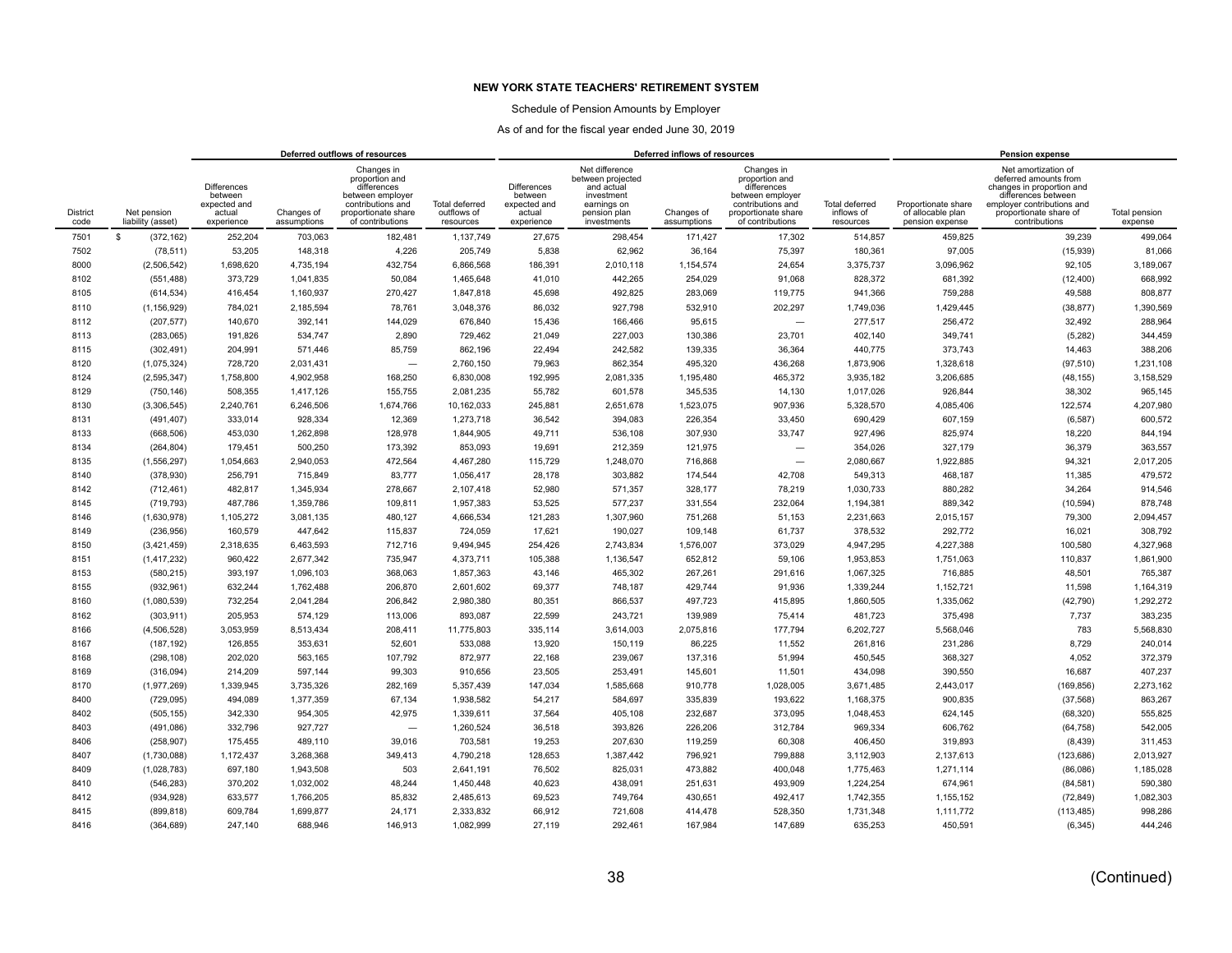### Schedule of Pension Amounts by Employer

|                         |                                  | Deferred outflows of resources                                 |                           |                                                                                                                                 |                                            |                                                                       | Deferred inflows of resources                                                                                 |                           |                                                                                                                                 |                                           |                                                             | <b>Pension expense</b>                                                                                                                                                    |                          |  |
|-------------------------|----------------------------------|----------------------------------------------------------------|---------------------------|---------------------------------------------------------------------------------------------------------------------------------|--------------------------------------------|-----------------------------------------------------------------------|---------------------------------------------------------------------------------------------------------------|---------------------------|---------------------------------------------------------------------------------------------------------------------------------|-------------------------------------------|-------------------------------------------------------------|---------------------------------------------------------------------------------------------------------------------------------------------------------------------------|--------------------------|--|
| <b>District</b><br>code | Net pension<br>liability (asset) | Differences<br>between<br>expected and<br>actual<br>experience | Changes of<br>assumptions | Changes in<br>proportion and<br>differences<br>between employer<br>contributions and<br>proportionate share<br>of contributions | Total deferred<br>outflows of<br>resources | <b>Differences</b><br>between<br>expected and<br>actual<br>experience | Net difference<br>between projected<br>and actual<br>investment<br>earnings on<br>pension plan<br>investments | Changes of<br>assumptions | Changes in<br>proportion and<br>differences<br>between employer<br>contributions and<br>proportionate share<br>of contributions | Total deferred<br>inflows of<br>resources | Proportionate share<br>of allocable plan<br>pension expense | Net amortization of<br>deferred amounts from<br>changes in proportion and<br>differences between<br>employer contributions and<br>proportionate share of<br>contributions | Total pension<br>expense |  |
| 7501                    | \$<br>(372, 162)                 | 252,204                                                        | 703,063                   | 182,481                                                                                                                         | 1,137,749                                  | 27,675                                                                | 298,454                                                                                                       | 171,427                   | 17,302                                                                                                                          | 514,857                                   | 459,825                                                     | 39.239                                                                                                                                                                    | 499,064                  |  |
| 7502                    | (78, 511)                        | 53,205                                                         | 148,318                   | 4,226                                                                                                                           | 205,749                                    | 5,838                                                                 | 62,962                                                                                                        | 36,164                    | 75,397                                                                                                                          | 180,361                                   | 97,005                                                      | (15,939)                                                                                                                                                                  | 81,066                   |  |
| 8000                    | (2,506,542)                      | 1,698,620                                                      | 4,735,194                 | 432,754                                                                                                                         | 6.866.568                                  | 186.391                                                               | 2,010,118                                                                                                     | 1,154,574                 | 24.654                                                                                                                          | 3,375,737                                 | 3,096,962                                                   | 92,105                                                                                                                                                                    | 3,189,067                |  |
| 8102                    | (551, 488)                       | 373,729                                                        | 1,041,835                 | 50,084                                                                                                                          | 1,465,648                                  | 41,010                                                                | 442,265                                                                                                       | 254,029                   | 91,068                                                                                                                          | 828,372                                   | 681,392                                                     | (12, 400)                                                                                                                                                                 | 668,992                  |  |
| 8105                    | (614, 534)                       | 416,454                                                        | 1,160,937                 | 270,427                                                                                                                         | 1,847,818                                  | 45.698                                                                | 492,825                                                                                                       | 283,069                   | 119,775                                                                                                                         | 941,366                                   | 759,288                                                     | 49,588                                                                                                                                                                    | 808,877                  |  |
| 8110                    | (1, 156, 929)                    | 784,021                                                        | 2,185,594                 | 78,761                                                                                                                          | 3,048,376                                  | 86,032                                                                | 927,798                                                                                                       | 532,910                   | 202,297                                                                                                                         | 1,749,036                                 | 1,429,445                                                   | (38, 877)                                                                                                                                                                 | 1,390,569                |  |
| 8112                    | (207, 577)                       | 140,670                                                        | 392,141                   | 144,029                                                                                                                         | 676,840                                    | 15,436                                                                | 166,466                                                                                                       | 95,615                    | $\overline{\phantom{a}}$                                                                                                        | 277,517                                   | 256,472                                                     | 32,492                                                                                                                                                                    | 288,964                  |  |
| 8113                    | (283,065)                        | 191,826                                                        | 534,747                   | 2,890                                                                                                                           | 729,462                                    | 21,049                                                                | 227,003                                                                                                       | 130,386                   | 23,701                                                                                                                          | 402,140                                   | 349,741                                                     | (5,282)                                                                                                                                                                   | 344,459                  |  |
| 8115                    | (302, 491)                       | 204,991                                                        | 571,446                   | 85,759                                                                                                                          | 862.196                                    | 22.494                                                                | 242,582                                                                                                       | 139,335                   | 36,364                                                                                                                          | 440,775                                   | 373,743                                                     | 14,463                                                                                                                                                                    | 388,206                  |  |
| 8120                    | (1,075,324)                      | 728,720                                                        | 2,031,431                 | $\overline{\phantom{0}}$                                                                                                        | 2,760,150                                  | 79,963                                                                | 862,354                                                                                                       | 495,320                   | 436,268                                                                                                                         | 1,873,906                                 | 1,328,618                                                   | (97, 510)                                                                                                                                                                 | 1,231,108                |  |
| 8124                    | (2,595,347)                      | 1,758,800                                                      | 4,902,958                 | 168.250                                                                                                                         | 6.830.008                                  | 192.995                                                               | 2,081,335                                                                                                     | 1,195,480                 | 465.372                                                                                                                         | 3,935,182                                 | 3,206,685                                                   | (48, 155)                                                                                                                                                                 | 3,158,529                |  |
| 8129                    | (750, 146)                       | 508,355                                                        | 1,417,126                 | 155,755                                                                                                                         | 2,081,235                                  | 55,782                                                                | 601,578                                                                                                       | 345,535                   | 14,130                                                                                                                          | 1,017,026                                 | 926,844                                                     | 38,302                                                                                                                                                                    | 965,145                  |  |
| 8130                    | (3,306,545)                      | 2,240,761                                                      | 6,246,506                 | 1,674,766                                                                                                                       | 10.162.033                                 | 245.881                                                               | 2,651,678                                                                                                     | 1,523,075                 | 907.936                                                                                                                         | 5,328,570                                 | 4,085,406                                                   | 122,574                                                                                                                                                                   | 4,207,980                |  |
| 8131                    | (491, 407)                       | 333,014                                                        | 928,334                   | 12,369                                                                                                                          | 1,273,718                                  | 36,542                                                                | 394,083                                                                                                       | 226,354                   | 33,450                                                                                                                          | 690,429                                   | 607,159                                                     | (6, 587)                                                                                                                                                                  | 600,572                  |  |
| 8133                    | (668, 506)                       | 453,030                                                        | 1,262,898                 | 128,978                                                                                                                         | 1,844,905                                  | 49,711                                                                | 536,108                                                                                                       | 307,930                   | 33,747                                                                                                                          | 927,496                                   | 825,974                                                     | 18,220                                                                                                                                                                    | 844,194                  |  |
| 8134                    | (264, 804)                       | 179,451                                                        | 500,250                   | 173,392                                                                                                                         | 853,093                                    | 19,691                                                                | 212,359                                                                                                       | 121,975                   | $\overline{\phantom{0}}$                                                                                                        | 354,026                                   | 327,179                                                     | 36,379                                                                                                                                                                    | 363,557                  |  |
| 8135                    | (1,556,297)                      | 1,054,663                                                      | 2,940,053                 | 472,564                                                                                                                         | 4,467,280                                  | 115,729                                                               | 1,248,070                                                                                                     | 716,868                   |                                                                                                                                 | 2,080,667                                 | 1,922,885                                                   | 94,321                                                                                                                                                                    | 2,017,205                |  |
| 8140                    | (378, 930)                       | 256,791                                                        | 715,849                   | 83,777                                                                                                                          | 1,056,417                                  | 28,178                                                                | 303,882                                                                                                       | 174,544                   | 42,708                                                                                                                          | 549,313                                   | 468,187                                                     | 11,385                                                                                                                                                                    | 479,572                  |  |
| 8142                    | (712, 461)                       | 482,817                                                        | 1,345,934                 | 278,667                                                                                                                         | 2.107.418                                  | 52.980                                                                | 571,357                                                                                                       | 328,177                   | 78.219                                                                                                                          | 1,030,733                                 | 880,282                                                     | 34.264                                                                                                                                                                    | 914.546                  |  |
| 8145                    | (719, 793)                       | 487,786                                                        | 1,359,786                 | 109,811                                                                                                                         | 1,957,383                                  | 53,525                                                                | 577,237                                                                                                       | 331,554                   | 232,064                                                                                                                         | 1,194,381                                 | 889,342                                                     | (10, 594)                                                                                                                                                                 | 878,748                  |  |
| 8146                    | (1,630,978)                      | 1,105,272                                                      | 3,081,135                 | 480,127                                                                                                                         | 4,666,534                                  | 121,283                                                               | 1,307,960                                                                                                     | 751,268                   | 51,153                                                                                                                          | 2,231,663                                 | 2,015,157                                                   | 79,300                                                                                                                                                                    | 2,094,457                |  |
| 8149                    | (236, 956)                       | 160,579                                                        | 447,642                   | 115,837                                                                                                                         | 724,059                                    | 17,621                                                                | 190,027                                                                                                       | 109,148                   | 61,737                                                                                                                          | 378,532                                   | 292,772                                                     | 16,021                                                                                                                                                                    | 308,792                  |  |
| 8150                    | (3,421,459)                      | 2,318,635                                                      | 6,463,593                 | 712,716                                                                                                                         | 9.494.945                                  | 254,426                                                               | 2,743,834                                                                                                     | 1,576,007                 | 373,029                                                                                                                         | 4,947,295                                 | 4,227,388                                                   | 100,580                                                                                                                                                                   | 4,327,968                |  |
| 8151                    | (1,417,232)                      | 960,422                                                        | 2,677,342                 | 735,947                                                                                                                         | 4,373,711                                  | 105,388                                                               | 1,136,547                                                                                                     | 652,812                   | 59,106                                                                                                                          | 1,953,853                                 | 1,751,063                                                   | 110,837                                                                                                                                                                   | 1,861,900                |  |
| 8153                    | (580, 215)                       | 393,197                                                        | 1.096.103                 | 368,063                                                                                                                         | 1.857.363                                  | 43.146                                                                | 465,302                                                                                                       | 267,261                   | 291.616                                                                                                                         | 1,067,325                                 | 716.885                                                     | 48,501                                                                                                                                                                    | 765,387                  |  |
| 8155                    | (932, 961)                       | 632,244                                                        | 1,762,488                 | 206,870                                                                                                                         | 2,601,602                                  | 69.377                                                                | 748,187                                                                                                       | 429,744                   | 91,936                                                                                                                          | 1,339,244                                 | 1,152,721                                                   | 11,598                                                                                                                                                                    | 1,164,319                |  |
| 8160                    | (1.080.539)                      | 732.254                                                        | 2.041.284                 | 206.842                                                                                                                         | 2.980.380                                  | 80.351                                                                | 866.537                                                                                                       | 497.723                   | 415.895                                                                                                                         | 1.860.505                                 | 1.335.062                                                   | (42, 790)                                                                                                                                                                 | 1.292.272                |  |
| 8162                    | (303, 911)                       | 205,953                                                        | 574.129                   | 113,006                                                                                                                         | 893.087                                    | 22.599                                                                | 243,721                                                                                                       | 139,989                   | 75,414                                                                                                                          | 481,723                                   | 375,498                                                     | 7,737                                                                                                                                                                     | 383,235                  |  |
| 8166<br>8167            | (4,506,528)                      | 3,053,959                                                      | 8.513.434<br>353,631      | 208.411<br>52,601                                                                                                               | 11,775,803<br>533,088                      | 335.114<br>13,920                                                     | 3,614,003<br>150,119                                                                                          | 2,075,816<br>86,225       | 177.794<br>11,552                                                                                                               | 6,202,727<br>261,816                      | 5.568.046                                                   | 783                                                                                                                                                                       | 5,568,830                |  |
| 8168                    | (187, 192)<br>(298, 108)         | 126,855<br>202,020                                             | 563,165                   | 107,792                                                                                                                         | 872,977                                    | 22,168                                                                | 239,067                                                                                                       | 137,316                   | 51,994                                                                                                                          | 450,545                                   | 231,286<br>368,327                                          | 8,729<br>4,052                                                                                                                                                            | 240,014<br>372,379       |  |
| 8169                    | (316,094)                        | 214,209                                                        | 597,144                   | 99,303                                                                                                                          | 910,656                                    | 23,505                                                                | 253,491                                                                                                       | 145,601                   | 11,501                                                                                                                          | 434,098                                   | 390,550                                                     | 16,687                                                                                                                                                                    | 407,237                  |  |
| 8170                    | (1,977,269)                      | 1,339,945                                                      | 3,735,326                 | 282,169                                                                                                                         | 5,357,439                                  | 147,034                                                               | 1,585,668                                                                                                     | 910,778                   | 1,028,005                                                                                                                       | 3,671,485                                 | 2,443,017                                                   | (169, 856)                                                                                                                                                                | 2,273,162                |  |
| 8400                    | (729, 095)                       | 494,089                                                        | 1,377,359                 | 67,134                                                                                                                          | 1,938,582                                  | 54,217                                                                | 584,697                                                                                                       | 335,839                   | 193,622                                                                                                                         | 1,168,375                                 | 900,835                                                     | (37, 568)                                                                                                                                                                 | 863,267                  |  |
| 8402                    | (505, 155)                       | 342,330                                                        | 954,305                   | 42,975                                                                                                                          | 1,339,611                                  | 37,564                                                                | 405,108                                                                                                       | 232,687                   | 373,095                                                                                                                         | 1,048,453                                 | 624,145                                                     | (68, 320)                                                                                                                                                                 | 555,825                  |  |
| 8403                    | (491,086)                        | 332,796                                                        | 927,727                   | $\overline{\phantom{0}}$                                                                                                        | 1,260,524                                  | 36,518                                                                | 393,826                                                                                                       | 226,206                   | 312,784                                                                                                                         | 969,334                                   | 606,762                                                     | (64, 758)                                                                                                                                                                 | 542,005                  |  |
| 8406                    | (258, 907)                       | 175,455                                                        | 489,110                   | 39,016                                                                                                                          | 703,581                                    | 19,253                                                                | 207,630                                                                                                       | 119,259                   | 60,308                                                                                                                          | 406,450                                   | 319,893                                                     | (8, 439)                                                                                                                                                                  | 311,453                  |  |
| 8407                    | (1,730,088)                      | 1,172,437                                                      | 3,268,368                 | 349,413                                                                                                                         | 4,790,218                                  | 128,653                                                               | 1,387,442                                                                                                     | 796,921                   | 799,888                                                                                                                         | 3,112,903                                 | 2,137,613                                                   | (123, 686)                                                                                                                                                                | 2,013,927                |  |
| 8409                    | (1,028,783)                      | 697,180                                                        | 1,943,508                 | 503                                                                                                                             | 2,641,191                                  | 76,502                                                                | 825,031                                                                                                       | 473,882                   | 400,048                                                                                                                         | 1,775,463                                 | 1,271,114                                                   | (86,086)                                                                                                                                                                  | 1,185,028                |  |
| 8410                    | (546, 283)                       | 370,202                                                        | 1,032,002                 | 48,244                                                                                                                          | 1,450,448                                  | 40,623                                                                | 438,091                                                                                                       | 251,631                   | 493,909                                                                                                                         | 1,224,254                                 | 674,961                                                     | (84, 581)                                                                                                                                                                 | 590,380                  |  |
| 8412                    | (934, 928)                       | 633,577                                                        | 1,766,205                 | 85,832                                                                                                                          | 2,485,613                                  | 69,523                                                                | 749,764                                                                                                       | 430,651                   | 492,417                                                                                                                         | 1,742,355                                 | 1,155,152                                                   | (72, 849)                                                                                                                                                                 | 1,082,303                |  |
| 8415                    | (899, 818)                       | 609,784                                                        | 1,699,877                 | 24,171                                                                                                                          | 2,333,832                                  | 66,912                                                                | 721,608                                                                                                       | 414,478                   | 528.350                                                                                                                         | 1,731,348                                 | 1,111,772                                                   | (113, 485)                                                                                                                                                                | 998,286                  |  |
| 8416                    | (364, 689)                       | 247,140                                                        | 688,946                   | 146,913                                                                                                                         | 1,082,999                                  | 27,119                                                                | 292,461                                                                                                       | 167,984                   | 147,689                                                                                                                         | 635,253                                   | 450,591                                                     | (6, 345)                                                                                                                                                                  | 444,246                  |  |
|                         |                                  |                                                                |                           |                                                                                                                                 |                                            |                                                                       |                                                                                                               |                           |                                                                                                                                 |                                           |                                                             |                                                                                                                                                                           |                          |  |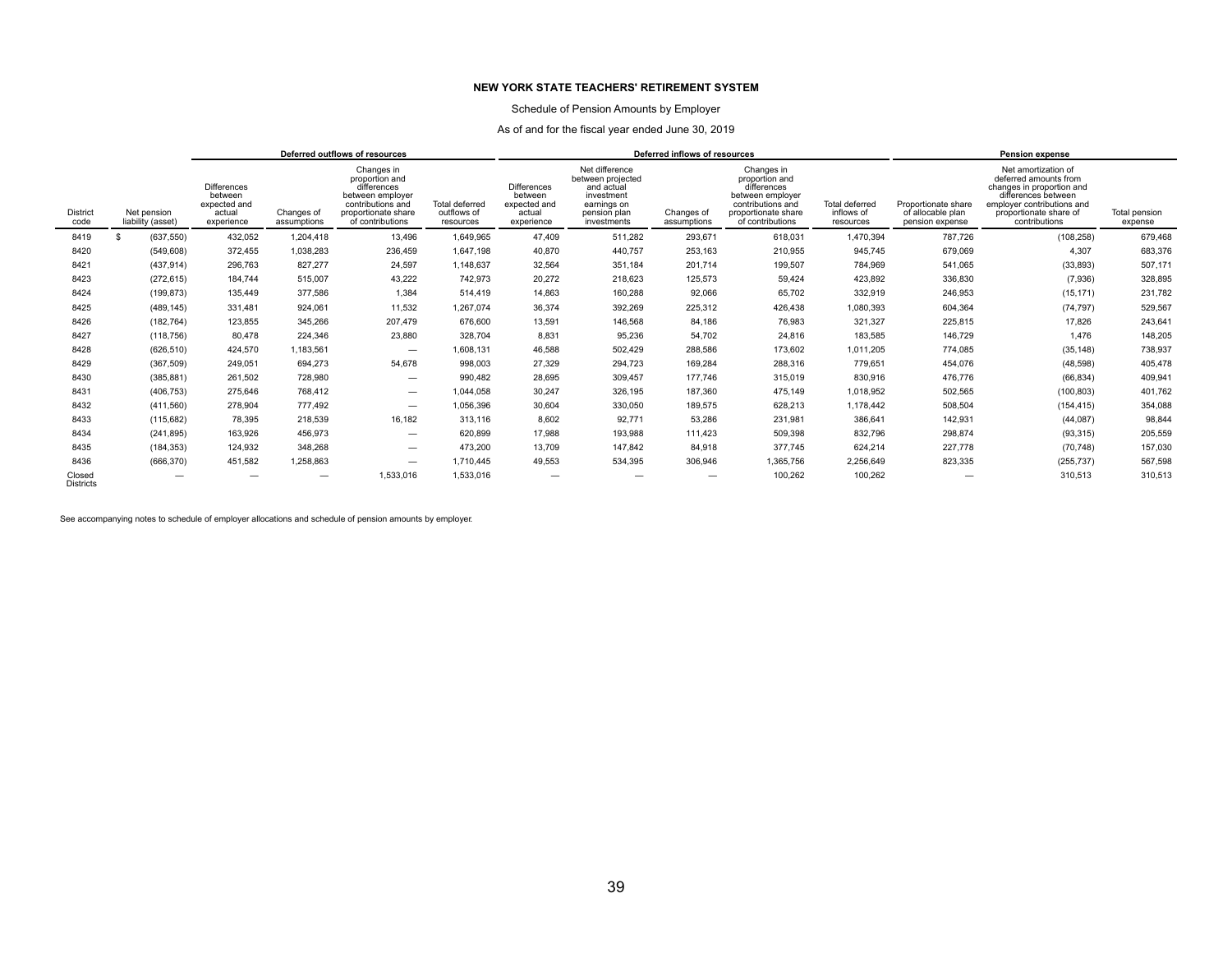### Schedule of Pension Amounts by Employer

## As of and for the fiscal year ended June 30, 2019

|                            | Deferred outflows of resources   |                                                                       |                           |                                                                                                                                 |                                                   |                                                                       |                                                                                                               | Deferred inflows of resources | Pension expense                                                                                                                 |                                                  |                                                             |                                                                                                                                                                           |                          |
|----------------------------|----------------------------------|-----------------------------------------------------------------------|---------------------------|---------------------------------------------------------------------------------------------------------------------------------|---------------------------------------------------|-----------------------------------------------------------------------|---------------------------------------------------------------------------------------------------------------|-------------------------------|---------------------------------------------------------------------------------------------------------------------------------|--------------------------------------------------|-------------------------------------------------------------|---------------------------------------------------------------------------------------------------------------------------------------------------------------------------|--------------------------|
| District<br>code           | Net pension<br>liability (asset) | <b>Differences</b><br>between<br>expected and<br>actual<br>experience | Changes of<br>assumptions | Changes in<br>proportion and<br>differences<br>between employer<br>contributions and<br>proportionate share<br>of contributions | <b>Total deferred</b><br>outflows of<br>resources | <b>Differences</b><br>between<br>expected and<br>actual<br>experience | Net difference<br>between projected<br>and actual<br>investment<br>earnings on<br>pension plan<br>investments | Changes of<br>assumptions     | Changes in<br>proportion and<br>differences<br>between employer<br>contributions and<br>proportionate share<br>of contributions | <b>Total deferred</b><br>inflows of<br>resources | Proportionate share<br>of allocable plan<br>pension expense | Net amortization of<br>deferred amounts from<br>changes in proportion and<br>differences between<br>emplover contributions and<br>proportionate share of<br>contributions | Total pension<br>expense |
| 8419                       | (637, 550)                       | 432,052                                                               | 1,204,418                 | 13,496                                                                                                                          | 1,649,965                                         | 47,409                                                                | 511,282                                                                                                       | 293,671                       | 618,031                                                                                                                         | 1,470,394                                        | 787,726                                                     | (108, 258)                                                                                                                                                                | 679,468                  |
| 8420                       | (549, 608)                       | 372,455                                                               | 1,038,283                 | 236,459                                                                                                                         | 1.647.198                                         | 40,870                                                                | 440,757                                                                                                       | 253,163                       | 210,955                                                                                                                         | 945,745                                          | 679,069                                                     | 4,307                                                                                                                                                                     | 683,376                  |
| 8421                       | (437, 914)                       | 296,763                                                               | 827,277                   | 24,597                                                                                                                          | 1.148.637                                         | 32,564                                                                | 351,184                                                                                                       | 201,714                       | 199,507                                                                                                                         | 784,969                                          | 541,065                                                     | (33, 893)                                                                                                                                                                 | 507,171                  |
| 8423                       | (272, 615)                       | 184.744                                                               | 515,007                   | 43,222                                                                                                                          | 742.973                                           | 20,272                                                                | 218,623                                                                                                       | 125,573                       | 59.424                                                                                                                          | 423,892                                          | 336,830                                                     | (7,936)                                                                                                                                                                   | 328,895                  |
| 8424                       | (199, 873)                       | 135.449                                                               | 377,586                   | 1,384                                                                                                                           | 514.419                                           | 14.863                                                                | 160,288                                                                                                       | 92,066                        | 65,702                                                                                                                          | 332,919                                          | 246,953                                                     | (15, 171)                                                                                                                                                                 | 231,782                  |
| 8425                       | (489, 145)                       | 331,481                                                               | 924,061                   | 11,532                                                                                                                          | 1.267.074                                         | 36,374                                                                | 392,269                                                                                                       | 225,312                       | 426,438                                                                                                                         | 1,080,393                                        | 604,364                                                     | (74, 797)                                                                                                                                                                 | 529,567                  |
| 8426                       | (182, 764)                       | 123.855                                                               | 345,266                   | 207,479                                                                                                                         | 676,600                                           | 13,591                                                                | 146,568                                                                                                       | 84,186                        | 76,983                                                                                                                          | 321,327                                          | 225,815                                                     | 17,826                                                                                                                                                                    | 243,641                  |
| 8427                       | (118, 756)                       | 80,478                                                                | 224,346                   | 23,880                                                                                                                          | 328,704                                           | 8,831                                                                 | 95,236                                                                                                        | 54,702                        | 24,816                                                                                                                          | 183,585                                          | 146,729                                                     | 1,476                                                                                                                                                                     | 148,205                  |
| 8428                       | (626, 510)                       | 424,570                                                               | 1,183,561                 | $\overline{\phantom{0}}$                                                                                                        | 1,608,131                                         | 46,588                                                                | 502,429                                                                                                       | 288,586                       | 173,602                                                                                                                         | 1,011,205                                        | 774,085                                                     | (35, 148)                                                                                                                                                                 | 738,937                  |
| 8429                       | (367, 509)                       | 249,051                                                               | 694,273                   | 54,678                                                                                                                          | 998,003                                           | 27,329                                                                | 294,723                                                                                                       | 169,284                       | 288,316                                                                                                                         | 779,651                                          | 454,076                                                     | (48, 598)                                                                                                                                                                 | 405,478                  |
| 8430                       | (385, 881)                       | 261,502                                                               | 728,980                   | $\overline{\phantom{0}}$                                                                                                        | 990,482                                           | 28,695                                                                | 309,457                                                                                                       | 177,746                       | 315,019                                                                                                                         | 830,916                                          | 476,776                                                     | (66, 834)                                                                                                                                                                 | 409,941                  |
| 8431                       | (406, 753)                       | 275,646                                                               | 768,412                   | $\overline{\phantom{0}}$                                                                                                        | 1,044,058                                         | 30,247                                                                | 326,195                                                                                                       | 187,360                       | 475,149                                                                                                                         | 1,018,952                                        | 502,565                                                     | (100, 803)                                                                                                                                                                | 401,762                  |
| 8432                       | (411,560)                        | 278,904                                                               | 777,492                   | $\overline{\phantom{0}}$                                                                                                        | 1,056,396                                         | 30,604                                                                | 330,050                                                                                                       | 189,575                       | 628,213                                                                                                                         | 1,178,442                                        | 508,504                                                     | (154, 415)                                                                                                                                                                | 354,088                  |
| 8433                       | (115,682)                        | 78.395                                                                | 218,539                   | 16,182                                                                                                                          | 313,116                                           | 8,602                                                                 | 92,771                                                                                                        | 53,286                        | 231,981                                                                                                                         | 386,641                                          | 142,931                                                     | (44, 087)                                                                                                                                                                 | 98,844                   |
| 8434                       | (241, 895)                       | 163.926                                                               | 456,973                   | $\overline{\phantom{0}}$                                                                                                        | 620.899                                           | 17,988                                                                | 193.988                                                                                                       | 111.423                       | 509.398                                                                                                                         | 832,796                                          | 298,874                                                     | (93, 315)                                                                                                                                                                 | 205,559                  |
| 8435                       | (184, 353)                       | 124.932                                                               | 348,268                   | $\overline{\phantom{0}}$                                                                                                        | 473.200                                           | 13,709                                                                | 147.842                                                                                                       | 84,918                        | 377.745                                                                                                                         | 624.214                                          | 227,778                                                     | (70, 748)                                                                                                                                                                 | 157,030                  |
| 8436                       | (666, 370)                       | 451,582                                                               | 1,258,863                 | $\overline{\phantom{0}}$                                                                                                        | 1.710.445                                         | 49,553                                                                | 534,395                                                                                                       | 306,946                       | 1.365.756                                                                                                                       | 2,256,649                                        | 823,335                                                     | (255, 737)                                                                                                                                                                | 567,598                  |
| Closed<br><b>Districts</b> |                                  |                                                                       |                           | 1,533,016                                                                                                                       | 1,533,016                                         |                                                                       |                                                                                                               |                               | 100,262                                                                                                                         | 100,262                                          |                                                             | 310,513                                                                                                                                                                   | 310,513                  |

See accompanying notes to schedule of employer allocations and schedule of pension amounts by employer.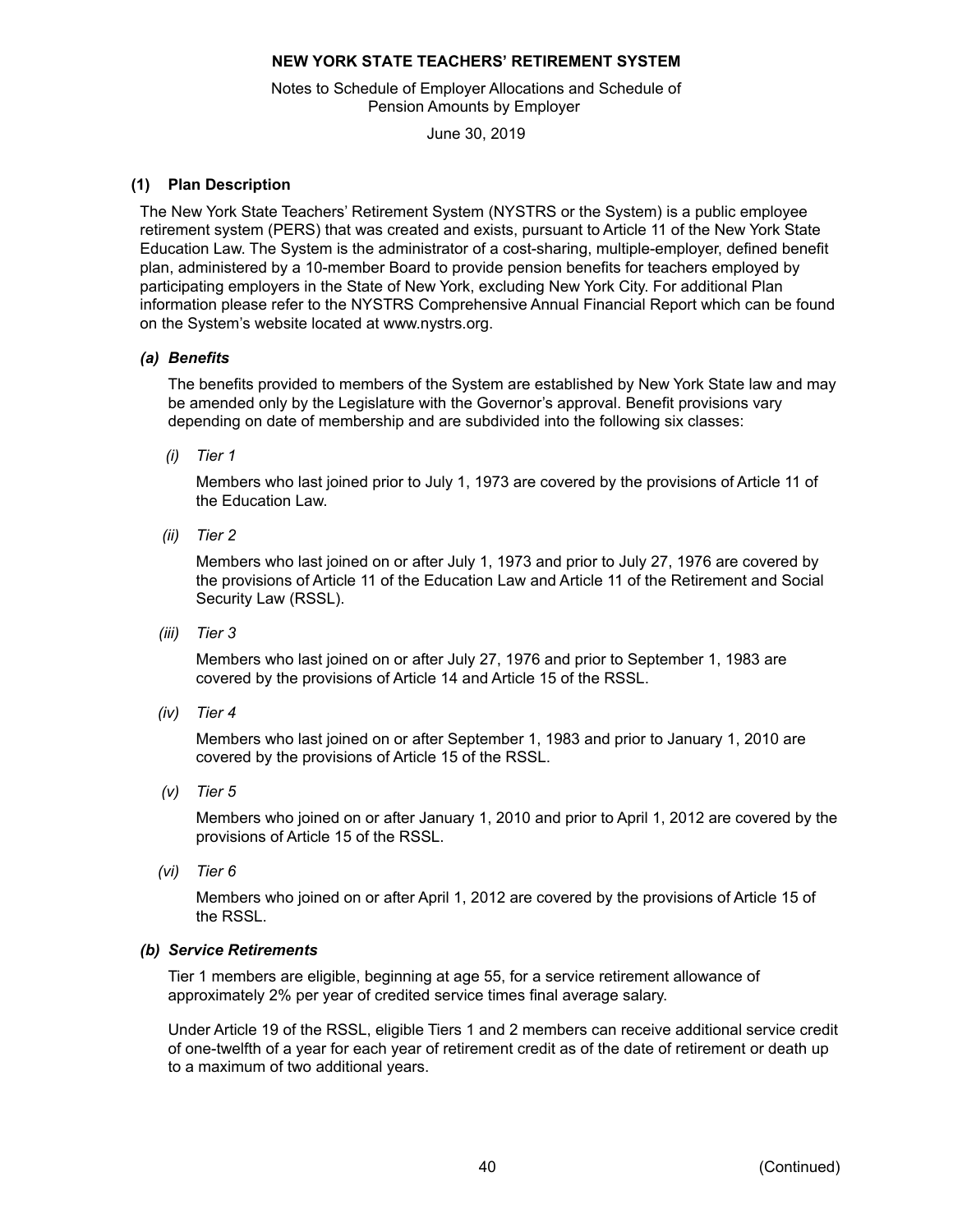Notes to Schedule of Employer Allocations and Schedule of Pension Amounts by Employer

June 30, 2019

# <span id="page-41-0"></span>**(1) Plan Description**

The New York State Teachers' Retirement System (NYSTRS or the System) is a public employee retirement system (PERS) that was created and exists, pursuant to Article 11 of the New York State Education Law. The System is the administrator of a cost-sharing, multiple-employer, defined benefit plan, administered by a 10-member Board to provide pension benefits for teachers employed by participating employers in the State of New York, excluding New York City. For additional Plan information please refer to the NYSTRS Comprehensive Annual Financial Report which can be found on the System's website located at www.nystrs.org.

# *(a) Benefits*

The benefits provided to members of the System are established by New York State law and may be amended only by the Legislature with the Governor's approval. Benefit provisions vary depending on date of membership and are subdivided into the following six classes:

*(i) Tier 1*

Members who last joined prior to July 1, 1973 are covered by the provisions of Article 11 of the Education Law.

*(ii) Tier 2*

Members who last joined on or after July 1, 1973 and prior to July 27, 1976 are covered by the provisions of Article 11 of the Education Law and Article 11 of the Retirement and Social Security Law (RSSL).

*(iii) Tier 3*

Members who last joined on or after July 27, 1976 and prior to September 1, 1983 are covered by the provisions of Article 14 and Article 15 of the RSSL.

*(iv) Tier 4*

Members who last joined on or after September 1, 1983 and prior to January 1, 2010 are covered by the provisions of Article 15 of the RSSL.

*(v) Tier 5*

Members who joined on or after January 1, 2010 and prior to April 1, 2012 are covered by the provisions of Article 15 of the RSSL.

*(vi) Tier 6*

Members who joined on or after April 1, 2012 are covered by the provisions of Article 15 of the RSSL.

## *(b) Service Retirements*

Tier 1 members are eligible, beginning at age 55, for a service retirement allowance of approximately 2% per year of credited service times final average salary.

Under Article 19 of the RSSL, eligible Tiers 1 and 2 members can receive additional service credit of one-twelfth of a year for each year of retirement credit as of the date of retirement or death up to a maximum of two additional years.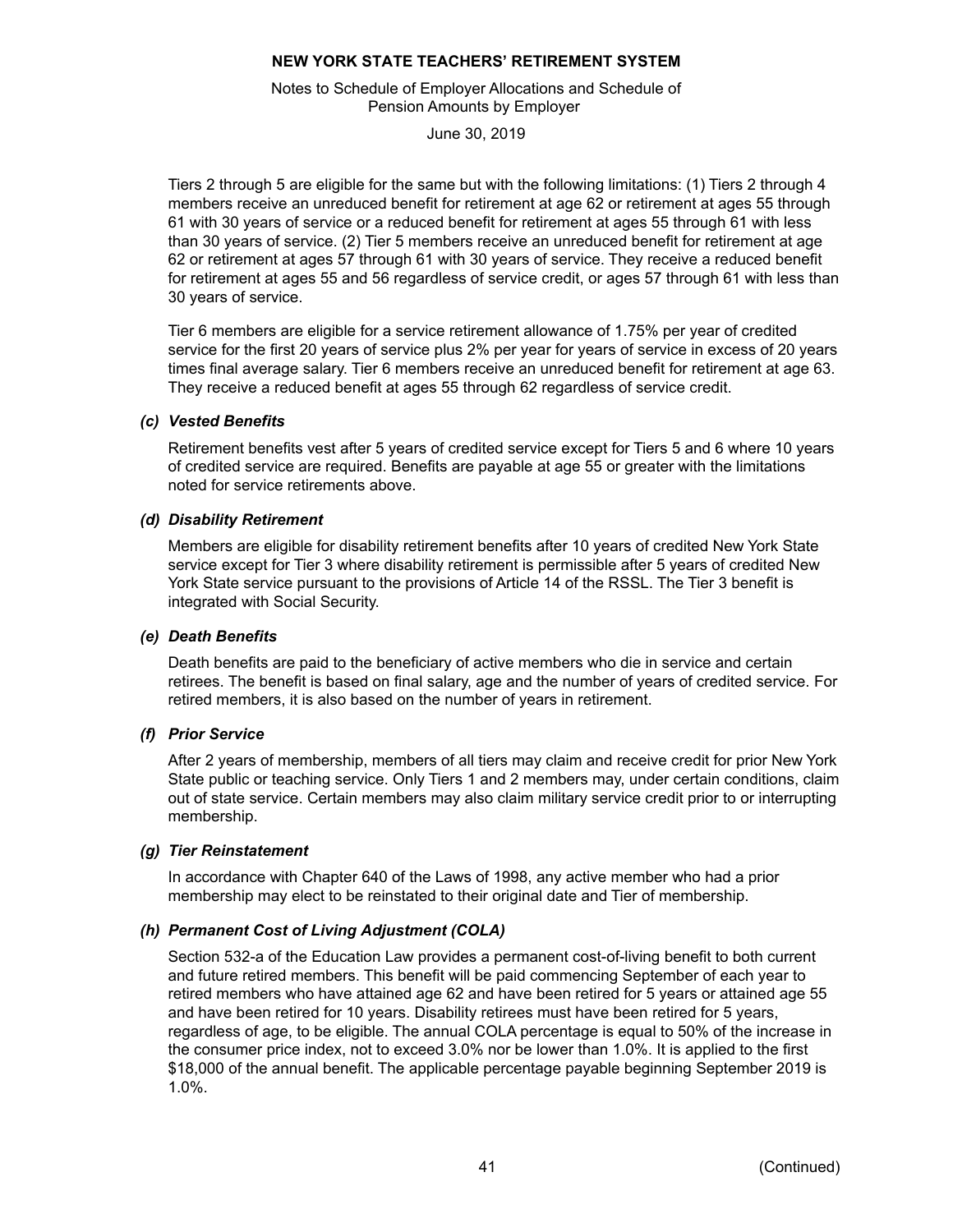Notes to Schedule of Employer Allocations and Schedule of Pension Amounts by Employer

June 30, 2019

Tiers 2 through 5 are eligible for the same but with the following limitations: (1) Tiers 2 through 4 members receive an unreduced benefit for retirement at age 62 or retirement at ages 55 through 61 with 30 years of service or a reduced benefit for retirement at ages 55 through 61 with less than 30 years of service. (2) Tier 5 members receive an unreduced benefit for retirement at age 62 or retirement at ages 57 through 61 with 30 years of service. They receive a reduced benefit for retirement at ages 55 and 56 regardless of service credit, or ages 57 through 61 with less than 30 years of service.

Tier 6 members are eligible for a service retirement allowance of 1.75% per year of credited service for the first 20 years of service plus 2% per year for years of service in excess of 20 years times final average salary. Tier 6 members receive an unreduced benefit for retirement at age 63. They receive a reduced benefit at ages 55 through 62 regardless of service credit.

# *(c) Vested Benefits*

Retirement benefits vest after 5 years of credited service except for Tiers 5 and 6 where 10 years of credited service are required. Benefits are payable at age 55 or greater with the limitations noted for service retirements above.

# *(d) Disability Retirement*

Members are eligible for disability retirement benefits after 10 years of credited New York State service except for Tier 3 where disability retirement is permissible after 5 years of credited New York State service pursuant to the provisions of Article 14 of the RSSL. The Tier 3 benefit is integrated with Social Security.

## *(e) Death Benefits*

Death benefits are paid to the beneficiary of active members who die in service and certain retirees. The benefit is based on final salary, age and the number of years of credited service. For retired members, it is also based on the number of years in retirement.

## *(f) Prior Service*

After 2 years of membership, members of all tiers may claim and receive credit for prior New York State public or teaching service. Only Tiers 1 and 2 members may, under certain conditions, claim out of state service. Certain members may also claim military service credit prior to or interrupting membership.

## *(g) Tier Reinstatement*

In accordance with Chapter 640 of the Laws of 1998, any active member who had a prior membership may elect to be reinstated to their original date and Tier of membership.

# *(h) Permanent Cost of Living Adjustment (COLA)*

Section 532-a of the Education Law provides a permanent cost-of-living benefit to both current and future retired members. This benefit will be paid commencing September of each year to retired members who have attained age 62 and have been retired for 5 years or attained age 55 and have been retired for 10 years. Disability retirees must have been retired for 5 years, regardless of age, to be eligible. The annual COLA percentage is equal to 50% of the increase in the consumer price index, not to exceed 3.0% nor be lower than 1.0%. It is applied to the first \$18,000 of the annual benefit. The applicable percentage payable beginning September 2019 is 1.0%.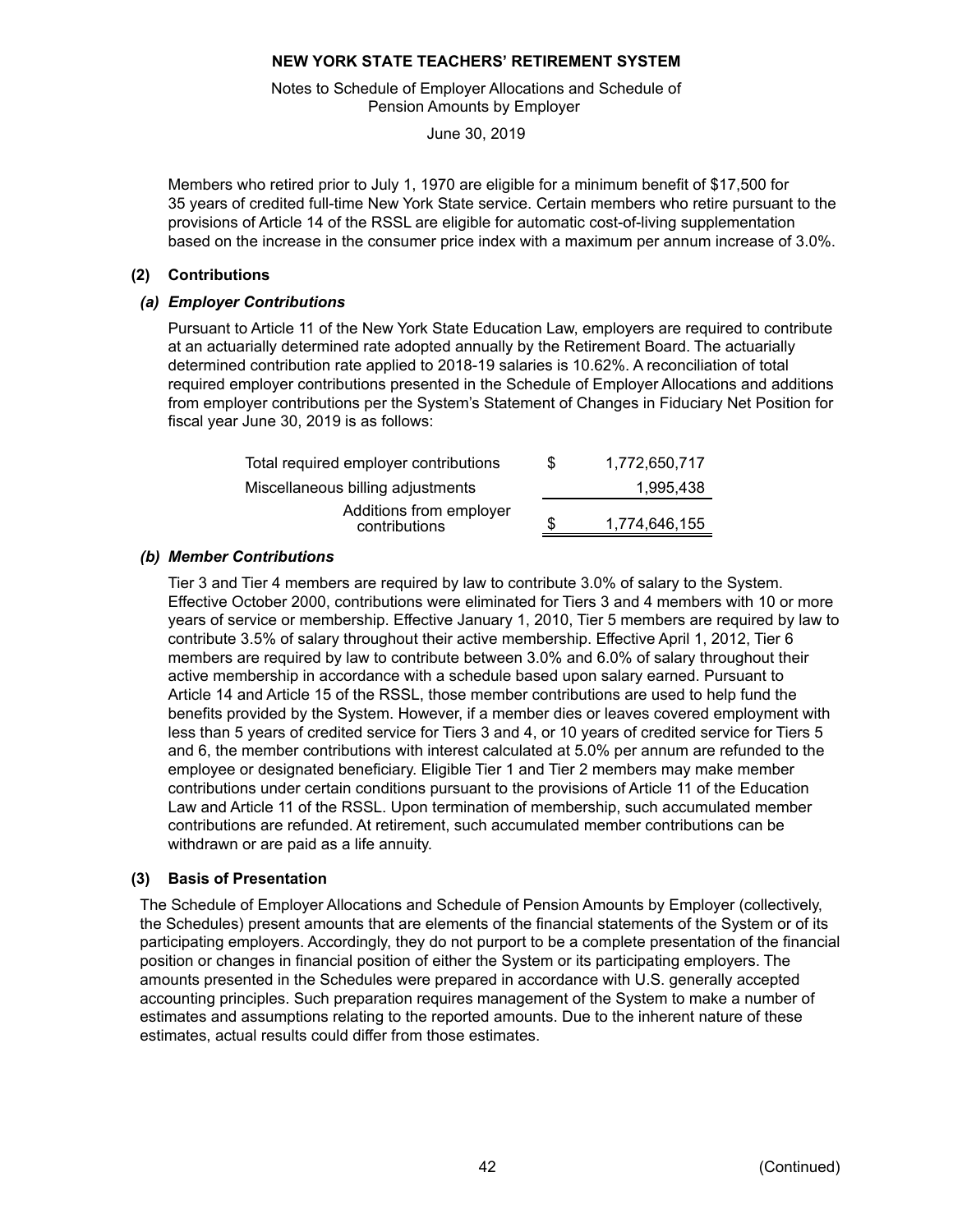Notes to Schedule of Employer Allocations and Schedule of Pension Amounts by Employer

June 30, 2019

Members who retired prior to July 1, 1970 are eligible for a minimum benefit of \$17,500 for 35 years of credited full-time New York State service. Certain members who retire pursuant to the provisions of Article 14 of the RSSL are eligible for automatic cost-of-living supplementation based on the increase in the consumer price index with a maximum per annum increase of 3.0%.

## **(2) Contributions**

# *(a) Employer Contributions*

Pursuant to Article 11 of the New York State Education Law, employers are required to contribute at an actuarially determined rate adopted annually by the Retirement Board. The actuarially determined contribution rate applied to 2018-19 salaries is 10.62%. A reconciliation of total required employer contributions presented in the Schedule of Employer Allocations and additions from employer contributions per the System's Statement of Changes in Fiduciary Net Position for fiscal year June 30, 2019 is as follows:

| Total required employer contributions    | S | 1,772,650,717 |
|------------------------------------------|---|---------------|
| Miscellaneous billing adjustments        |   | 1.995.438     |
| Additions from employer<br>contributions |   | 1,774,646,155 |

# *(b) Member Contributions*

Tier 3 and Tier 4 members are required by law to contribute 3.0% of salary to the System. Effective October 2000, contributions were eliminated for Tiers 3 and 4 members with 10 or more years of service or membership. Effective January 1, 2010, Tier 5 members are required by law to contribute 3.5% of salary throughout their active membership. Effective April 1, 2012, Tier 6 members are required by law to contribute between 3.0% and 6.0% of salary throughout their active membership in accordance with a schedule based upon salary earned. Pursuant to Article 14 and Article 15 of the RSSL, those member contributions are used to help fund the benefits provided by the System. However, if a member dies or leaves covered employment with less than 5 years of credited service for Tiers 3 and 4, or 10 years of credited service for Tiers 5 and 6, the member contributions with interest calculated at 5.0% per annum are refunded to the employee or designated beneficiary. Eligible Tier 1 and Tier 2 members may make member contributions under certain conditions pursuant to the provisions of Article 11 of the Education Law and Article 11 of the RSSL. Upon termination of membership, such accumulated member contributions are refunded. At retirement, such accumulated member contributions can be withdrawn or are paid as a life annuity.

## **(3) Basis of Presentation**

The Schedule of Employer Allocations and Schedule of Pension Amounts by Employer (collectively, the Schedules) present amounts that are elements of the financial statements of the System or of its participating employers. Accordingly, they do not purport to be a complete presentation of the financial position or changes in financial position of either the System or its participating employers. The amounts presented in the Schedules were prepared in accordance with U.S. generally accepted accounting principles. Such preparation requires management of the System to make a number of estimates and assumptions relating to the reported amounts. Due to the inherent nature of these estimates, actual results could differ from those estimates.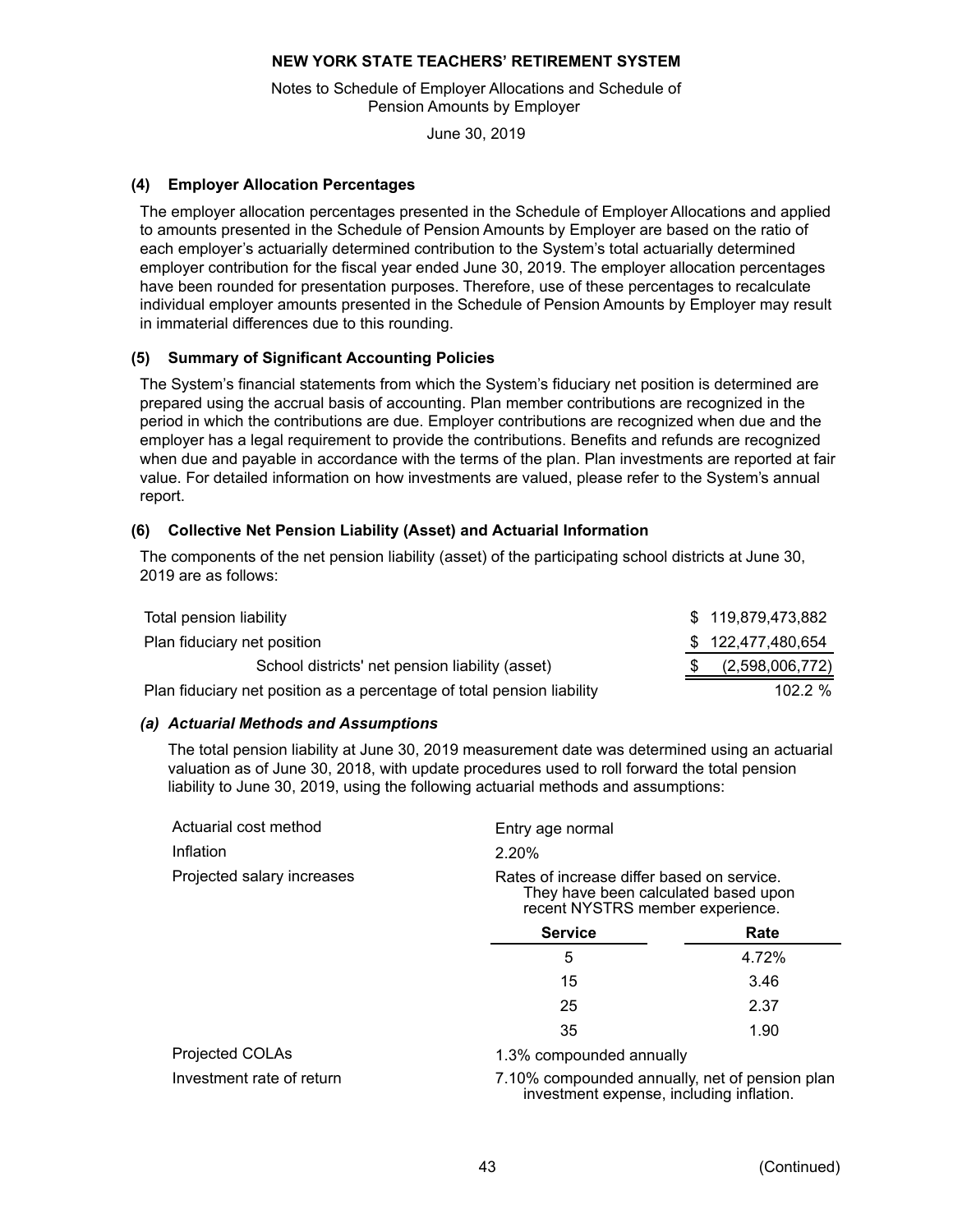Notes to Schedule of Employer Allocations and Schedule of Pension Amounts by Employer

June 30, 2019

# **(4) Employer Allocation Percentages**

The employer allocation percentages presented in the Schedule of Employer Allocations and applied to amounts presented in the Schedule of Pension Amounts by Employer are based on the ratio of each employer's actuarially determined contribution to the System's total actuarially determined employer contribution for the fiscal year ended June 30, 2019. The employer allocation percentages have been rounded for presentation purposes. Therefore, use of these percentages to recalculate individual employer amounts presented in the Schedule of Pension Amounts by Employer may result in immaterial differences due to this rounding.

# **(5) Summary of Significant Accounting Policies**

The System's financial statements from which the System's fiduciary net position is determined are prepared using the accrual basis of accounting. Plan member contributions are recognized in the period in which the contributions are due. Employer contributions are recognized when due and the employer has a legal requirement to provide the contributions. Benefits and refunds are recognized when due and payable in accordance with the terms of the plan. Plan investments are reported at fair value. For detailed information on how investments are valued, please refer to the System's annual report.

# **(6) Collective Net Pension Liability (Asset) and Actuarial Information**

The components of the net pension liability (asset) of the participating school districts at June 30, 2019 are as follows:

| Total pension liability                                                | \$119.879.473.882 |
|------------------------------------------------------------------------|-------------------|
| Plan fiduciary net position                                            | \$122,477,480,654 |
| School districts' net pension liability (asset)                        | (2,598,006,772)   |
| Plan fiduciary net position as a percentage of total pension liability | 102.2 $%$         |

## *(a) Actuarial Methods and Assumptions*

The total pension liability at June 30, 2019 measurement date was determined using an actuarial valuation as of June 30, 2018, with update procedures used to roll forward the total pension liability to June 30, 2019, using the following actuarial methods and assumptions:

| Actuarial cost method      | Entry age normal |                                                                                                                        |  |  |  |  |  |
|----------------------------|------------------|------------------------------------------------------------------------------------------------------------------------|--|--|--|--|--|
| Inflation                  | 2.20%            |                                                                                                                        |  |  |  |  |  |
| Projected salary increases |                  | Rates of increase differ based on service.<br>They have been calculated based upon<br>recent NYSTRS member experience. |  |  |  |  |  |
|                            | <b>Service</b>   | Rate                                                                                                                   |  |  |  |  |  |
|                            | 5                | 4.72%                                                                                                                  |  |  |  |  |  |
|                            | 15               | 3.46                                                                                                                   |  |  |  |  |  |
|                            | 25               | 2.37                                                                                                                   |  |  |  |  |  |
|                            | 35               | 1.90                                                                                                                   |  |  |  |  |  |
| Projected COLAs            |                  | 1.3% compounded annually                                                                                               |  |  |  |  |  |
| Investment rate of return  |                  | 7.10% compounded annually, net of pension plan<br>investment expense, including inflation.                             |  |  |  |  |  |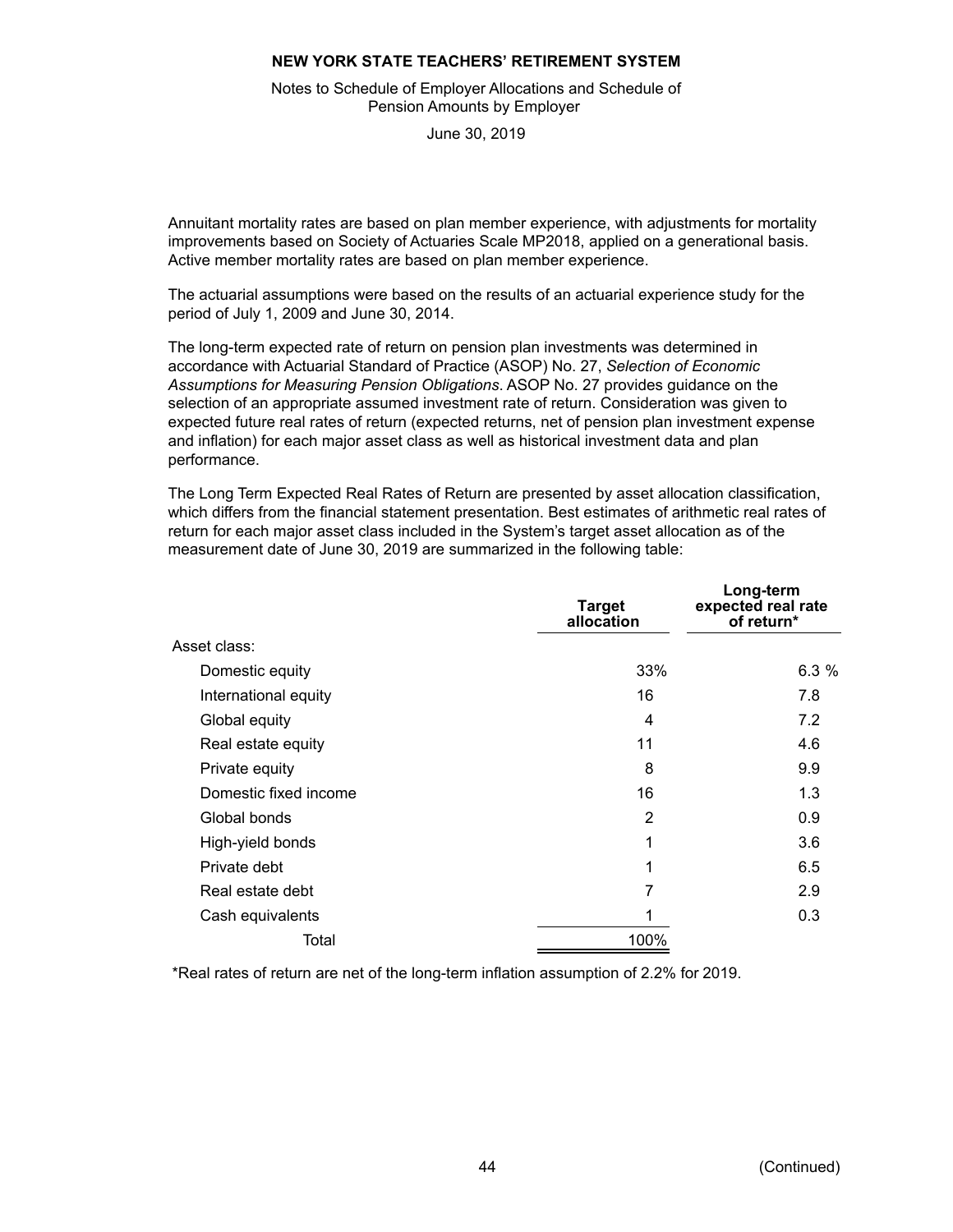Notes to Schedule of Employer Allocations and Schedule of Pension Amounts by Employer

June 30, 2019

Annuitant mortality rates are based on plan member experience, with adjustments for mortality improvements based on Society of Actuaries Scale MP2018, applied on a generational basis. Active member mortality rates are based on plan member experience.

The actuarial assumptions were based on the results of an actuarial experience study for the period of July 1, 2009 and June 30, 2014.

The long-term expected rate of return on pension plan investments was determined in accordance with Actuarial Standard of Practice (ASOP) No. 27, *Selection of Economic Assumptions for Measuring Pension Obligations*. ASOP No. 27 provides guidance on the selection of an appropriate assumed investment rate of return. Consideration was given to expected future real rates of return (expected returns, net of pension plan investment expense and inflation) for each major asset class as well as historical investment data and plan performance.

The Long Term Expected Real Rates of Return are presented by asset allocation classification, which differs from the financial statement presentation. Best estimates of arithmetic real rates of return for each major asset class included in the System's target asset allocation as of the measurement date of June 30, 2019 are summarized in the following table:

|                       | <b>Target</b><br>allocation | Long-term<br>expected real rate<br>of return* |  |  |
|-----------------------|-----------------------------|-----------------------------------------------|--|--|
| Asset class:          |                             |                                               |  |  |
| Domestic equity       | 33%                         | 6.3%                                          |  |  |
| International equity  | 16                          | 7.8                                           |  |  |
| Global equity         | 4                           | 7.2                                           |  |  |
| Real estate equity    | 11                          | 4.6                                           |  |  |
| Private equity        | 8                           | 9.9                                           |  |  |
| Domestic fixed income | 16                          | 1.3                                           |  |  |
| Global bonds          | 2                           | 0.9                                           |  |  |
| High-yield bonds      | 1                           | 3.6                                           |  |  |
| Private debt          | 1                           | 6.5                                           |  |  |
| Real estate debt      | 7                           | 2.9                                           |  |  |
| Cash equivalents      |                             | 0.3                                           |  |  |
| Total                 | 100%                        |                                               |  |  |

\*Real rates of return are net of the long-term inflation assumption of 2.2% for 2019.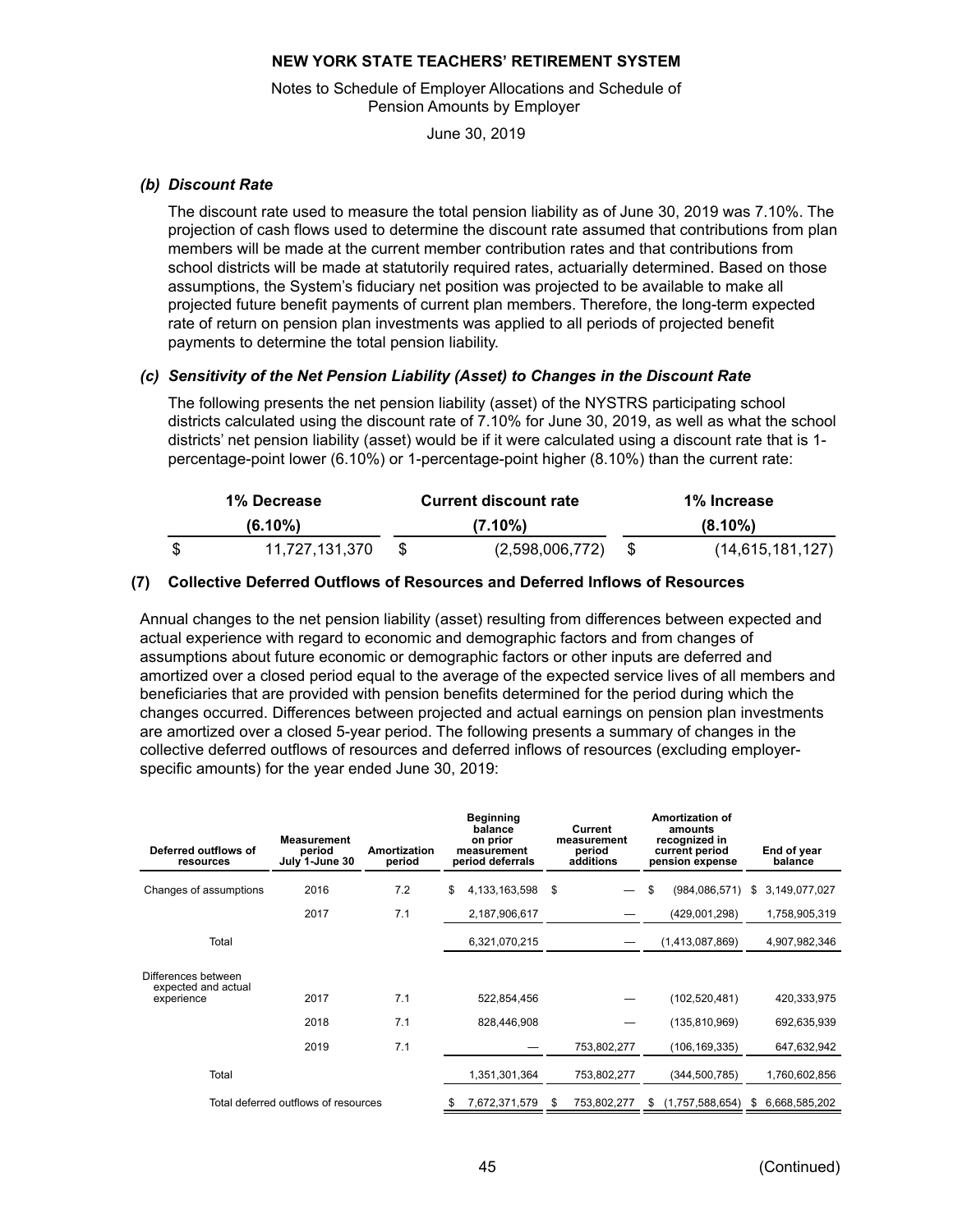Notes to Schedule of Employer Allocations and Schedule of Pension Amounts by Employer

June 30, 2019

## *(b) Discount Rate*

The discount rate used to measure the total pension liability as of June 30, 2019 was 7.10%. The projection of cash flows used to determine the discount rate assumed that contributions from plan members will be made at the current member contribution rates and that contributions from school districts will be made at statutorily required rates, actuarially determined. Based on those assumptions, the System's fiduciary net position was projected to be available to make all projected future benefit payments of current plan members. Therefore, the long-term expected rate of return on pension plan investments was applied to all periods of projected benefit payments to determine the total pension liability.

## *(c) Sensitivity of the Net Pension Liability (Asset) to Changes in the Discount Rate*

The following presents the net pension liability (asset) of the NYSTRS participating school districts calculated using the discount rate of 7.10% for June 30, 2019, as well as what the school districts' net pension liability (asset) would be if it were calculated using a discount rate that is 1 percentage-point lower (6.10%) or 1-percentage-point higher (8.10%) than the current rate:

| 1% Decrease |                |  | <b>Current discount rate</b> | 1% Increase |                  |  |  |  |
|-------------|----------------|--|------------------------------|-------------|------------------|--|--|--|
| $(6.10\%)$  |                |  | $(7.10\%)$                   | $(8.10\%)$  |                  |  |  |  |
| -\$         | 11,727,131,370 |  | (2,598,006,772)              |             | (14,615,181,127) |  |  |  |

## **(7) Collective Deferred Outflows of Resources and Deferred Inflows of Resources**

Annual changes to the net pension liability (asset) resulting from differences between expected and actual experience with regard to economic and demographic factors and from changes of assumptions about future economic or demographic factors or other inputs are deferred and amortized over a closed period equal to the average of the expected service lives of all members and beneficiaries that are provided with pension benefits determined for the period during which the changes occurred. Differences between projected and actual earnings on pension plan investments are amortized over a closed 5-year period. The following presents a summary of changes in the collective deferred outflows of resources and deferred inflows of resources (excluding employerspecific amounts) for the year ended June 30, 2019:

| Deferred outflows of<br>resources          | <b>Measurement</b><br>period<br>July 1-June 30 | <b>Amortization</b><br>period | <b>Beginning</b><br>balance<br>on prior<br>measurement<br>period deferrals |    | Current<br>measurement<br>period<br>additions |    | <b>Amortization of</b><br>amounts<br>recognized in<br>current period<br>pension expense |   | End of year<br>balance |
|--------------------------------------------|------------------------------------------------|-------------------------------|----------------------------------------------------------------------------|----|-----------------------------------------------|----|-----------------------------------------------------------------------------------------|---|------------------------|
| Changes of assumptions                     | 2016                                           | 7.2                           | \$<br>4,133,163,598                                                        | \$ |                                               | \$ | (984, 086, 571)                                                                         | S | 3,149,077,027          |
|                                            | 2017                                           | 7.1                           | 2,187,906,617                                                              |    |                                               |    | (429,001,298)                                                                           |   | 1,758,905,319          |
| Total                                      |                                                |                               | 6,321,070,215                                                              |    |                                               |    | (1,413,087,869)                                                                         |   | 4,907,982,346          |
| Differences between<br>expected and actual |                                                | 7.1                           |                                                                            |    |                                               |    |                                                                                         |   |                        |
| experience                                 | 2017                                           |                               | 522.854.456                                                                |    |                                               |    | (102, 520, 481)                                                                         |   | 420,333,975            |
|                                            | 2018                                           | 7.1                           | 828,446,908                                                                |    |                                               |    | (135, 810, 969)                                                                         |   | 692,635,939            |
|                                            | 2019                                           | 7.1                           |                                                                            |    | 753,802,277                                   |    | (106, 169, 335)                                                                         |   | 647,632,942            |
| Total                                      |                                                |                               | 1,351,301,364                                                              |    | 753,802,277                                   |    | (344, 500, 785)                                                                         |   | 1,760,602,856          |
|                                            | Total deferred outflows of resources           |                               | 7,672,371,579                                                              | S  | 753,802,277                                   | S  | (1,757,588,654)                                                                         | S | 6,668,585,202          |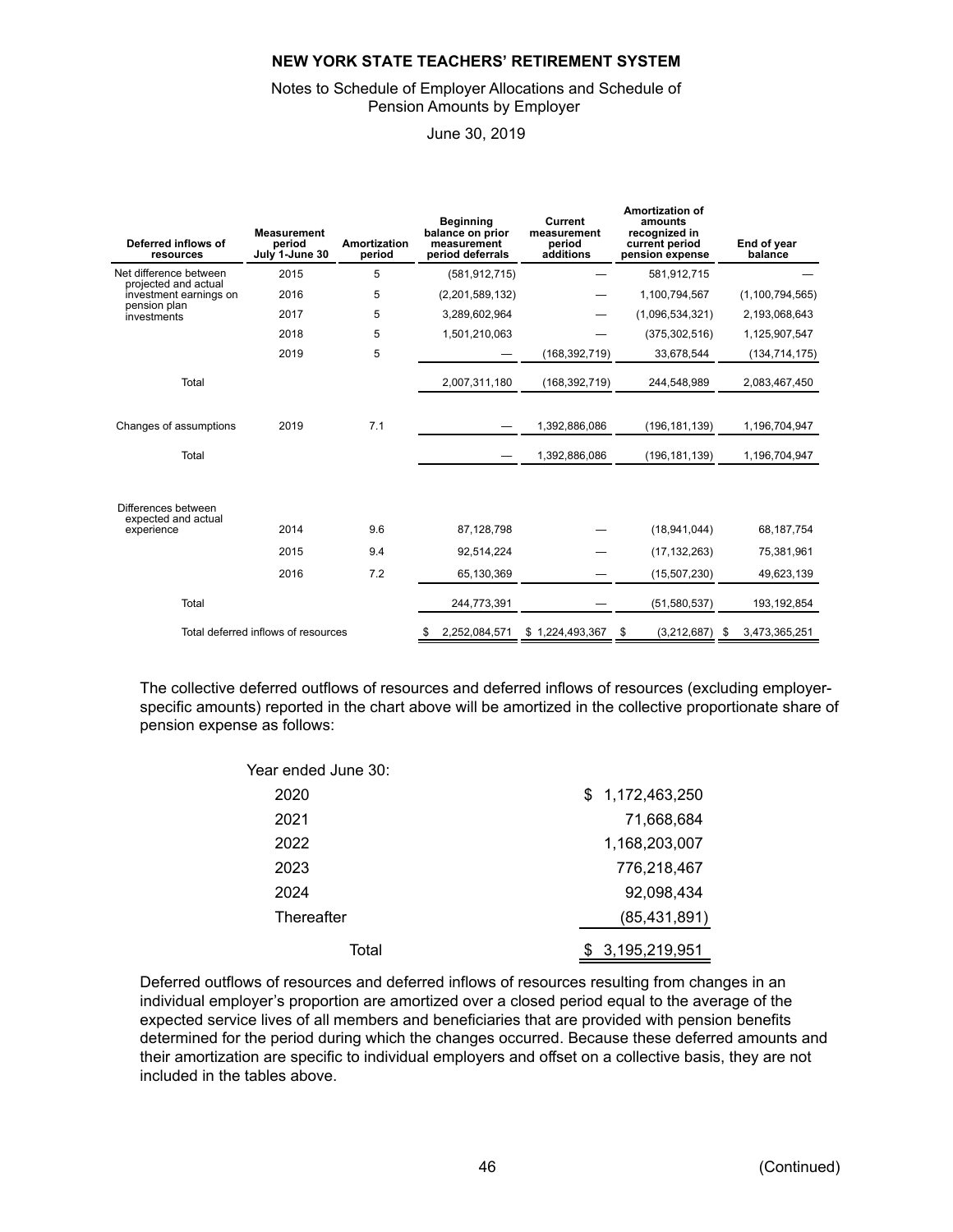# Notes to Schedule of Employer Allocations and Schedule of Pension Amounts by Employer

June 30, 2019

| Deferred inflows of<br>resources               | <b>Measurement</b><br>period<br>July 1-June 30 | <b>Amortization</b><br>period | <b>Beginning</b><br>balance on prior<br>measurement<br>period deferrals | Current<br>measurement<br>period<br>additions | <b>Amortization of</b><br>amounts<br>recognized in<br>current period<br>pension expense | End of year<br>balance |
|------------------------------------------------|------------------------------------------------|-------------------------------|-------------------------------------------------------------------------|-----------------------------------------------|-----------------------------------------------------------------------------------------|------------------------|
| Net difference between                         | 2015                                           | 5                             | (581, 912, 715)                                                         |                                               | 581,912,715                                                                             |                        |
| projected and actual<br>investment earnings on | 2016                                           | 5                             | (2,201,589,132)                                                         |                                               | 1,100,794,567                                                                           | (1, 100, 794, 565)     |
| pension plan<br>investments                    | 2017                                           | 5                             | 3,289,602,964                                                           |                                               | (1,096,534,321)                                                                         | 2,193,068,643          |
|                                                | 2018                                           | 5                             | 1,501,210,063                                                           |                                               | (375, 302, 516)                                                                         | 1,125,907,547          |
|                                                | 2019                                           | 5                             |                                                                         | (168, 392, 719)                               | 33,678,544                                                                              | (134, 714, 175)        |
| Total                                          |                                                |                               | 2,007,311,180                                                           | (168, 392, 719)                               | 244,548,989                                                                             | 2,083,467,450          |
| Changes of assumptions                         | 2019                                           | 7.1                           |                                                                         | 1,392,886,086                                 | (196, 181, 139)                                                                         | 1,196,704,947          |
| Total                                          |                                                |                               |                                                                         | 1,392,886,086                                 | (196, 181, 139)                                                                         | 1,196,704,947          |
| Differences between<br>expected and actual     |                                                |                               |                                                                         |                                               |                                                                                         |                        |
| experience                                     | 2014                                           | 9.6                           | 87,128,798                                                              |                                               | (18, 941, 044)                                                                          | 68,187,754             |
|                                                | 2015                                           | 9.4                           | 92,514,224                                                              |                                               | (17, 132, 263)                                                                          | 75,381,961             |
|                                                | 2016                                           | 7.2                           | 65,130,369                                                              |                                               | (15, 507, 230)                                                                          | 49,623,139             |
| Total                                          |                                                |                               | 244,773,391                                                             |                                               | (51, 580, 537)                                                                          | 193, 192, 854          |
|                                                | Total deferred inflows of resources            |                               | 2,252,084,571<br>\$                                                     | \$1,224,493,367                               | \$<br>(3,212,687)                                                                       | S<br>3,473,365,251     |

The collective deferred outflows of resources and deferred inflows of resources (excluding employerspecific amounts) reported in the chart above will be amortized in the collective proportionate share of pension expense as follows:

| Year ended June 30: |                 |
|---------------------|-----------------|
| 2020                | \$1,172,463,250 |
| 2021                | 71,668,684      |
| 2022                | 1,168,203,007   |
| 2023                | 776,218,467     |
| 2024                | 92,098,434      |
| Thereafter          | (85, 431, 891)  |
| Total               | \$3,195,219,951 |

Deferred outflows of resources and deferred inflows of resources resulting from changes in an individual employer's proportion are amortized over a closed period equal to the average of the expected service lives of all members and beneficiaries that are provided with pension benefits determined for the period during which the changes occurred. Because these deferred amounts and their amortization are specific to individual employers and offset on a collective basis, they are not included in the tables above.